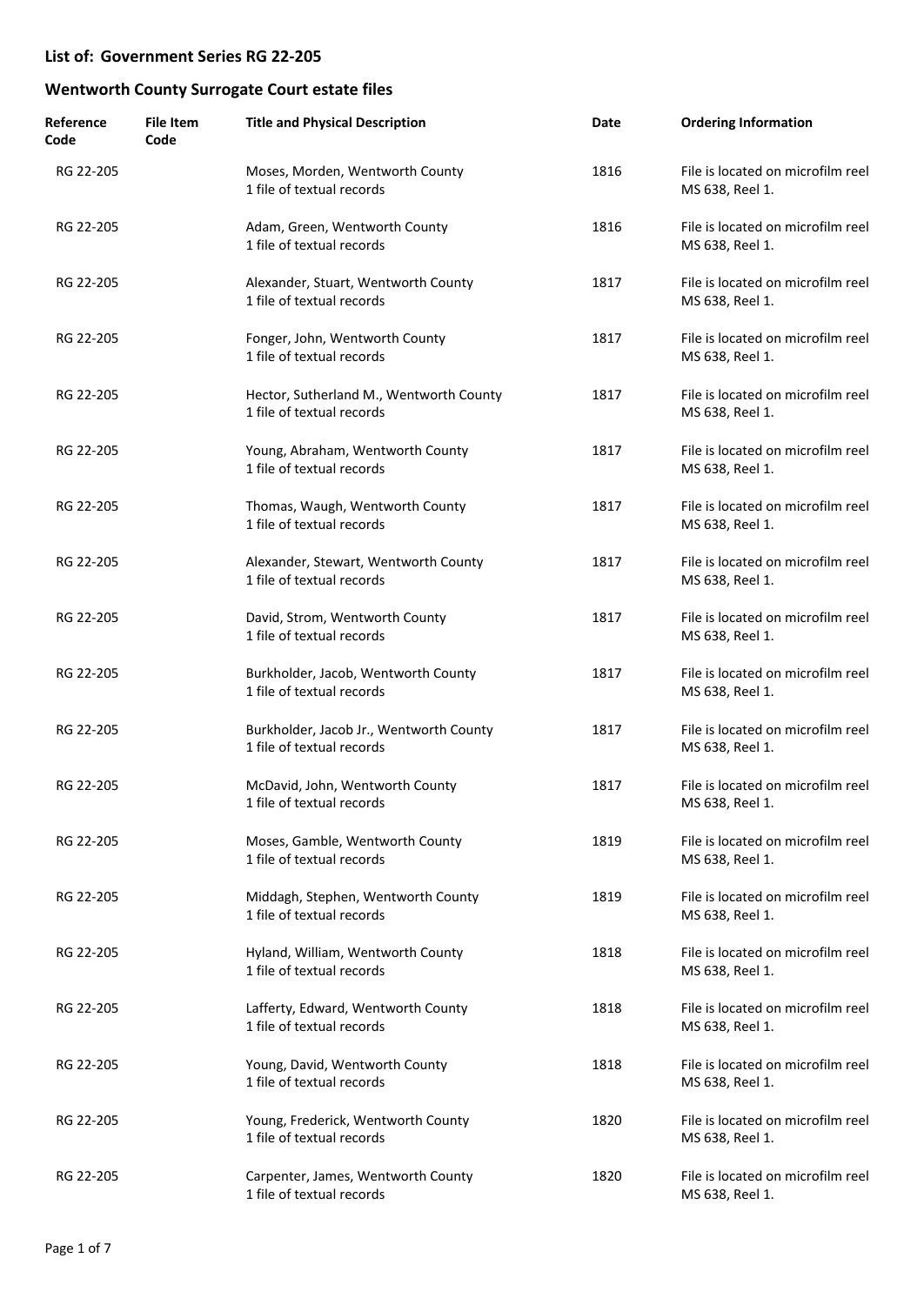| Reference<br>Code | <b>File Item</b><br>Code | <b>Title and Physical Description</b>                                | Date | <b>Ordering Information</b>                          |
|-------------------|--------------------------|----------------------------------------------------------------------|------|------------------------------------------------------|
| RG 22-205         |                          | Moses, Morden, Wentworth County<br>1 file of textual records         | 1816 | File is located on microfilm reel<br>MS 638, Reel 1. |
| RG 22-205         |                          | Adam, Green, Wentworth County<br>1 file of textual records           | 1816 | File is located on microfilm reel<br>MS 638, Reel 1. |
| RG 22-205         |                          | Alexander, Stuart, Wentworth County<br>1 file of textual records     | 1817 | File is located on microfilm reel<br>MS 638, Reel 1. |
| RG 22-205         |                          | Fonger, John, Wentworth County<br>1 file of textual records          | 1817 | File is located on microfilm reel<br>MS 638, Reel 1. |
| RG 22-205         |                          | Hector, Sutherland M., Wentworth County<br>1 file of textual records | 1817 | File is located on microfilm reel<br>MS 638, Reel 1. |
| RG 22-205         |                          | Young, Abraham, Wentworth County<br>1 file of textual records        | 1817 | File is located on microfilm reel<br>MS 638, Reel 1. |
| RG 22-205         |                          | Thomas, Waugh, Wentworth County<br>1 file of textual records         | 1817 | File is located on microfilm reel<br>MS 638, Reel 1. |
| RG 22-205         |                          | Alexander, Stewart, Wentworth County<br>1 file of textual records    | 1817 | File is located on microfilm reel<br>MS 638, Reel 1. |
| RG 22-205         |                          | David, Strom, Wentworth County<br>1 file of textual records          | 1817 | File is located on microfilm reel<br>MS 638, Reel 1. |
| RG 22-205         |                          | Burkholder, Jacob, Wentworth County<br>1 file of textual records     | 1817 | File is located on microfilm reel<br>MS 638, Reel 1. |
| RG 22-205         |                          | Burkholder, Jacob Jr., Wentworth County<br>1 file of textual records | 1817 | File is located on microfilm reel<br>MS 638, Reel 1. |
| RG 22-205         |                          | McDavid, John, Wentworth County<br>1 file of textual records         | 1817 | File is located on microfilm reel<br>MS 638, Reel 1. |
| RG 22-205         |                          | Moses, Gamble, Wentworth County<br>1 file of textual records         | 1819 | File is located on microfilm reel<br>MS 638, Reel 1. |
| RG 22-205         |                          | Middagh, Stephen, Wentworth County<br>1 file of textual records      | 1819 | File is located on microfilm reel<br>MS 638, Reel 1. |
| RG 22-205         |                          | Hyland, William, Wentworth County<br>1 file of textual records       | 1818 | File is located on microfilm reel<br>MS 638, Reel 1. |
| RG 22-205         |                          | Lafferty, Edward, Wentworth County<br>1 file of textual records      | 1818 | File is located on microfilm reel<br>MS 638, Reel 1. |
| RG 22-205         |                          | Young, David, Wentworth County<br>1 file of textual records          | 1818 | File is located on microfilm reel<br>MS 638, Reel 1. |
| RG 22-205         |                          | Young, Frederick, Wentworth County<br>1 file of textual records      | 1820 | File is located on microfilm reel<br>MS 638, Reel 1. |
| RG 22-205         |                          | Carpenter, James, Wentworth County<br>1 file of textual records      | 1820 | File is located on microfilm reel<br>MS 638, Reel 1. |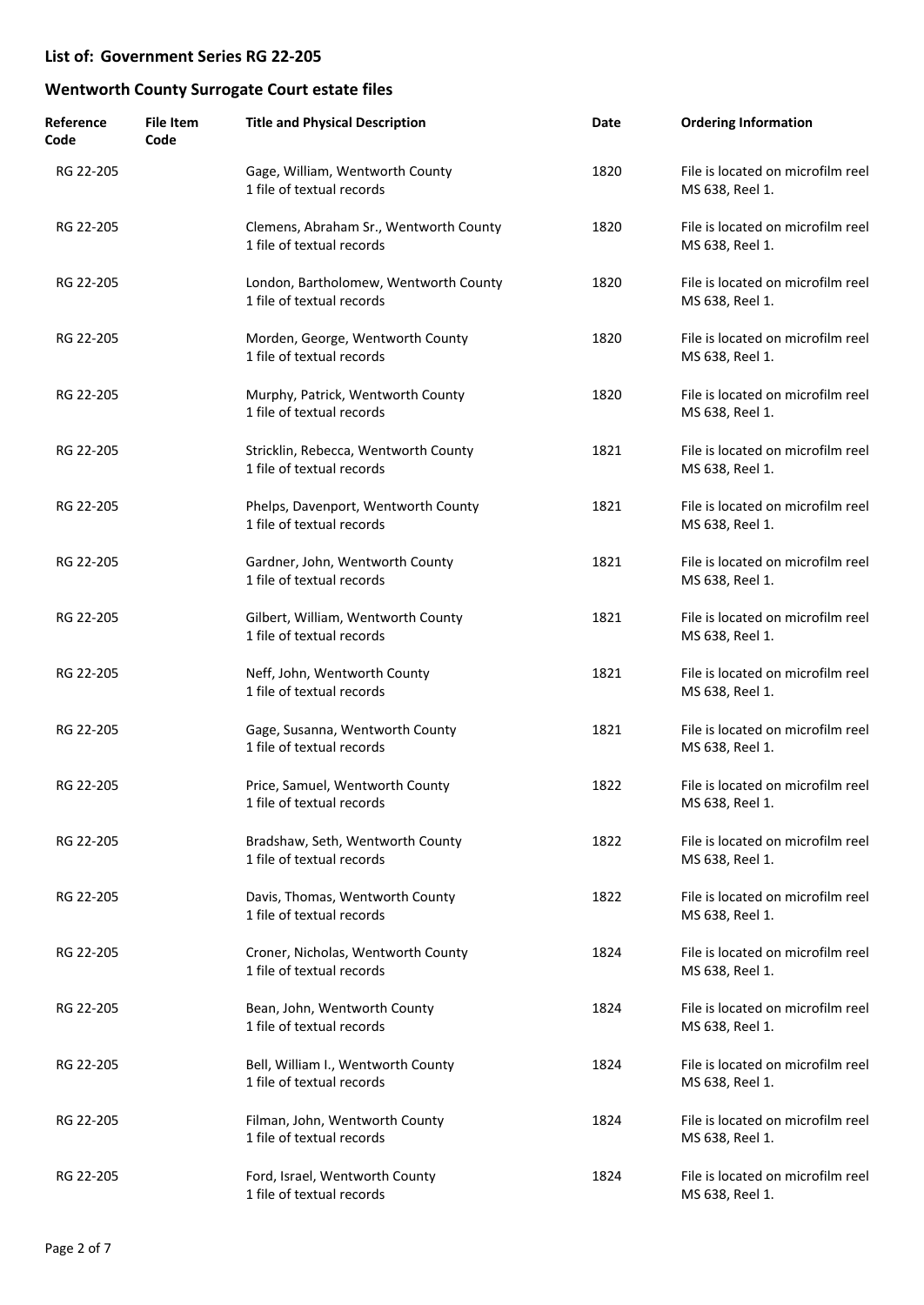| Reference<br>Code | <b>File Item</b><br>Code | <b>Title and Physical Description</b>                               | Date | <b>Ordering Information</b>                          |
|-------------------|--------------------------|---------------------------------------------------------------------|------|------------------------------------------------------|
| RG 22-205         |                          | Gage, William, Wentworth County<br>1 file of textual records        | 1820 | File is located on microfilm reel<br>MS 638, Reel 1. |
| RG 22-205         |                          | Clemens, Abraham Sr., Wentworth County<br>1 file of textual records | 1820 | File is located on microfilm reel<br>MS 638, Reel 1. |
| RG 22-205         |                          | London, Bartholomew, Wentworth County<br>1 file of textual records  | 1820 | File is located on microfilm reel<br>MS 638, Reel 1. |
| RG 22-205         |                          | Morden, George, Wentworth County<br>1 file of textual records       | 1820 | File is located on microfilm reel<br>MS 638, Reel 1. |
| RG 22-205         |                          | Murphy, Patrick, Wentworth County<br>1 file of textual records      | 1820 | File is located on microfilm reel<br>MS 638, Reel 1. |
| RG 22-205         |                          | Stricklin, Rebecca, Wentworth County<br>1 file of textual records   | 1821 | File is located on microfilm reel<br>MS 638, Reel 1. |
| RG 22-205         |                          | Phelps, Davenport, Wentworth County<br>1 file of textual records    | 1821 | File is located on microfilm reel<br>MS 638, Reel 1. |
| RG 22-205         |                          | Gardner, John, Wentworth County<br>1 file of textual records        | 1821 | File is located on microfilm reel<br>MS 638, Reel 1. |
| RG 22-205         |                          | Gilbert, William, Wentworth County<br>1 file of textual records     | 1821 | File is located on microfilm reel<br>MS 638, Reel 1. |
| RG 22-205         |                          | Neff, John, Wentworth County<br>1 file of textual records           | 1821 | File is located on microfilm reel<br>MS 638, Reel 1. |
| RG 22-205         |                          | Gage, Susanna, Wentworth County<br>1 file of textual records        | 1821 | File is located on microfilm reel<br>MS 638, Reel 1. |
| RG 22-205         |                          | Price, Samuel, Wentworth County<br>1 file of textual records        | 1822 | File is located on microfilm reel<br>MS 638, Reel 1. |
| RG 22-205         |                          | Bradshaw, Seth, Wentworth County<br>1 file of textual records       | 1822 | File is located on microfilm reel<br>MS 638, Reel 1. |
| RG 22-205         |                          | Davis, Thomas, Wentworth County<br>1 file of textual records        | 1822 | File is located on microfilm reel<br>MS 638, Reel 1. |
| RG 22-205         |                          | Croner, Nicholas, Wentworth County<br>1 file of textual records     | 1824 | File is located on microfilm reel<br>MS 638, Reel 1. |
| RG 22-205         |                          | Bean, John, Wentworth County<br>1 file of textual records           | 1824 | File is located on microfilm reel<br>MS 638, Reel 1. |
| RG 22-205         |                          | Bell, William I., Wentworth County<br>1 file of textual records     | 1824 | File is located on microfilm reel<br>MS 638, Reel 1. |
| RG 22-205         |                          | Filman, John, Wentworth County<br>1 file of textual records         | 1824 | File is located on microfilm reel<br>MS 638, Reel 1. |
| RG 22-205         |                          | Ford, Israel, Wentworth County<br>1 file of textual records         | 1824 | File is located on microfilm reel<br>MS 638, Reel 1. |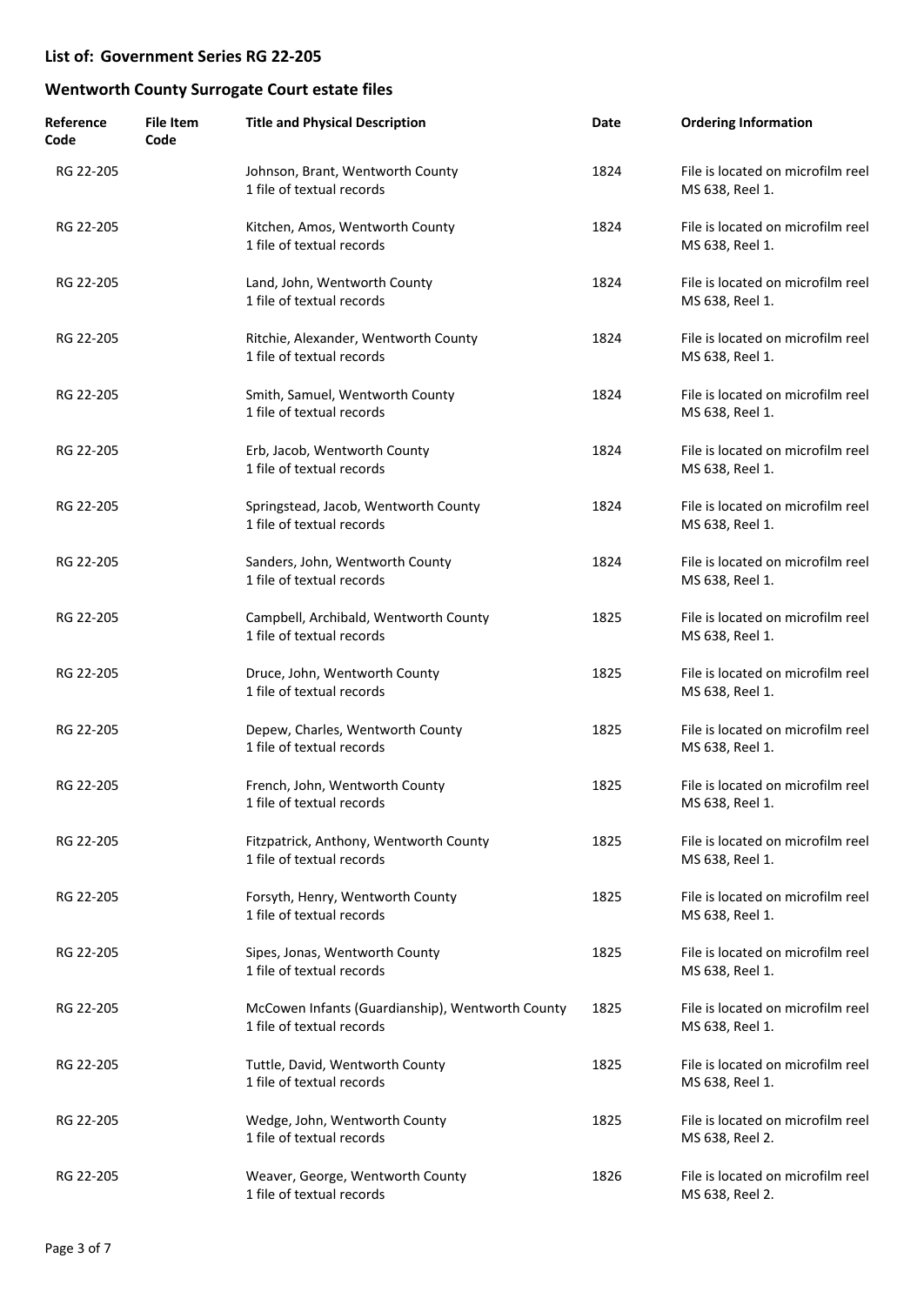| Reference<br>Code | <b>File Item</b><br>Code | <b>Title and Physical Description</b>                                         | Date | <b>Ordering Information</b>                          |
|-------------------|--------------------------|-------------------------------------------------------------------------------|------|------------------------------------------------------|
| RG 22-205         |                          | Johnson, Brant, Wentworth County<br>1 file of textual records                 | 1824 | File is located on microfilm reel<br>MS 638, Reel 1. |
| RG 22-205         |                          | Kitchen, Amos, Wentworth County<br>1 file of textual records                  | 1824 | File is located on microfilm reel<br>MS 638, Reel 1. |
| RG 22-205         |                          | Land, John, Wentworth County<br>1 file of textual records                     | 1824 | File is located on microfilm reel<br>MS 638, Reel 1. |
| RG 22-205         |                          | Ritchie, Alexander, Wentworth County<br>1 file of textual records             | 1824 | File is located on microfilm reel<br>MS 638, Reel 1. |
| RG 22-205         |                          | Smith, Samuel, Wentworth County<br>1 file of textual records                  | 1824 | File is located on microfilm reel<br>MS 638, Reel 1. |
| RG 22-205         |                          | Erb, Jacob, Wentworth County<br>1 file of textual records                     | 1824 | File is located on microfilm reel<br>MS 638, Reel 1. |
| RG 22-205         |                          | Springstead, Jacob, Wentworth County<br>1 file of textual records             | 1824 | File is located on microfilm reel<br>MS 638, Reel 1. |
| RG 22-205         |                          | Sanders, John, Wentworth County<br>1 file of textual records                  | 1824 | File is located on microfilm reel<br>MS 638, Reel 1. |
| RG 22-205         |                          | Campbell, Archibald, Wentworth County<br>1 file of textual records            | 1825 | File is located on microfilm reel<br>MS 638, Reel 1. |
| RG 22-205         |                          | Druce, John, Wentworth County<br>1 file of textual records                    | 1825 | File is located on microfilm reel<br>MS 638, Reel 1. |
| RG 22-205         |                          | Depew, Charles, Wentworth County<br>1 file of textual records                 | 1825 | File is located on microfilm reel<br>MS 638, Reel 1. |
| RG 22-205         |                          | French, John, Wentworth County<br>1 file of textual records                   | 1825 | File is located on microfilm reel<br>MS 638, Reel 1. |
| RG 22-205         |                          | Fitzpatrick, Anthony, Wentworth County<br>1 file of textual records           | 1825 | File is located on microfilm reel<br>MS 638, Reel 1. |
| RG 22-205         |                          | Forsyth, Henry, Wentworth County<br>1 file of textual records                 | 1825 | File is located on microfilm reel<br>MS 638, Reel 1. |
| RG 22-205         |                          | Sipes, Jonas, Wentworth County<br>1 file of textual records                   | 1825 | File is located on microfilm reel<br>MS 638, Reel 1. |
| RG 22-205         |                          | McCowen Infants (Guardianship), Wentworth County<br>1 file of textual records | 1825 | File is located on microfilm reel<br>MS 638, Reel 1. |
| RG 22-205         |                          | Tuttle, David, Wentworth County<br>1 file of textual records                  | 1825 | File is located on microfilm reel<br>MS 638, Reel 1. |
| RG 22-205         |                          | Wedge, John, Wentworth County<br>1 file of textual records                    | 1825 | File is located on microfilm reel<br>MS 638, Reel 2. |
| RG 22-205         |                          | Weaver, George, Wentworth County<br>1 file of textual records                 | 1826 | File is located on microfilm reel<br>MS 638, Reel 2. |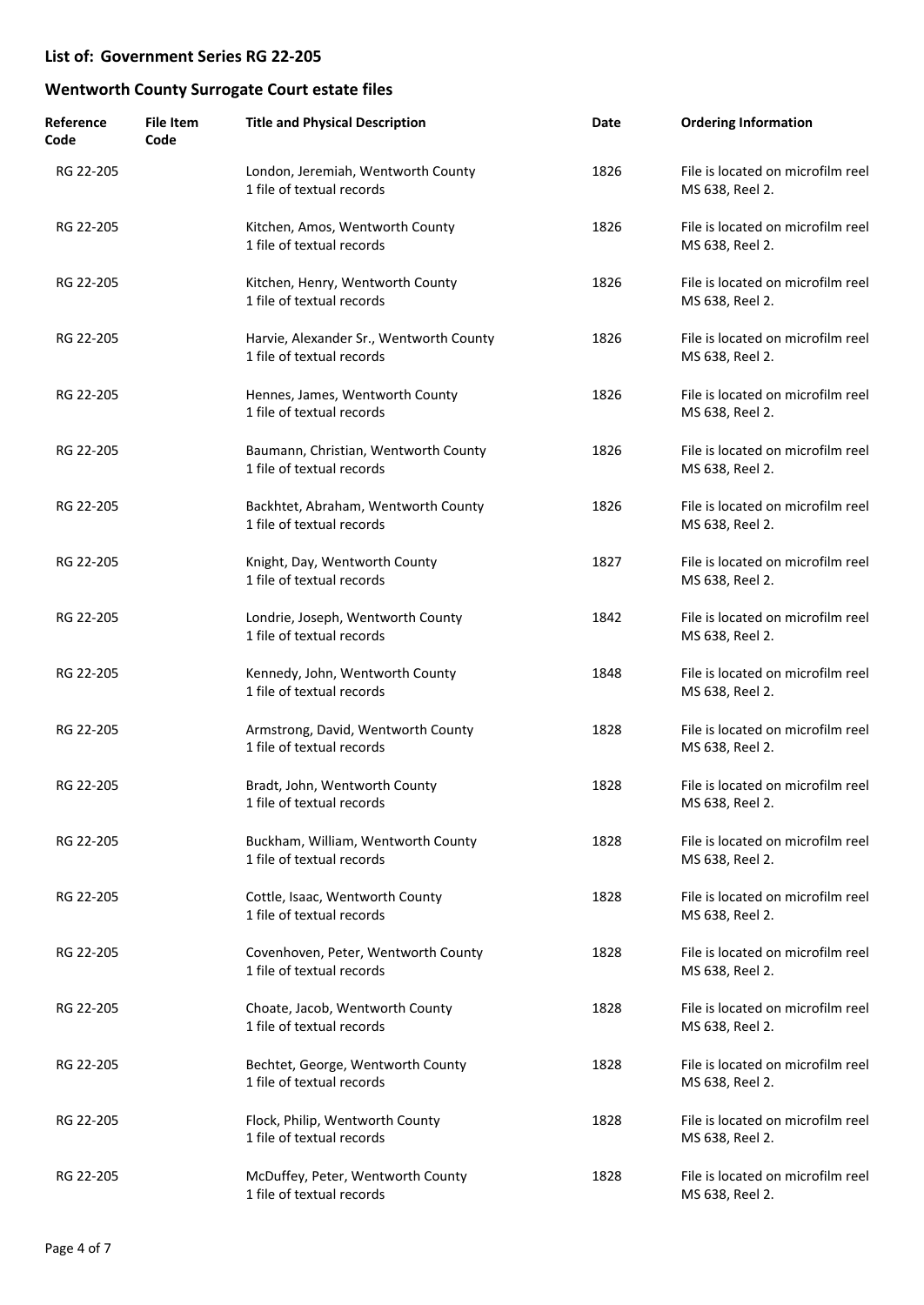| Reference<br>Code | <b>File Item</b><br>Code | <b>Title and Physical Description</b>                                | Date | <b>Ordering Information</b>                          |
|-------------------|--------------------------|----------------------------------------------------------------------|------|------------------------------------------------------|
| RG 22-205         |                          | London, Jeremiah, Wentworth County<br>1 file of textual records      | 1826 | File is located on microfilm reel<br>MS 638, Reel 2. |
| RG 22-205         |                          | Kitchen, Amos, Wentworth County<br>1 file of textual records         | 1826 | File is located on microfilm reel<br>MS 638, Reel 2. |
| RG 22-205         |                          | Kitchen, Henry, Wentworth County<br>1 file of textual records        | 1826 | File is located on microfilm reel<br>MS 638, Reel 2. |
| RG 22-205         |                          | Harvie, Alexander Sr., Wentworth County<br>1 file of textual records | 1826 | File is located on microfilm reel<br>MS 638, Reel 2. |
| RG 22-205         |                          | Hennes, James, Wentworth County<br>1 file of textual records         | 1826 | File is located on microfilm reel<br>MS 638, Reel 2. |
| RG 22-205         |                          | Baumann, Christian, Wentworth County<br>1 file of textual records    | 1826 | File is located on microfilm reel<br>MS 638, Reel 2. |
| RG 22-205         |                          | Backhtet, Abraham, Wentworth County<br>1 file of textual records     | 1826 | File is located on microfilm reel<br>MS 638, Reel 2. |
| RG 22-205         |                          | Knight, Day, Wentworth County<br>1 file of textual records           | 1827 | File is located on microfilm reel<br>MS 638, Reel 2. |
| RG 22-205         |                          | Londrie, Joseph, Wentworth County<br>1 file of textual records       | 1842 | File is located on microfilm reel<br>MS 638, Reel 2. |
| RG 22-205         |                          | Kennedy, John, Wentworth County<br>1 file of textual records         | 1848 | File is located on microfilm reel<br>MS 638, Reel 2. |
| RG 22-205         |                          | Armstrong, David, Wentworth County<br>1 file of textual records      | 1828 | File is located on microfilm reel<br>MS 638, Reel 2. |
| RG 22-205         |                          | Bradt, John, Wentworth County<br>1 file of textual records           | 1828 | File is located on microfilm reel<br>MS 638, Reel 2. |
| RG 22-205         |                          | Buckham, William, Wentworth County<br>1 file of textual records      | 1828 | File is located on microfilm reel<br>MS 638, Reel 2. |
| RG 22-205         |                          | Cottle, Isaac, Wentworth County<br>1 file of textual records         | 1828 | File is located on microfilm reel<br>MS 638, Reel 2. |
| RG 22-205         |                          | Covenhoven, Peter, Wentworth County<br>1 file of textual records     | 1828 | File is located on microfilm reel<br>MS 638, Reel 2. |
| RG 22-205         |                          | Choate, Jacob, Wentworth County<br>1 file of textual records         | 1828 | File is located on microfilm reel<br>MS 638, Reel 2. |
| RG 22-205         |                          | Bechtet, George, Wentworth County<br>1 file of textual records       | 1828 | File is located on microfilm reel<br>MS 638, Reel 2. |
| RG 22-205         |                          | Flock, Philip, Wentworth County<br>1 file of textual records         | 1828 | File is located on microfilm reel<br>MS 638, Reel 2. |
| RG 22-205         |                          | McDuffey, Peter, Wentworth County<br>1 file of textual records       | 1828 | File is located on microfilm reel<br>MS 638, Reel 2. |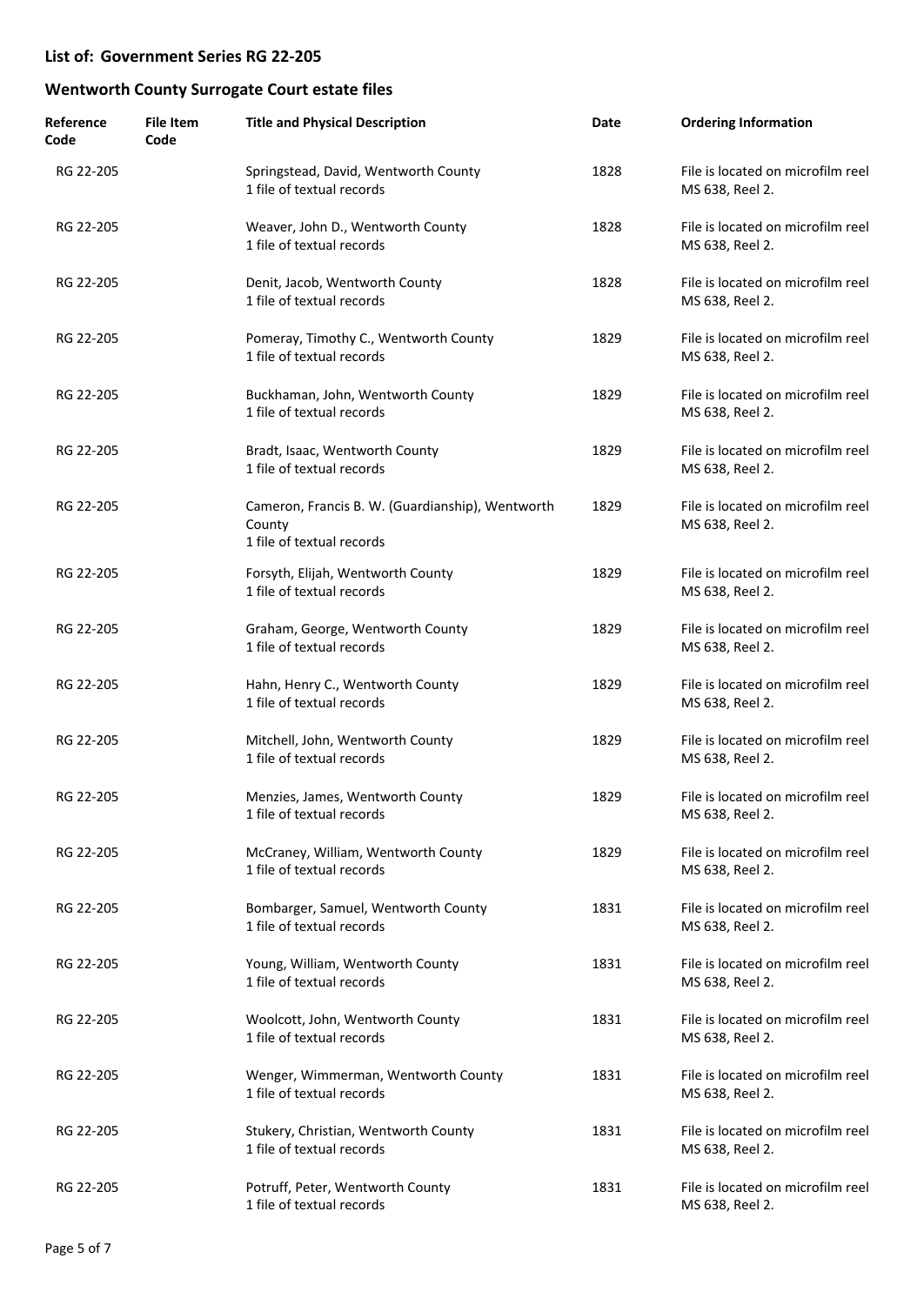| Reference<br>Code | <b>File Item</b><br>Code | <b>Title and Physical Description</b>                                                   | Date | <b>Ordering Information</b>                          |
|-------------------|--------------------------|-----------------------------------------------------------------------------------------|------|------------------------------------------------------|
| RG 22-205         |                          | Springstead, David, Wentworth County<br>1 file of textual records                       | 1828 | File is located on microfilm reel<br>MS 638, Reel 2. |
| RG 22-205         |                          | Weaver, John D., Wentworth County<br>1 file of textual records                          | 1828 | File is located on microfilm reel<br>MS 638, Reel 2. |
| RG 22-205         |                          | Denit, Jacob, Wentworth County<br>1 file of textual records                             | 1828 | File is located on microfilm reel<br>MS 638, Reel 2. |
| RG 22-205         |                          | Pomeray, Timothy C., Wentworth County<br>1 file of textual records                      | 1829 | File is located on microfilm reel<br>MS 638, Reel 2. |
| RG 22-205         |                          | Buckhaman, John, Wentworth County<br>1 file of textual records                          | 1829 | File is located on microfilm reel<br>MS 638, Reel 2. |
| RG 22-205         |                          | Bradt, Isaac, Wentworth County<br>1 file of textual records                             | 1829 | File is located on microfilm reel<br>MS 638, Reel 2. |
| RG 22-205         |                          | Cameron, Francis B. W. (Guardianship), Wentworth<br>County<br>1 file of textual records | 1829 | File is located on microfilm reel<br>MS 638, Reel 2. |
| RG 22-205         |                          | Forsyth, Elijah, Wentworth County<br>1 file of textual records                          | 1829 | File is located on microfilm reel<br>MS 638, Reel 2. |
| RG 22-205         |                          | Graham, George, Wentworth County<br>1 file of textual records                           | 1829 | File is located on microfilm reel<br>MS 638, Reel 2. |
| RG 22-205         |                          | Hahn, Henry C., Wentworth County<br>1 file of textual records                           | 1829 | File is located on microfilm reel<br>MS 638, Reel 2. |
| RG 22-205         |                          | Mitchell, John, Wentworth County<br>1 file of textual records                           | 1829 | File is located on microfilm reel<br>MS 638, Reel 2. |
| RG 22-205         |                          | Menzies, James, Wentworth County<br>1 file of textual records                           | 1829 | File is located on microfilm reel<br>MS 638, Reel 2. |
| RG 22-205         |                          | McCraney, William, Wentworth County<br>1 file of textual records                        | 1829 | File is located on microfilm reel<br>MS 638, Reel 2. |
| RG 22-205         |                          | Bombarger, Samuel, Wentworth County<br>1 file of textual records                        | 1831 | File is located on microfilm reel<br>MS 638, Reel 2. |
| RG 22-205         |                          | Young, William, Wentworth County<br>1 file of textual records                           | 1831 | File is located on microfilm reel<br>MS 638, Reel 2. |
| RG 22-205         |                          | Woolcott, John, Wentworth County<br>1 file of textual records                           | 1831 | File is located on microfilm reel<br>MS 638, Reel 2. |
| RG 22-205         |                          | Wenger, Wimmerman, Wentworth County<br>1 file of textual records                        | 1831 | File is located on microfilm reel<br>MS 638, Reel 2. |
| RG 22-205         |                          | Stukery, Christian, Wentworth County<br>1 file of textual records                       | 1831 | File is located on microfilm reel<br>MS 638, Reel 2. |
| RG 22-205         |                          | Potruff, Peter, Wentworth County<br>1 file of textual records                           | 1831 | File is located on microfilm reel<br>MS 638, Reel 2. |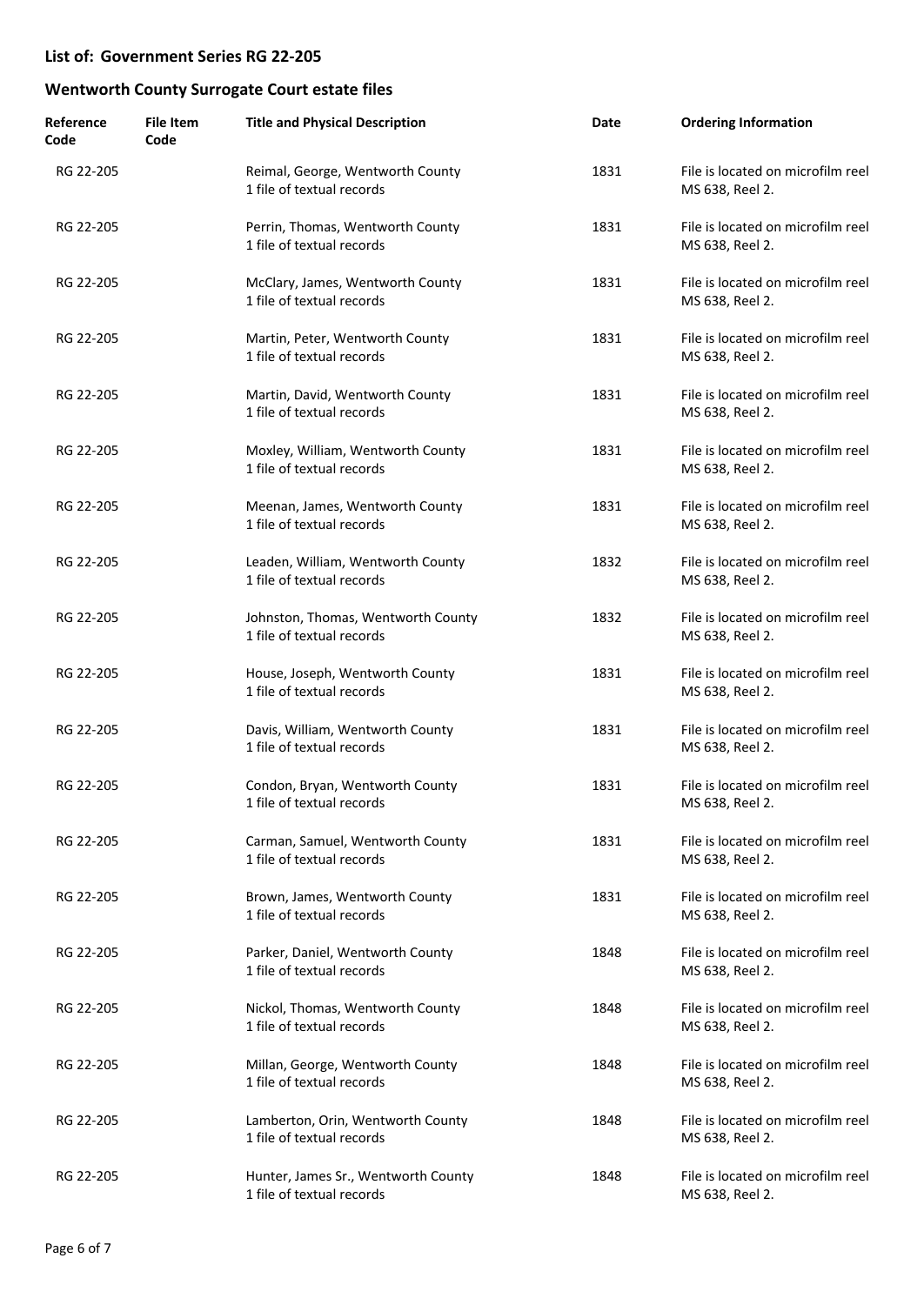| Reference<br>Code | <b>File Item</b><br>Code | <b>Title and Physical Description</b>                            | Date | <b>Ordering Information</b>                          |
|-------------------|--------------------------|------------------------------------------------------------------|------|------------------------------------------------------|
| RG 22-205         |                          | Reimal, George, Wentworth County<br>1 file of textual records    | 1831 | File is located on microfilm reel<br>MS 638, Reel 2. |
| RG 22-205         |                          | Perrin, Thomas, Wentworth County<br>1 file of textual records    | 1831 | File is located on microfilm reel<br>MS 638, Reel 2. |
| RG 22-205         |                          | McClary, James, Wentworth County<br>1 file of textual records    | 1831 | File is located on microfilm reel<br>MS 638, Reel 2. |
| RG 22-205         |                          | Martin, Peter, Wentworth County<br>1 file of textual records     | 1831 | File is located on microfilm reel<br>MS 638, Reel 2. |
| RG 22-205         |                          | Martin, David, Wentworth County<br>1 file of textual records     | 1831 | File is located on microfilm reel<br>MS 638, Reel 2. |
| RG 22-205         |                          | Moxley, William, Wentworth County<br>1 file of textual records   | 1831 | File is located on microfilm reel<br>MS 638, Reel 2. |
| RG 22-205         |                          | Meenan, James, Wentworth County<br>1 file of textual records     | 1831 | File is located on microfilm reel<br>MS 638, Reel 2. |
| RG 22-205         |                          | Leaden, William, Wentworth County<br>1 file of textual records   | 1832 | File is located on microfilm reel<br>MS 638, Reel 2. |
| RG 22-205         |                          | Johnston, Thomas, Wentworth County<br>1 file of textual records  | 1832 | File is located on microfilm reel<br>MS 638, Reel 2. |
| RG 22-205         |                          | House, Joseph, Wentworth County<br>1 file of textual records     | 1831 | File is located on microfilm reel<br>MS 638, Reel 2. |
| RG 22-205         |                          | Davis, William, Wentworth County<br>1 file of textual records    | 1831 | File is located on microfilm reel<br>MS 638, Reel 2. |
| RG 22-205         |                          | Condon, Bryan, Wentworth County<br>1 file of textual records     | 1831 | File is located on microfilm reel<br>MS 638, Reel 2. |
| RG 22-205         |                          | Carman, Samuel, Wentworth County<br>1 file of textual records    | 1831 | File is located on microfilm reel<br>MS 638, Reel 2. |
| RG 22-205         |                          | Brown, James, Wentworth County<br>1 file of textual records      | 1831 | File is located on microfilm reel<br>MS 638, Reel 2. |
| RG 22-205         |                          | Parker, Daniel, Wentworth County<br>1 file of textual records    | 1848 | File is located on microfilm reel<br>MS 638, Reel 2. |
| RG 22-205         |                          | Nickol, Thomas, Wentworth County<br>1 file of textual records    | 1848 | File is located on microfilm reel<br>MS 638, Reel 2. |
| RG 22-205         |                          | Millan, George, Wentworth County<br>1 file of textual records    | 1848 | File is located on microfilm reel<br>MS 638, Reel 2. |
| RG 22-205         |                          | Lamberton, Orin, Wentworth County<br>1 file of textual records   | 1848 | File is located on microfilm reel<br>MS 638, Reel 2. |
| RG 22-205         |                          | Hunter, James Sr., Wentworth County<br>1 file of textual records | 1848 | File is located on microfilm reel<br>MS 638, Reel 2. |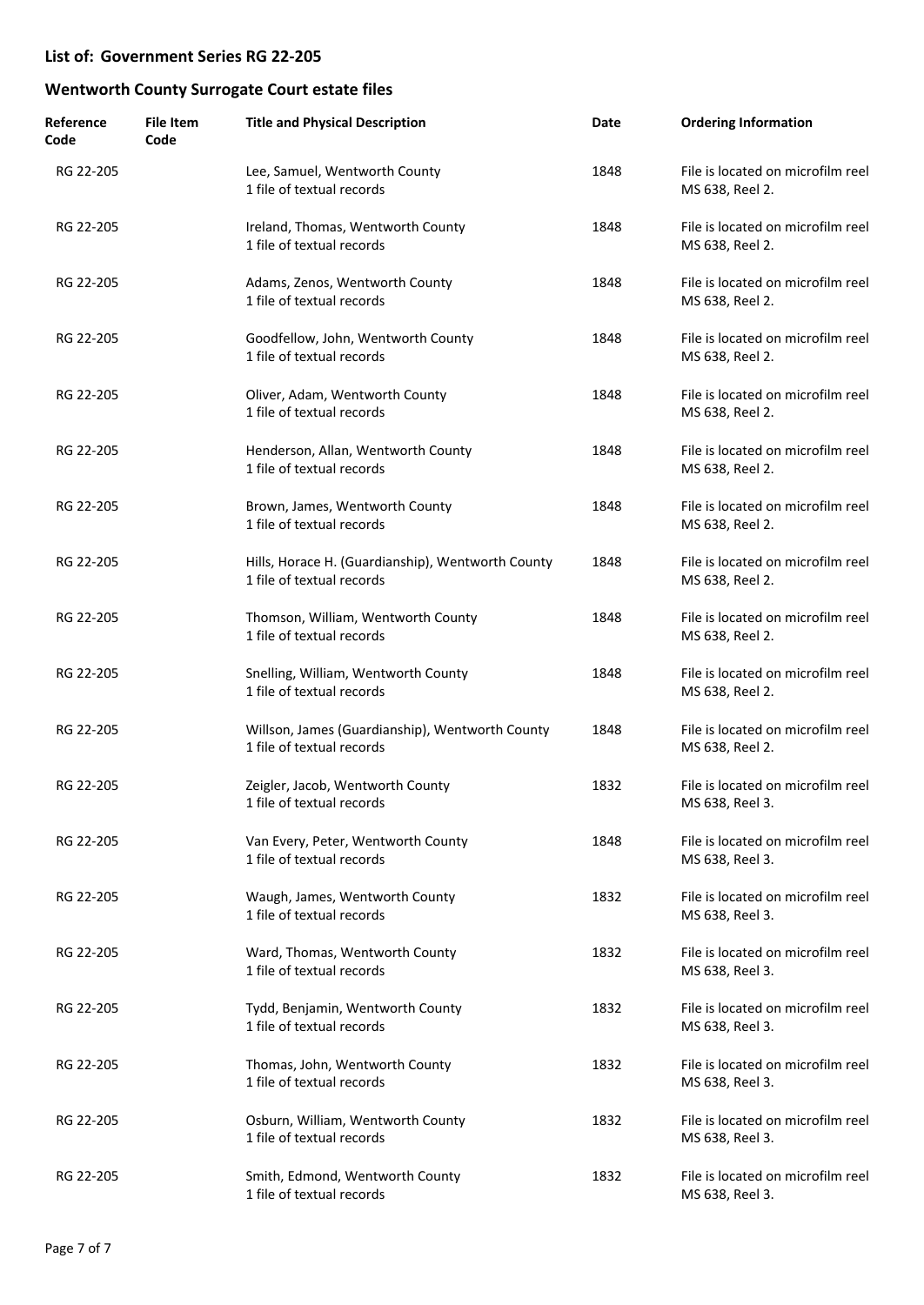| Reference<br>Code | <b>File Item</b><br>Code | <b>Title and Physical Description</b>                                          | Date | <b>Ordering Information</b>                          |
|-------------------|--------------------------|--------------------------------------------------------------------------------|------|------------------------------------------------------|
| RG 22-205         |                          | Lee, Samuel, Wentworth County<br>1 file of textual records                     | 1848 | File is located on microfilm reel<br>MS 638, Reel 2. |
| RG 22-205         |                          | Ireland, Thomas, Wentworth County<br>1 file of textual records                 | 1848 | File is located on microfilm reel<br>MS 638, Reel 2. |
| RG 22-205         |                          | Adams, Zenos, Wentworth County<br>1 file of textual records                    | 1848 | File is located on microfilm reel<br>MS 638, Reel 2. |
| RG 22-205         |                          | Goodfellow, John, Wentworth County<br>1 file of textual records                | 1848 | File is located on microfilm reel<br>MS 638, Reel 2. |
| RG 22-205         |                          | Oliver, Adam, Wentworth County<br>1 file of textual records                    | 1848 | File is located on microfilm reel<br>MS 638, Reel 2. |
| RG 22-205         |                          | Henderson, Allan, Wentworth County<br>1 file of textual records                | 1848 | File is located on microfilm reel<br>MS 638, Reel 2. |
| RG 22-205         |                          | Brown, James, Wentworth County<br>1 file of textual records                    | 1848 | File is located on microfilm reel<br>MS 638, Reel 2. |
| RG 22-205         |                          | Hills, Horace H. (Guardianship), Wentworth County<br>1 file of textual records | 1848 | File is located on microfilm reel<br>MS 638, Reel 2. |
| RG 22-205         |                          | Thomson, William, Wentworth County<br>1 file of textual records                | 1848 | File is located on microfilm reel<br>MS 638, Reel 2. |
| RG 22-205         |                          | Snelling, William, Wentworth County<br>1 file of textual records               | 1848 | File is located on microfilm reel<br>MS 638, Reel 2. |
| RG 22-205         |                          | Willson, James (Guardianship), Wentworth County<br>1 file of textual records   | 1848 | File is located on microfilm reel<br>MS 638, Reel 2. |
| RG 22-205         |                          | Zeigler, Jacob, Wentworth County<br>1 file of textual records                  | 1832 | File is located on microfilm reel<br>MS 638, Reel 3. |
| RG 22-205         |                          | Van Every, Peter, Wentworth County<br>1 file of textual records                | 1848 | File is located on microfilm reel<br>MS 638, Reel 3. |
| RG 22-205         |                          | Waugh, James, Wentworth County<br>1 file of textual records                    | 1832 | File is located on microfilm reel<br>MS 638, Reel 3. |
| RG 22-205         |                          | Ward, Thomas, Wentworth County<br>1 file of textual records                    | 1832 | File is located on microfilm reel<br>MS 638, Reel 3. |
| RG 22-205         |                          | Tydd, Benjamin, Wentworth County<br>1 file of textual records                  | 1832 | File is located on microfilm reel<br>MS 638, Reel 3. |
| RG 22-205         |                          | Thomas, John, Wentworth County<br>1 file of textual records                    | 1832 | File is located on microfilm reel<br>MS 638, Reel 3. |
| RG 22-205         |                          | Osburn, William, Wentworth County<br>1 file of textual records                 | 1832 | File is located on microfilm reel<br>MS 638, Reel 3. |
| RG 22-205         |                          | Smith, Edmond, Wentworth County<br>1 file of textual records                   | 1832 | File is located on microfilm reel<br>MS 638, Reel 3. |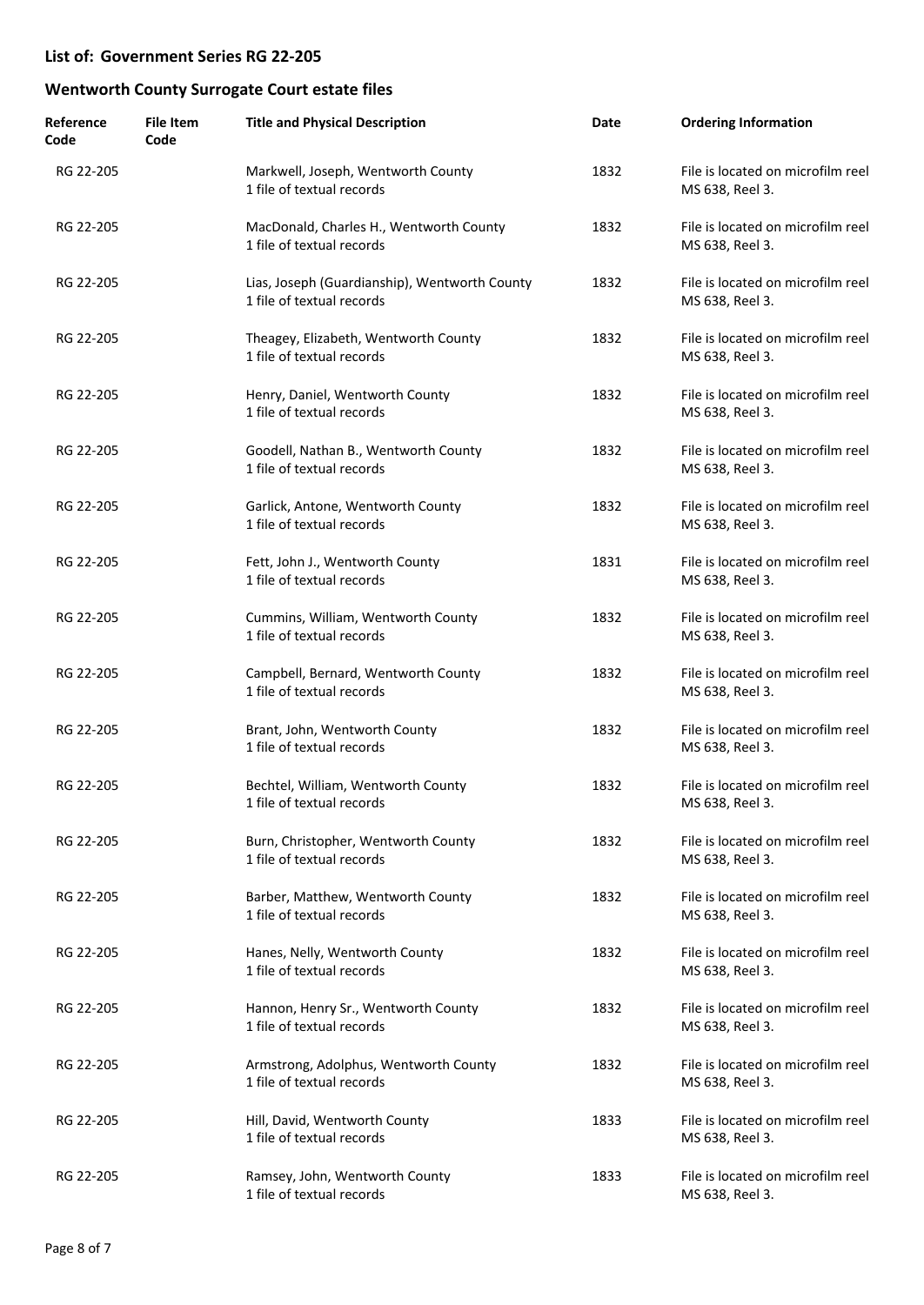| Reference<br>Code | <b>File Item</b><br>Code | <b>Title and Physical Description</b>                                      | Date | <b>Ordering Information</b>                          |
|-------------------|--------------------------|----------------------------------------------------------------------------|------|------------------------------------------------------|
| RG 22-205         |                          | Markwell, Joseph, Wentworth County<br>1 file of textual records            | 1832 | File is located on microfilm reel<br>MS 638, Reel 3. |
| RG 22-205         |                          | MacDonald, Charles H., Wentworth County<br>1 file of textual records       | 1832 | File is located on microfilm reel<br>MS 638, Reel 3. |
| RG 22-205         |                          | Lias, Joseph (Guardianship), Wentworth County<br>1 file of textual records | 1832 | File is located on microfilm reel<br>MS 638, Reel 3. |
| RG 22-205         |                          | Theagey, Elizabeth, Wentworth County<br>1 file of textual records          | 1832 | File is located on microfilm reel<br>MS 638, Reel 3. |
| RG 22-205         |                          | Henry, Daniel, Wentworth County<br>1 file of textual records               | 1832 | File is located on microfilm reel<br>MS 638, Reel 3. |
| RG 22-205         |                          | Goodell, Nathan B., Wentworth County<br>1 file of textual records          | 1832 | File is located on microfilm reel<br>MS 638, Reel 3. |
| RG 22-205         |                          | Garlick, Antone, Wentworth County<br>1 file of textual records             | 1832 | File is located on microfilm reel<br>MS 638, Reel 3. |
| RG 22-205         |                          | Fett, John J., Wentworth County<br>1 file of textual records               | 1831 | File is located on microfilm reel<br>MS 638, Reel 3. |
| RG 22-205         |                          | Cummins, William, Wentworth County<br>1 file of textual records            | 1832 | File is located on microfilm reel<br>MS 638, Reel 3. |
| RG 22-205         |                          | Campbell, Bernard, Wentworth County<br>1 file of textual records           | 1832 | File is located on microfilm reel<br>MS 638, Reel 3. |
| RG 22-205         |                          | Brant, John, Wentworth County<br>1 file of textual records                 | 1832 | File is located on microfilm reel<br>MS 638, Reel 3. |
| RG 22-205         |                          | Bechtel, William, Wentworth County<br>1 file of textual records            | 1832 | File is located on microfilm reel<br>MS 638, Reel 3. |
| RG 22-205         |                          | Burn, Christopher, Wentworth County<br>1 file of textual records           | 1832 | File is located on microfilm reel<br>MS 638, Reel 3. |
| RG 22-205         |                          | Barber, Matthew, Wentworth County<br>1 file of textual records             | 1832 | File is located on microfilm reel<br>MS 638, Reel 3. |
| RG 22-205         |                          | Hanes, Nelly, Wentworth County<br>1 file of textual records                | 1832 | File is located on microfilm reel<br>MS 638, Reel 3. |
| RG 22-205         |                          | Hannon, Henry Sr., Wentworth County<br>1 file of textual records           | 1832 | File is located on microfilm reel<br>MS 638, Reel 3. |
| RG 22-205         |                          | Armstrong, Adolphus, Wentworth County<br>1 file of textual records         | 1832 | File is located on microfilm reel<br>MS 638, Reel 3. |
| RG 22-205         |                          | Hill, David, Wentworth County<br>1 file of textual records                 | 1833 | File is located on microfilm reel<br>MS 638, Reel 3. |
| RG 22-205         |                          | Ramsey, John, Wentworth County<br>1 file of textual records                | 1833 | File is located on microfilm reel<br>MS 638, Reel 3. |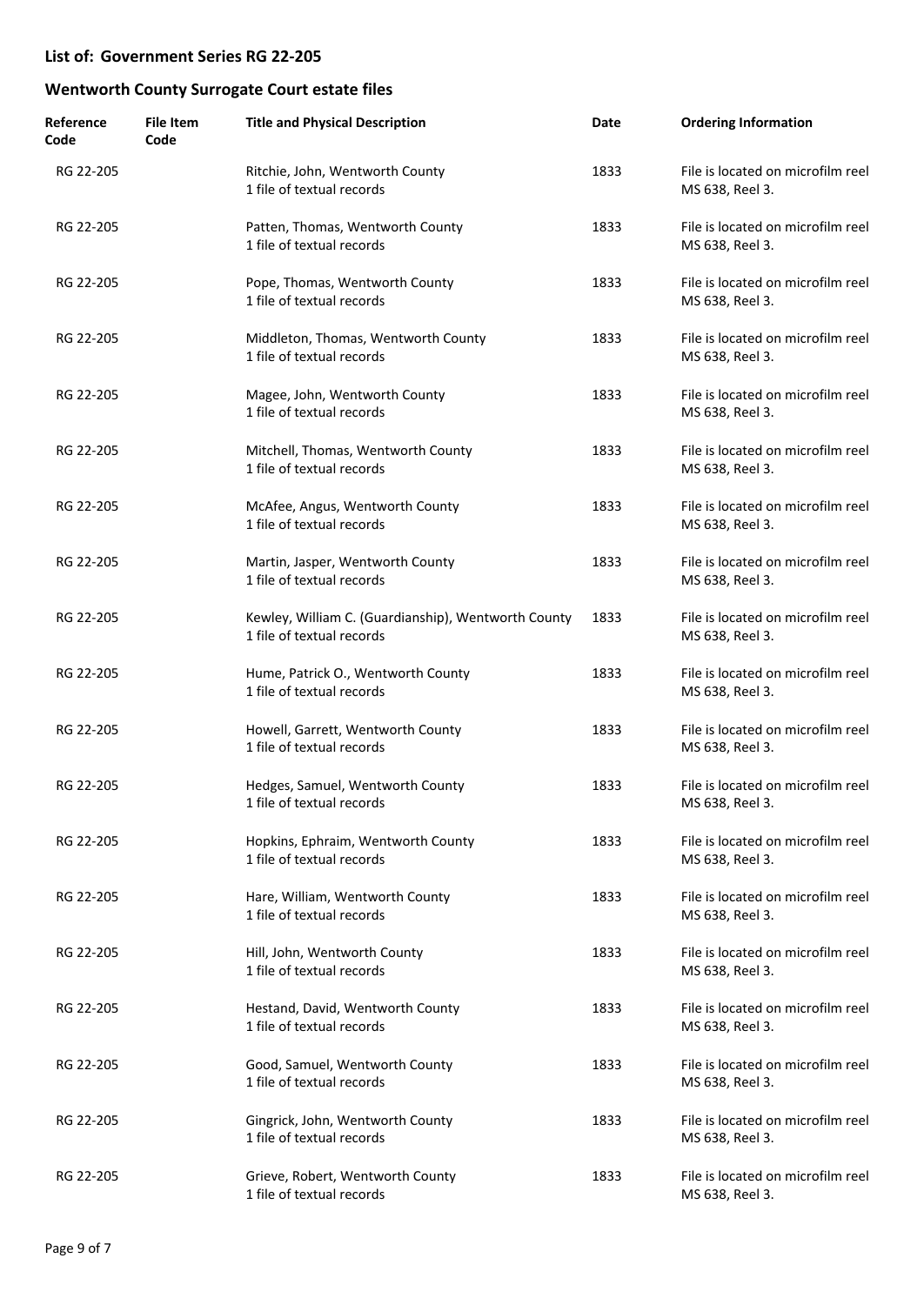| Reference<br>Code | <b>File Item</b><br>Code | <b>Title and Physical Description</b>                                            | Date | <b>Ordering Information</b>                          |
|-------------------|--------------------------|----------------------------------------------------------------------------------|------|------------------------------------------------------|
| RG 22-205         |                          | Ritchie, John, Wentworth County<br>1 file of textual records                     | 1833 | File is located on microfilm reel<br>MS 638, Reel 3. |
| RG 22-205         |                          | Patten, Thomas, Wentworth County<br>1 file of textual records                    | 1833 | File is located on microfilm reel<br>MS 638, Reel 3. |
| RG 22-205         |                          | Pope, Thomas, Wentworth County<br>1 file of textual records                      | 1833 | File is located on microfilm reel<br>MS 638, Reel 3. |
| RG 22-205         |                          | Middleton, Thomas, Wentworth County<br>1 file of textual records                 | 1833 | File is located on microfilm reel<br>MS 638, Reel 3. |
| RG 22-205         |                          | Magee, John, Wentworth County<br>1 file of textual records                       | 1833 | File is located on microfilm reel<br>MS 638, Reel 3. |
| RG 22-205         |                          | Mitchell, Thomas, Wentworth County<br>1 file of textual records                  | 1833 | File is located on microfilm reel<br>MS 638, Reel 3. |
| RG 22-205         |                          | McAfee, Angus, Wentworth County<br>1 file of textual records                     | 1833 | File is located on microfilm reel<br>MS 638, Reel 3. |
| RG 22-205         |                          | Martin, Jasper, Wentworth County<br>1 file of textual records                    | 1833 | File is located on microfilm reel<br>MS 638, Reel 3. |
| RG 22-205         |                          | Kewley, William C. (Guardianship), Wentworth County<br>1 file of textual records | 1833 | File is located on microfilm reel<br>MS 638, Reel 3. |
| RG 22-205         |                          | Hume, Patrick O., Wentworth County<br>1 file of textual records                  | 1833 | File is located on microfilm reel<br>MS 638, Reel 3. |
| RG 22-205         |                          | Howell, Garrett, Wentworth County<br>1 file of textual records                   | 1833 | File is located on microfilm reel<br>MS 638, Reel 3. |
| RG 22-205         |                          | Hedges, Samuel, Wentworth County<br>1 file of textual records                    | 1833 | File is located on microfilm reel<br>MS 638, Reel 3. |
| RG 22-205         |                          | Hopkins, Ephraim, Wentworth County<br>1 file of textual records                  | 1833 | File is located on microfilm reel<br>MS 638, Reel 3. |
| RG 22-205         |                          | Hare, William, Wentworth County<br>1 file of textual records                     | 1833 | File is located on microfilm reel<br>MS 638, Reel 3. |
| RG 22-205         |                          | Hill, John, Wentworth County<br>1 file of textual records                        | 1833 | File is located on microfilm reel<br>MS 638, Reel 3. |
| RG 22-205         |                          | Hestand, David, Wentworth County<br>1 file of textual records                    | 1833 | File is located on microfilm reel<br>MS 638, Reel 3. |
| RG 22-205         |                          | Good, Samuel, Wentworth County<br>1 file of textual records                      | 1833 | File is located on microfilm reel<br>MS 638, Reel 3. |
| RG 22-205         |                          | Gingrick, John, Wentworth County<br>1 file of textual records                    | 1833 | File is located on microfilm reel<br>MS 638, Reel 3. |
| RG 22-205         |                          | Grieve, Robert, Wentworth County<br>1 file of textual records                    | 1833 | File is located on microfilm reel<br>MS 638, Reel 3. |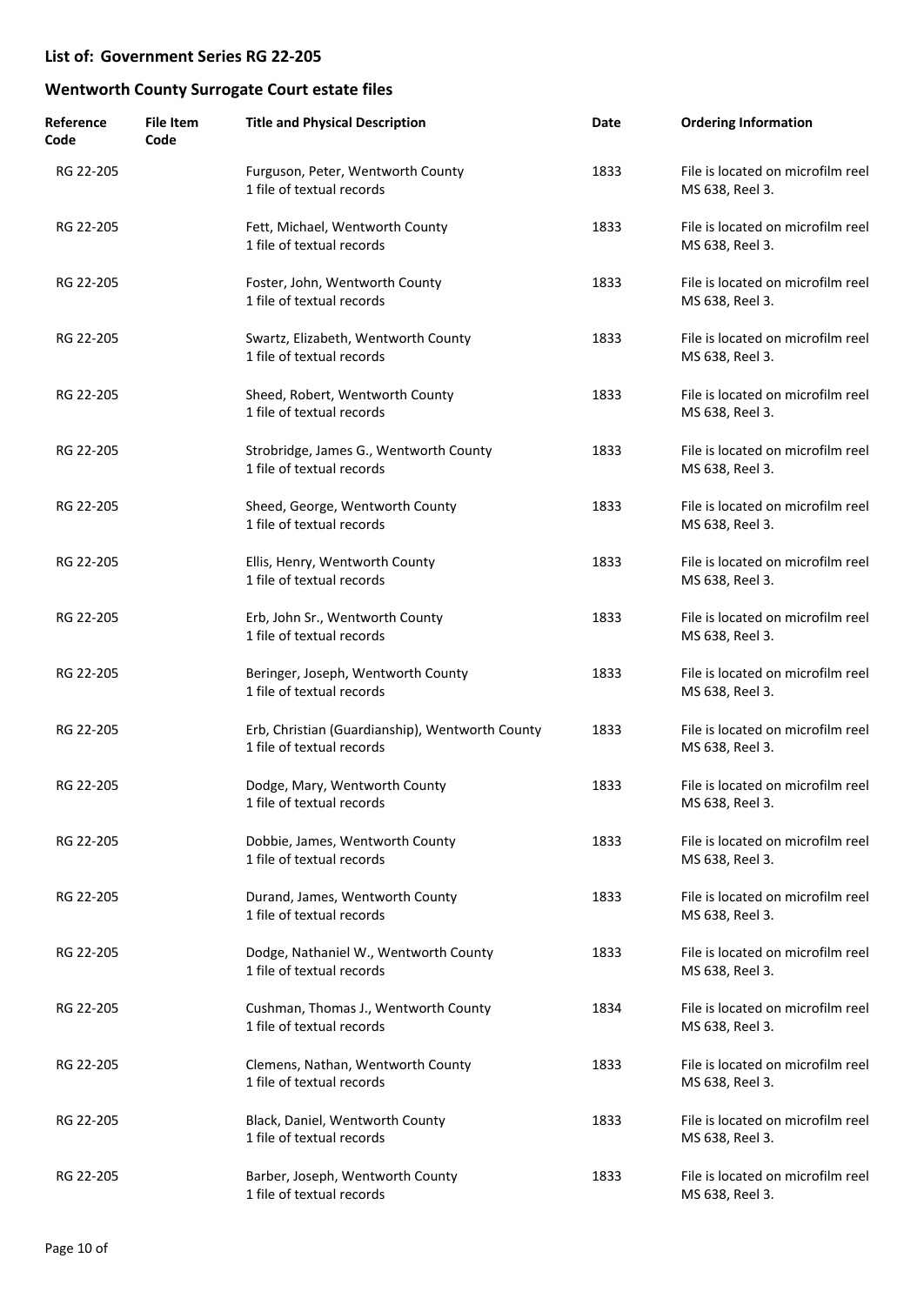| Reference<br>Code | <b>File Item</b><br>Code | <b>Title and Physical Description</b>                                        | Date | <b>Ordering Information</b>                          |
|-------------------|--------------------------|------------------------------------------------------------------------------|------|------------------------------------------------------|
| RG 22-205         |                          | Furguson, Peter, Wentworth County<br>1 file of textual records               | 1833 | File is located on microfilm reel<br>MS 638, Reel 3. |
| RG 22-205         |                          | Fett, Michael, Wentworth County<br>1 file of textual records                 | 1833 | File is located on microfilm reel<br>MS 638, Reel 3. |
| RG 22-205         |                          | Foster, John, Wentworth County<br>1 file of textual records                  | 1833 | File is located on microfilm reel<br>MS 638, Reel 3. |
| RG 22-205         |                          | Swartz, Elizabeth, Wentworth County<br>1 file of textual records             | 1833 | File is located on microfilm reel<br>MS 638, Reel 3. |
| RG 22-205         |                          | Sheed, Robert, Wentworth County<br>1 file of textual records                 | 1833 | File is located on microfilm reel<br>MS 638, Reel 3. |
| RG 22-205         |                          | Strobridge, James G., Wentworth County<br>1 file of textual records          | 1833 | File is located on microfilm reel<br>MS 638, Reel 3. |
| RG 22-205         |                          | Sheed, George, Wentworth County<br>1 file of textual records                 | 1833 | File is located on microfilm reel<br>MS 638, Reel 3. |
| RG 22-205         |                          | Ellis, Henry, Wentworth County<br>1 file of textual records                  | 1833 | File is located on microfilm reel<br>MS 638, Reel 3. |
| RG 22-205         |                          | Erb, John Sr., Wentworth County<br>1 file of textual records                 | 1833 | File is located on microfilm reel<br>MS 638, Reel 3. |
| RG 22-205         |                          | Beringer, Joseph, Wentworth County<br>1 file of textual records              | 1833 | File is located on microfilm reel<br>MS 638, Reel 3. |
| RG 22-205         |                          | Erb, Christian (Guardianship), Wentworth County<br>1 file of textual records | 1833 | File is located on microfilm reel<br>MS 638, Reel 3. |
| RG 22-205         |                          | Dodge, Mary, Wentworth County<br>1 file of textual records                   | 1833 | File is located on microfilm reel<br>MS 638, Reel 3. |
| RG 22-205         |                          | Dobbie, James, Wentworth County<br>1 file of textual records                 | 1833 | File is located on microfilm reel<br>MS 638, Reel 3. |
| RG 22-205         |                          | Durand, James, Wentworth County<br>1 file of textual records                 | 1833 | File is located on microfilm reel<br>MS 638, Reel 3. |
| RG 22-205         |                          | Dodge, Nathaniel W., Wentworth County<br>1 file of textual records           | 1833 | File is located on microfilm reel<br>MS 638, Reel 3. |
| RG 22-205         |                          | Cushman, Thomas J., Wentworth County<br>1 file of textual records            | 1834 | File is located on microfilm reel<br>MS 638, Reel 3. |
| RG 22-205         |                          | Clemens, Nathan, Wentworth County<br>1 file of textual records               | 1833 | File is located on microfilm reel<br>MS 638, Reel 3. |
| RG 22-205         |                          | Black, Daniel, Wentworth County<br>1 file of textual records                 | 1833 | File is located on microfilm reel<br>MS 638, Reel 3. |
| RG 22-205         |                          | Barber, Joseph, Wentworth County<br>1 file of textual records                | 1833 | File is located on microfilm reel<br>MS 638, Reel 3. |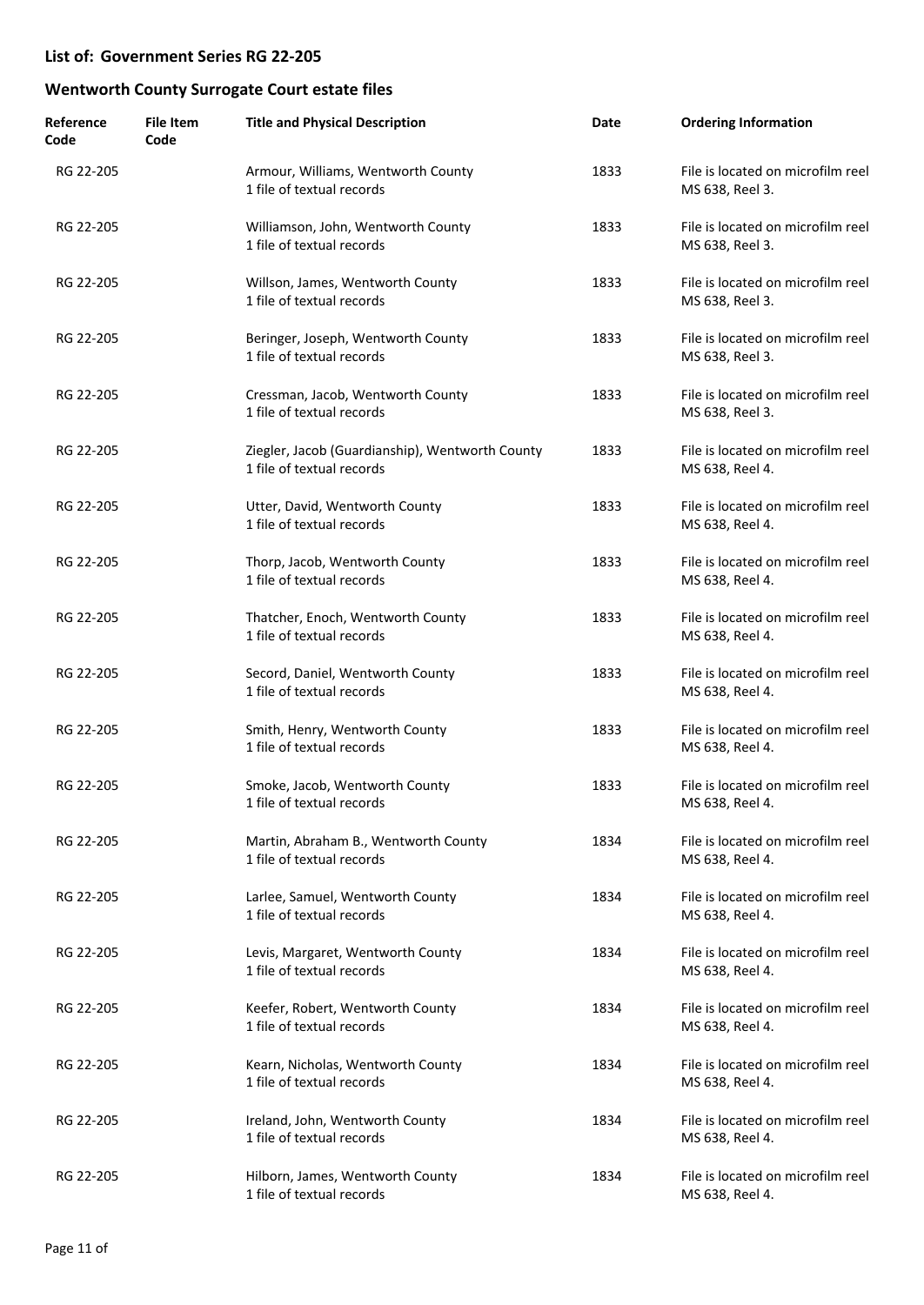| Reference<br>Code | <b>File Item</b><br>Code | <b>Title and Physical Description</b>                                        | Date | <b>Ordering Information</b>                          |
|-------------------|--------------------------|------------------------------------------------------------------------------|------|------------------------------------------------------|
| RG 22-205         |                          | Armour, Williams, Wentworth County<br>1 file of textual records              | 1833 | File is located on microfilm reel<br>MS 638, Reel 3. |
| RG 22-205         |                          | Williamson, John, Wentworth County<br>1 file of textual records              | 1833 | File is located on microfilm reel<br>MS 638, Reel 3. |
| RG 22-205         |                          | Willson, James, Wentworth County<br>1 file of textual records                | 1833 | File is located on microfilm reel<br>MS 638, Reel 3. |
| RG 22-205         |                          | Beringer, Joseph, Wentworth County<br>1 file of textual records              | 1833 | File is located on microfilm reel<br>MS 638, Reel 3. |
| RG 22-205         |                          | Cressman, Jacob, Wentworth County<br>1 file of textual records               | 1833 | File is located on microfilm reel<br>MS 638, Reel 3. |
| RG 22-205         |                          | Ziegler, Jacob (Guardianship), Wentworth County<br>1 file of textual records | 1833 | File is located on microfilm reel<br>MS 638, Reel 4. |
| RG 22-205         |                          | Utter, David, Wentworth County<br>1 file of textual records                  | 1833 | File is located on microfilm reel<br>MS 638, Reel 4. |
| RG 22-205         |                          | Thorp, Jacob, Wentworth County<br>1 file of textual records                  | 1833 | File is located on microfilm reel<br>MS 638, Reel 4. |
| RG 22-205         |                          | Thatcher, Enoch, Wentworth County<br>1 file of textual records               | 1833 | File is located on microfilm reel<br>MS 638, Reel 4. |
| RG 22-205         |                          | Secord, Daniel, Wentworth County<br>1 file of textual records                | 1833 | File is located on microfilm reel<br>MS 638, Reel 4. |
| RG 22-205         |                          | Smith, Henry, Wentworth County<br>1 file of textual records                  | 1833 | File is located on microfilm reel<br>MS 638, Reel 4. |
| RG 22-205         |                          | Smoke, Jacob, Wentworth County<br>1 file of textual records                  | 1833 | File is located on microfilm reel<br>MS 638, Reel 4. |
| RG 22-205         |                          | Martin, Abraham B., Wentworth County<br>1 file of textual records            | 1834 | File is located on microfilm reel<br>MS 638, Reel 4. |
| RG 22-205         |                          | Larlee, Samuel, Wentworth County<br>1 file of textual records                | 1834 | File is located on microfilm reel<br>MS 638, Reel 4. |
| RG 22-205         |                          | Levis, Margaret, Wentworth County<br>1 file of textual records               | 1834 | File is located on microfilm reel<br>MS 638, Reel 4. |
| RG 22-205         |                          | Keefer, Robert, Wentworth County<br>1 file of textual records                | 1834 | File is located on microfilm reel<br>MS 638, Reel 4. |
| RG 22-205         |                          | Kearn, Nicholas, Wentworth County<br>1 file of textual records               | 1834 | File is located on microfilm reel<br>MS 638, Reel 4. |
| RG 22-205         |                          | Ireland, John, Wentworth County<br>1 file of textual records                 | 1834 | File is located on microfilm reel<br>MS 638, Reel 4. |
| RG 22-205         |                          | Hilborn, James, Wentworth County<br>1 file of textual records                | 1834 | File is located on microfilm reel<br>MS 638, Reel 4. |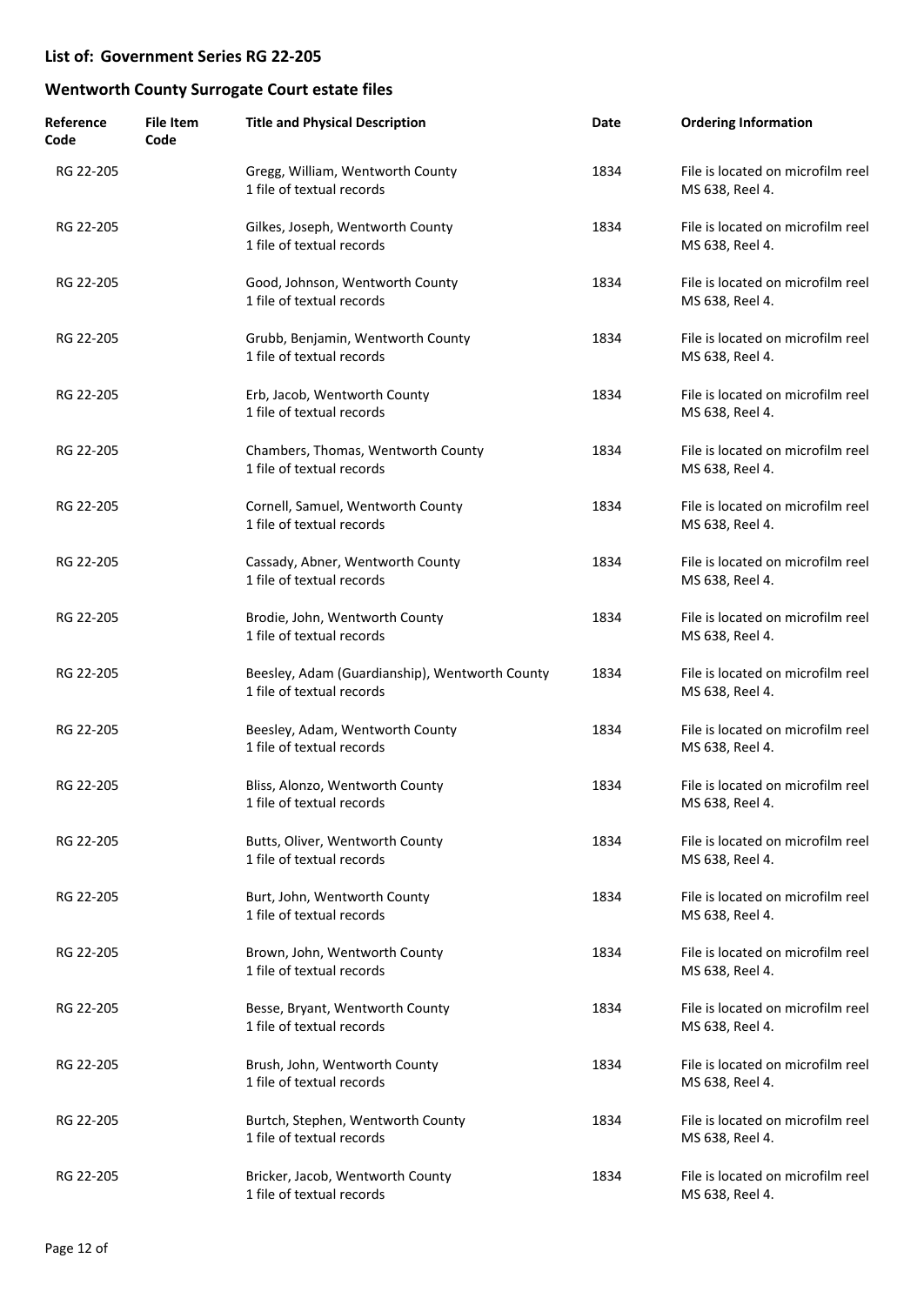| Reference<br>Code | <b>File Item</b><br>Code | <b>Title and Physical Description</b>                                       | Date | <b>Ordering Information</b>                          |
|-------------------|--------------------------|-----------------------------------------------------------------------------|------|------------------------------------------------------|
| RG 22-205         |                          | Gregg, William, Wentworth County<br>1 file of textual records               | 1834 | File is located on microfilm reel<br>MS 638, Reel 4. |
| RG 22-205         |                          | Gilkes, Joseph, Wentworth County<br>1 file of textual records               | 1834 | File is located on microfilm reel<br>MS 638, Reel 4. |
| RG 22-205         |                          | Good, Johnson, Wentworth County<br>1 file of textual records                | 1834 | File is located on microfilm reel<br>MS 638, Reel 4. |
| RG 22-205         |                          | Grubb, Benjamin, Wentworth County<br>1 file of textual records              | 1834 | File is located on microfilm reel<br>MS 638, Reel 4. |
| RG 22-205         |                          | Erb, Jacob, Wentworth County<br>1 file of textual records                   | 1834 | File is located on microfilm reel<br>MS 638, Reel 4. |
| RG 22-205         |                          | Chambers, Thomas, Wentworth County<br>1 file of textual records             | 1834 | File is located on microfilm reel<br>MS 638, Reel 4. |
| RG 22-205         |                          | Cornell, Samuel, Wentworth County<br>1 file of textual records              | 1834 | File is located on microfilm reel<br>MS 638, Reel 4. |
| RG 22-205         |                          | Cassady, Abner, Wentworth County<br>1 file of textual records               | 1834 | File is located on microfilm reel<br>MS 638, Reel 4. |
| RG 22-205         |                          | Brodie, John, Wentworth County<br>1 file of textual records                 | 1834 | File is located on microfilm reel<br>MS 638, Reel 4. |
| RG 22-205         |                          | Beesley, Adam (Guardianship), Wentworth County<br>1 file of textual records | 1834 | File is located on microfilm reel<br>MS 638, Reel 4. |
| RG 22-205         |                          | Beesley, Adam, Wentworth County<br>1 file of textual records                | 1834 | File is located on microfilm reel<br>MS 638, Reel 4. |
| RG 22-205         |                          | Bliss, Alonzo, Wentworth County<br>1 file of textual records                | 1834 | File is located on microfilm reel<br>MS 638, Reel 4. |
| RG 22-205         |                          | Butts, Oliver, Wentworth County<br>1 file of textual records                | 1834 | File is located on microfilm reel<br>MS 638, Reel 4. |
| RG 22-205         |                          | Burt, John, Wentworth County<br>1 file of textual records                   | 1834 | File is located on microfilm reel<br>MS 638, Reel 4. |
| RG 22-205         |                          | Brown, John, Wentworth County<br>1 file of textual records                  | 1834 | File is located on microfilm reel<br>MS 638, Reel 4. |
| RG 22-205         |                          | Besse, Bryant, Wentworth County<br>1 file of textual records                | 1834 | File is located on microfilm reel<br>MS 638, Reel 4. |
| RG 22-205         |                          | Brush, John, Wentworth County<br>1 file of textual records                  | 1834 | File is located on microfilm reel<br>MS 638, Reel 4. |
| RG 22-205         |                          | Burtch, Stephen, Wentworth County<br>1 file of textual records              | 1834 | File is located on microfilm reel<br>MS 638, Reel 4. |
| RG 22-205         |                          | Bricker, Jacob, Wentworth County<br>1 file of textual records               | 1834 | File is located on microfilm reel<br>MS 638, Reel 4. |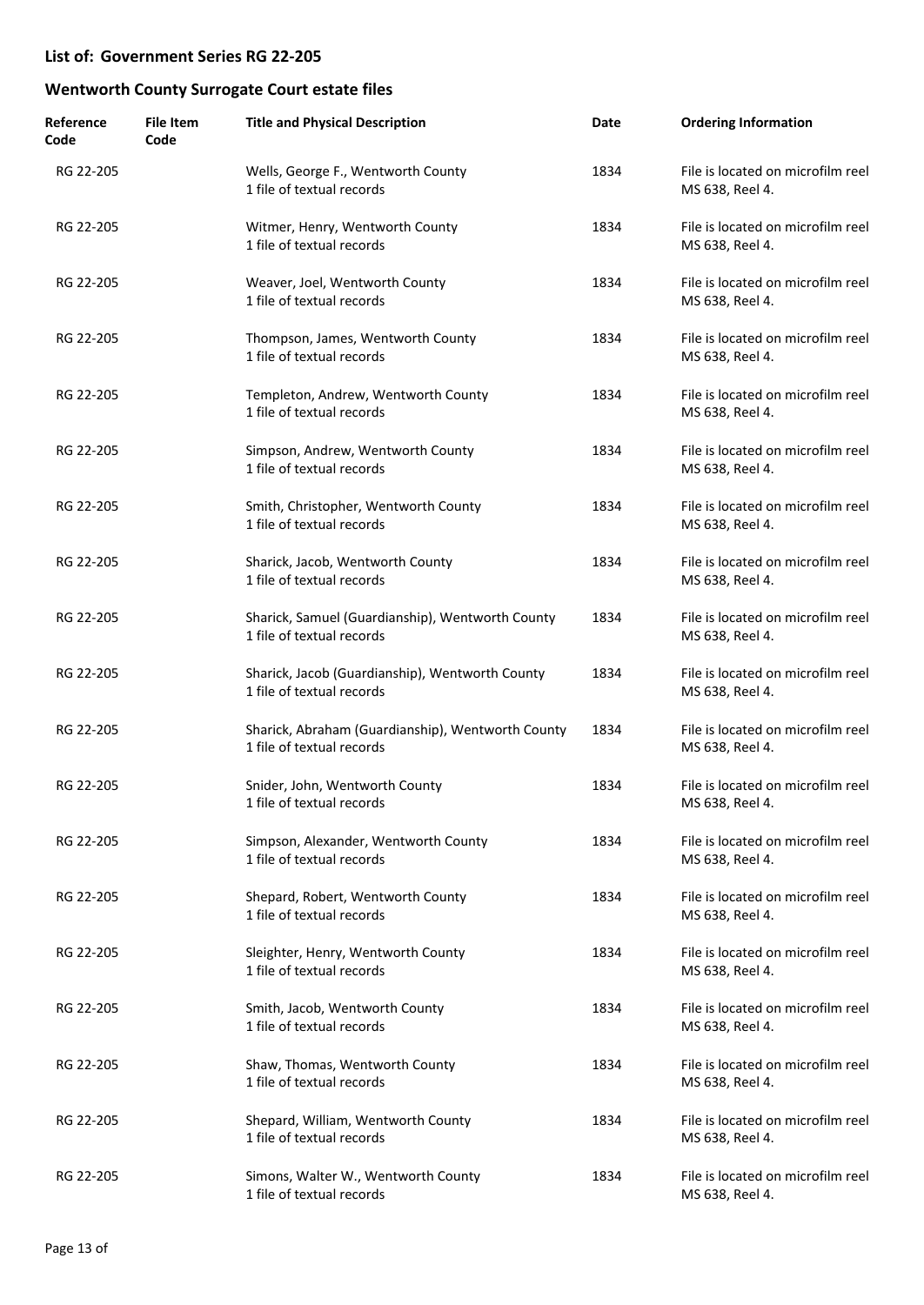| Reference<br>Code | <b>File Item</b><br>Code | <b>Title and Physical Description</b>                                          | Date | <b>Ordering Information</b>                          |
|-------------------|--------------------------|--------------------------------------------------------------------------------|------|------------------------------------------------------|
| RG 22-205         |                          | Wells, George F., Wentworth County<br>1 file of textual records                | 1834 | File is located on microfilm reel<br>MS 638, Reel 4. |
| RG 22-205         |                          | Witmer, Henry, Wentworth County<br>1 file of textual records                   | 1834 | File is located on microfilm reel<br>MS 638, Reel 4. |
| RG 22-205         |                          | Weaver, Joel, Wentworth County<br>1 file of textual records                    | 1834 | File is located on microfilm reel<br>MS 638, Reel 4. |
| RG 22-205         |                          | Thompson, James, Wentworth County<br>1 file of textual records                 | 1834 | File is located on microfilm reel<br>MS 638, Reel 4. |
| RG 22-205         |                          | Templeton, Andrew, Wentworth County<br>1 file of textual records               | 1834 | File is located on microfilm reel<br>MS 638, Reel 4. |
| RG 22-205         |                          | Simpson, Andrew, Wentworth County<br>1 file of textual records                 | 1834 | File is located on microfilm reel<br>MS 638, Reel 4. |
| RG 22-205         |                          | Smith, Christopher, Wentworth County<br>1 file of textual records              | 1834 | File is located on microfilm reel<br>MS 638, Reel 4. |
| RG 22-205         |                          | Sharick, Jacob, Wentworth County<br>1 file of textual records                  | 1834 | File is located on microfilm reel<br>MS 638, Reel 4. |
| RG 22-205         |                          | Sharick, Samuel (Guardianship), Wentworth County<br>1 file of textual records  | 1834 | File is located on microfilm reel<br>MS 638, Reel 4. |
| RG 22-205         |                          | Sharick, Jacob (Guardianship), Wentworth County<br>1 file of textual records   | 1834 | File is located on microfilm reel<br>MS 638, Reel 4. |
| RG 22-205         |                          | Sharick, Abraham (Guardianship), Wentworth County<br>1 file of textual records | 1834 | File is located on microfilm reel<br>MS 638, Reel 4. |
| RG 22-205         |                          | Snider, John, Wentworth County<br>1 file of textual records                    | 1834 | File is located on microfilm reel<br>MS 638, Reel 4. |
| RG 22-205         |                          | Simpson, Alexander, Wentworth County<br>1 file of textual records              | 1834 | File is located on microfilm reel<br>MS 638, Reel 4. |
| RG 22-205         |                          | Shepard, Robert, Wentworth County<br>1 file of textual records                 | 1834 | File is located on microfilm reel<br>MS 638, Reel 4. |
| RG 22-205         |                          | Sleighter, Henry, Wentworth County<br>1 file of textual records                | 1834 | File is located on microfilm reel<br>MS 638, Reel 4. |
| RG 22-205         |                          | Smith, Jacob, Wentworth County<br>1 file of textual records                    | 1834 | File is located on microfilm reel<br>MS 638, Reel 4. |
| RG 22-205         |                          | Shaw, Thomas, Wentworth County<br>1 file of textual records                    | 1834 | File is located on microfilm reel<br>MS 638, Reel 4. |
| RG 22-205         |                          | Shepard, William, Wentworth County<br>1 file of textual records                | 1834 | File is located on microfilm reel<br>MS 638, Reel 4. |
| RG 22-205         |                          | Simons, Walter W., Wentworth County<br>1 file of textual records               | 1834 | File is located on microfilm reel<br>MS 638, Reel 4. |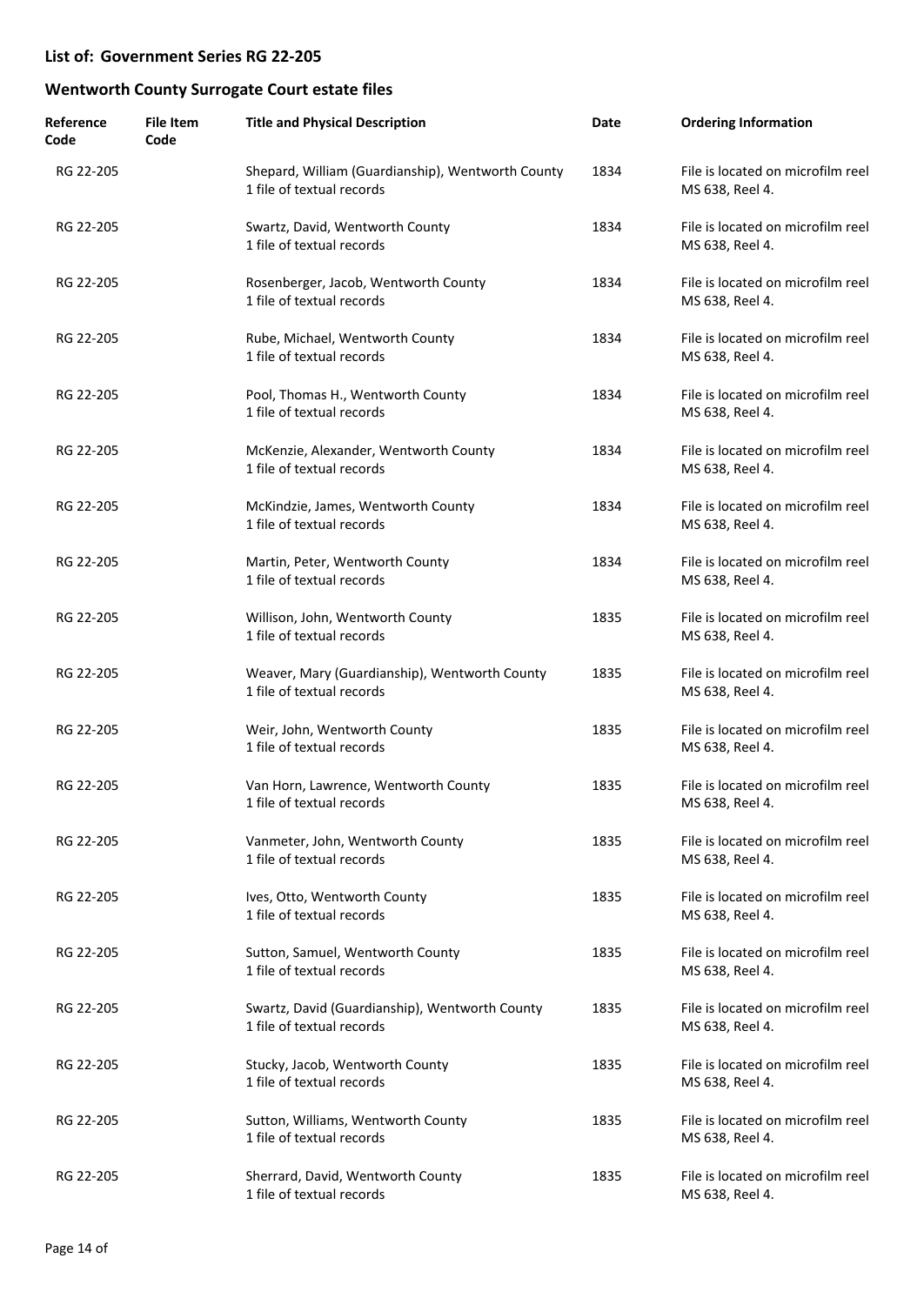| Reference<br>Code | <b>File Item</b><br>Code | <b>Title and Physical Description</b>                                          | Date | <b>Ordering Information</b>                          |
|-------------------|--------------------------|--------------------------------------------------------------------------------|------|------------------------------------------------------|
| RG 22-205         |                          | Shepard, William (Guardianship), Wentworth County<br>1 file of textual records | 1834 | File is located on microfilm reel<br>MS 638, Reel 4. |
| RG 22-205         |                          | Swartz, David, Wentworth County<br>1 file of textual records                   | 1834 | File is located on microfilm reel<br>MS 638, Reel 4. |
| RG 22-205         |                          | Rosenberger, Jacob, Wentworth County<br>1 file of textual records              | 1834 | File is located on microfilm reel<br>MS 638, Reel 4. |
| RG 22-205         |                          | Rube, Michael, Wentworth County<br>1 file of textual records                   | 1834 | File is located on microfilm reel<br>MS 638, Reel 4. |
| RG 22-205         |                          | Pool, Thomas H., Wentworth County<br>1 file of textual records                 | 1834 | File is located on microfilm reel<br>MS 638, Reel 4. |
| RG 22-205         |                          | McKenzie, Alexander, Wentworth County<br>1 file of textual records             | 1834 | File is located on microfilm reel<br>MS 638, Reel 4. |
| RG 22-205         |                          | McKindzie, James, Wentworth County<br>1 file of textual records                | 1834 | File is located on microfilm reel<br>MS 638, Reel 4. |
| RG 22-205         |                          | Martin, Peter, Wentworth County<br>1 file of textual records                   | 1834 | File is located on microfilm reel<br>MS 638, Reel 4. |
| RG 22-205         |                          | Willison, John, Wentworth County<br>1 file of textual records                  | 1835 | File is located on microfilm reel<br>MS 638, Reel 4. |
| RG 22-205         |                          | Weaver, Mary (Guardianship), Wentworth County<br>1 file of textual records     | 1835 | File is located on microfilm reel<br>MS 638, Reel 4. |
| RG 22-205         |                          | Weir, John, Wentworth County<br>1 file of textual records                      | 1835 | File is located on microfilm reel<br>MS 638, Reel 4. |
| RG 22-205         |                          | Van Horn, Lawrence, Wentworth County<br>1 file of textual records              | 1835 | File is located on microfilm reel<br>MS 638, Reel 4. |
| RG 22-205         |                          | Vanmeter, John, Wentworth County<br>1 file of textual records                  | 1835 | File is located on microfilm reel<br>MS 638, Reel 4. |
| RG 22-205         |                          | Ives, Otto, Wentworth County<br>1 file of textual records                      | 1835 | File is located on microfilm reel<br>MS 638, Reel 4. |
| RG 22-205         |                          | Sutton, Samuel, Wentworth County<br>1 file of textual records                  | 1835 | File is located on microfilm reel<br>MS 638, Reel 4. |
| RG 22-205         |                          | Swartz, David (Guardianship), Wentworth County<br>1 file of textual records    | 1835 | File is located on microfilm reel<br>MS 638, Reel 4. |
| RG 22-205         |                          | Stucky, Jacob, Wentworth County<br>1 file of textual records                   | 1835 | File is located on microfilm reel<br>MS 638, Reel 4. |
| RG 22-205         |                          | Sutton, Williams, Wentworth County<br>1 file of textual records                | 1835 | File is located on microfilm reel<br>MS 638, Reel 4. |
| RG 22-205         |                          | Sherrard, David, Wentworth County<br>1 file of textual records                 | 1835 | File is located on microfilm reel<br>MS 638, Reel 4. |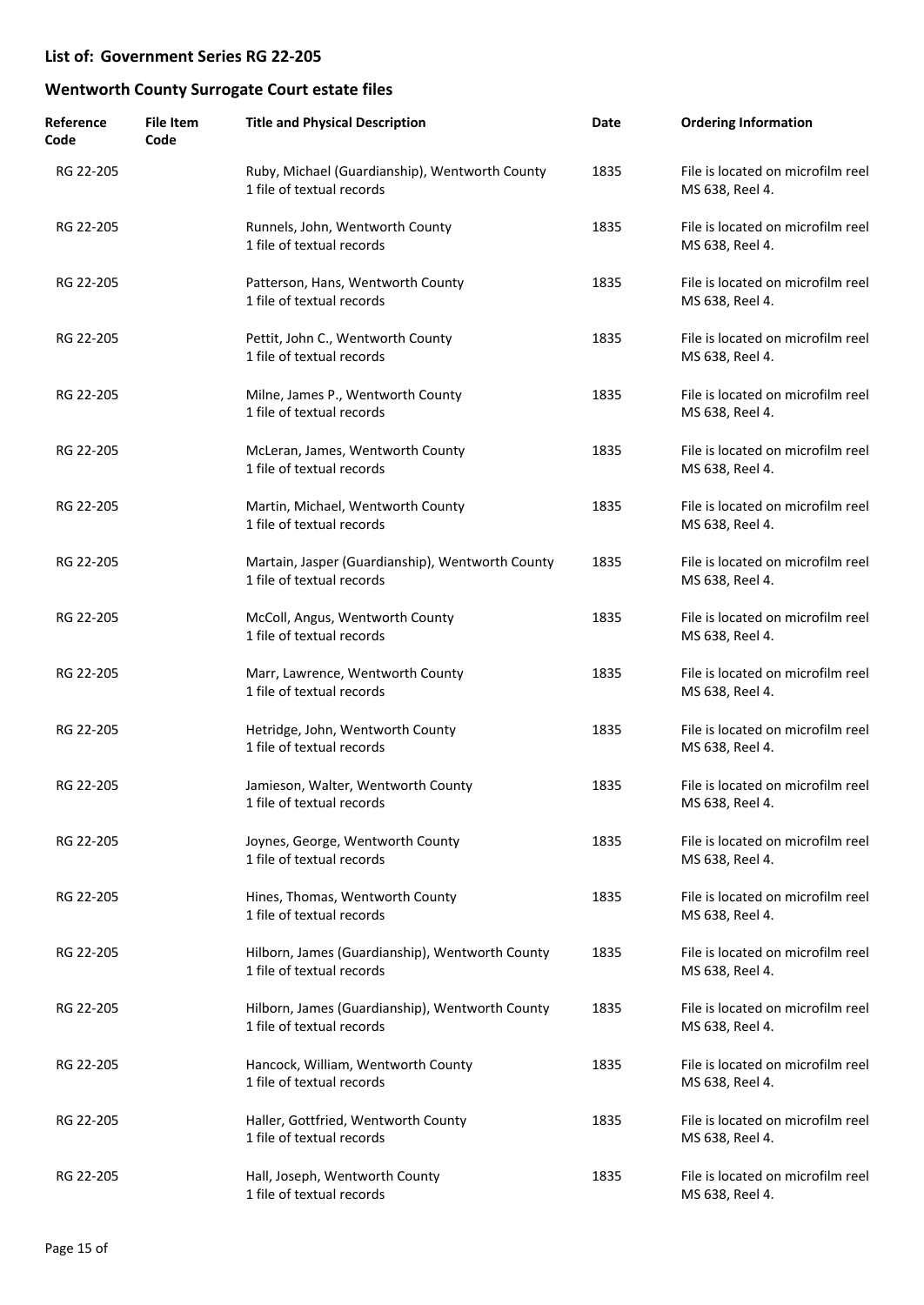| Reference<br>Code | <b>File Item</b><br>Code | <b>Title and Physical Description</b>                                         | Date | <b>Ordering Information</b>                          |
|-------------------|--------------------------|-------------------------------------------------------------------------------|------|------------------------------------------------------|
| RG 22-205         |                          | Ruby, Michael (Guardianship), Wentworth County<br>1 file of textual records   | 1835 | File is located on microfilm reel<br>MS 638, Reel 4. |
| RG 22-205         |                          | Runnels, John, Wentworth County<br>1 file of textual records                  | 1835 | File is located on microfilm reel<br>MS 638, Reel 4. |
| RG 22-205         |                          | Patterson, Hans, Wentworth County<br>1 file of textual records                | 1835 | File is located on microfilm reel<br>MS 638, Reel 4. |
| RG 22-205         |                          | Pettit, John C., Wentworth County<br>1 file of textual records                | 1835 | File is located on microfilm reel<br>MS 638, Reel 4. |
| RG 22-205         |                          | Milne, James P., Wentworth County<br>1 file of textual records                | 1835 | File is located on microfilm reel<br>MS 638, Reel 4. |
| RG 22-205         |                          | McLeran, James, Wentworth County<br>1 file of textual records                 | 1835 | File is located on microfilm reel<br>MS 638, Reel 4. |
| RG 22-205         |                          | Martin, Michael, Wentworth County<br>1 file of textual records                | 1835 | File is located on microfilm reel<br>MS 638, Reel 4. |
| RG 22-205         |                          | Martain, Jasper (Guardianship), Wentworth County<br>1 file of textual records | 1835 | File is located on microfilm reel<br>MS 638, Reel 4. |
| RG 22-205         |                          | McColl, Angus, Wentworth County<br>1 file of textual records                  | 1835 | File is located on microfilm reel<br>MS 638, Reel 4. |
| RG 22-205         |                          | Marr, Lawrence, Wentworth County<br>1 file of textual records                 | 1835 | File is located on microfilm reel<br>MS 638, Reel 4. |
| RG 22-205         |                          | Hetridge, John, Wentworth County<br>1 file of textual records                 | 1835 | File is located on microfilm reel<br>MS 638, Reel 4. |
| RG 22-205         |                          | Jamieson, Walter, Wentworth County<br>1 file of textual records               | 1835 | File is located on microfilm reel<br>MS 638, Reel 4. |
| RG 22-205         |                          | Joynes, George, Wentworth County<br>1 file of textual records                 | 1835 | File is located on microfilm reel<br>MS 638, Reel 4. |
| RG 22-205         |                          | Hines, Thomas, Wentworth County<br>1 file of textual records                  | 1835 | File is located on microfilm reel<br>MS 638, Reel 4. |
| RG 22-205         |                          | Hilborn, James (Guardianship), Wentworth County<br>1 file of textual records  | 1835 | File is located on microfilm reel<br>MS 638, Reel 4. |
| RG 22-205         |                          | Hilborn, James (Guardianship), Wentworth County<br>1 file of textual records  | 1835 | File is located on microfilm reel<br>MS 638, Reel 4. |
| RG 22-205         |                          | Hancock, William, Wentworth County<br>1 file of textual records               | 1835 | File is located on microfilm reel<br>MS 638, Reel 4. |
| RG 22-205         |                          | Haller, Gottfried, Wentworth County<br>1 file of textual records              | 1835 | File is located on microfilm reel<br>MS 638, Reel 4. |
| RG 22-205         |                          | Hall, Joseph, Wentworth County<br>1 file of textual records                   | 1835 | File is located on microfilm reel<br>MS 638, Reel 4. |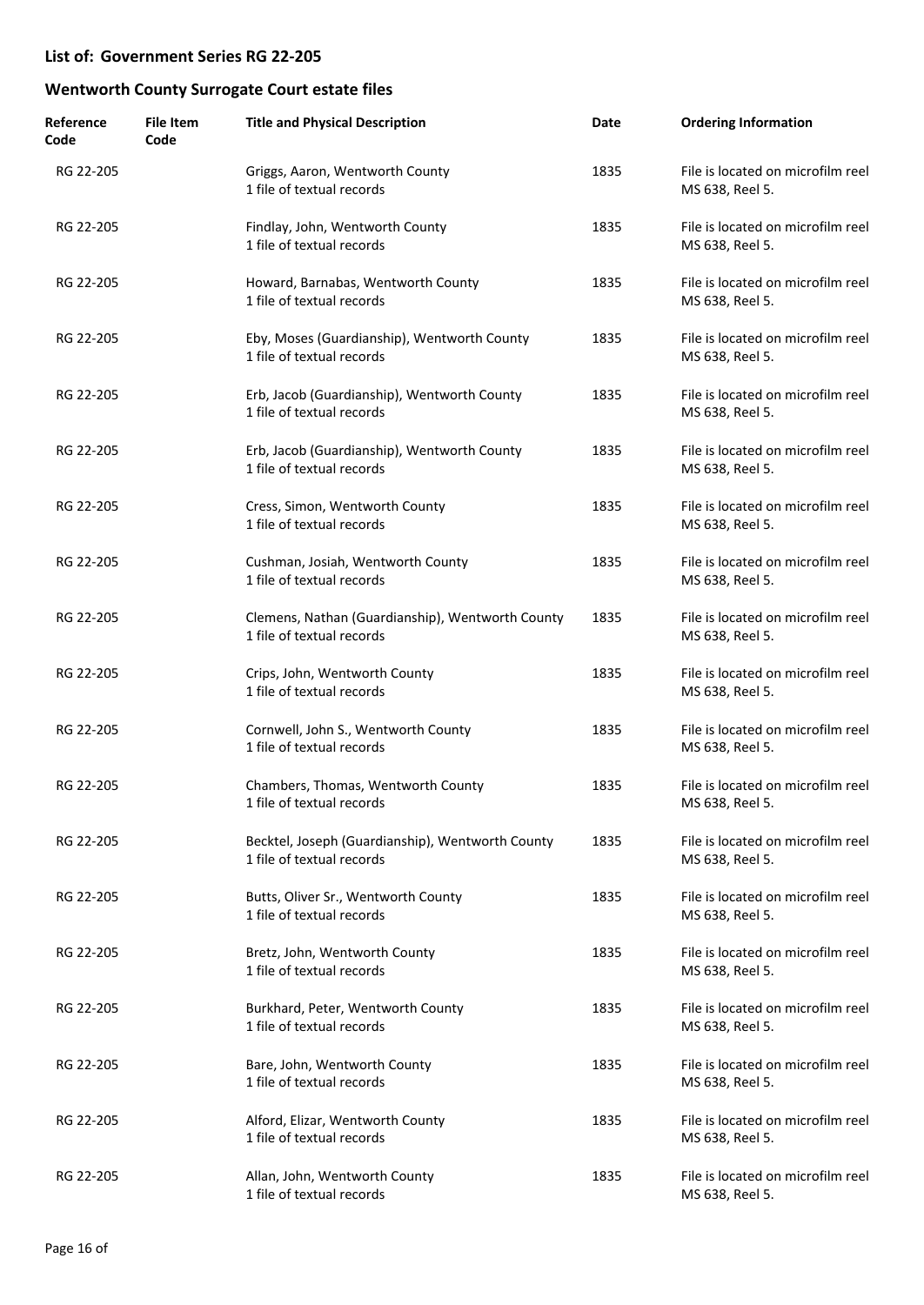| Reference<br>Code | <b>File Item</b><br>Code | <b>Title and Physical Description</b>                                         | Date | <b>Ordering Information</b>                          |
|-------------------|--------------------------|-------------------------------------------------------------------------------|------|------------------------------------------------------|
| RG 22-205         |                          | Griggs, Aaron, Wentworth County<br>1 file of textual records                  | 1835 | File is located on microfilm reel<br>MS 638, Reel 5. |
| RG 22-205         |                          | Findlay, John, Wentworth County<br>1 file of textual records                  | 1835 | File is located on microfilm reel<br>MS 638, Reel 5. |
| RG 22-205         |                          | Howard, Barnabas, Wentworth County<br>1 file of textual records               | 1835 | File is located on microfilm reel<br>MS 638, Reel 5. |
| RG 22-205         |                          | Eby, Moses (Guardianship), Wentworth County<br>1 file of textual records      | 1835 | File is located on microfilm reel<br>MS 638, Reel 5. |
| RG 22-205         |                          | Erb, Jacob (Guardianship), Wentworth County<br>1 file of textual records      | 1835 | File is located on microfilm reel<br>MS 638, Reel 5. |
| RG 22-205         |                          | Erb, Jacob (Guardianship), Wentworth County<br>1 file of textual records      | 1835 | File is located on microfilm reel<br>MS 638, Reel 5. |
| RG 22-205         |                          | Cress, Simon, Wentworth County<br>1 file of textual records                   | 1835 | File is located on microfilm reel<br>MS 638, Reel 5. |
| RG 22-205         |                          | Cushman, Josiah, Wentworth County<br>1 file of textual records                | 1835 | File is located on microfilm reel<br>MS 638, Reel 5. |
| RG 22-205         |                          | Clemens, Nathan (Guardianship), Wentworth County<br>1 file of textual records | 1835 | File is located on microfilm reel<br>MS 638, Reel 5. |
| RG 22-205         |                          | Crips, John, Wentworth County<br>1 file of textual records                    | 1835 | File is located on microfilm reel<br>MS 638, Reel 5. |
| RG 22-205         |                          | Cornwell, John S., Wentworth County<br>1 file of textual records              | 1835 | File is located on microfilm reel<br>MS 638, Reel 5. |
| RG 22-205         |                          | Chambers, Thomas, Wentworth County<br>1 file of textual records               | 1835 | File is located on microfilm reel<br>MS 638, Reel 5. |
| RG 22-205         |                          | Becktel, Joseph (Guardianship), Wentworth County<br>1 file of textual records | 1835 | File is located on microfilm reel<br>MS 638, Reel 5. |
| RG 22-205         |                          | Butts, Oliver Sr., Wentworth County<br>1 file of textual records              | 1835 | File is located on microfilm reel<br>MS 638, Reel 5. |
| RG 22-205         |                          | Bretz, John, Wentworth County<br>1 file of textual records                    | 1835 | File is located on microfilm reel<br>MS 638, Reel 5. |
| RG 22-205         |                          | Burkhard, Peter, Wentworth County<br>1 file of textual records                | 1835 | File is located on microfilm reel<br>MS 638, Reel 5. |
| RG 22-205         |                          | Bare, John, Wentworth County<br>1 file of textual records                     | 1835 | File is located on microfilm reel<br>MS 638, Reel 5. |
| RG 22-205         |                          | Alford, Elizar, Wentworth County<br>1 file of textual records                 | 1835 | File is located on microfilm reel<br>MS 638, Reel 5. |
| RG 22-205         |                          | Allan, John, Wentworth County<br>1 file of textual records                    | 1835 | File is located on microfilm reel<br>MS 638, Reel 5. |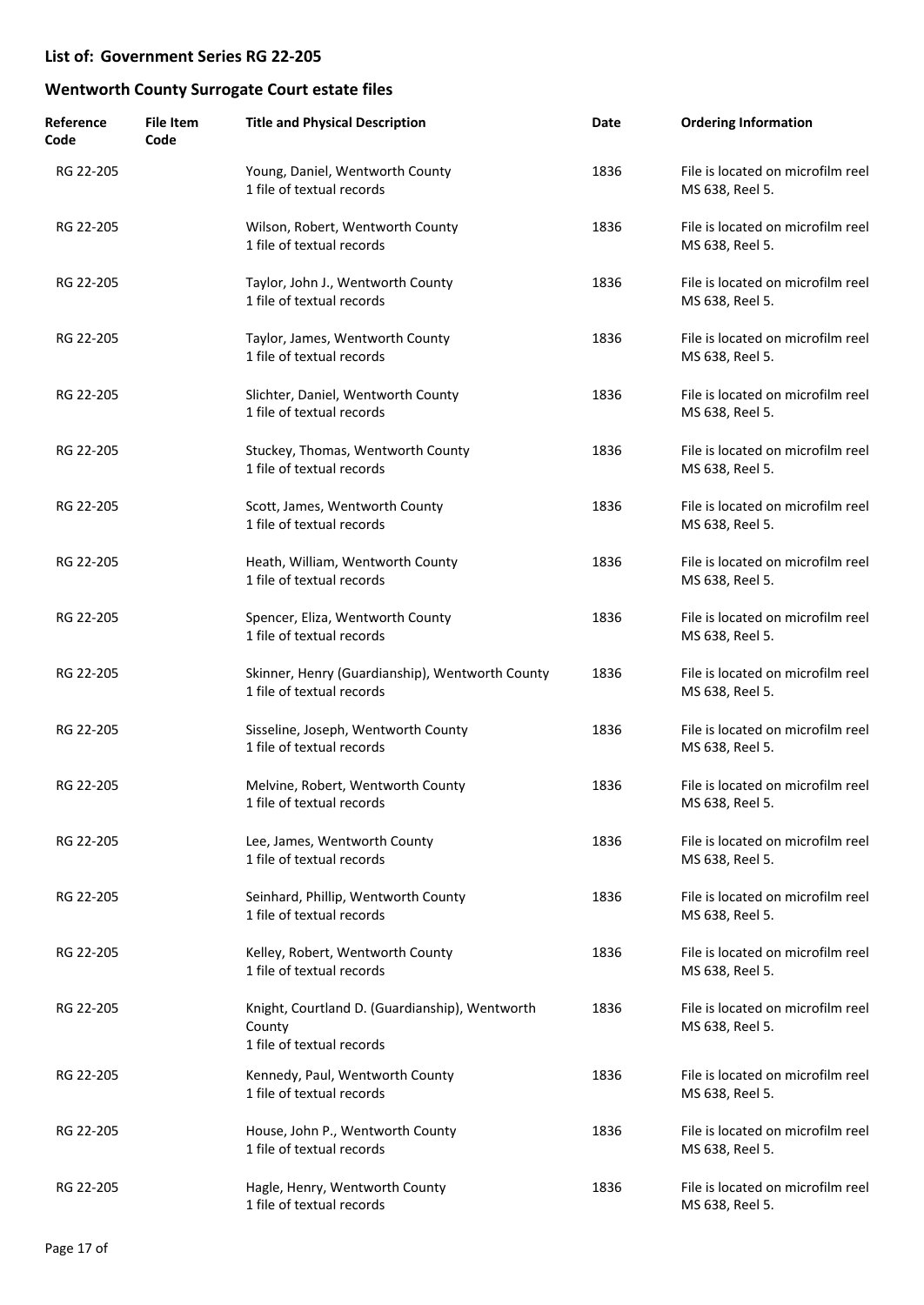| Reference<br>Code | <b>File Item</b><br>Code | <b>Title and Physical Description</b>                                                 | Date | <b>Ordering Information</b>                          |
|-------------------|--------------------------|---------------------------------------------------------------------------------------|------|------------------------------------------------------|
| RG 22-205         |                          | Young, Daniel, Wentworth County<br>1 file of textual records                          | 1836 | File is located on microfilm reel<br>MS 638, Reel 5. |
| RG 22-205         |                          | Wilson, Robert, Wentworth County<br>1 file of textual records                         | 1836 | File is located on microfilm reel<br>MS 638, Reel 5. |
| RG 22-205         |                          | Taylor, John J., Wentworth County<br>1 file of textual records                        | 1836 | File is located on microfilm reel<br>MS 638, Reel 5. |
| RG 22-205         |                          | Taylor, James, Wentworth County<br>1 file of textual records                          | 1836 | File is located on microfilm reel<br>MS 638, Reel 5. |
| RG 22-205         |                          | Slichter, Daniel, Wentworth County<br>1 file of textual records                       | 1836 | File is located on microfilm reel<br>MS 638, Reel 5. |
| RG 22-205         |                          | Stuckey, Thomas, Wentworth County<br>1 file of textual records                        | 1836 | File is located on microfilm reel<br>MS 638, Reel 5. |
| RG 22-205         |                          | Scott, James, Wentworth County<br>1 file of textual records                           | 1836 | File is located on microfilm reel<br>MS 638, Reel 5. |
| RG 22-205         |                          | Heath, William, Wentworth County<br>1 file of textual records                         | 1836 | File is located on microfilm reel<br>MS 638, Reel 5. |
| RG 22-205         |                          | Spencer, Eliza, Wentworth County<br>1 file of textual records                         | 1836 | File is located on microfilm reel<br>MS 638, Reel 5. |
| RG 22-205         |                          | Skinner, Henry (Guardianship), Wentworth County<br>1 file of textual records          | 1836 | File is located on microfilm reel<br>MS 638, Reel 5. |
| RG 22-205         |                          | Sisseline, Joseph, Wentworth County<br>1 file of textual records                      | 1836 | File is located on microfilm reel<br>MS 638, Reel 5. |
| RG 22-205         |                          | Melvine, Robert, Wentworth County<br>1 file of textual records                        | 1836 | File is located on microfilm reel<br>MS 638, Reel 5. |
| RG 22-205         |                          | Lee, James, Wentworth County<br>1 file of textual records                             | 1836 | File is located on microfilm reel<br>MS 638, Reel 5. |
| RG 22-205         |                          | Seinhard, Phillip, Wentworth County<br>1 file of textual records                      | 1836 | File is located on microfilm reel<br>MS 638, Reel 5. |
| RG 22-205         |                          | Kelley, Robert, Wentworth County<br>1 file of textual records                         | 1836 | File is located on microfilm reel<br>MS 638, Reel 5. |
| RG 22-205         |                          | Knight, Courtland D. (Guardianship), Wentworth<br>County<br>1 file of textual records | 1836 | File is located on microfilm reel<br>MS 638, Reel 5. |
| RG 22-205         |                          | Kennedy, Paul, Wentworth County<br>1 file of textual records                          | 1836 | File is located on microfilm reel<br>MS 638, Reel 5. |
| RG 22-205         |                          | House, John P., Wentworth County<br>1 file of textual records                         | 1836 | File is located on microfilm reel<br>MS 638, Reel 5. |
| RG 22-205         |                          | Hagle, Henry, Wentworth County<br>1 file of textual records                           | 1836 | File is located on microfilm reel<br>MS 638, Reel 5. |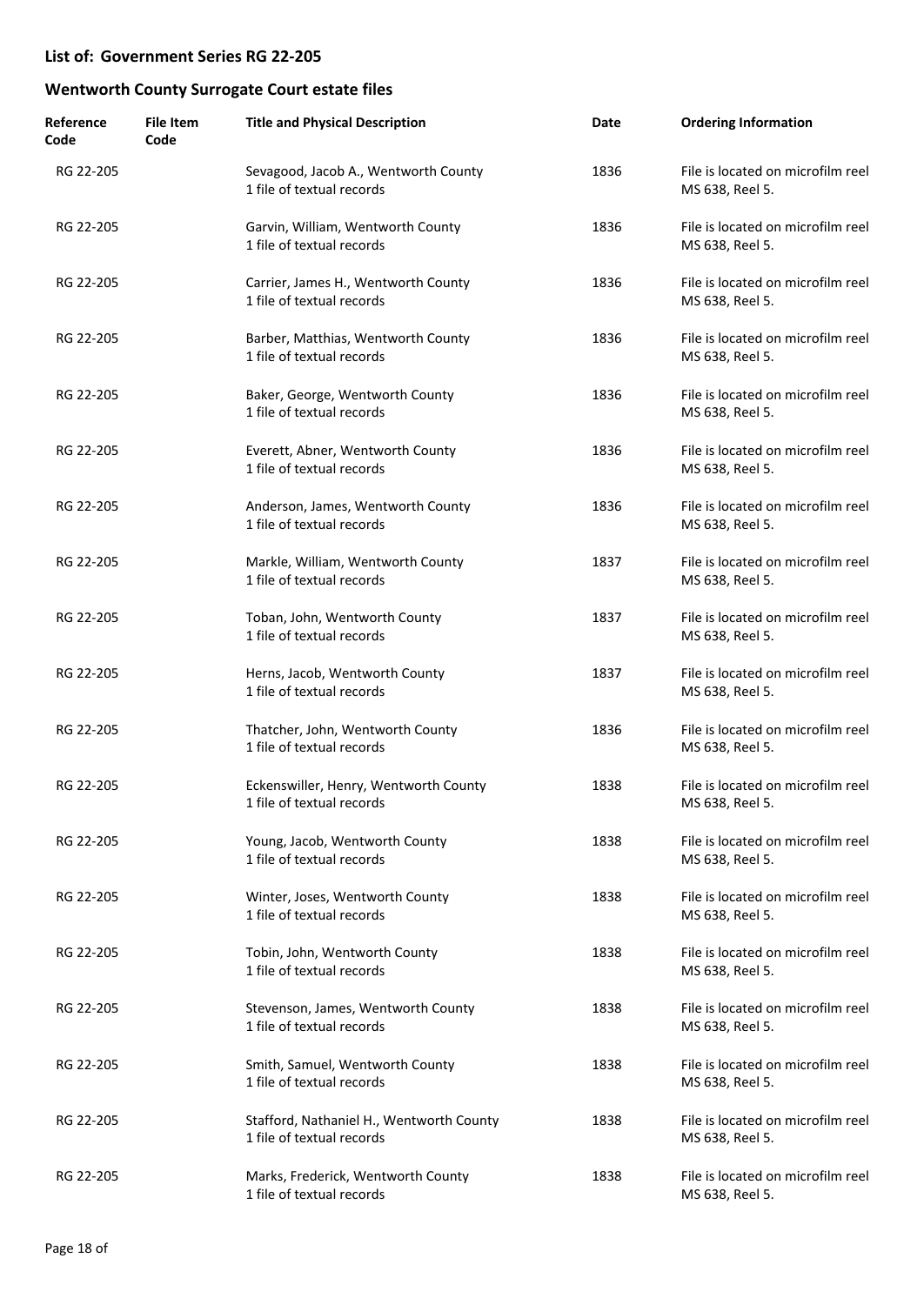| Reference<br>Code | <b>File Item</b><br>Code | <b>Title and Physical Description</b>                                 | Date | <b>Ordering Information</b>                          |
|-------------------|--------------------------|-----------------------------------------------------------------------|------|------------------------------------------------------|
| RG 22-205         |                          | Sevagood, Jacob A., Wentworth County<br>1 file of textual records     | 1836 | File is located on microfilm reel<br>MS 638, Reel 5. |
| RG 22-205         |                          | Garvin, William, Wentworth County<br>1 file of textual records        | 1836 | File is located on microfilm reel<br>MS 638, Reel 5. |
| RG 22-205         |                          | Carrier, James H., Wentworth County<br>1 file of textual records      | 1836 | File is located on microfilm reel<br>MS 638, Reel 5. |
| RG 22-205         |                          | Barber, Matthias, Wentworth County<br>1 file of textual records       | 1836 | File is located on microfilm reel<br>MS 638, Reel 5. |
| RG 22-205         |                          | Baker, George, Wentworth County<br>1 file of textual records          | 1836 | File is located on microfilm reel<br>MS 638, Reel 5. |
| RG 22-205         |                          | Everett, Abner, Wentworth County<br>1 file of textual records         | 1836 | File is located on microfilm reel<br>MS 638, Reel 5. |
| RG 22-205         |                          | Anderson, James, Wentworth County<br>1 file of textual records        | 1836 | File is located on microfilm reel<br>MS 638, Reel 5. |
| RG 22-205         |                          | Markle, William, Wentworth County<br>1 file of textual records        | 1837 | File is located on microfilm reel<br>MS 638, Reel 5. |
| RG 22-205         |                          | Toban, John, Wentworth County<br>1 file of textual records            | 1837 | File is located on microfilm reel<br>MS 638, Reel 5. |
| RG 22-205         |                          | Herns, Jacob, Wentworth County<br>1 file of textual records           | 1837 | File is located on microfilm reel<br>MS 638, Reel 5. |
| RG 22-205         |                          | Thatcher, John, Wentworth County<br>1 file of textual records         | 1836 | File is located on microfilm reel<br>MS 638, Reel 5. |
| RG 22-205         |                          | Eckenswiller, Henry, Wentworth County<br>1 file of textual records    | 1838 | File is located on microfilm reel<br>MS 638, Reel 5. |
| RG 22-205         |                          | Young, Jacob, Wentworth County<br>1 file of textual records           | 1838 | File is located on microfilm reel<br>MS 638, Reel 5. |
| RG 22-205         |                          | Winter, Joses, Wentworth County<br>1 file of textual records          | 1838 | File is located on microfilm reel<br>MS 638, Reel 5. |
| RG 22-205         |                          | Tobin, John, Wentworth County<br>1 file of textual records            | 1838 | File is located on microfilm reel<br>MS 638, Reel 5. |
| RG 22-205         |                          | Stevenson, James, Wentworth County<br>1 file of textual records       | 1838 | File is located on microfilm reel<br>MS 638, Reel 5. |
| RG 22-205         |                          | Smith, Samuel, Wentworth County<br>1 file of textual records          | 1838 | File is located on microfilm reel<br>MS 638, Reel 5. |
| RG 22-205         |                          | Stafford, Nathaniel H., Wentworth County<br>1 file of textual records | 1838 | File is located on microfilm reel<br>MS 638, Reel 5. |
| RG 22-205         |                          | Marks, Frederick, Wentworth County<br>1 file of textual records       | 1838 | File is located on microfilm reel<br>MS 638, Reel 5. |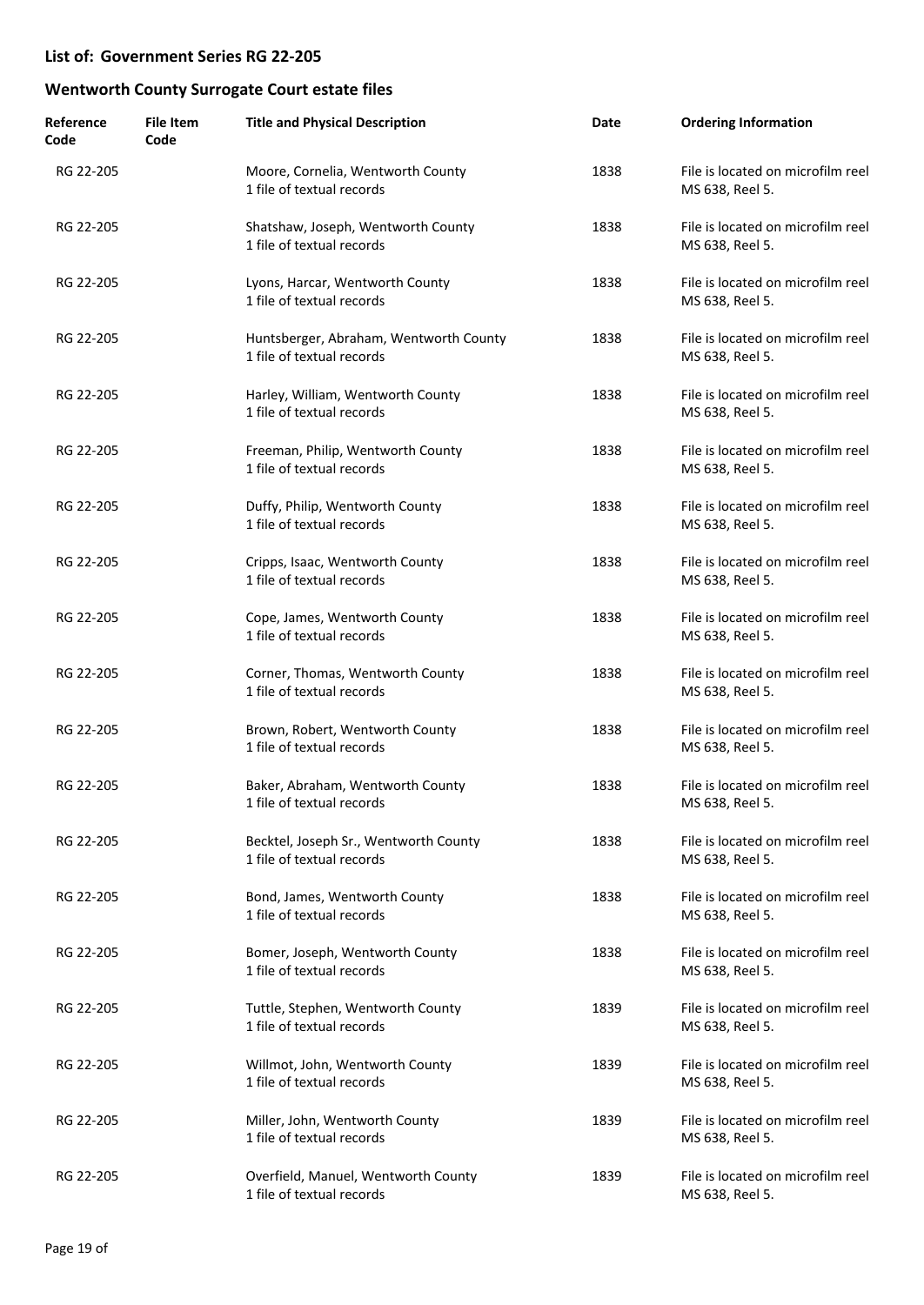| Reference<br>Code | <b>File Item</b><br>Code | <b>Title and Physical Description</b>                               | Date | <b>Ordering Information</b>                          |
|-------------------|--------------------------|---------------------------------------------------------------------|------|------------------------------------------------------|
| RG 22-205         |                          | Moore, Cornelia, Wentworth County<br>1 file of textual records      | 1838 | File is located on microfilm reel<br>MS 638, Reel 5. |
| RG 22-205         |                          | Shatshaw, Joseph, Wentworth County<br>1 file of textual records     | 1838 | File is located on microfilm reel<br>MS 638, Reel 5. |
| RG 22-205         |                          | Lyons, Harcar, Wentworth County<br>1 file of textual records        | 1838 | File is located on microfilm reel<br>MS 638, Reel 5. |
| RG 22-205         |                          | Huntsberger, Abraham, Wentworth County<br>1 file of textual records | 1838 | File is located on microfilm reel<br>MS 638, Reel 5. |
| RG 22-205         |                          | Harley, William, Wentworth County<br>1 file of textual records      | 1838 | File is located on microfilm reel<br>MS 638, Reel 5. |
| RG 22-205         |                          | Freeman, Philip, Wentworth County<br>1 file of textual records      | 1838 | File is located on microfilm reel<br>MS 638, Reel 5. |
| RG 22-205         |                          | Duffy, Philip, Wentworth County<br>1 file of textual records        | 1838 | File is located on microfilm reel<br>MS 638, Reel 5. |
| RG 22-205         |                          | Cripps, Isaac, Wentworth County<br>1 file of textual records        | 1838 | File is located on microfilm reel<br>MS 638, Reel 5. |
| RG 22-205         |                          | Cope, James, Wentworth County<br>1 file of textual records          | 1838 | File is located on microfilm reel<br>MS 638, Reel 5. |
| RG 22-205         |                          | Corner, Thomas, Wentworth County<br>1 file of textual records       | 1838 | File is located on microfilm reel<br>MS 638, Reel 5. |
| RG 22-205         |                          | Brown, Robert, Wentworth County<br>1 file of textual records        | 1838 | File is located on microfilm reel<br>MS 638, Reel 5. |
| RG 22-205         |                          | Baker, Abraham, Wentworth County<br>1 file of textual records       | 1838 | File is located on microfilm reel<br>MS 638, Reel 5. |
| RG 22-205         |                          | Becktel, Joseph Sr., Wentworth County<br>1 file of textual records  | 1838 | File is located on microfilm reel<br>MS 638, Reel 5. |
| RG 22-205         |                          | Bond, James, Wentworth County<br>1 file of textual records          | 1838 | File is located on microfilm reel<br>MS 638, Reel 5. |
| RG 22-205         |                          | Bomer, Joseph, Wentworth County<br>1 file of textual records        | 1838 | File is located on microfilm reel<br>MS 638, Reel 5. |
| RG 22-205         |                          | Tuttle, Stephen, Wentworth County<br>1 file of textual records      | 1839 | File is located on microfilm reel<br>MS 638, Reel 5. |
| RG 22-205         |                          | Willmot, John, Wentworth County<br>1 file of textual records        | 1839 | File is located on microfilm reel<br>MS 638, Reel 5. |
| RG 22-205         |                          | Miller, John, Wentworth County<br>1 file of textual records         | 1839 | File is located on microfilm reel<br>MS 638, Reel 5. |
| RG 22-205         |                          | Overfield, Manuel, Wentworth County<br>1 file of textual records    | 1839 | File is located on microfilm reel<br>MS 638, Reel 5. |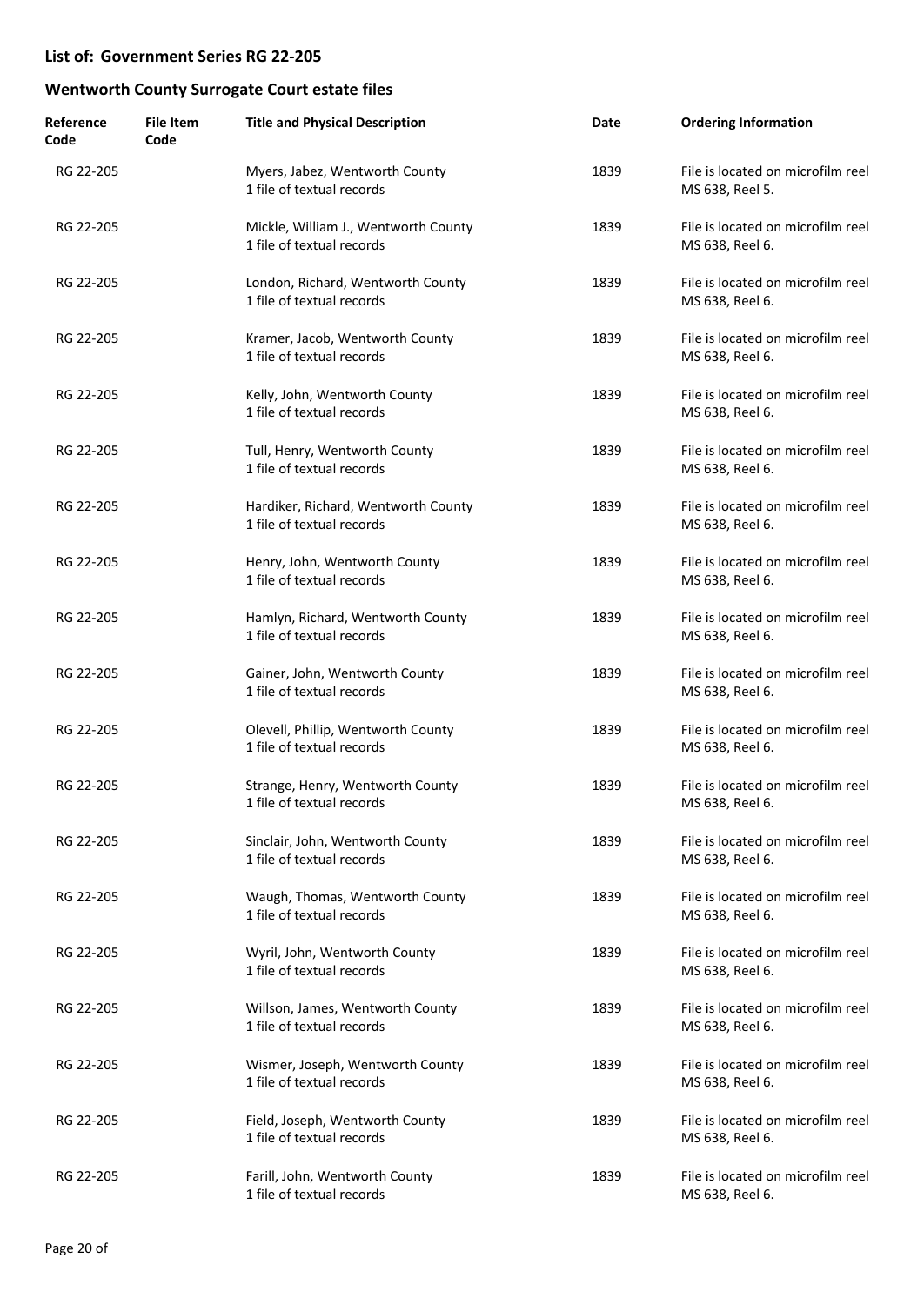| Reference<br>Code | <b>File Item</b><br>Code | <b>Title and Physical Description</b>                             | Date | <b>Ordering Information</b>                          |
|-------------------|--------------------------|-------------------------------------------------------------------|------|------------------------------------------------------|
| RG 22-205         |                          | Myers, Jabez, Wentworth County<br>1 file of textual records       | 1839 | File is located on microfilm reel<br>MS 638, Reel 5. |
| RG 22-205         |                          | Mickle, William J., Wentworth County<br>1 file of textual records | 1839 | File is located on microfilm reel<br>MS 638, Reel 6. |
| RG 22-205         |                          | London, Richard, Wentworth County<br>1 file of textual records    | 1839 | File is located on microfilm reel<br>MS 638, Reel 6. |
| RG 22-205         |                          | Kramer, Jacob, Wentworth County<br>1 file of textual records      | 1839 | File is located on microfilm reel<br>MS 638, Reel 6. |
| RG 22-205         |                          | Kelly, John, Wentworth County<br>1 file of textual records        | 1839 | File is located on microfilm reel<br>MS 638, Reel 6. |
| RG 22-205         |                          | Tull, Henry, Wentworth County<br>1 file of textual records        | 1839 | File is located on microfilm reel<br>MS 638, Reel 6. |
| RG 22-205         |                          | Hardiker, Richard, Wentworth County<br>1 file of textual records  | 1839 | File is located on microfilm reel<br>MS 638, Reel 6. |
| RG 22-205         |                          | Henry, John, Wentworth County<br>1 file of textual records        | 1839 | File is located on microfilm reel<br>MS 638, Reel 6. |
| RG 22-205         |                          | Hamlyn, Richard, Wentworth County<br>1 file of textual records    | 1839 | File is located on microfilm reel<br>MS 638, Reel 6. |
| RG 22-205         |                          | Gainer, John, Wentworth County<br>1 file of textual records       | 1839 | File is located on microfilm reel<br>MS 638, Reel 6. |
| RG 22-205         |                          | Olevell, Phillip, Wentworth County<br>1 file of textual records   | 1839 | File is located on microfilm reel<br>MS 638, Reel 6. |
| RG 22-205         |                          | Strange, Henry, Wentworth County<br>1 file of textual records     | 1839 | File is located on microfilm reel<br>MS 638, Reel 6. |
| RG 22-205         |                          | Sinclair, John, Wentworth County<br>1 file of textual records     | 1839 | File is located on microfilm reel<br>MS 638, Reel 6. |
| RG 22-205         |                          | Waugh, Thomas, Wentworth County<br>1 file of textual records      | 1839 | File is located on microfilm reel<br>MS 638, Reel 6. |
| RG 22-205         |                          | Wyril, John, Wentworth County<br>1 file of textual records        | 1839 | File is located on microfilm reel<br>MS 638, Reel 6. |
| RG 22-205         |                          | Willson, James, Wentworth County<br>1 file of textual records     | 1839 | File is located on microfilm reel<br>MS 638, Reel 6. |
| RG 22-205         |                          | Wismer, Joseph, Wentworth County<br>1 file of textual records     | 1839 | File is located on microfilm reel<br>MS 638, Reel 6. |
| RG 22-205         |                          | Field, Joseph, Wentworth County<br>1 file of textual records      | 1839 | File is located on microfilm reel<br>MS 638, Reel 6. |
| RG 22-205         |                          | Farill, John, Wentworth County<br>1 file of textual records       | 1839 | File is located on microfilm reel<br>MS 638, Reel 6. |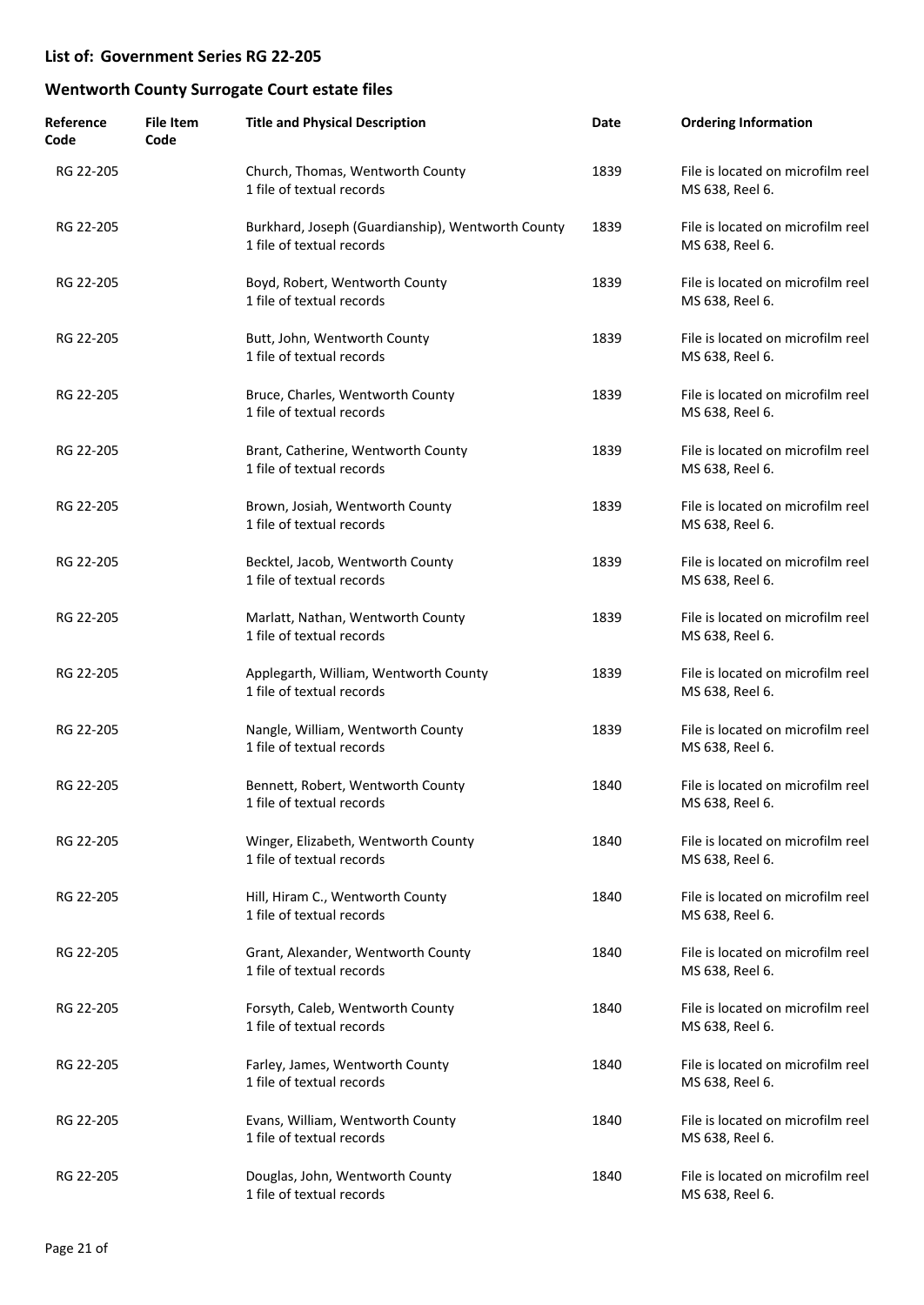| Reference<br>Code | <b>File Item</b><br>Code | <b>Title and Physical Description</b>                                          | Date | <b>Ordering Information</b>                          |
|-------------------|--------------------------|--------------------------------------------------------------------------------|------|------------------------------------------------------|
| RG 22-205         |                          | Church, Thomas, Wentworth County<br>1 file of textual records                  | 1839 | File is located on microfilm reel<br>MS 638, Reel 6. |
| RG 22-205         |                          | Burkhard, Joseph (Guardianship), Wentworth County<br>1 file of textual records | 1839 | File is located on microfilm reel<br>MS 638, Reel 6. |
| RG 22-205         |                          | Boyd, Robert, Wentworth County<br>1 file of textual records                    | 1839 | File is located on microfilm reel<br>MS 638, Reel 6. |
| RG 22-205         |                          | Butt, John, Wentworth County<br>1 file of textual records                      | 1839 | File is located on microfilm reel<br>MS 638, Reel 6. |
| RG 22-205         |                          | Bruce, Charles, Wentworth County<br>1 file of textual records                  | 1839 | File is located on microfilm reel<br>MS 638, Reel 6. |
| RG 22-205         |                          | Brant, Catherine, Wentworth County<br>1 file of textual records                | 1839 | File is located on microfilm reel<br>MS 638, Reel 6. |
| RG 22-205         |                          | Brown, Josiah, Wentworth County<br>1 file of textual records                   | 1839 | File is located on microfilm reel<br>MS 638, Reel 6. |
| RG 22-205         |                          | Becktel, Jacob, Wentworth County<br>1 file of textual records                  | 1839 | File is located on microfilm reel<br>MS 638, Reel 6. |
| RG 22-205         |                          | Marlatt, Nathan, Wentworth County<br>1 file of textual records                 | 1839 | File is located on microfilm reel<br>MS 638, Reel 6. |
| RG 22-205         |                          | Applegarth, William, Wentworth County<br>1 file of textual records             | 1839 | File is located on microfilm reel<br>MS 638, Reel 6. |
| RG 22-205         |                          | Nangle, William, Wentworth County<br>1 file of textual records                 | 1839 | File is located on microfilm reel<br>MS 638, Reel 6. |
| RG 22-205         |                          | Bennett, Robert, Wentworth County<br>1 file of textual records                 | 1840 | File is located on microfilm reel<br>MS 638, Reel 6. |
| RG 22-205         |                          | Winger, Elizabeth, Wentworth County<br>1 file of textual records               | 1840 | File is located on microfilm reel<br>MS 638, Reel 6. |
| RG 22-205         |                          | Hill, Hiram C., Wentworth County<br>1 file of textual records                  | 1840 | File is located on microfilm reel<br>MS 638, Reel 6. |
| RG 22-205         |                          | Grant, Alexander, Wentworth County<br>1 file of textual records                | 1840 | File is located on microfilm reel<br>MS 638, Reel 6. |
| RG 22-205         |                          | Forsyth, Caleb, Wentworth County<br>1 file of textual records                  | 1840 | File is located on microfilm reel<br>MS 638, Reel 6. |
| RG 22-205         |                          | Farley, James, Wentworth County<br>1 file of textual records                   | 1840 | File is located on microfilm reel<br>MS 638, Reel 6. |
| RG 22-205         |                          | Evans, William, Wentworth County<br>1 file of textual records                  | 1840 | File is located on microfilm reel<br>MS 638, Reel 6. |
| RG 22-205         |                          | Douglas, John, Wentworth County<br>1 file of textual records                   | 1840 | File is located on microfilm reel<br>MS 638, Reel 6. |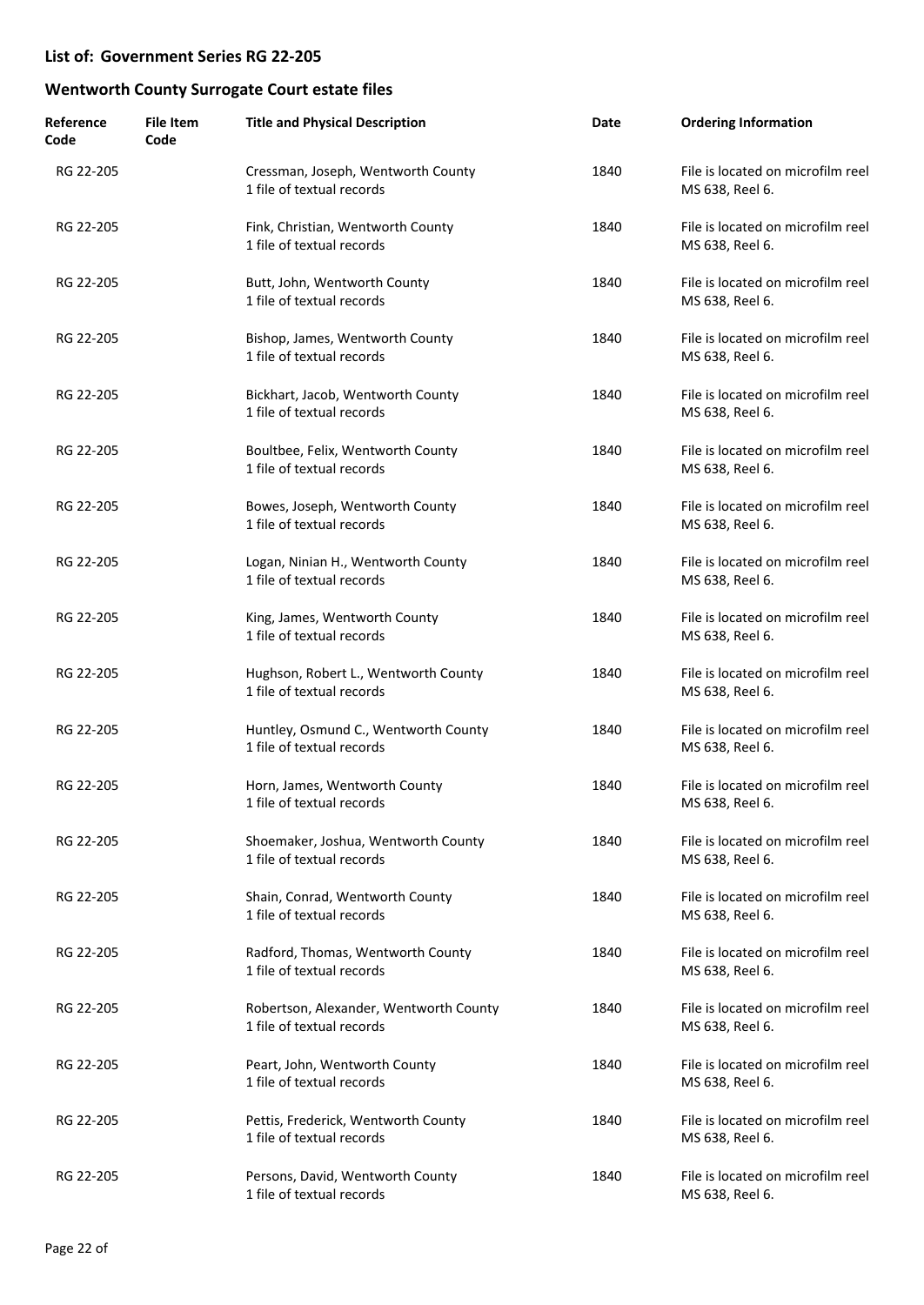| Reference<br>Code | <b>File Item</b><br>Code | <b>Title and Physical Description</b>                               | Date | <b>Ordering Information</b>                          |
|-------------------|--------------------------|---------------------------------------------------------------------|------|------------------------------------------------------|
| RG 22-205         |                          | Cressman, Joseph, Wentworth County<br>1 file of textual records     | 1840 | File is located on microfilm reel<br>MS 638, Reel 6. |
| RG 22-205         |                          | Fink, Christian, Wentworth County<br>1 file of textual records      | 1840 | File is located on microfilm reel<br>MS 638, Reel 6. |
| RG 22-205         |                          | Butt, John, Wentworth County<br>1 file of textual records           | 1840 | File is located on microfilm reel<br>MS 638, Reel 6. |
| RG 22-205         |                          | Bishop, James, Wentworth County<br>1 file of textual records        | 1840 | File is located on microfilm reel<br>MS 638, Reel 6. |
| RG 22-205         |                          | Bickhart, Jacob, Wentworth County<br>1 file of textual records      | 1840 | File is located on microfilm reel<br>MS 638, Reel 6. |
| RG 22-205         |                          | Boultbee, Felix, Wentworth County<br>1 file of textual records      | 1840 | File is located on microfilm reel<br>MS 638, Reel 6. |
| RG 22-205         |                          | Bowes, Joseph, Wentworth County<br>1 file of textual records        | 1840 | File is located on microfilm reel<br>MS 638, Reel 6. |
| RG 22-205         |                          | Logan, Ninian H., Wentworth County<br>1 file of textual records     | 1840 | File is located on microfilm reel<br>MS 638, Reel 6. |
| RG 22-205         |                          | King, James, Wentworth County<br>1 file of textual records          | 1840 | File is located on microfilm reel<br>MS 638, Reel 6. |
| RG 22-205         |                          | Hughson, Robert L., Wentworth County<br>1 file of textual records   | 1840 | File is located on microfilm reel<br>MS 638, Reel 6. |
| RG 22-205         |                          | Huntley, Osmund C., Wentworth County<br>1 file of textual records   | 1840 | File is located on microfilm reel<br>MS 638, Reel 6. |
| RG 22-205         |                          | Horn, James, Wentworth County<br>1 file of textual records          | 1840 | File is located on microfilm reel<br>MS 638, Reel 6. |
| RG 22-205         |                          | Shoemaker, Joshua, Wentworth County<br>1 file of textual records    | 1840 | File is located on microfilm reel<br>MS 638, Reel 6. |
| RG 22-205         |                          | Shain, Conrad, Wentworth County<br>1 file of textual records        | 1840 | File is located on microfilm reel<br>MS 638, Reel 6. |
| RG 22-205         |                          | Radford, Thomas, Wentworth County<br>1 file of textual records      | 1840 | File is located on microfilm reel<br>MS 638, Reel 6. |
| RG 22-205         |                          | Robertson, Alexander, Wentworth County<br>1 file of textual records | 1840 | File is located on microfilm reel<br>MS 638, Reel 6. |
| RG 22-205         |                          | Peart, John, Wentworth County<br>1 file of textual records          | 1840 | File is located on microfilm reel<br>MS 638, Reel 6. |
| RG 22-205         |                          | Pettis, Frederick, Wentworth County<br>1 file of textual records    | 1840 | File is located on microfilm reel<br>MS 638, Reel 6. |
| RG 22-205         |                          | Persons, David, Wentworth County<br>1 file of textual records       | 1840 | File is located on microfilm reel<br>MS 638, Reel 6. |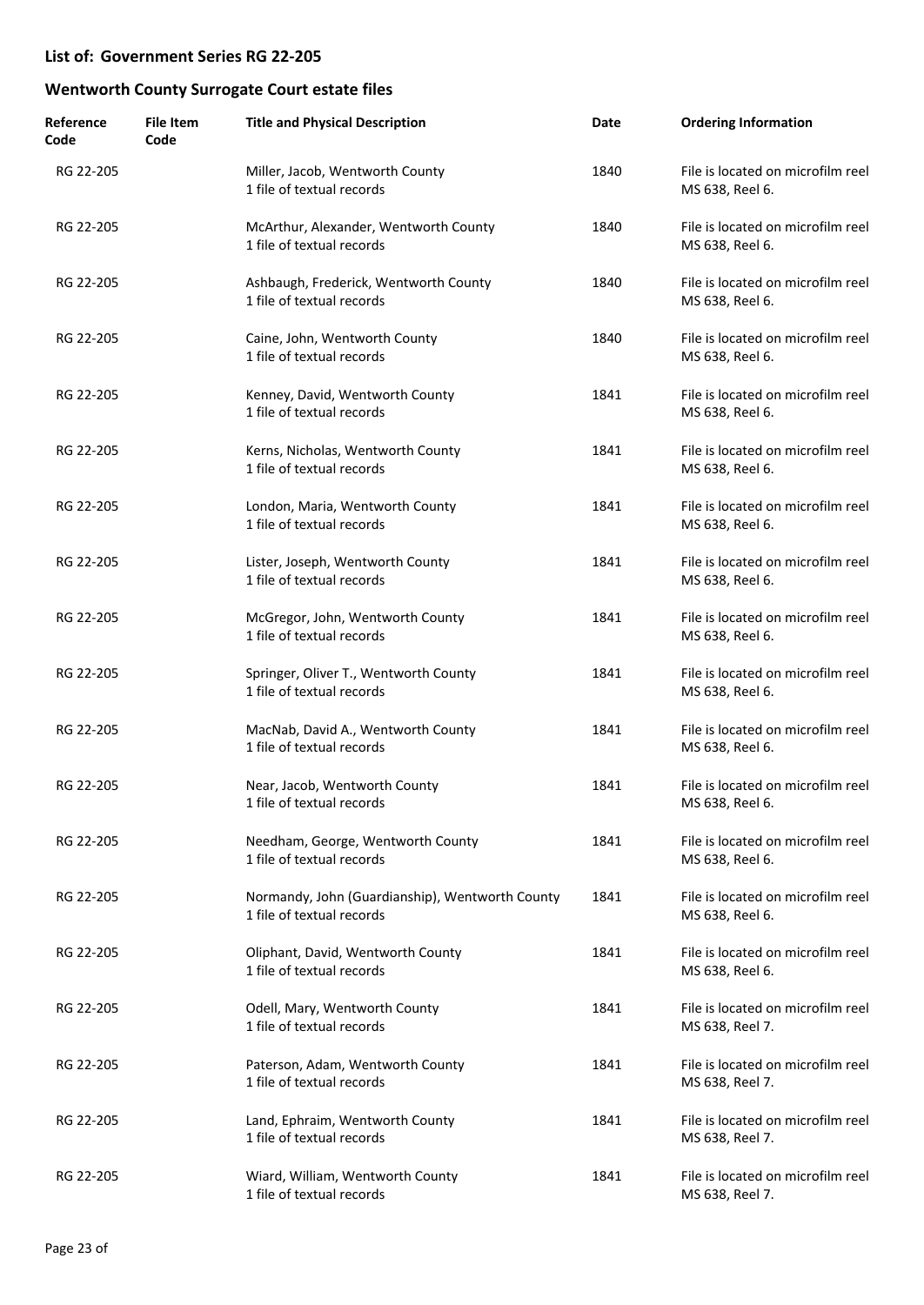| Reference<br>Code | <b>File Item</b><br>Code | <b>Title and Physical Description</b>                                        | Date | <b>Ordering Information</b>                          |
|-------------------|--------------------------|------------------------------------------------------------------------------|------|------------------------------------------------------|
| RG 22-205         |                          | Miller, Jacob, Wentworth County<br>1 file of textual records                 | 1840 | File is located on microfilm reel<br>MS 638, Reel 6. |
| RG 22-205         |                          | McArthur, Alexander, Wentworth County<br>1 file of textual records           | 1840 | File is located on microfilm reel<br>MS 638, Reel 6. |
| RG 22-205         |                          | Ashbaugh, Frederick, Wentworth County<br>1 file of textual records           | 1840 | File is located on microfilm reel<br>MS 638, Reel 6. |
| RG 22-205         |                          | Caine, John, Wentworth County<br>1 file of textual records                   | 1840 | File is located on microfilm reel<br>MS 638, Reel 6. |
| RG 22-205         |                          | Kenney, David, Wentworth County<br>1 file of textual records                 | 1841 | File is located on microfilm reel<br>MS 638, Reel 6. |
| RG 22-205         |                          | Kerns, Nicholas, Wentworth County<br>1 file of textual records               | 1841 | File is located on microfilm reel<br>MS 638, Reel 6. |
| RG 22-205         |                          | London, Maria, Wentworth County<br>1 file of textual records                 | 1841 | File is located on microfilm reel<br>MS 638, Reel 6. |
| RG 22-205         |                          | Lister, Joseph, Wentworth County<br>1 file of textual records                | 1841 | File is located on microfilm reel<br>MS 638, Reel 6. |
| RG 22-205         |                          | McGregor, John, Wentworth County<br>1 file of textual records                | 1841 | File is located on microfilm reel<br>MS 638, Reel 6. |
| RG 22-205         |                          | Springer, Oliver T., Wentworth County<br>1 file of textual records           | 1841 | File is located on microfilm reel<br>MS 638, Reel 6. |
| RG 22-205         |                          | MacNab, David A., Wentworth County<br>1 file of textual records              | 1841 | File is located on microfilm reel<br>MS 638, Reel 6. |
| RG 22-205         |                          | Near, Jacob, Wentworth County<br>1 file of textual records                   | 1841 | File is located on microfilm reel<br>MS 638, Reel 6. |
| RG 22-205         |                          | Needham, George, Wentworth County<br>1 file of textual records               | 1841 | File is located on microfilm reel<br>MS 638, Reel 6. |
| RG 22-205         |                          | Normandy, John (Guardianship), Wentworth County<br>1 file of textual records | 1841 | File is located on microfilm reel<br>MS 638, Reel 6. |
| RG 22-205         |                          | Oliphant, David, Wentworth County<br>1 file of textual records               | 1841 | File is located on microfilm reel<br>MS 638, Reel 6. |
| RG 22-205         |                          | Odell, Mary, Wentworth County<br>1 file of textual records                   | 1841 | File is located on microfilm reel<br>MS 638, Reel 7. |
| RG 22-205         |                          | Paterson, Adam, Wentworth County<br>1 file of textual records                | 1841 | File is located on microfilm reel<br>MS 638, Reel 7. |
| RG 22-205         |                          | Land, Ephraim, Wentworth County<br>1 file of textual records                 | 1841 | File is located on microfilm reel<br>MS 638, Reel 7. |
| RG 22-205         |                          | Wiard, William, Wentworth County<br>1 file of textual records                | 1841 | File is located on microfilm reel<br>MS 638, Reel 7. |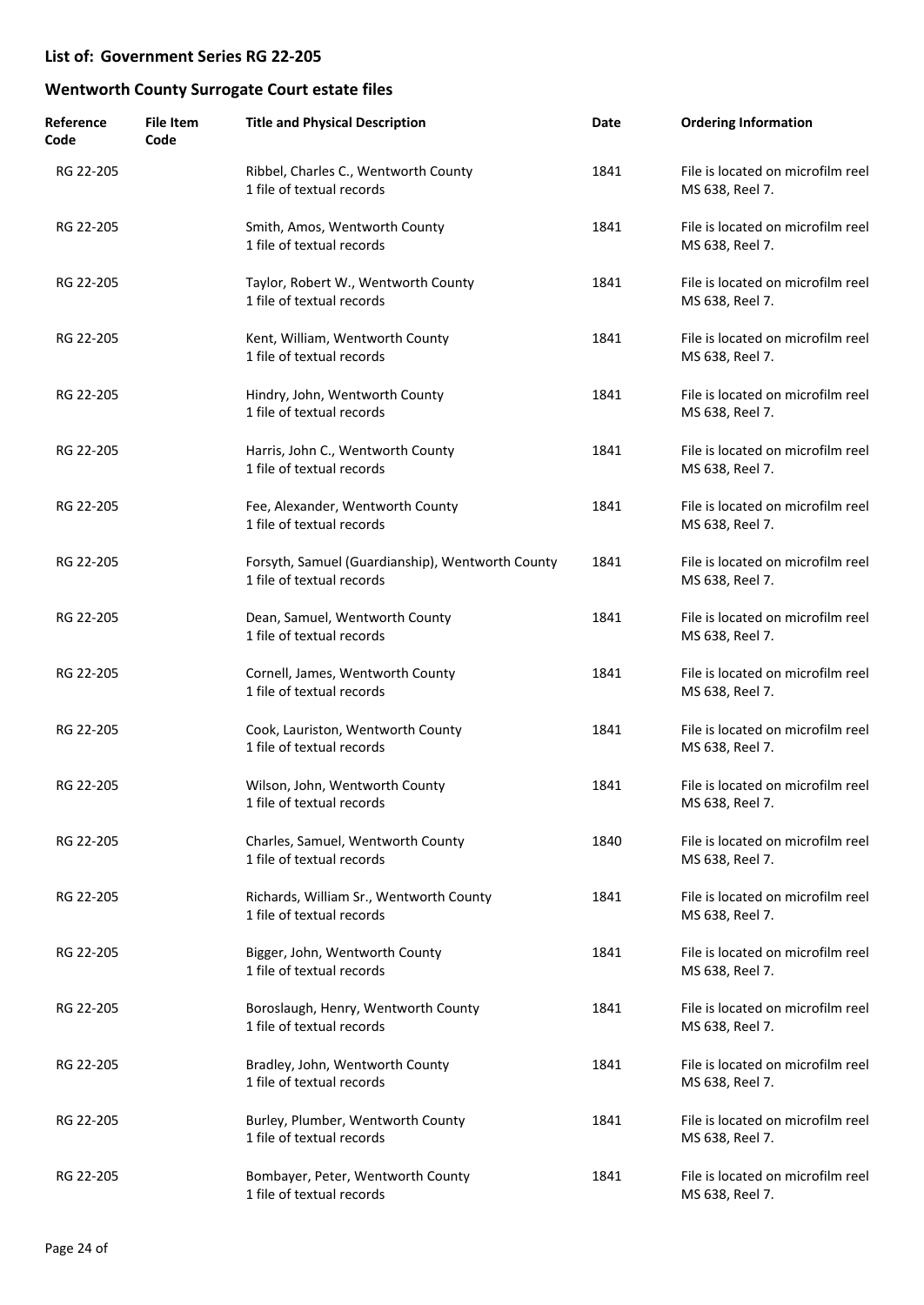| Reference<br>Code | <b>File Item</b><br>Code | <b>Title and Physical Description</b>                                         | Date | <b>Ordering Information</b>                          |
|-------------------|--------------------------|-------------------------------------------------------------------------------|------|------------------------------------------------------|
| RG 22-205         |                          | Ribbel, Charles C., Wentworth County<br>1 file of textual records             | 1841 | File is located on microfilm reel<br>MS 638, Reel 7. |
| RG 22-205         |                          | Smith, Amos, Wentworth County<br>1 file of textual records                    | 1841 | File is located on microfilm reel<br>MS 638, Reel 7. |
| RG 22-205         |                          | Taylor, Robert W., Wentworth County<br>1 file of textual records              | 1841 | File is located on microfilm reel<br>MS 638, Reel 7. |
| RG 22-205         |                          | Kent, William, Wentworth County<br>1 file of textual records                  | 1841 | File is located on microfilm reel<br>MS 638, Reel 7. |
| RG 22-205         |                          | Hindry, John, Wentworth County<br>1 file of textual records                   | 1841 | File is located on microfilm reel<br>MS 638, Reel 7. |
| RG 22-205         |                          | Harris, John C., Wentworth County<br>1 file of textual records                | 1841 | File is located on microfilm reel<br>MS 638, Reel 7. |
| RG 22-205         |                          | Fee, Alexander, Wentworth County<br>1 file of textual records                 | 1841 | File is located on microfilm reel<br>MS 638, Reel 7. |
| RG 22-205         |                          | Forsyth, Samuel (Guardianship), Wentworth County<br>1 file of textual records | 1841 | File is located on microfilm reel<br>MS 638, Reel 7. |
| RG 22-205         |                          | Dean, Samuel, Wentworth County<br>1 file of textual records                   | 1841 | File is located on microfilm reel<br>MS 638, Reel 7. |
| RG 22-205         |                          | Cornell, James, Wentworth County<br>1 file of textual records                 | 1841 | File is located on microfilm reel<br>MS 638, Reel 7. |
| RG 22-205         |                          | Cook, Lauriston, Wentworth County<br>1 file of textual records                | 1841 | File is located on microfilm reel<br>MS 638, Reel 7. |
| RG 22-205         |                          | Wilson, John, Wentworth County<br>1 file of textual records                   | 1841 | File is located on microfilm reel<br>MS 638, Reel 7. |
| RG 22-205         |                          | Charles, Samuel, Wentworth County<br>1 file of textual records                | 1840 | File is located on microfilm reel<br>MS 638, Reel 7. |
| RG 22-205         |                          | Richards, William Sr., Wentworth County<br>1 file of textual records          | 1841 | File is located on microfilm reel<br>MS 638, Reel 7. |
| RG 22-205         |                          | Bigger, John, Wentworth County<br>1 file of textual records                   | 1841 | File is located on microfilm reel<br>MS 638, Reel 7. |
| RG 22-205         |                          | Boroslaugh, Henry, Wentworth County<br>1 file of textual records              | 1841 | File is located on microfilm reel<br>MS 638, Reel 7. |
| RG 22-205         |                          | Bradley, John, Wentworth County<br>1 file of textual records                  | 1841 | File is located on microfilm reel<br>MS 638, Reel 7. |
| RG 22-205         |                          | Burley, Plumber, Wentworth County<br>1 file of textual records                | 1841 | File is located on microfilm reel<br>MS 638, Reel 7. |
| RG 22-205         |                          | Bombayer, Peter, Wentworth County<br>1 file of textual records                | 1841 | File is located on microfilm reel<br>MS 638, Reel 7. |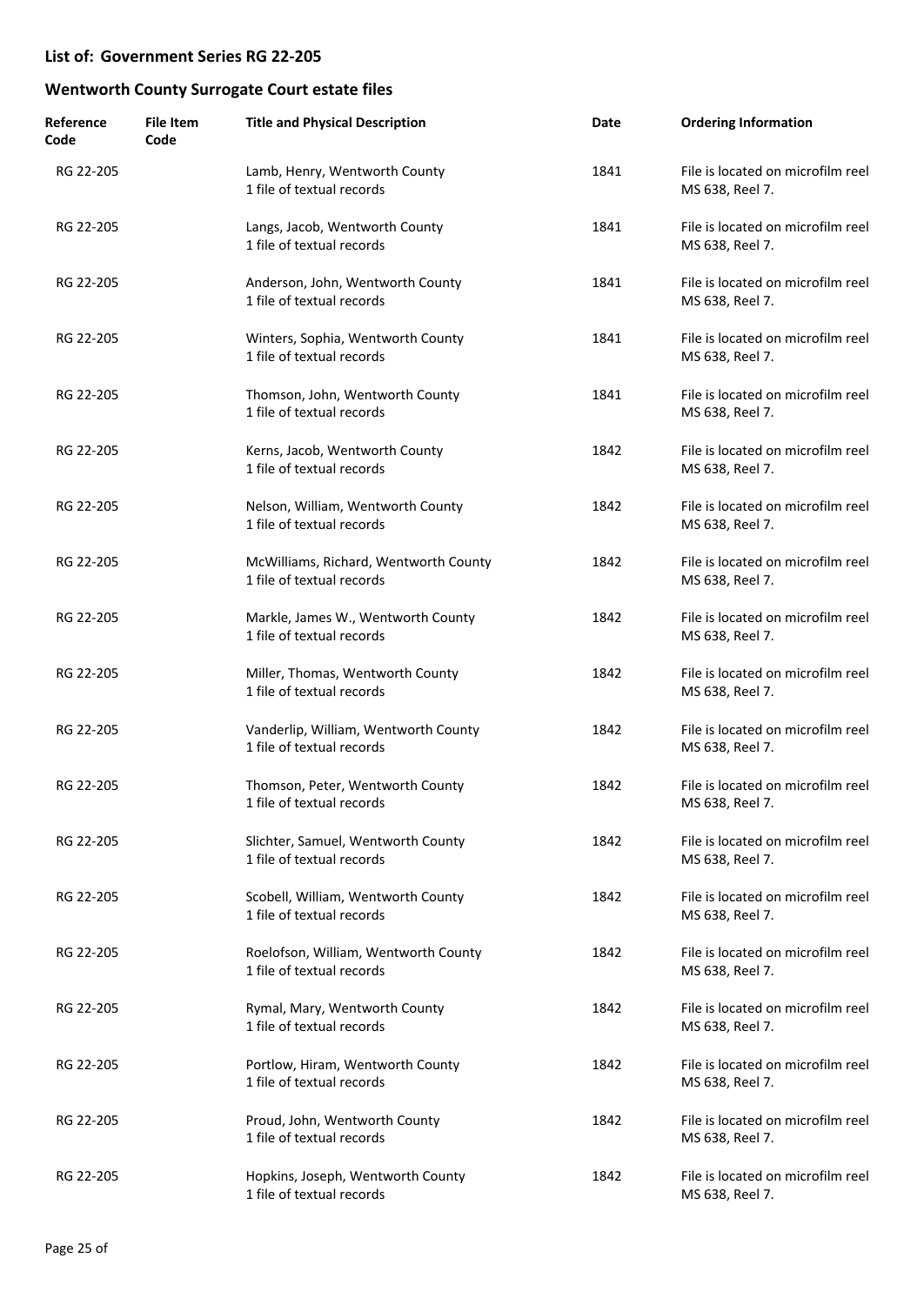| Reference<br>Code | <b>File Item</b><br>Code | <b>Title and Physical Description</b>                              | Date | <b>Ordering Information</b>                          |
|-------------------|--------------------------|--------------------------------------------------------------------|------|------------------------------------------------------|
| RG 22-205         |                          | Lamb, Henry, Wentworth County<br>1 file of textual records         | 1841 | File is located on microfilm reel<br>MS 638, Reel 7. |
| RG 22-205         |                          | Langs, Jacob, Wentworth County<br>1 file of textual records        | 1841 | File is located on microfilm reel<br>MS 638, Reel 7. |
| RG 22-205         |                          | Anderson, John, Wentworth County<br>1 file of textual records      | 1841 | File is located on microfilm reel<br>MS 638, Reel 7. |
| RG 22-205         |                          | Winters, Sophia, Wentworth County<br>1 file of textual records     | 1841 | File is located on microfilm reel<br>MS 638, Reel 7. |
| RG 22-205         |                          | Thomson, John, Wentworth County<br>1 file of textual records       | 1841 | File is located on microfilm reel<br>MS 638, Reel 7. |
| RG 22-205         |                          | Kerns, Jacob, Wentworth County<br>1 file of textual records        | 1842 | File is located on microfilm reel<br>MS 638, Reel 7. |
| RG 22-205         |                          | Nelson, William, Wentworth County<br>1 file of textual records     | 1842 | File is located on microfilm reel<br>MS 638, Reel 7. |
| RG 22-205         |                          | McWilliams, Richard, Wentworth County<br>1 file of textual records | 1842 | File is located on microfilm reel<br>MS 638, Reel 7. |
| RG 22-205         |                          | Markle, James W., Wentworth County<br>1 file of textual records    | 1842 | File is located on microfilm reel<br>MS 638, Reel 7. |
| RG 22-205         |                          | Miller, Thomas, Wentworth County<br>1 file of textual records      | 1842 | File is located on microfilm reel<br>MS 638, Reel 7. |
| RG 22-205         |                          | Vanderlip, William, Wentworth County<br>1 file of textual records  | 1842 | File is located on microfilm reel<br>MS 638, Reel 7. |
| RG 22-205         |                          | Thomson, Peter, Wentworth County<br>1 file of textual records      | 1842 | File is located on microfilm reel<br>MS 638, Reel 7. |
| RG 22-205         |                          | Slichter, Samuel, Wentworth County<br>1 file of textual records    | 1842 | File is located on microfilm reel<br>MS 638, Reel 7. |
| RG 22-205         |                          | Scobell, William, Wentworth County<br>1 file of textual records    | 1842 | File is located on microfilm reel<br>MS 638, Reel 7. |
| RG 22-205         |                          | Roelofson, William, Wentworth County<br>1 file of textual records  | 1842 | File is located on microfilm reel<br>MS 638, Reel 7. |
| RG 22-205         |                          | Rymal, Mary, Wentworth County<br>1 file of textual records         | 1842 | File is located on microfilm reel<br>MS 638, Reel 7. |
| RG 22-205         |                          | Portlow, Hiram, Wentworth County<br>1 file of textual records      | 1842 | File is located on microfilm reel<br>MS 638, Reel 7. |
| RG 22-205         |                          | Proud, John, Wentworth County<br>1 file of textual records         | 1842 | File is located on microfilm reel<br>MS 638, Reel 7. |
| RG 22-205         |                          | Hopkins, Joseph, Wentworth County<br>1 file of textual records     | 1842 | File is located on microfilm reel<br>MS 638, Reel 7. |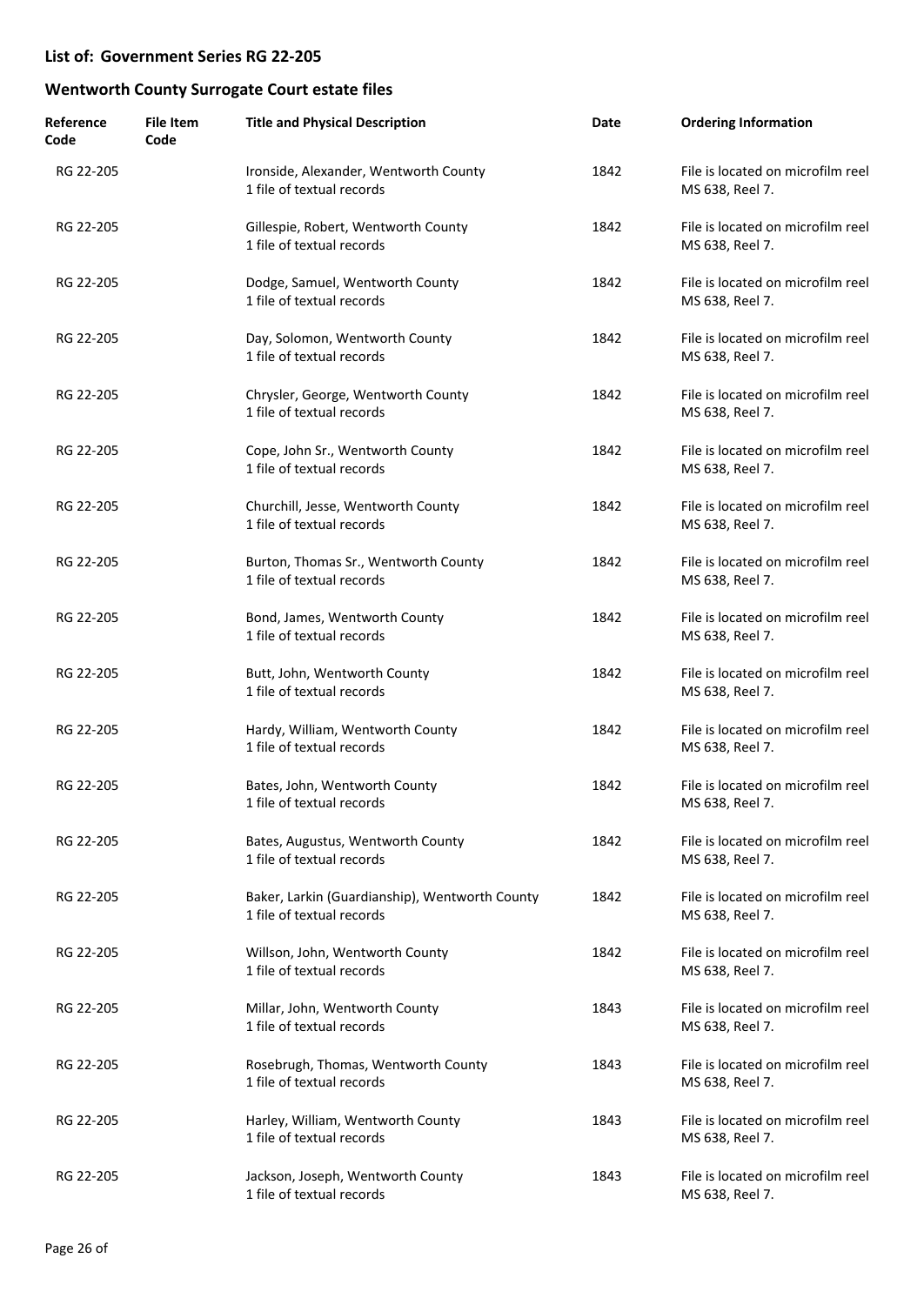| Reference<br>Code | <b>File Item</b><br>Code | <b>Title and Physical Description</b>                                       | Date | <b>Ordering Information</b>                          |
|-------------------|--------------------------|-----------------------------------------------------------------------------|------|------------------------------------------------------|
| RG 22-205         |                          | Ironside, Alexander, Wentworth County<br>1 file of textual records          | 1842 | File is located on microfilm reel<br>MS 638, Reel 7. |
| RG 22-205         |                          | Gillespie, Robert, Wentworth County<br>1 file of textual records            | 1842 | File is located on microfilm reel<br>MS 638, Reel 7. |
| RG 22-205         |                          | Dodge, Samuel, Wentworth County<br>1 file of textual records                | 1842 | File is located on microfilm reel<br>MS 638, Reel 7. |
| RG 22-205         |                          | Day, Solomon, Wentworth County<br>1 file of textual records                 | 1842 | File is located on microfilm reel<br>MS 638, Reel 7. |
| RG 22-205         |                          | Chrysler, George, Wentworth County<br>1 file of textual records             | 1842 | File is located on microfilm reel<br>MS 638, Reel 7. |
| RG 22-205         |                          | Cope, John Sr., Wentworth County<br>1 file of textual records               | 1842 | File is located on microfilm reel<br>MS 638, Reel 7. |
| RG 22-205         |                          | Churchill, Jesse, Wentworth County<br>1 file of textual records             | 1842 | File is located on microfilm reel<br>MS 638, Reel 7. |
| RG 22-205         |                          | Burton, Thomas Sr., Wentworth County<br>1 file of textual records           | 1842 | File is located on microfilm reel<br>MS 638, Reel 7. |
| RG 22-205         |                          | Bond, James, Wentworth County<br>1 file of textual records                  | 1842 | File is located on microfilm reel<br>MS 638, Reel 7. |
| RG 22-205         |                          | Butt, John, Wentworth County<br>1 file of textual records                   | 1842 | File is located on microfilm reel<br>MS 638, Reel 7. |
| RG 22-205         |                          | Hardy, William, Wentworth County<br>1 file of textual records               | 1842 | File is located on microfilm reel<br>MS 638, Reel 7. |
| RG 22-205         |                          | Bates, John, Wentworth County<br>1 file of textual records                  | 1842 | File is located on microfilm reel<br>MS 638, Reel 7. |
| RG 22-205         |                          | Bates, Augustus, Wentworth County<br>1 file of textual records              | 1842 | File is located on microfilm reel<br>MS 638, Reel 7. |
| RG 22-205         |                          | Baker, Larkin (Guardianship), Wentworth County<br>1 file of textual records | 1842 | File is located on microfilm reel<br>MS 638, Reel 7. |
| RG 22-205         |                          | Willson, John, Wentworth County<br>1 file of textual records                | 1842 | File is located on microfilm reel<br>MS 638, Reel 7. |
| RG 22-205         |                          | Millar, John, Wentworth County<br>1 file of textual records                 | 1843 | File is located on microfilm reel<br>MS 638, Reel 7. |
| RG 22-205         |                          | Rosebrugh, Thomas, Wentworth County<br>1 file of textual records            | 1843 | File is located on microfilm reel<br>MS 638, Reel 7. |
| RG 22-205         |                          | Harley, William, Wentworth County<br>1 file of textual records              | 1843 | File is located on microfilm reel<br>MS 638, Reel 7. |
| RG 22-205         |                          | Jackson, Joseph, Wentworth County<br>1 file of textual records              | 1843 | File is located on microfilm reel<br>MS 638, Reel 7. |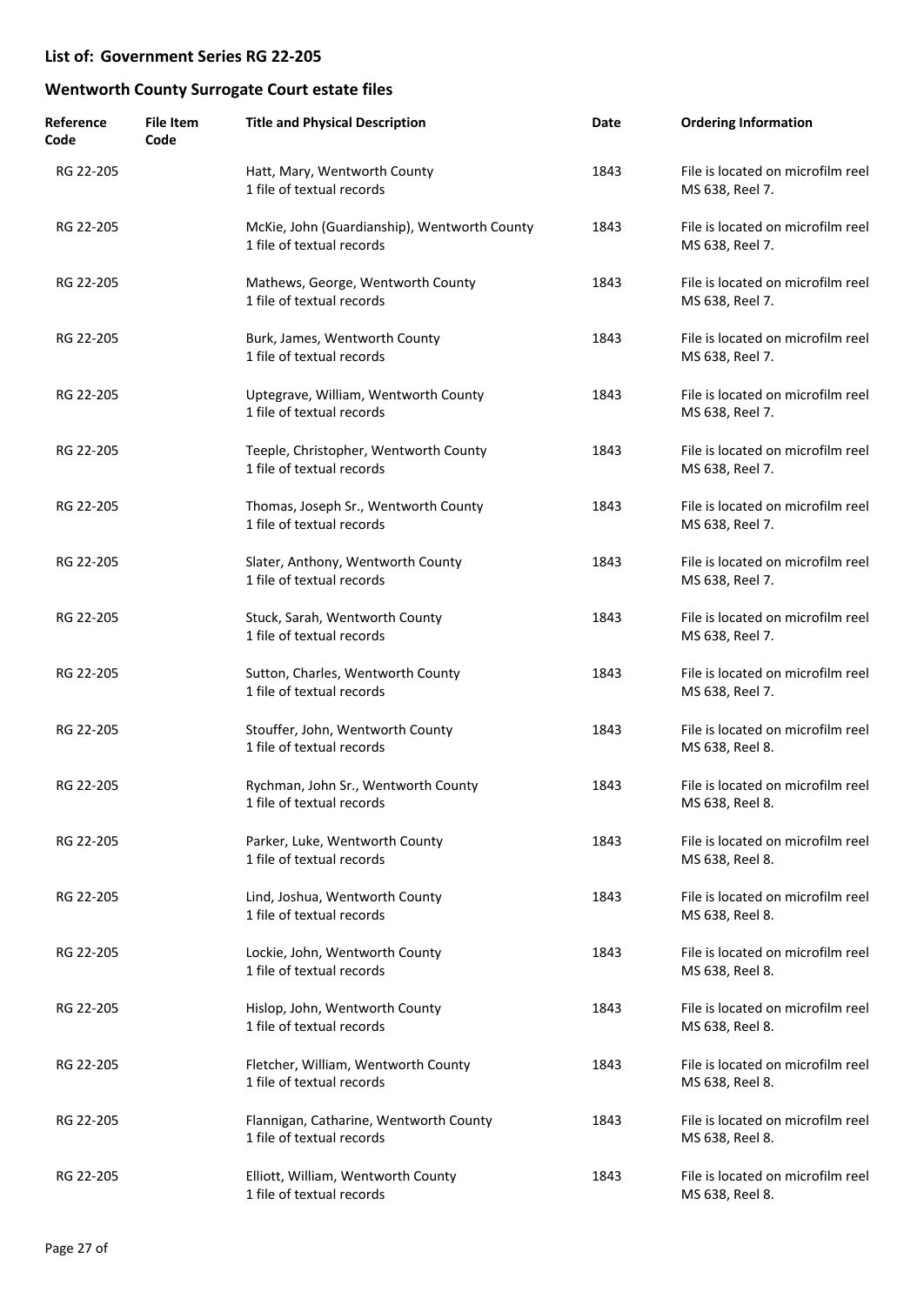| Reference<br>Code | <b>File Item</b><br>Code | <b>Title and Physical Description</b>                                     | Date | <b>Ordering Information</b>                          |
|-------------------|--------------------------|---------------------------------------------------------------------------|------|------------------------------------------------------|
| RG 22-205         |                          | Hatt, Mary, Wentworth County<br>1 file of textual records                 | 1843 | File is located on microfilm reel<br>MS 638, Reel 7. |
| RG 22-205         |                          | McKie, John (Guardianship), Wentworth County<br>1 file of textual records | 1843 | File is located on microfilm reel<br>MS 638, Reel 7. |
| RG 22-205         |                          | Mathews, George, Wentworth County<br>1 file of textual records            | 1843 | File is located on microfilm reel<br>MS 638, Reel 7. |
| RG 22-205         |                          | Burk, James, Wentworth County<br>1 file of textual records                | 1843 | File is located on microfilm reel<br>MS 638, Reel 7. |
| RG 22-205         |                          | Uptegrave, William, Wentworth County<br>1 file of textual records         | 1843 | File is located on microfilm reel<br>MS 638, Reel 7. |
| RG 22-205         |                          | Teeple, Christopher, Wentworth County<br>1 file of textual records        | 1843 | File is located on microfilm reel<br>MS 638, Reel 7. |
| RG 22-205         |                          | Thomas, Joseph Sr., Wentworth County<br>1 file of textual records         | 1843 | File is located on microfilm reel<br>MS 638, Reel 7. |
| RG 22-205         |                          | Slater, Anthony, Wentworth County<br>1 file of textual records            | 1843 | File is located on microfilm reel<br>MS 638, Reel 7. |
| RG 22-205         |                          | Stuck, Sarah, Wentworth County<br>1 file of textual records               | 1843 | File is located on microfilm reel<br>MS 638, Reel 7. |
| RG 22-205         |                          | Sutton, Charles, Wentworth County<br>1 file of textual records            | 1843 | File is located on microfilm reel<br>MS 638, Reel 7. |
| RG 22-205         |                          | Stouffer, John, Wentworth County<br>1 file of textual records             | 1843 | File is located on microfilm reel<br>MS 638, Reel 8. |
| RG 22-205         |                          | Rychman, John Sr., Wentworth County<br>1 file of textual records          | 1843 | File is located on microfilm reel<br>MS 638, Reel 8. |
| RG 22-205         |                          | Parker, Luke, Wentworth County<br>1 file of textual records               | 1843 | File is located on microfilm reel<br>MS 638, Reel 8. |
| RG 22-205         |                          | Lind, Joshua, Wentworth County<br>1 file of textual records               | 1843 | File is located on microfilm reel<br>MS 638, Reel 8. |
| RG 22-205         |                          | Lockie, John, Wentworth County<br>1 file of textual records               | 1843 | File is located on microfilm reel<br>MS 638, Reel 8. |
| RG 22-205         |                          | Hislop, John, Wentworth County<br>1 file of textual records               | 1843 | File is located on microfilm reel<br>MS 638, Reel 8. |
| RG 22-205         |                          | Fletcher, William, Wentworth County<br>1 file of textual records          | 1843 | File is located on microfilm reel<br>MS 638, Reel 8. |
| RG 22-205         |                          | Flannigan, Catharine, Wentworth County<br>1 file of textual records       | 1843 | File is located on microfilm reel<br>MS 638, Reel 8. |
| RG 22-205         |                          | Elliott, William, Wentworth County<br>1 file of textual records           | 1843 | File is located on microfilm reel<br>MS 638, Reel 8. |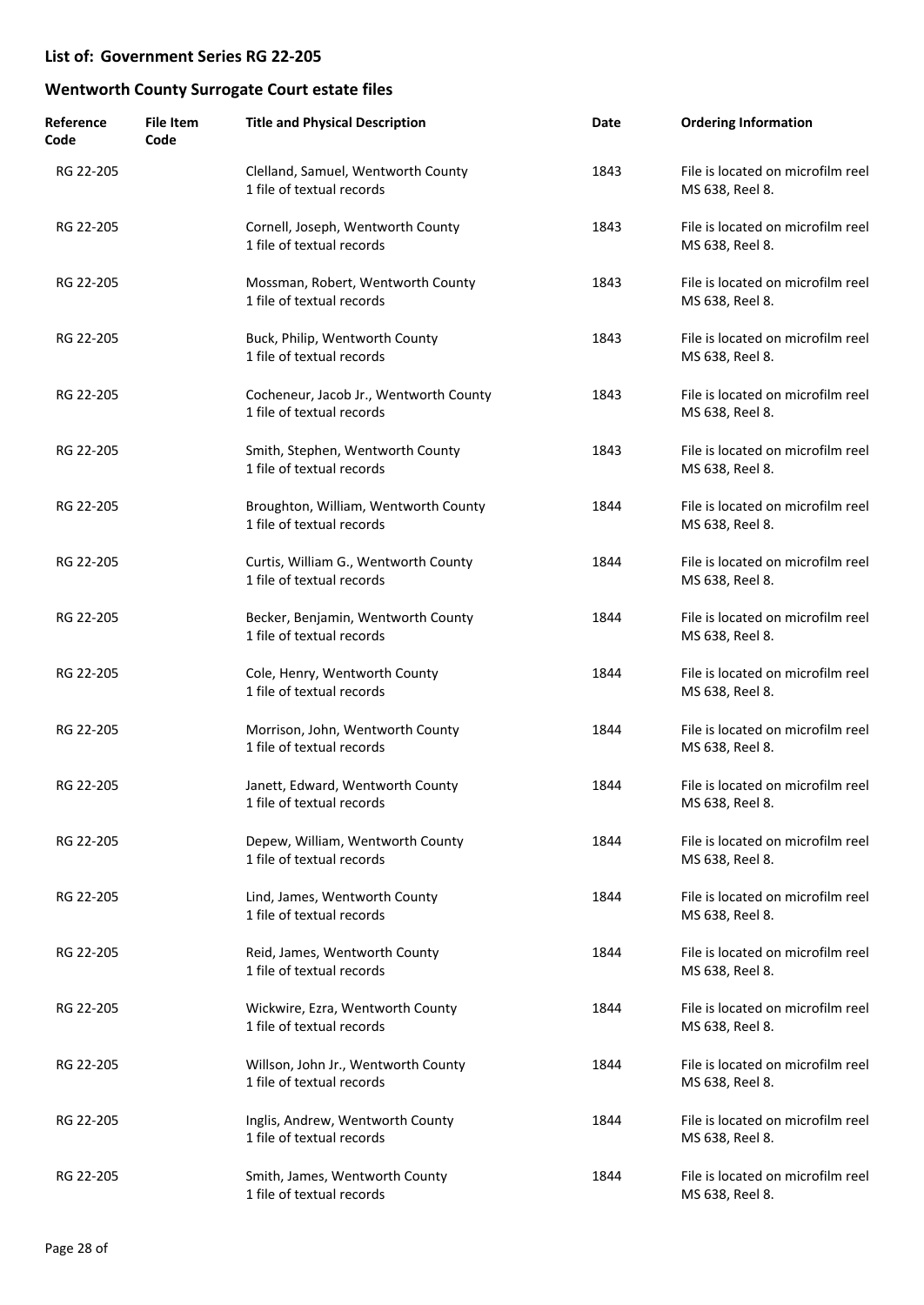| Reference<br>Code | <b>File Item</b><br>Code | <b>Title and Physical Description</b>                               | Date | <b>Ordering Information</b>                          |
|-------------------|--------------------------|---------------------------------------------------------------------|------|------------------------------------------------------|
| RG 22-205         |                          | Clelland, Samuel, Wentworth County<br>1 file of textual records     | 1843 | File is located on microfilm reel<br>MS 638, Reel 8. |
| RG 22-205         |                          | Cornell, Joseph, Wentworth County<br>1 file of textual records      | 1843 | File is located on microfilm reel<br>MS 638, Reel 8. |
| RG 22-205         |                          | Mossman, Robert, Wentworth County<br>1 file of textual records      | 1843 | File is located on microfilm reel<br>MS 638, Reel 8. |
| RG 22-205         |                          | Buck, Philip, Wentworth County<br>1 file of textual records         | 1843 | File is located on microfilm reel<br>MS 638, Reel 8. |
| RG 22-205         |                          | Cocheneur, Jacob Jr., Wentworth County<br>1 file of textual records | 1843 | File is located on microfilm reel<br>MS 638, Reel 8. |
| RG 22-205         |                          | Smith, Stephen, Wentworth County<br>1 file of textual records       | 1843 | File is located on microfilm reel<br>MS 638, Reel 8. |
| RG 22-205         |                          | Broughton, William, Wentworth County<br>1 file of textual records   | 1844 | File is located on microfilm reel<br>MS 638, Reel 8. |
| RG 22-205         |                          | Curtis, William G., Wentworth County<br>1 file of textual records   | 1844 | File is located on microfilm reel<br>MS 638, Reel 8. |
| RG 22-205         |                          | Becker, Benjamin, Wentworth County<br>1 file of textual records     | 1844 | File is located on microfilm reel<br>MS 638, Reel 8. |
| RG 22-205         |                          | Cole, Henry, Wentworth County<br>1 file of textual records          | 1844 | File is located on microfilm reel<br>MS 638, Reel 8. |
| RG 22-205         |                          | Morrison, John, Wentworth County<br>1 file of textual records       | 1844 | File is located on microfilm reel<br>MS 638, Reel 8. |
| RG 22-205         |                          | Janett, Edward, Wentworth County<br>1 file of textual records       | 1844 | File is located on microfilm reel<br>MS 638, Reel 8. |
| RG 22-205         |                          | Depew, William, Wentworth County<br>1 file of textual records       | 1844 | File is located on microfilm reel<br>MS 638, Reel 8. |
| RG 22-205         |                          | Lind, James, Wentworth County<br>1 file of textual records          | 1844 | File is located on microfilm reel<br>MS 638, Reel 8. |
| RG 22-205         |                          | Reid, James, Wentworth County<br>1 file of textual records          | 1844 | File is located on microfilm reel<br>MS 638, Reel 8. |
| RG 22-205         |                          | Wickwire, Ezra, Wentworth County<br>1 file of textual records       | 1844 | File is located on microfilm reel<br>MS 638, Reel 8. |
| RG 22-205         |                          | Willson, John Jr., Wentworth County<br>1 file of textual records    | 1844 | File is located on microfilm reel<br>MS 638, Reel 8. |
| RG 22-205         |                          | Inglis, Andrew, Wentworth County<br>1 file of textual records       | 1844 | File is located on microfilm reel<br>MS 638, Reel 8. |
| RG 22-205         |                          | Smith, James, Wentworth County<br>1 file of textual records         | 1844 | File is located on microfilm reel<br>MS 638, Reel 8. |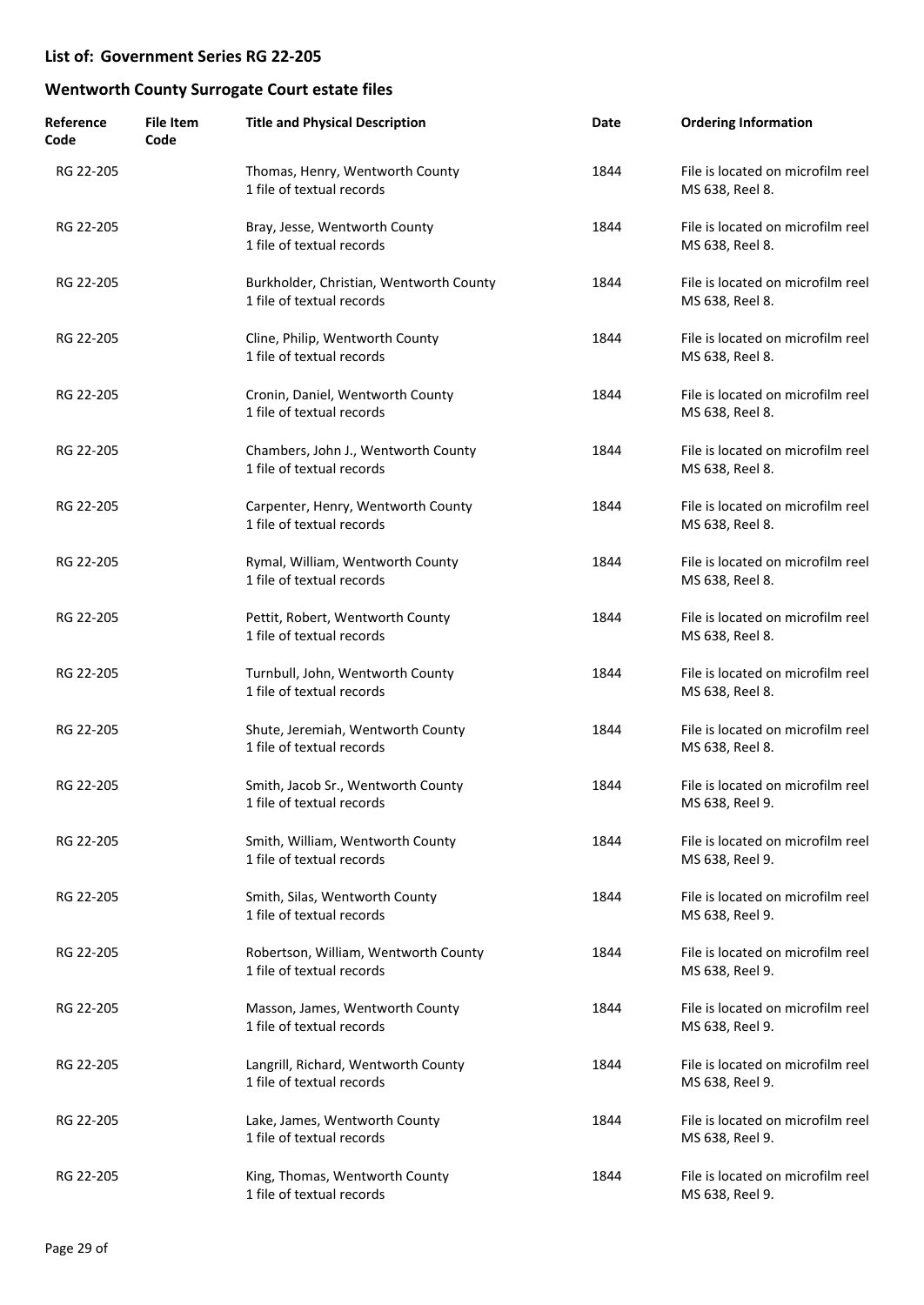| Reference<br>Code | <b>File Item</b><br>Code | <b>Title and Physical Description</b>                                | Date | <b>Ordering Information</b>                          |
|-------------------|--------------------------|----------------------------------------------------------------------|------|------------------------------------------------------|
| RG 22-205         |                          | Thomas, Henry, Wentworth County<br>1 file of textual records         | 1844 | File is located on microfilm reel<br>MS 638, Reel 8. |
| RG 22-205         |                          | Bray, Jesse, Wentworth County<br>1 file of textual records           | 1844 | File is located on microfilm reel<br>MS 638, Reel 8. |
| RG 22-205         |                          | Burkholder, Christian, Wentworth County<br>1 file of textual records | 1844 | File is located on microfilm reel<br>MS 638, Reel 8. |
| RG 22-205         |                          | Cline, Philip, Wentworth County<br>1 file of textual records         | 1844 | File is located on microfilm reel<br>MS 638, Reel 8. |
| RG 22-205         |                          | Cronin, Daniel, Wentworth County<br>1 file of textual records        | 1844 | File is located on microfilm reel<br>MS 638, Reel 8. |
| RG 22-205         |                          | Chambers, John J., Wentworth County<br>1 file of textual records     | 1844 | File is located on microfilm reel<br>MS 638, Reel 8. |
| RG 22-205         |                          | Carpenter, Henry, Wentworth County<br>1 file of textual records      | 1844 | File is located on microfilm reel<br>MS 638, Reel 8. |
| RG 22-205         |                          | Rymal, William, Wentworth County<br>1 file of textual records        | 1844 | File is located on microfilm reel<br>MS 638, Reel 8. |
| RG 22-205         |                          | Pettit, Robert, Wentworth County<br>1 file of textual records        | 1844 | File is located on microfilm reel<br>MS 638, Reel 8. |
| RG 22-205         |                          | Turnbull, John, Wentworth County<br>1 file of textual records        | 1844 | File is located on microfilm reel<br>MS 638, Reel 8. |
| RG 22-205         |                          | Shute, Jeremiah, Wentworth County<br>1 file of textual records       | 1844 | File is located on microfilm reel<br>MS 638, Reel 8. |
| RG 22-205         |                          | Smith, Jacob Sr., Wentworth County<br>1 file of textual records      | 1844 | File is located on microfilm reel<br>MS 638, Reel 9. |
| RG 22-205         |                          | Smith, William, Wentworth County<br>1 file of textual records        | 1844 | File is located on microfilm reel<br>MS 638, Reel 9. |
| RG 22-205         |                          | Smith, Silas, Wentworth County<br>1 file of textual records          | 1844 | File is located on microfilm reel<br>MS 638, Reel 9. |
| RG 22-205         |                          | Robertson, William, Wentworth County<br>1 file of textual records    | 1844 | File is located on microfilm reel<br>MS 638, Reel 9. |
| RG 22-205         |                          | Masson, James, Wentworth County<br>1 file of textual records         | 1844 | File is located on microfilm reel<br>MS 638, Reel 9. |
| RG 22-205         |                          | Langrill, Richard, Wentworth County<br>1 file of textual records     | 1844 | File is located on microfilm reel<br>MS 638, Reel 9. |
| RG 22-205         |                          | Lake, James, Wentworth County<br>1 file of textual records           | 1844 | File is located on microfilm reel<br>MS 638, Reel 9. |
| RG 22-205         |                          | King, Thomas, Wentworth County<br>1 file of textual records          | 1844 | File is located on microfilm reel<br>MS 638, Reel 9. |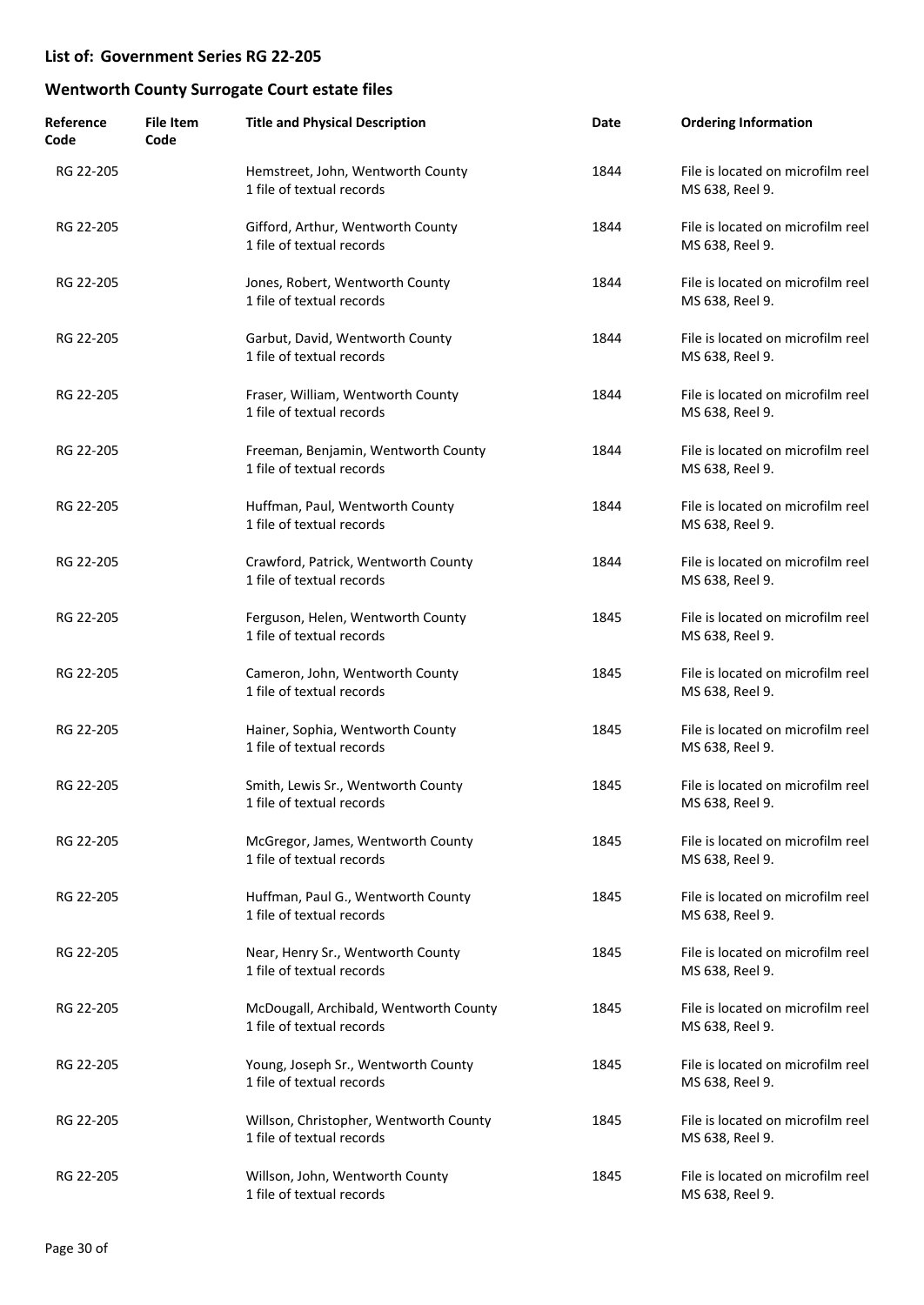| Reference<br>Code | <b>File Item</b><br>Code | <b>Title and Physical Description</b>                               | Date | <b>Ordering Information</b>                          |
|-------------------|--------------------------|---------------------------------------------------------------------|------|------------------------------------------------------|
| RG 22-205         |                          | Hemstreet, John, Wentworth County<br>1 file of textual records      | 1844 | File is located on microfilm reel<br>MS 638, Reel 9. |
| RG 22-205         |                          | Gifford, Arthur, Wentworth County<br>1 file of textual records      | 1844 | File is located on microfilm reel<br>MS 638, Reel 9. |
| RG 22-205         |                          | Jones, Robert, Wentworth County<br>1 file of textual records        | 1844 | File is located on microfilm reel<br>MS 638, Reel 9. |
| RG 22-205         |                          | Garbut, David, Wentworth County<br>1 file of textual records        | 1844 | File is located on microfilm reel<br>MS 638, Reel 9. |
| RG 22-205         |                          | Fraser, William, Wentworth County<br>1 file of textual records      | 1844 | File is located on microfilm reel<br>MS 638, Reel 9. |
| RG 22-205         |                          | Freeman, Benjamin, Wentworth County<br>1 file of textual records    | 1844 | File is located on microfilm reel<br>MS 638, Reel 9. |
| RG 22-205         |                          | Huffman, Paul, Wentworth County<br>1 file of textual records        | 1844 | File is located on microfilm reel<br>MS 638, Reel 9. |
| RG 22-205         |                          | Crawford, Patrick, Wentworth County<br>1 file of textual records    | 1844 | File is located on microfilm reel<br>MS 638, Reel 9. |
| RG 22-205         |                          | Ferguson, Helen, Wentworth County<br>1 file of textual records      | 1845 | File is located on microfilm reel<br>MS 638, Reel 9. |
| RG 22-205         |                          | Cameron, John, Wentworth County<br>1 file of textual records        | 1845 | File is located on microfilm reel<br>MS 638, Reel 9. |
| RG 22-205         |                          | Hainer, Sophia, Wentworth County<br>1 file of textual records       | 1845 | File is located on microfilm reel<br>MS 638, Reel 9. |
| RG 22-205         |                          | Smith, Lewis Sr., Wentworth County<br>1 file of textual records     | 1845 | File is located on microfilm reel<br>MS 638, Reel 9. |
| RG 22-205         |                          | McGregor, James, Wentworth County<br>1 file of textual records      | 1845 | File is located on microfilm reel<br>MS 638, Reel 9. |
| RG 22-205         |                          | Huffman, Paul G., Wentworth County<br>1 file of textual records     | 1845 | File is located on microfilm reel<br>MS 638, Reel 9. |
| RG 22-205         |                          | Near, Henry Sr., Wentworth County<br>1 file of textual records      | 1845 | File is located on microfilm reel<br>MS 638, Reel 9. |
| RG 22-205         |                          | McDougall, Archibald, Wentworth County<br>1 file of textual records | 1845 | File is located on microfilm reel<br>MS 638, Reel 9. |
| RG 22-205         |                          | Young, Joseph Sr., Wentworth County<br>1 file of textual records    | 1845 | File is located on microfilm reel<br>MS 638, Reel 9. |
| RG 22-205         |                          | Willson, Christopher, Wentworth County<br>1 file of textual records | 1845 | File is located on microfilm reel<br>MS 638, Reel 9. |
| RG 22-205         |                          | Willson, John, Wentworth County<br>1 file of textual records        | 1845 | File is located on microfilm reel<br>MS 638, Reel 9. |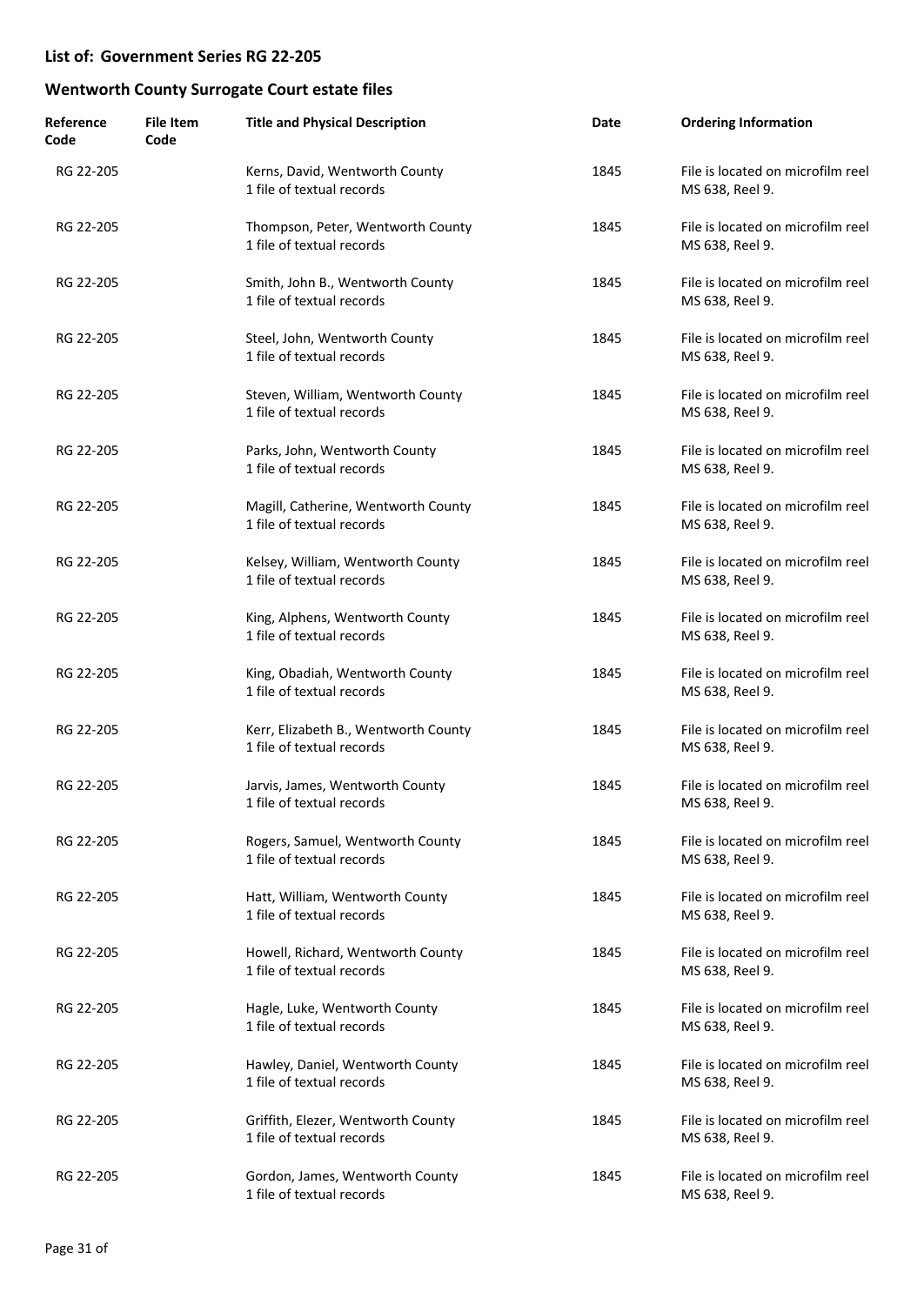| Reference<br>Code | <b>File Item</b><br>Code | <b>Title and Physical Description</b>                             | Date | <b>Ordering Information</b>                          |
|-------------------|--------------------------|-------------------------------------------------------------------|------|------------------------------------------------------|
| RG 22-205         |                          | Kerns, David, Wentworth County<br>1 file of textual records       | 1845 | File is located on microfilm reel<br>MS 638, Reel 9. |
| RG 22-205         |                          | Thompson, Peter, Wentworth County<br>1 file of textual records    | 1845 | File is located on microfilm reel<br>MS 638, Reel 9. |
| RG 22-205         |                          | Smith, John B., Wentworth County<br>1 file of textual records     | 1845 | File is located on microfilm reel<br>MS 638, Reel 9. |
| RG 22-205         |                          | Steel, John, Wentworth County<br>1 file of textual records        | 1845 | File is located on microfilm reel<br>MS 638, Reel 9. |
| RG 22-205         |                          | Steven, William, Wentworth County<br>1 file of textual records    | 1845 | File is located on microfilm reel<br>MS 638, Reel 9. |
| RG 22-205         |                          | Parks, John, Wentworth County<br>1 file of textual records        | 1845 | File is located on microfilm reel<br>MS 638, Reel 9. |
| RG 22-205         |                          | Magill, Catherine, Wentworth County<br>1 file of textual records  | 1845 | File is located on microfilm reel<br>MS 638, Reel 9. |
| RG 22-205         |                          | Kelsey, William, Wentworth County<br>1 file of textual records    | 1845 | File is located on microfilm reel<br>MS 638, Reel 9. |
| RG 22-205         |                          | King, Alphens, Wentworth County<br>1 file of textual records      | 1845 | File is located on microfilm reel<br>MS 638, Reel 9. |
| RG 22-205         |                          | King, Obadiah, Wentworth County<br>1 file of textual records      | 1845 | File is located on microfilm reel<br>MS 638, Reel 9. |
| RG 22-205         |                          | Kerr, Elizabeth B., Wentworth County<br>1 file of textual records | 1845 | File is located on microfilm reel<br>MS 638, Reel 9. |
| RG 22-205         |                          | Jarvis, James, Wentworth County<br>1 file of textual records      | 1845 | File is located on microfilm reel<br>MS 638, Reel 9. |
| RG 22-205         |                          | Rogers, Samuel, Wentworth County<br>1 file of textual records     | 1845 | File is located on microfilm reel<br>MS 638, Reel 9. |
| RG 22-205         |                          | Hatt, William, Wentworth County<br>1 file of textual records      | 1845 | File is located on microfilm reel<br>MS 638, Reel 9. |
| RG 22-205         |                          | Howell, Richard, Wentworth County<br>1 file of textual records    | 1845 | File is located on microfilm reel<br>MS 638, Reel 9. |
| RG 22-205         |                          | Hagle, Luke, Wentworth County<br>1 file of textual records        | 1845 | File is located on microfilm reel<br>MS 638, Reel 9. |
| RG 22-205         |                          | Hawley, Daniel, Wentworth County<br>1 file of textual records     | 1845 | File is located on microfilm reel<br>MS 638, Reel 9. |
| RG 22-205         |                          | Griffith, Elezer, Wentworth County<br>1 file of textual records   | 1845 | File is located on microfilm reel<br>MS 638, Reel 9. |
| RG 22-205         |                          | Gordon, James, Wentworth County<br>1 file of textual records      | 1845 | File is located on microfilm reel<br>MS 638, Reel 9. |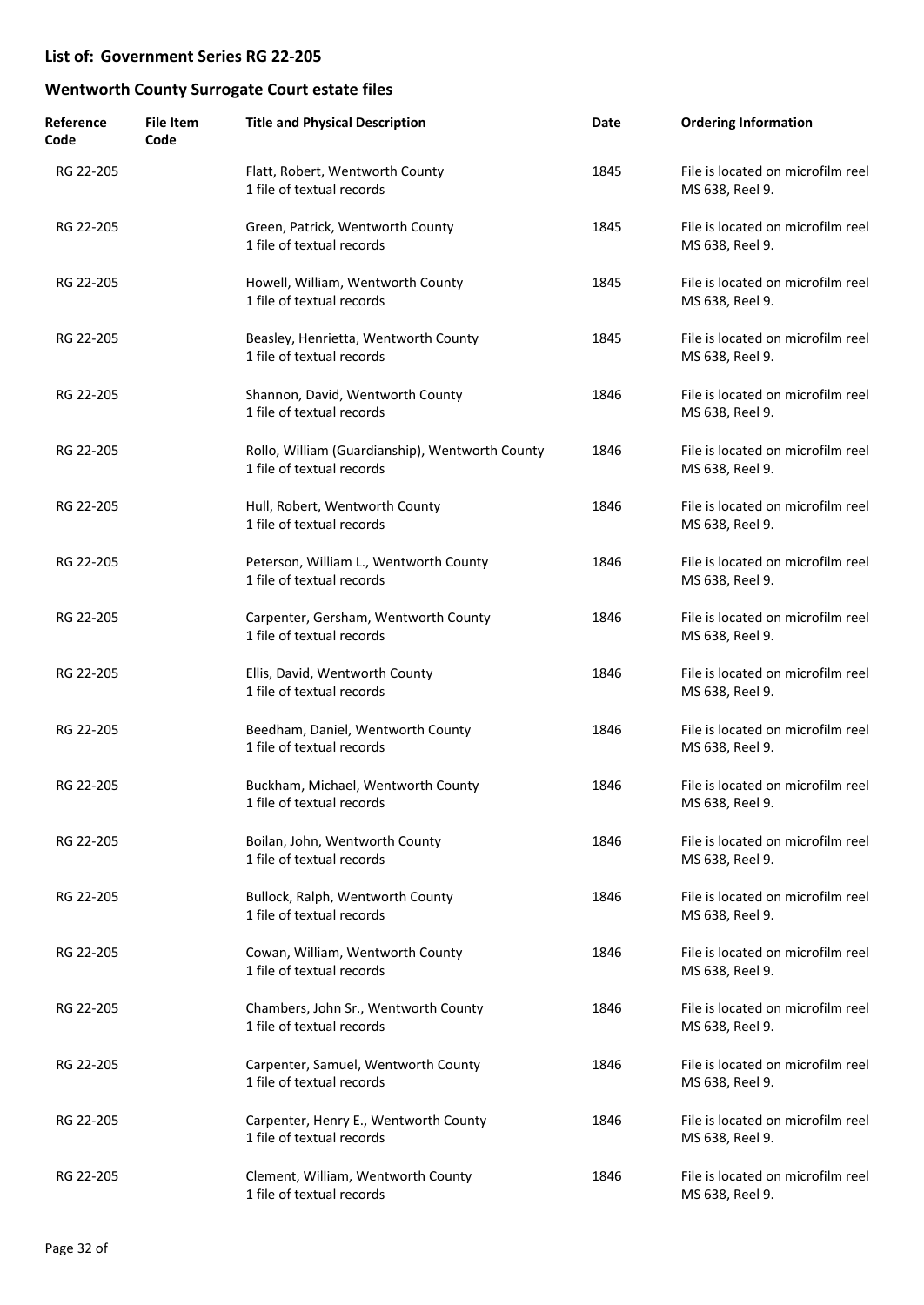| Reference<br>Code | <b>File Item</b><br>Code | <b>Title and Physical Description</b>                                        | Date | <b>Ordering Information</b>                          |
|-------------------|--------------------------|------------------------------------------------------------------------------|------|------------------------------------------------------|
| RG 22-205         |                          | Flatt, Robert, Wentworth County<br>1 file of textual records                 | 1845 | File is located on microfilm reel<br>MS 638, Reel 9. |
| RG 22-205         |                          | Green, Patrick, Wentworth County<br>1 file of textual records                | 1845 | File is located on microfilm reel<br>MS 638, Reel 9. |
| RG 22-205         |                          | Howell, William, Wentworth County<br>1 file of textual records               | 1845 | File is located on microfilm reel<br>MS 638, Reel 9. |
| RG 22-205         |                          | Beasley, Henrietta, Wentworth County<br>1 file of textual records            | 1845 | File is located on microfilm reel<br>MS 638, Reel 9. |
| RG 22-205         |                          | Shannon, David, Wentworth County<br>1 file of textual records                | 1846 | File is located on microfilm reel<br>MS 638, Reel 9. |
| RG 22-205         |                          | Rollo, William (Guardianship), Wentworth County<br>1 file of textual records | 1846 | File is located on microfilm reel<br>MS 638, Reel 9. |
| RG 22-205         |                          | Hull, Robert, Wentworth County<br>1 file of textual records                  | 1846 | File is located on microfilm reel<br>MS 638, Reel 9. |
| RG 22-205         |                          | Peterson, William L., Wentworth County<br>1 file of textual records          | 1846 | File is located on microfilm reel<br>MS 638, Reel 9. |
| RG 22-205         |                          | Carpenter, Gersham, Wentworth County<br>1 file of textual records            | 1846 | File is located on microfilm reel<br>MS 638, Reel 9. |
| RG 22-205         |                          | Ellis, David, Wentworth County<br>1 file of textual records                  | 1846 | File is located on microfilm reel<br>MS 638, Reel 9. |
| RG 22-205         |                          | Beedham, Daniel, Wentworth County<br>1 file of textual records               | 1846 | File is located on microfilm reel<br>MS 638, Reel 9. |
| RG 22-205         |                          | Buckham, Michael, Wentworth County<br>1 file of textual records              | 1846 | File is located on microfilm reel<br>MS 638, Reel 9. |
| RG 22-205         |                          | Boilan, John, Wentworth County<br>1 file of textual records                  | 1846 | File is located on microfilm reel<br>MS 638, Reel 9. |
| RG 22-205         |                          | Bullock, Ralph, Wentworth County<br>1 file of textual records                | 1846 | File is located on microfilm reel<br>MS 638, Reel 9. |
| RG 22-205         |                          | Cowan, William, Wentworth County<br>1 file of textual records                | 1846 | File is located on microfilm reel<br>MS 638, Reel 9. |
| RG 22-205         |                          | Chambers, John Sr., Wentworth County<br>1 file of textual records            | 1846 | File is located on microfilm reel<br>MS 638, Reel 9. |
| RG 22-205         |                          | Carpenter, Samuel, Wentworth County<br>1 file of textual records             | 1846 | File is located on microfilm reel<br>MS 638, Reel 9. |
| RG 22-205         |                          | Carpenter, Henry E., Wentworth County<br>1 file of textual records           | 1846 | File is located on microfilm reel<br>MS 638, Reel 9. |
| RG 22-205         |                          | Clement, William, Wentworth County<br>1 file of textual records              | 1846 | File is located on microfilm reel<br>MS 638, Reel 9. |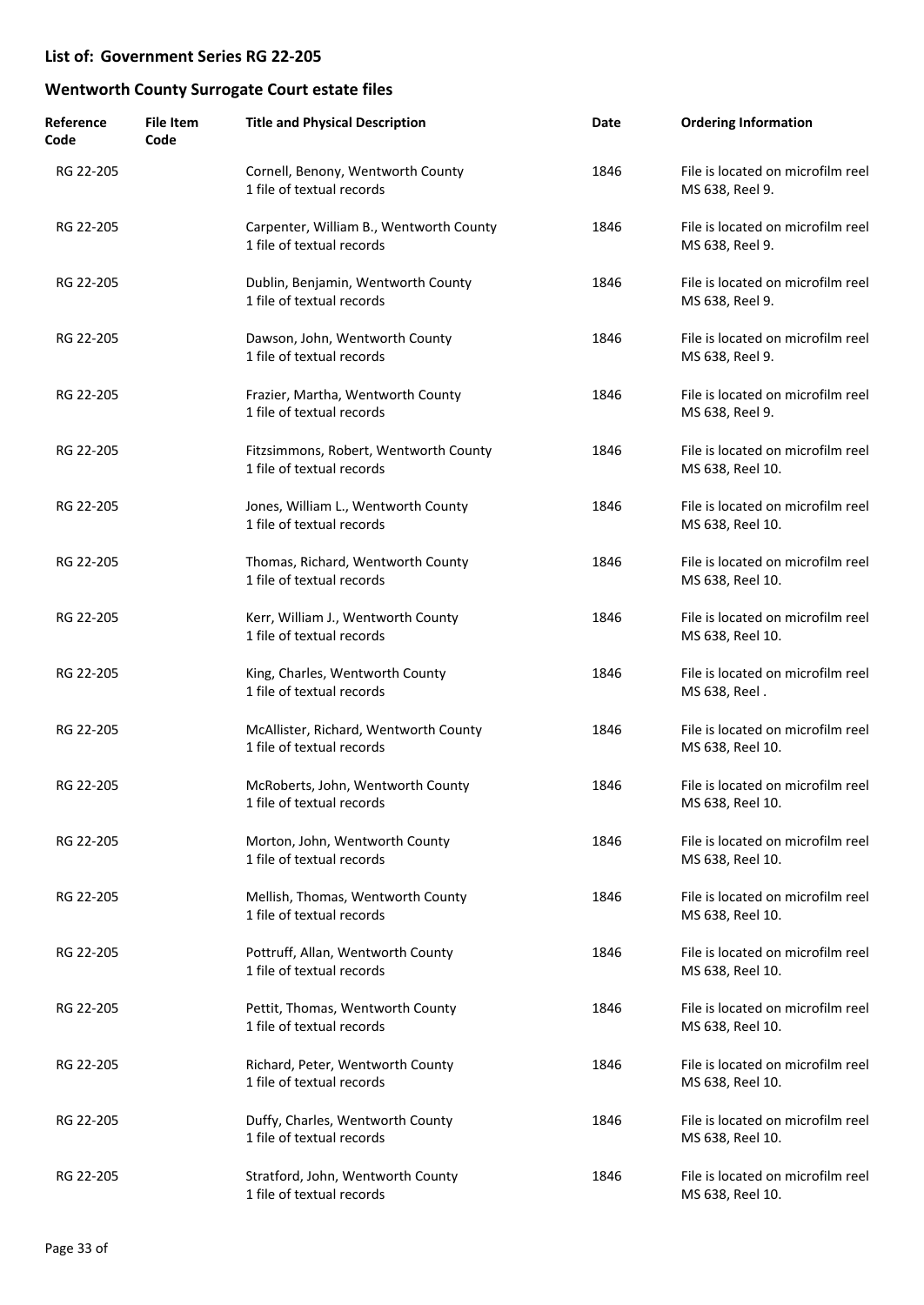| Reference<br>Code | <b>File Item</b><br>Code | <b>Title and Physical Description</b>                                | Date | <b>Ordering Information</b>                           |
|-------------------|--------------------------|----------------------------------------------------------------------|------|-------------------------------------------------------|
| RG 22-205         |                          | Cornell, Benony, Wentworth County<br>1 file of textual records       | 1846 | File is located on microfilm reel<br>MS 638, Reel 9.  |
| RG 22-205         |                          | Carpenter, William B., Wentworth County<br>1 file of textual records | 1846 | File is located on microfilm reel<br>MS 638, Reel 9.  |
| RG 22-205         |                          | Dublin, Benjamin, Wentworth County<br>1 file of textual records      | 1846 | File is located on microfilm reel<br>MS 638, Reel 9.  |
| RG 22-205         |                          | Dawson, John, Wentworth County<br>1 file of textual records          | 1846 | File is located on microfilm reel<br>MS 638, Reel 9.  |
| RG 22-205         |                          | Frazier, Martha, Wentworth County<br>1 file of textual records       | 1846 | File is located on microfilm reel<br>MS 638, Reel 9.  |
| RG 22-205         |                          | Fitzsimmons, Robert, Wentworth County<br>1 file of textual records   | 1846 | File is located on microfilm reel<br>MS 638, Reel 10. |
| RG 22-205         |                          | Jones, William L., Wentworth County<br>1 file of textual records     | 1846 | File is located on microfilm reel<br>MS 638, Reel 10. |
| RG 22-205         |                          | Thomas, Richard, Wentworth County<br>1 file of textual records       | 1846 | File is located on microfilm reel<br>MS 638, Reel 10. |
| RG 22-205         |                          | Kerr, William J., Wentworth County<br>1 file of textual records      | 1846 | File is located on microfilm reel<br>MS 638, Reel 10. |
| RG 22-205         |                          | King, Charles, Wentworth County<br>1 file of textual records         | 1846 | File is located on microfilm reel<br>MS 638, Reel.    |
| RG 22-205         |                          | McAllister, Richard, Wentworth County<br>1 file of textual records   | 1846 | File is located on microfilm reel<br>MS 638, Reel 10. |
| RG 22-205         |                          | McRoberts, John, Wentworth County<br>1 file of textual records       | 1846 | File is located on microfilm reel<br>MS 638, Reel 10. |
| RG 22-205         |                          | Morton, John, Wentworth County<br>1 file of textual records          | 1846 | File is located on microfilm reel<br>MS 638, Reel 10. |
| RG 22-205         |                          | Mellish, Thomas, Wentworth County<br>1 file of textual records       | 1846 | File is located on microfilm reel<br>MS 638, Reel 10. |
| RG 22-205         |                          | Pottruff, Allan, Wentworth County<br>1 file of textual records       | 1846 | File is located on microfilm reel<br>MS 638, Reel 10. |
| RG 22-205         |                          | Pettit, Thomas, Wentworth County<br>1 file of textual records        | 1846 | File is located on microfilm reel<br>MS 638, Reel 10. |
| RG 22-205         |                          | Richard, Peter, Wentworth County<br>1 file of textual records        | 1846 | File is located on microfilm reel<br>MS 638, Reel 10. |
| RG 22-205         |                          | Duffy, Charles, Wentworth County<br>1 file of textual records        | 1846 | File is located on microfilm reel<br>MS 638, Reel 10. |
| RG 22-205         |                          | Stratford, John, Wentworth County<br>1 file of textual records       | 1846 | File is located on microfilm reel<br>MS 638, Reel 10. |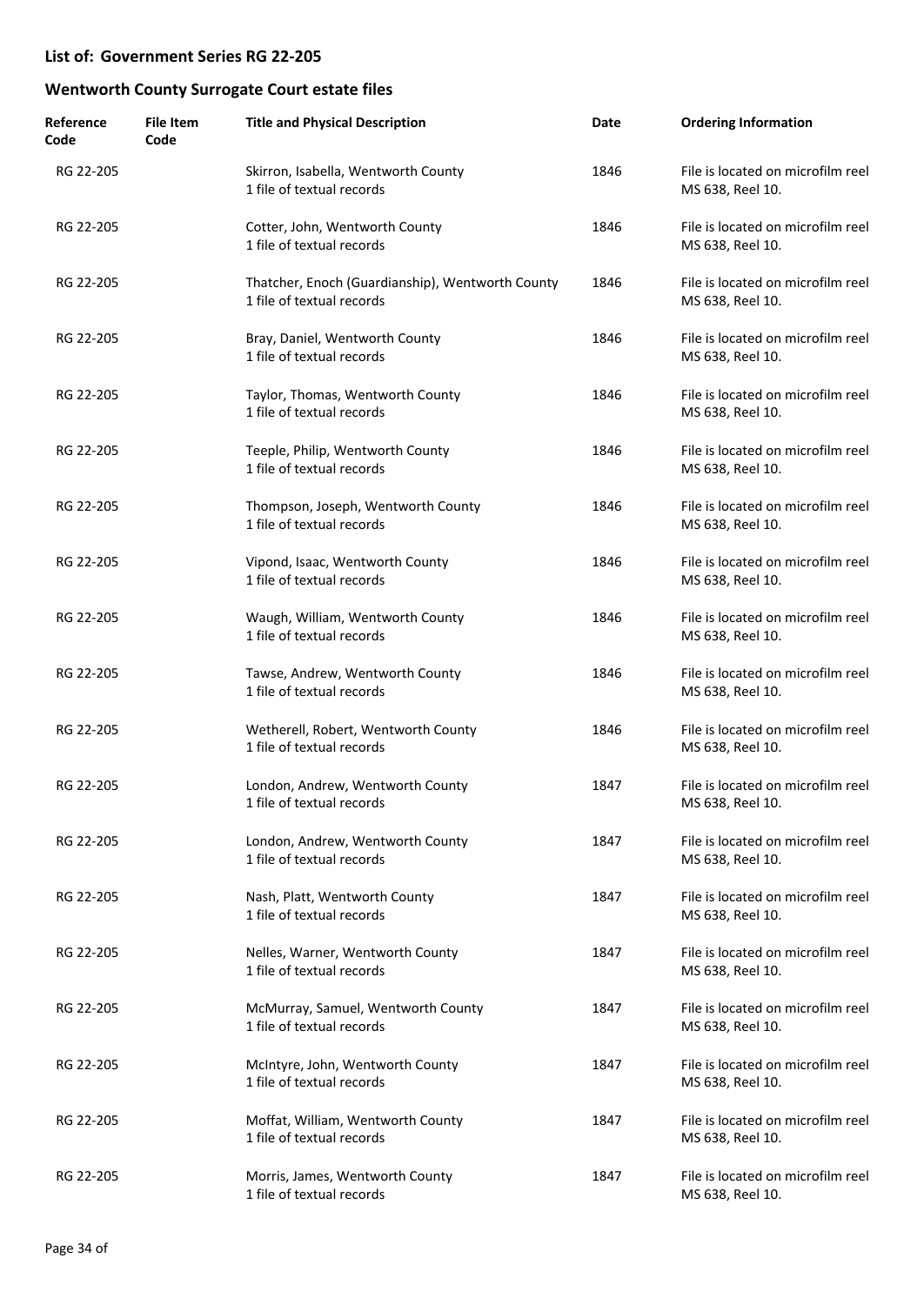| Reference<br>Code | <b>File Item</b><br>Code | <b>Title and Physical Description</b>                                         | Date | <b>Ordering Information</b>                           |
|-------------------|--------------------------|-------------------------------------------------------------------------------|------|-------------------------------------------------------|
| RG 22-205         |                          | Skirron, Isabella, Wentworth County<br>1 file of textual records              | 1846 | File is located on microfilm reel<br>MS 638, Reel 10. |
| RG 22-205         |                          | Cotter, John, Wentworth County<br>1 file of textual records                   | 1846 | File is located on microfilm reel<br>MS 638, Reel 10. |
| RG 22-205         |                          | Thatcher, Enoch (Guardianship), Wentworth County<br>1 file of textual records | 1846 | File is located on microfilm reel<br>MS 638, Reel 10. |
| RG 22-205         |                          | Bray, Daniel, Wentworth County<br>1 file of textual records                   | 1846 | File is located on microfilm reel<br>MS 638, Reel 10. |
| RG 22-205         |                          | Taylor, Thomas, Wentworth County<br>1 file of textual records                 | 1846 | File is located on microfilm reel<br>MS 638, Reel 10. |
| RG 22-205         |                          | Teeple, Philip, Wentworth County<br>1 file of textual records                 | 1846 | File is located on microfilm reel<br>MS 638, Reel 10. |
| RG 22-205         |                          | Thompson, Joseph, Wentworth County<br>1 file of textual records               | 1846 | File is located on microfilm reel<br>MS 638, Reel 10. |
| RG 22-205         |                          | Vipond, Isaac, Wentworth County<br>1 file of textual records                  | 1846 | File is located on microfilm reel<br>MS 638, Reel 10. |
| RG 22-205         |                          | Waugh, William, Wentworth County<br>1 file of textual records                 | 1846 | File is located on microfilm reel<br>MS 638, Reel 10. |
| RG 22-205         |                          | Tawse, Andrew, Wentworth County<br>1 file of textual records                  | 1846 | File is located on microfilm reel<br>MS 638, Reel 10. |
| RG 22-205         |                          | Wetherell, Robert, Wentworth County<br>1 file of textual records              | 1846 | File is located on microfilm reel<br>MS 638, Reel 10. |
| RG 22-205         |                          | London, Andrew, Wentworth County<br>1 file of textual records                 | 1847 | File is located on microfilm reel<br>MS 638, Reel 10. |
| RG 22-205         |                          | London, Andrew, Wentworth County<br>1 file of textual records                 | 1847 | File is located on microfilm reel<br>MS 638, Reel 10. |
| RG 22-205         |                          | Nash, Platt, Wentworth County<br>1 file of textual records                    | 1847 | File is located on microfilm reel<br>MS 638, Reel 10. |
| RG 22-205         |                          | Nelles, Warner, Wentworth County<br>1 file of textual records                 | 1847 | File is located on microfilm reel<br>MS 638, Reel 10. |
| RG 22-205         |                          | McMurray, Samuel, Wentworth County<br>1 file of textual records               | 1847 | File is located on microfilm reel<br>MS 638, Reel 10. |
| RG 22-205         |                          | McIntyre, John, Wentworth County<br>1 file of textual records                 | 1847 | File is located on microfilm reel<br>MS 638, Reel 10. |
| RG 22-205         |                          | Moffat, William, Wentworth County<br>1 file of textual records                | 1847 | File is located on microfilm reel<br>MS 638, Reel 10. |
| RG 22-205         |                          | Morris, James, Wentworth County<br>1 file of textual records                  | 1847 | File is located on microfilm reel<br>MS 638, Reel 10. |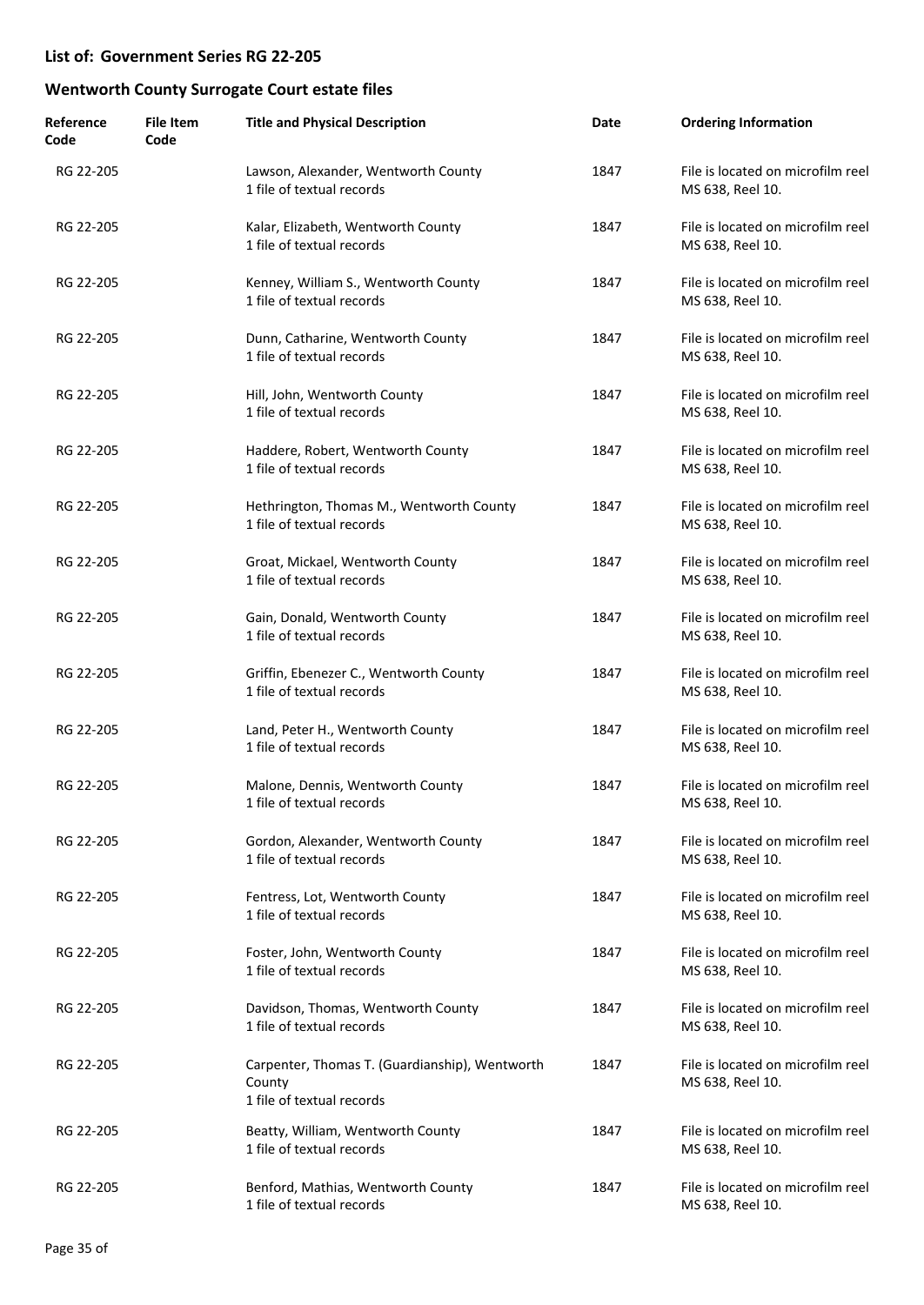| Reference<br>Code | <b>File Item</b><br>Code | <b>Title and Physical Description</b>                                                 | Date | <b>Ordering Information</b>                           |
|-------------------|--------------------------|---------------------------------------------------------------------------------------|------|-------------------------------------------------------|
| RG 22-205         |                          | Lawson, Alexander, Wentworth County<br>1 file of textual records                      | 1847 | File is located on microfilm reel<br>MS 638, Reel 10. |
| RG 22-205         |                          | Kalar, Elizabeth, Wentworth County<br>1 file of textual records                       | 1847 | File is located on microfilm reel<br>MS 638, Reel 10. |
| RG 22-205         |                          | Kenney, William S., Wentworth County<br>1 file of textual records                     | 1847 | File is located on microfilm reel<br>MS 638, Reel 10. |
| RG 22-205         |                          | Dunn, Catharine, Wentworth County<br>1 file of textual records                        | 1847 | File is located on microfilm reel<br>MS 638, Reel 10. |
| RG 22-205         |                          | Hill, John, Wentworth County<br>1 file of textual records                             | 1847 | File is located on microfilm reel<br>MS 638, Reel 10. |
| RG 22-205         |                          | Haddere, Robert, Wentworth County<br>1 file of textual records                        | 1847 | File is located on microfilm reel<br>MS 638, Reel 10. |
| RG 22-205         |                          | Hethrington, Thomas M., Wentworth County<br>1 file of textual records                 | 1847 | File is located on microfilm reel<br>MS 638, Reel 10. |
| RG 22-205         |                          | Groat, Mickael, Wentworth County<br>1 file of textual records                         | 1847 | File is located on microfilm reel<br>MS 638, Reel 10. |
| RG 22-205         |                          | Gain, Donald, Wentworth County<br>1 file of textual records                           | 1847 | File is located on microfilm reel<br>MS 638, Reel 10. |
| RG 22-205         |                          | Griffin, Ebenezer C., Wentworth County<br>1 file of textual records                   | 1847 | File is located on microfilm reel<br>MS 638, Reel 10. |
| RG 22-205         |                          | Land, Peter H., Wentworth County<br>1 file of textual records                         | 1847 | File is located on microfilm reel<br>MS 638, Reel 10. |
| RG 22-205         |                          | Malone, Dennis, Wentworth County<br>1 file of textual records                         | 1847 | File is located on microfilm reel<br>MS 638, Reel 10. |
| RG 22-205         |                          | Gordon, Alexander, Wentworth County<br>1 file of textual records                      | 1847 | File is located on microfilm reel<br>MS 638, Reel 10. |
| RG 22-205         |                          | Fentress, Lot, Wentworth County<br>1 file of textual records                          | 1847 | File is located on microfilm reel<br>MS 638, Reel 10. |
| RG 22-205         |                          | Foster, John, Wentworth County<br>1 file of textual records                           | 1847 | File is located on microfilm reel<br>MS 638, Reel 10. |
| RG 22-205         |                          | Davidson, Thomas, Wentworth County<br>1 file of textual records                       | 1847 | File is located on microfilm reel<br>MS 638, Reel 10. |
| RG 22-205         |                          | Carpenter, Thomas T. (Guardianship), Wentworth<br>County<br>1 file of textual records | 1847 | File is located on microfilm reel<br>MS 638, Reel 10. |
| RG 22-205         |                          | Beatty, William, Wentworth County<br>1 file of textual records                        | 1847 | File is located on microfilm reel<br>MS 638, Reel 10. |
| RG 22-205         |                          | Benford, Mathias, Wentworth County<br>1 file of textual records                       | 1847 | File is located on microfilm reel<br>MS 638, Reel 10. |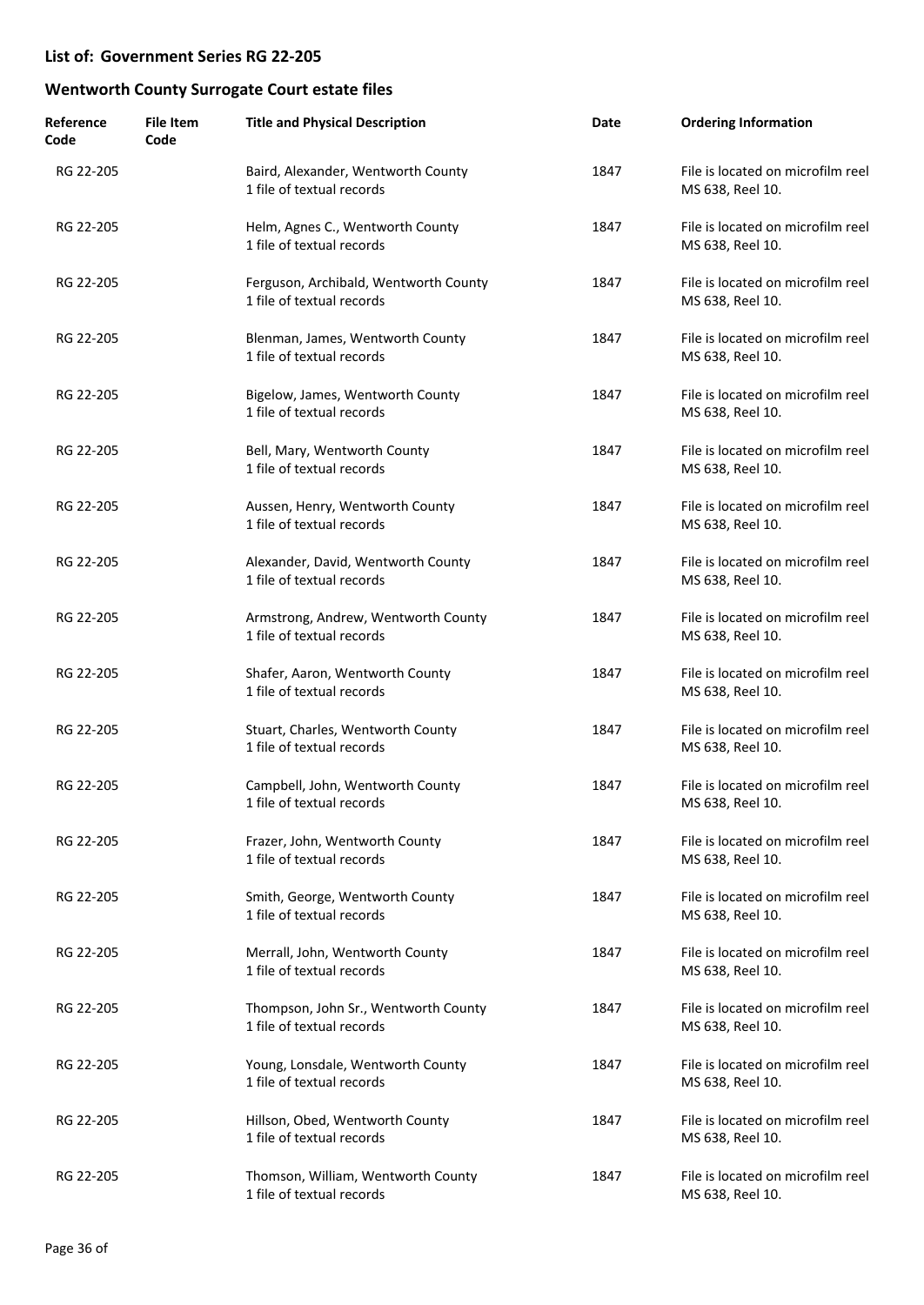| Reference<br>Code | <b>File Item</b><br>Code | <b>Title and Physical Description</b>                              | Date | <b>Ordering Information</b>                           |
|-------------------|--------------------------|--------------------------------------------------------------------|------|-------------------------------------------------------|
| RG 22-205         |                          | Baird, Alexander, Wentworth County<br>1 file of textual records    | 1847 | File is located on microfilm reel<br>MS 638, Reel 10. |
| RG 22-205         |                          | Helm, Agnes C., Wentworth County<br>1 file of textual records      | 1847 | File is located on microfilm reel<br>MS 638, Reel 10. |
| RG 22-205         |                          | Ferguson, Archibald, Wentworth County<br>1 file of textual records | 1847 | File is located on microfilm reel<br>MS 638, Reel 10. |
| RG 22-205         |                          | Blenman, James, Wentworth County<br>1 file of textual records      | 1847 | File is located on microfilm reel<br>MS 638, Reel 10. |
| RG 22-205         |                          | Bigelow, James, Wentworth County<br>1 file of textual records      | 1847 | File is located on microfilm reel<br>MS 638, Reel 10. |
| RG 22-205         |                          | Bell, Mary, Wentworth County<br>1 file of textual records          | 1847 | File is located on microfilm reel<br>MS 638, Reel 10. |
| RG 22-205         |                          | Aussen, Henry, Wentworth County<br>1 file of textual records       | 1847 | File is located on microfilm reel<br>MS 638, Reel 10. |
| RG 22-205         |                          | Alexander, David, Wentworth County<br>1 file of textual records    | 1847 | File is located on microfilm reel<br>MS 638, Reel 10. |
| RG 22-205         |                          | Armstrong, Andrew, Wentworth County<br>1 file of textual records   | 1847 | File is located on microfilm reel<br>MS 638, Reel 10. |
| RG 22-205         |                          | Shafer, Aaron, Wentworth County<br>1 file of textual records       | 1847 | File is located on microfilm reel<br>MS 638, Reel 10. |
| RG 22-205         |                          | Stuart, Charles, Wentworth County<br>1 file of textual records     | 1847 | File is located on microfilm reel<br>MS 638, Reel 10. |
| RG 22-205         |                          | Campbell, John, Wentworth County<br>1 file of textual records      | 1847 | File is located on microfilm reel<br>MS 638, Reel 10. |
| RG 22-205         |                          | Frazer, John, Wentworth County<br>1 file of textual records        | 1847 | File is located on microfilm reel<br>MS 638, Reel 10. |
| RG 22-205         |                          | Smith, George, Wentworth County<br>1 file of textual records       | 1847 | File is located on microfilm reel<br>MS 638, Reel 10. |
| RG 22-205         |                          | Merrall, John, Wentworth County<br>1 file of textual records       | 1847 | File is located on microfilm reel<br>MS 638, Reel 10. |
| RG 22-205         |                          | Thompson, John Sr., Wentworth County<br>1 file of textual records  | 1847 | File is located on microfilm reel<br>MS 638, Reel 10. |
| RG 22-205         |                          | Young, Lonsdale, Wentworth County<br>1 file of textual records     | 1847 | File is located on microfilm reel<br>MS 638, Reel 10. |
| RG 22-205         |                          | Hillson, Obed, Wentworth County<br>1 file of textual records       | 1847 | File is located on microfilm reel<br>MS 638, Reel 10. |
| RG 22-205         |                          | Thomson, William, Wentworth County<br>1 file of textual records    | 1847 | File is located on microfilm reel<br>MS 638, Reel 10. |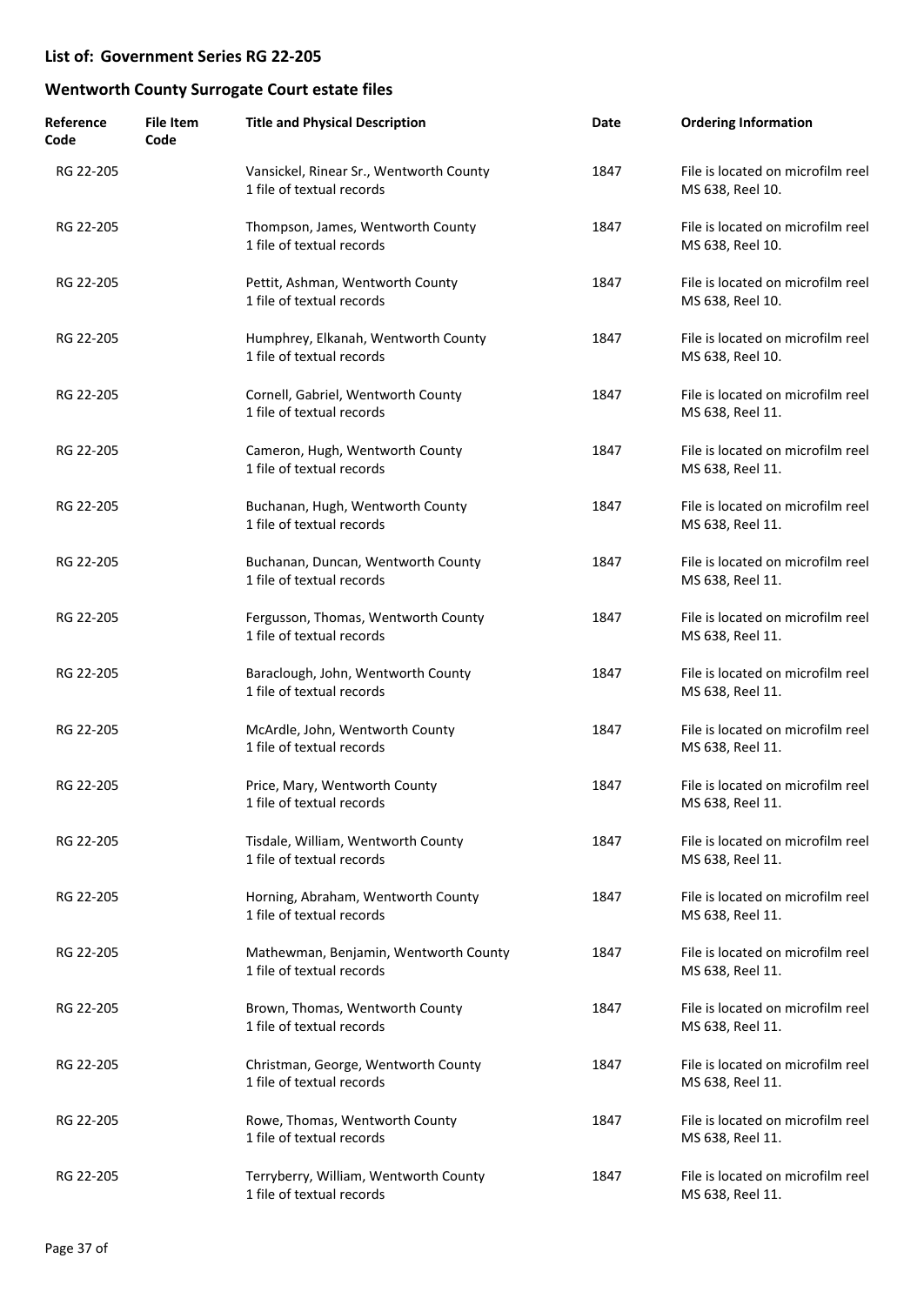| Reference<br>Code | <b>File Item</b><br>Code | <b>Title and Physical Description</b>                                | Date | <b>Ordering Information</b>                           |
|-------------------|--------------------------|----------------------------------------------------------------------|------|-------------------------------------------------------|
| RG 22-205         |                          | Vansickel, Rinear Sr., Wentworth County<br>1 file of textual records | 1847 | File is located on microfilm reel<br>MS 638, Reel 10. |
| RG 22-205         |                          | Thompson, James, Wentworth County<br>1 file of textual records       | 1847 | File is located on microfilm reel<br>MS 638, Reel 10. |
| RG 22-205         |                          | Pettit, Ashman, Wentworth County<br>1 file of textual records        | 1847 | File is located on microfilm reel<br>MS 638, Reel 10. |
| RG 22-205         |                          | Humphrey, Elkanah, Wentworth County<br>1 file of textual records     | 1847 | File is located on microfilm reel<br>MS 638, Reel 10. |
| RG 22-205         |                          | Cornell, Gabriel, Wentworth County<br>1 file of textual records      | 1847 | File is located on microfilm reel<br>MS 638, Reel 11. |
| RG 22-205         |                          | Cameron, Hugh, Wentworth County<br>1 file of textual records         | 1847 | File is located on microfilm reel<br>MS 638, Reel 11. |
| RG 22-205         |                          | Buchanan, Hugh, Wentworth County<br>1 file of textual records        | 1847 | File is located on microfilm reel<br>MS 638, Reel 11. |
| RG 22-205         |                          | Buchanan, Duncan, Wentworth County<br>1 file of textual records      | 1847 | File is located on microfilm reel<br>MS 638, Reel 11. |
| RG 22-205         |                          | Fergusson, Thomas, Wentworth County<br>1 file of textual records     | 1847 | File is located on microfilm reel<br>MS 638, Reel 11. |
| RG 22-205         |                          | Baraclough, John, Wentworth County<br>1 file of textual records      | 1847 | File is located on microfilm reel<br>MS 638, Reel 11. |
| RG 22-205         |                          | McArdle, John, Wentworth County<br>1 file of textual records         | 1847 | File is located on microfilm reel<br>MS 638, Reel 11. |
| RG 22-205         |                          | Price, Mary, Wentworth County<br>1 file of textual records           | 1847 | File is located on microfilm reel<br>MS 638, Reel 11. |
| RG 22-205         |                          | Tisdale, William, Wentworth County<br>1 file of textual records      | 1847 | File is located on microfilm reel<br>MS 638, Reel 11. |
| RG 22-205         |                          | Horning, Abraham, Wentworth County<br>1 file of textual records      | 1847 | File is located on microfilm reel<br>MS 638, Reel 11. |
| RG 22-205         |                          | Mathewman, Benjamin, Wentworth County<br>1 file of textual records   | 1847 | File is located on microfilm reel<br>MS 638, Reel 11. |
| RG 22-205         |                          | Brown, Thomas, Wentworth County<br>1 file of textual records         | 1847 | File is located on microfilm reel<br>MS 638, Reel 11. |
| RG 22-205         |                          | Christman, George, Wentworth County<br>1 file of textual records     | 1847 | File is located on microfilm reel<br>MS 638, Reel 11. |
| RG 22-205         |                          | Rowe, Thomas, Wentworth County<br>1 file of textual records          | 1847 | File is located on microfilm reel<br>MS 638, Reel 11. |
| RG 22-205         |                          | Terryberry, William, Wentworth County<br>1 file of textual records   | 1847 | File is located on microfilm reel<br>MS 638, Reel 11. |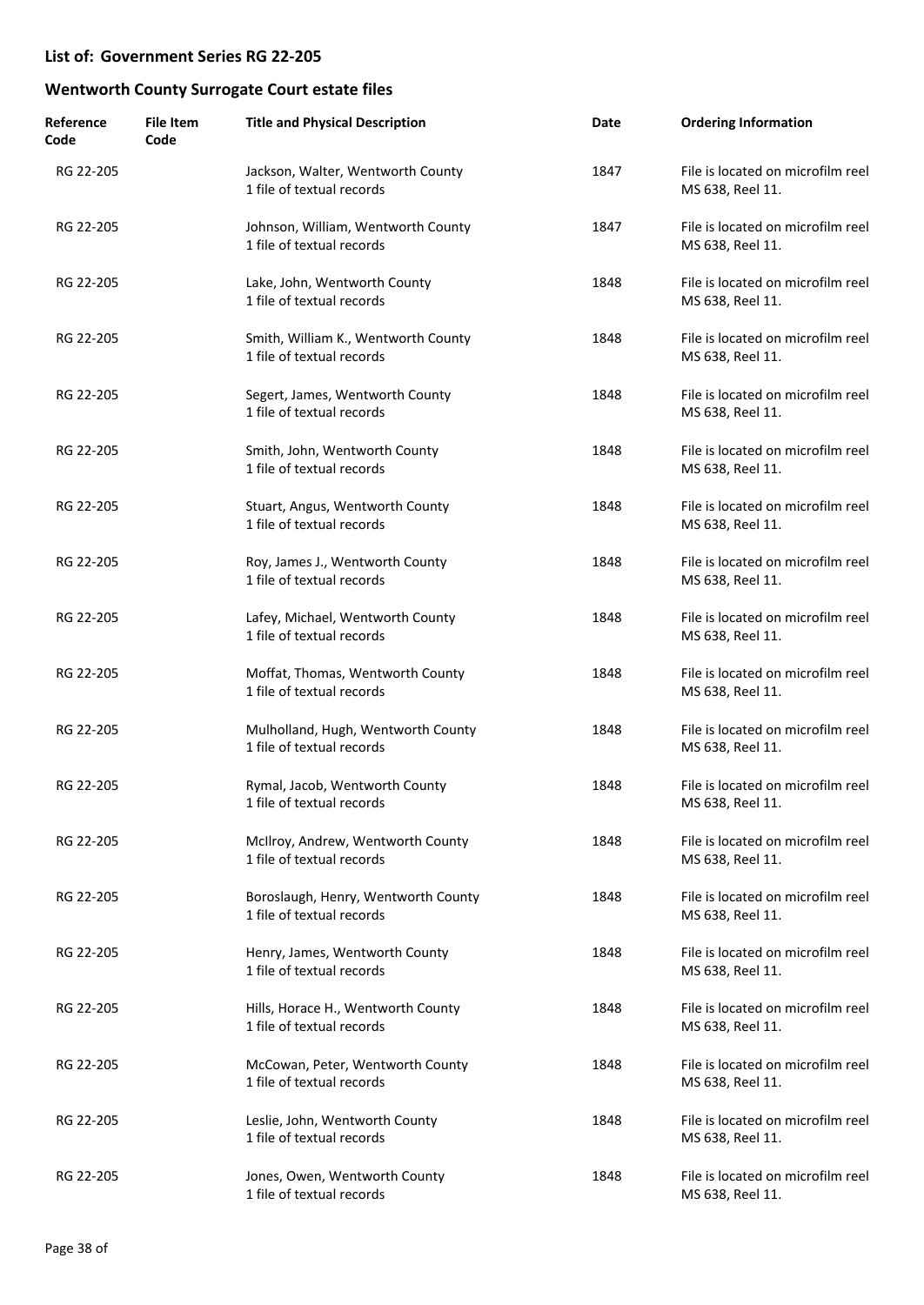| Reference<br>Code | <b>File Item</b><br>Code | <b>Title and Physical Description</b>                            | Date | <b>Ordering Information</b>                           |
|-------------------|--------------------------|------------------------------------------------------------------|------|-------------------------------------------------------|
| RG 22-205         |                          | Jackson, Walter, Wentworth County<br>1 file of textual records   | 1847 | File is located on microfilm reel<br>MS 638, Reel 11. |
| RG 22-205         |                          | Johnson, William, Wentworth County<br>1 file of textual records  | 1847 | File is located on microfilm reel<br>MS 638, Reel 11. |
| RG 22-205         |                          | Lake, John, Wentworth County<br>1 file of textual records        | 1848 | File is located on microfilm reel<br>MS 638, Reel 11. |
| RG 22-205         |                          | Smith, William K., Wentworth County<br>1 file of textual records | 1848 | File is located on microfilm reel<br>MS 638, Reel 11. |
| RG 22-205         |                          | Segert, James, Wentworth County<br>1 file of textual records     | 1848 | File is located on microfilm reel<br>MS 638, Reel 11. |
| RG 22-205         |                          | Smith, John, Wentworth County<br>1 file of textual records       | 1848 | File is located on microfilm reel<br>MS 638, Reel 11. |
| RG 22-205         |                          | Stuart, Angus, Wentworth County<br>1 file of textual records     | 1848 | File is located on microfilm reel<br>MS 638, Reel 11. |
| RG 22-205         |                          | Roy, James J., Wentworth County<br>1 file of textual records     | 1848 | File is located on microfilm reel<br>MS 638, Reel 11. |
| RG 22-205         |                          | Lafey, Michael, Wentworth County<br>1 file of textual records    | 1848 | File is located on microfilm reel<br>MS 638, Reel 11. |
| RG 22-205         |                          | Moffat, Thomas, Wentworth County<br>1 file of textual records    | 1848 | File is located on microfilm reel<br>MS 638, Reel 11. |
| RG 22-205         |                          | Mulholland, Hugh, Wentworth County<br>1 file of textual records  | 1848 | File is located on microfilm reel<br>MS 638, Reel 11. |
| RG 22-205         |                          | Rymal, Jacob, Wentworth County<br>1 file of textual records      | 1848 | File is located on microfilm reel<br>MS 638, Reel 11. |
| RG 22-205         |                          | McIlroy, Andrew, Wentworth County<br>1 file of textual records   | 1848 | File is located on microfilm reel<br>MS 638, Reel 11. |
| RG 22-205         |                          | Boroslaugh, Henry, Wentworth County<br>1 file of textual records | 1848 | File is located on microfilm reel<br>MS 638, Reel 11. |
| RG 22-205         |                          | Henry, James, Wentworth County<br>1 file of textual records      | 1848 | File is located on microfilm reel<br>MS 638, Reel 11. |
| RG 22-205         |                          | Hills, Horace H., Wentworth County<br>1 file of textual records  | 1848 | File is located on microfilm reel<br>MS 638, Reel 11. |
| RG 22-205         |                          | McCowan, Peter, Wentworth County<br>1 file of textual records    | 1848 | File is located on microfilm reel<br>MS 638, Reel 11. |
| RG 22-205         |                          | Leslie, John, Wentworth County<br>1 file of textual records      | 1848 | File is located on microfilm reel<br>MS 638, Reel 11. |
| RG 22-205         |                          | Jones, Owen, Wentworth County<br>1 file of textual records       | 1848 | File is located on microfilm reel<br>MS 638, Reel 11. |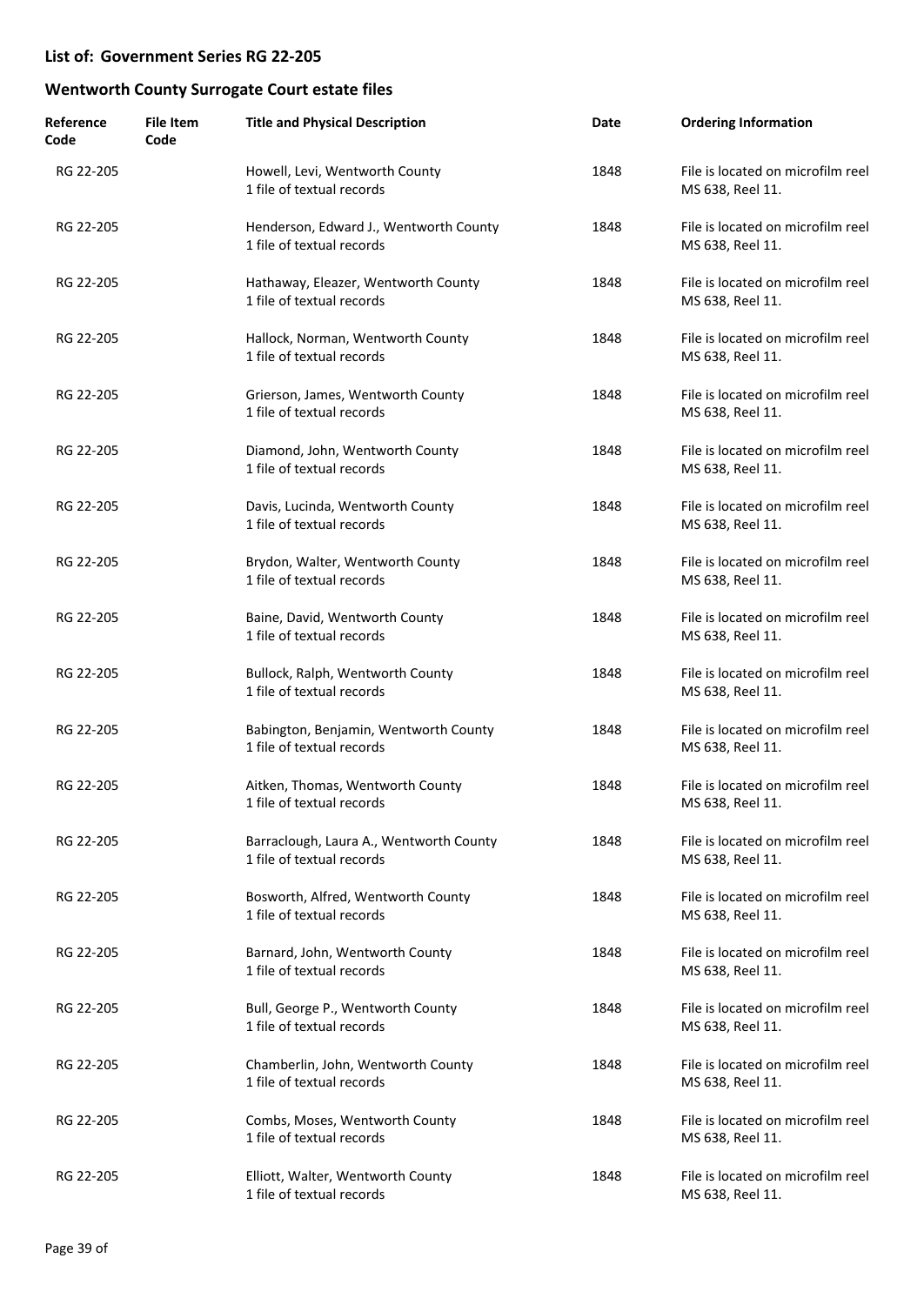| Reference<br>Code | <b>File Item</b><br>Code | <b>Title and Physical Description</b>                                | Date | <b>Ordering Information</b>                           |
|-------------------|--------------------------|----------------------------------------------------------------------|------|-------------------------------------------------------|
| RG 22-205         |                          | Howell, Levi, Wentworth County<br>1 file of textual records          | 1848 | File is located on microfilm reel<br>MS 638, Reel 11. |
| RG 22-205         |                          | Henderson, Edward J., Wentworth County<br>1 file of textual records  | 1848 | File is located on microfilm reel<br>MS 638, Reel 11. |
| RG 22-205         |                          | Hathaway, Eleazer, Wentworth County<br>1 file of textual records     | 1848 | File is located on microfilm reel<br>MS 638, Reel 11. |
| RG 22-205         |                          | Hallock, Norman, Wentworth County<br>1 file of textual records       | 1848 | File is located on microfilm reel<br>MS 638, Reel 11. |
| RG 22-205         |                          | Grierson, James, Wentworth County<br>1 file of textual records       | 1848 | File is located on microfilm reel<br>MS 638, Reel 11. |
| RG 22-205         |                          | Diamond, John, Wentworth County<br>1 file of textual records         | 1848 | File is located on microfilm reel<br>MS 638, Reel 11. |
| RG 22-205         |                          | Davis, Lucinda, Wentworth County<br>1 file of textual records        | 1848 | File is located on microfilm reel<br>MS 638, Reel 11. |
| RG 22-205         |                          | Brydon, Walter, Wentworth County<br>1 file of textual records        | 1848 | File is located on microfilm reel<br>MS 638, Reel 11. |
| RG 22-205         |                          | Baine, David, Wentworth County<br>1 file of textual records          | 1848 | File is located on microfilm reel<br>MS 638, Reel 11. |
| RG 22-205         |                          | Bullock, Ralph, Wentworth County<br>1 file of textual records        | 1848 | File is located on microfilm reel<br>MS 638, Reel 11. |
| RG 22-205         |                          | Babington, Benjamin, Wentworth County<br>1 file of textual records   | 1848 | File is located on microfilm reel<br>MS 638, Reel 11. |
| RG 22-205         |                          | Aitken, Thomas, Wentworth County<br>1 file of textual records        | 1848 | File is located on microfilm reel<br>MS 638, Reel 11. |
| RG 22-205         |                          | Barraclough, Laura A., Wentworth County<br>1 file of textual records | 1848 | File is located on microfilm reel<br>MS 638, Reel 11. |
| RG 22-205         |                          | Bosworth, Alfred, Wentworth County<br>1 file of textual records      | 1848 | File is located on microfilm reel<br>MS 638, Reel 11. |
| RG 22-205         |                          | Barnard, John, Wentworth County<br>1 file of textual records         | 1848 | File is located on microfilm reel<br>MS 638, Reel 11. |
| RG 22-205         |                          | Bull, George P., Wentworth County<br>1 file of textual records       | 1848 | File is located on microfilm reel<br>MS 638, Reel 11. |
| RG 22-205         |                          | Chamberlin, John, Wentworth County<br>1 file of textual records      | 1848 | File is located on microfilm reel<br>MS 638, Reel 11. |
| RG 22-205         |                          | Combs, Moses, Wentworth County<br>1 file of textual records          | 1848 | File is located on microfilm reel<br>MS 638, Reel 11. |
| RG 22-205         |                          | Elliott, Walter, Wentworth County<br>1 file of textual records       | 1848 | File is located on microfilm reel<br>MS 638, Reel 11. |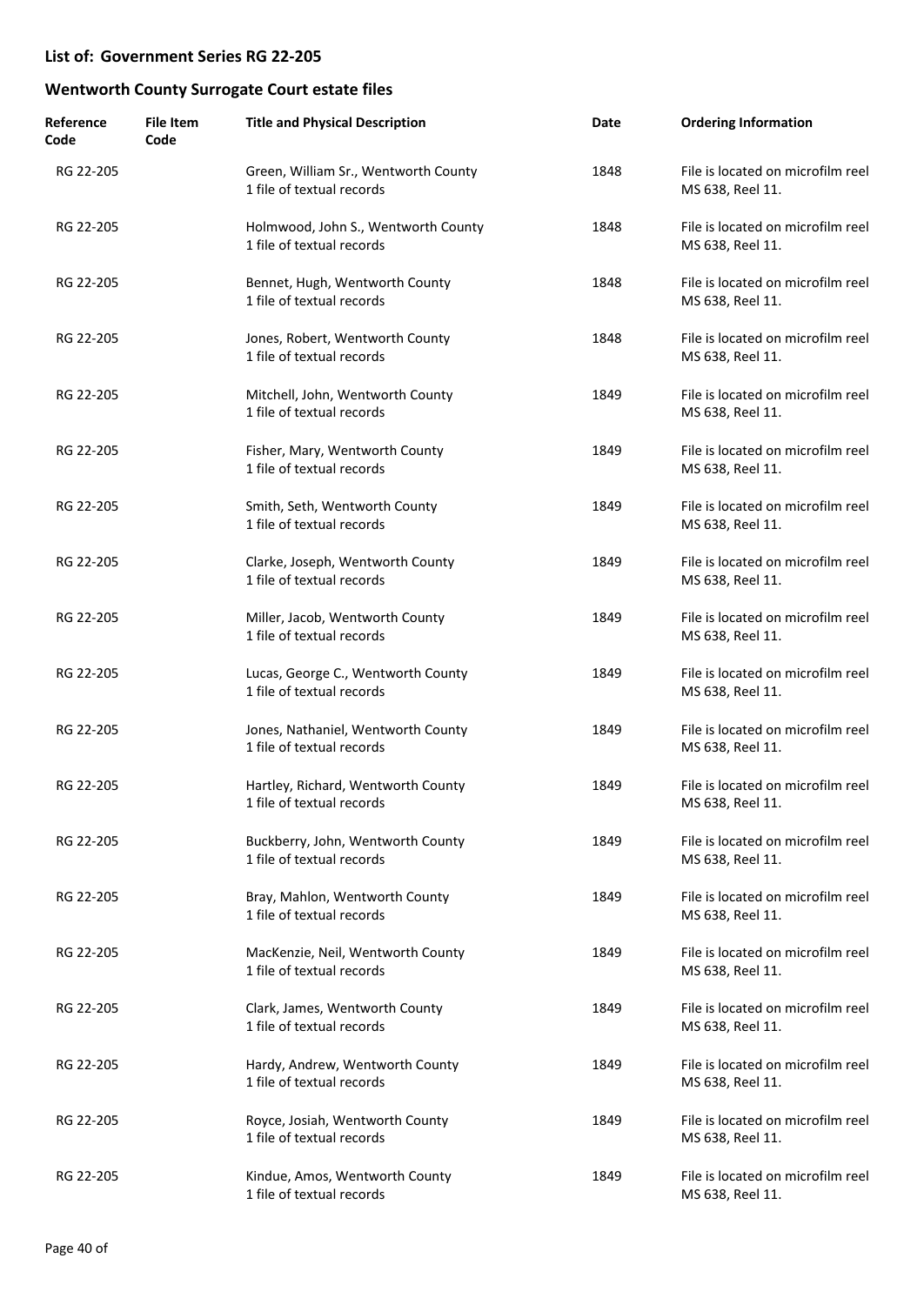| Reference<br>Code | <b>File Item</b><br>Code | <b>Title and Physical Description</b>                             | Date | <b>Ordering Information</b>                           |
|-------------------|--------------------------|-------------------------------------------------------------------|------|-------------------------------------------------------|
| RG 22-205         |                          | Green, William Sr., Wentworth County<br>1 file of textual records | 1848 | File is located on microfilm reel<br>MS 638, Reel 11. |
| RG 22-205         |                          | Holmwood, John S., Wentworth County<br>1 file of textual records  | 1848 | File is located on microfilm reel<br>MS 638, Reel 11. |
| RG 22-205         |                          | Bennet, Hugh, Wentworth County<br>1 file of textual records       | 1848 | File is located on microfilm reel<br>MS 638, Reel 11. |
| RG 22-205         |                          | Jones, Robert, Wentworth County<br>1 file of textual records      | 1848 | File is located on microfilm reel<br>MS 638, Reel 11. |
| RG 22-205         |                          | Mitchell, John, Wentworth County<br>1 file of textual records     | 1849 | File is located on microfilm reel<br>MS 638, Reel 11. |
| RG 22-205         |                          | Fisher, Mary, Wentworth County<br>1 file of textual records       | 1849 | File is located on microfilm reel<br>MS 638, Reel 11. |
| RG 22-205         |                          | Smith, Seth, Wentworth County<br>1 file of textual records        | 1849 | File is located on microfilm reel<br>MS 638, Reel 11. |
| RG 22-205         |                          | Clarke, Joseph, Wentworth County<br>1 file of textual records     | 1849 | File is located on microfilm reel<br>MS 638, Reel 11. |
| RG 22-205         |                          | Miller, Jacob, Wentworth County<br>1 file of textual records      | 1849 | File is located on microfilm reel<br>MS 638, Reel 11. |
| RG 22-205         |                          | Lucas, George C., Wentworth County<br>1 file of textual records   | 1849 | File is located on microfilm reel<br>MS 638, Reel 11. |
| RG 22-205         |                          | Jones, Nathaniel, Wentworth County<br>1 file of textual records   | 1849 | File is located on microfilm reel<br>MS 638, Reel 11. |
| RG 22-205         |                          | Hartley, Richard, Wentworth County<br>1 file of textual records   | 1849 | File is located on microfilm reel<br>MS 638, Reel 11. |
| RG 22-205         |                          | Buckberry, John, Wentworth County<br>1 file of textual records    | 1849 | File is located on microfilm reel<br>MS 638, Reel 11. |
| RG 22-205         |                          | Bray, Mahlon, Wentworth County<br>1 file of textual records       | 1849 | File is located on microfilm reel<br>MS 638, Reel 11. |
| RG 22-205         |                          | MacKenzie, Neil, Wentworth County<br>1 file of textual records    | 1849 | File is located on microfilm reel<br>MS 638, Reel 11. |
| RG 22-205         |                          | Clark, James, Wentworth County<br>1 file of textual records       | 1849 | File is located on microfilm reel<br>MS 638, Reel 11. |
| RG 22-205         |                          | Hardy, Andrew, Wentworth County<br>1 file of textual records      | 1849 | File is located on microfilm reel<br>MS 638, Reel 11. |
| RG 22-205         |                          | Royce, Josiah, Wentworth County<br>1 file of textual records      | 1849 | File is located on microfilm reel<br>MS 638, Reel 11. |
| RG 22-205         |                          | Kindue, Amos, Wentworth County<br>1 file of textual records       | 1849 | File is located on microfilm reel<br>MS 638, Reel 11. |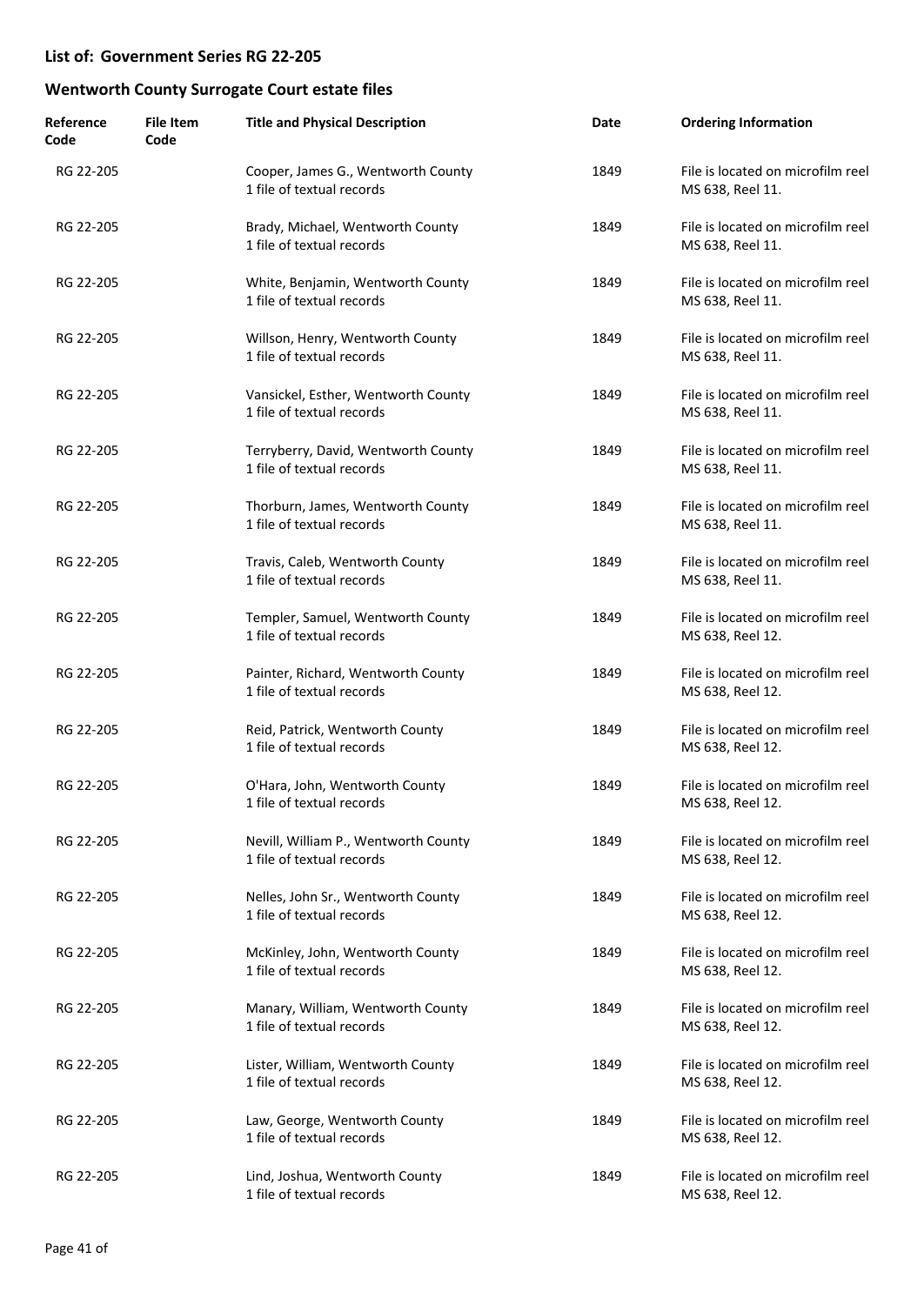| Reference<br>Code | <b>File Item</b><br>Code | <b>Title and Physical Description</b>                             | Date | <b>Ordering Information</b>                           |
|-------------------|--------------------------|-------------------------------------------------------------------|------|-------------------------------------------------------|
| RG 22-205         |                          | Cooper, James G., Wentworth County<br>1 file of textual records   | 1849 | File is located on microfilm reel<br>MS 638, Reel 11. |
| RG 22-205         |                          | Brady, Michael, Wentworth County<br>1 file of textual records     | 1849 | File is located on microfilm reel<br>MS 638, Reel 11. |
| RG 22-205         |                          | White, Benjamin, Wentworth County<br>1 file of textual records    | 1849 | File is located on microfilm reel<br>MS 638, Reel 11. |
| RG 22-205         |                          | Willson, Henry, Wentworth County<br>1 file of textual records     | 1849 | File is located on microfilm reel<br>MS 638, Reel 11. |
| RG 22-205         |                          | Vansickel, Esther, Wentworth County<br>1 file of textual records  | 1849 | File is located on microfilm reel<br>MS 638, Reel 11. |
| RG 22-205         |                          | Terryberry, David, Wentworth County<br>1 file of textual records  | 1849 | File is located on microfilm reel<br>MS 638, Reel 11. |
| RG 22-205         |                          | Thorburn, James, Wentworth County<br>1 file of textual records    | 1849 | File is located on microfilm reel<br>MS 638, Reel 11. |
| RG 22-205         |                          | Travis, Caleb, Wentworth County<br>1 file of textual records      | 1849 | File is located on microfilm reel<br>MS 638, Reel 11. |
| RG 22-205         |                          | Templer, Samuel, Wentworth County<br>1 file of textual records    | 1849 | File is located on microfilm reel<br>MS 638, Reel 12. |
| RG 22-205         |                          | Painter, Richard, Wentworth County<br>1 file of textual records   | 1849 | File is located on microfilm reel<br>MS 638, Reel 12. |
| RG 22-205         |                          | Reid, Patrick, Wentworth County<br>1 file of textual records      | 1849 | File is located on microfilm reel<br>MS 638, Reel 12. |
| RG 22-205         |                          | O'Hara, John, Wentworth County<br>1 file of textual records       | 1849 | File is located on microfilm reel<br>MS 638, Reel 12. |
| RG 22-205         |                          | Nevill, William P., Wentworth County<br>1 file of textual records | 1849 | File is located on microfilm reel<br>MS 638, Reel 12. |
| RG 22-205         |                          | Nelles, John Sr., Wentworth County<br>1 file of textual records   | 1849 | File is located on microfilm reel<br>MS 638, Reel 12. |
| RG 22-205         |                          | McKinley, John, Wentworth County<br>1 file of textual records     | 1849 | File is located on microfilm reel<br>MS 638, Reel 12. |
| RG 22-205         |                          | Manary, William, Wentworth County<br>1 file of textual records    | 1849 | File is located on microfilm reel<br>MS 638, Reel 12. |
| RG 22-205         |                          | Lister, William, Wentworth County<br>1 file of textual records    | 1849 | File is located on microfilm reel<br>MS 638, Reel 12. |
| RG 22-205         |                          | Law, George, Wentworth County<br>1 file of textual records        | 1849 | File is located on microfilm reel<br>MS 638, Reel 12. |
| RG 22-205         |                          | Lind, Joshua, Wentworth County<br>1 file of textual records       | 1849 | File is located on microfilm reel<br>MS 638, Reel 12. |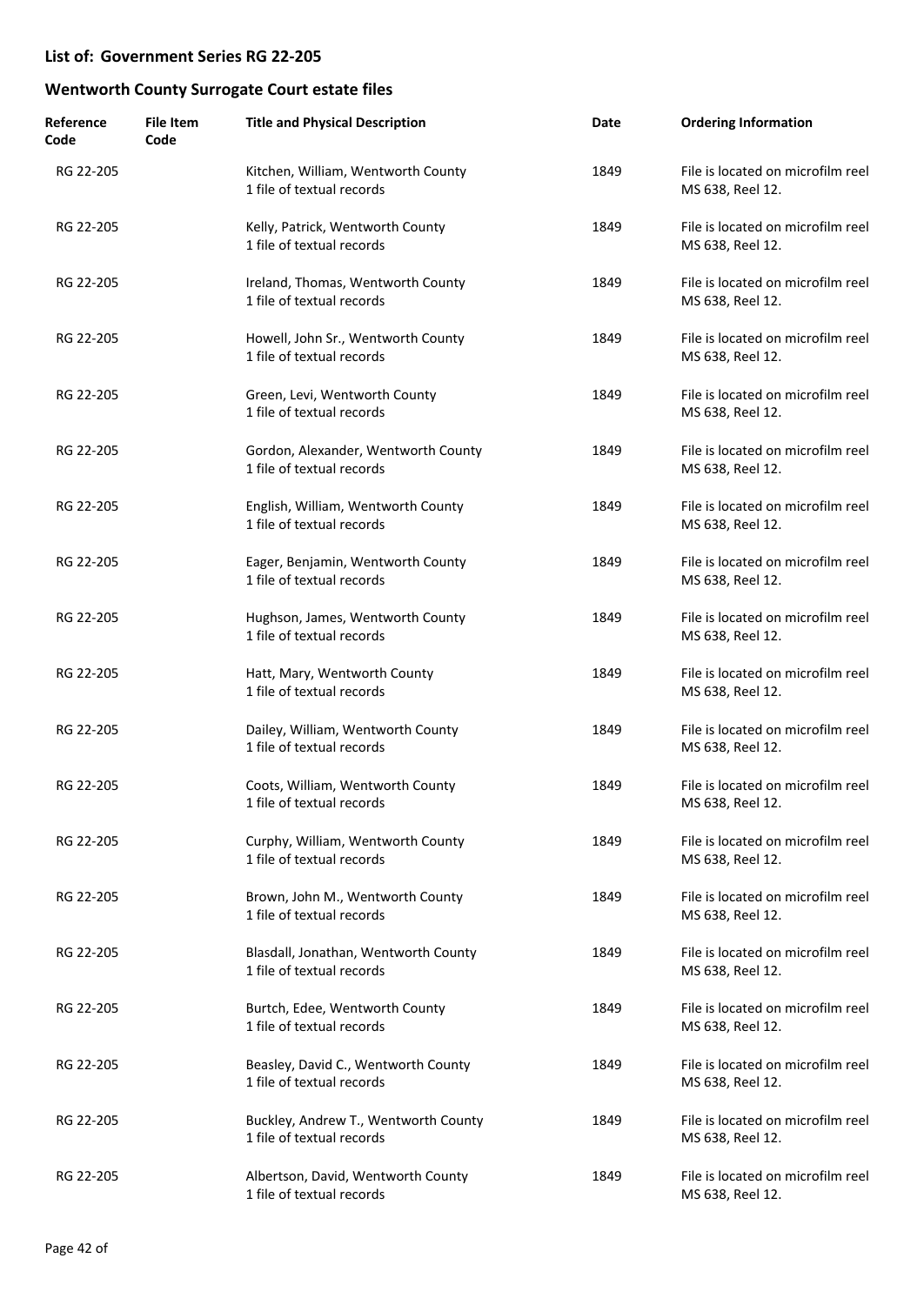| Reference<br>Code | <b>File Item</b><br>Code | <b>Title and Physical Description</b>                             | Date | <b>Ordering Information</b>                           |
|-------------------|--------------------------|-------------------------------------------------------------------|------|-------------------------------------------------------|
| RG 22-205         |                          | Kitchen, William, Wentworth County<br>1 file of textual records   | 1849 | File is located on microfilm reel<br>MS 638, Reel 12. |
| RG 22-205         |                          | Kelly, Patrick, Wentworth County<br>1 file of textual records     | 1849 | File is located on microfilm reel<br>MS 638, Reel 12. |
| RG 22-205         |                          | Ireland, Thomas, Wentworth County<br>1 file of textual records    | 1849 | File is located on microfilm reel<br>MS 638, Reel 12. |
| RG 22-205         |                          | Howell, John Sr., Wentworth County<br>1 file of textual records   | 1849 | File is located on microfilm reel<br>MS 638, Reel 12. |
| RG 22-205         |                          | Green, Levi, Wentworth County<br>1 file of textual records        | 1849 | File is located on microfilm reel<br>MS 638, Reel 12. |
| RG 22-205         |                          | Gordon, Alexander, Wentworth County<br>1 file of textual records  | 1849 | File is located on microfilm reel<br>MS 638, Reel 12. |
| RG 22-205         |                          | English, William, Wentworth County<br>1 file of textual records   | 1849 | File is located on microfilm reel<br>MS 638, Reel 12. |
| RG 22-205         |                          | Eager, Benjamin, Wentworth County<br>1 file of textual records    | 1849 | File is located on microfilm reel<br>MS 638, Reel 12. |
| RG 22-205         |                          | Hughson, James, Wentworth County<br>1 file of textual records     | 1849 | File is located on microfilm reel<br>MS 638, Reel 12. |
| RG 22-205         |                          | Hatt, Mary, Wentworth County<br>1 file of textual records         | 1849 | File is located on microfilm reel<br>MS 638, Reel 12. |
| RG 22-205         |                          | Dailey, William, Wentworth County<br>1 file of textual records    | 1849 | File is located on microfilm reel<br>MS 638, Reel 12. |
| RG 22-205         |                          | Coots, William, Wentworth County<br>1 file of textual records     | 1849 | File is located on microfilm reel<br>MS 638, Reel 12. |
| RG 22-205         |                          | Curphy, William, Wentworth County<br>1 file of textual records    | 1849 | File is located on microfilm reel<br>MS 638, Reel 12. |
| RG 22-205         |                          | Brown, John M., Wentworth County<br>1 file of textual records     | 1849 | File is located on microfilm reel<br>MS 638, Reel 12. |
| RG 22-205         |                          | Blasdall, Jonathan, Wentworth County<br>1 file of textual records | 1849 | File is located on microfilm reel<br>MS 638, Reel 12. |
| RG 22-205         |                          | Burtch, Edee, Wentworth County<br>1 file of textual records       | 1849 | File is located on microfilm reel<br>MS 638, Reel 12. |
| RG 22-205         |                          | Beasley, David C., Wentworth County<br>1 file of textual records  | 1849 | File is located on microfilm reel<br>MS 638, Reel 12. |
| RG 22-205         |                          | Buckley, Andrew T., Wentworth County<br>1 file of textual records | 1849 | File is located on microfilm reel<br>MS 638, Reel 12. |
| RG 22-205         |                          | Albertson, David, Wentworth County<br>1 file of textual records   | 1849 | File is located on microfilm reel<br>MS 638, Reel 12. |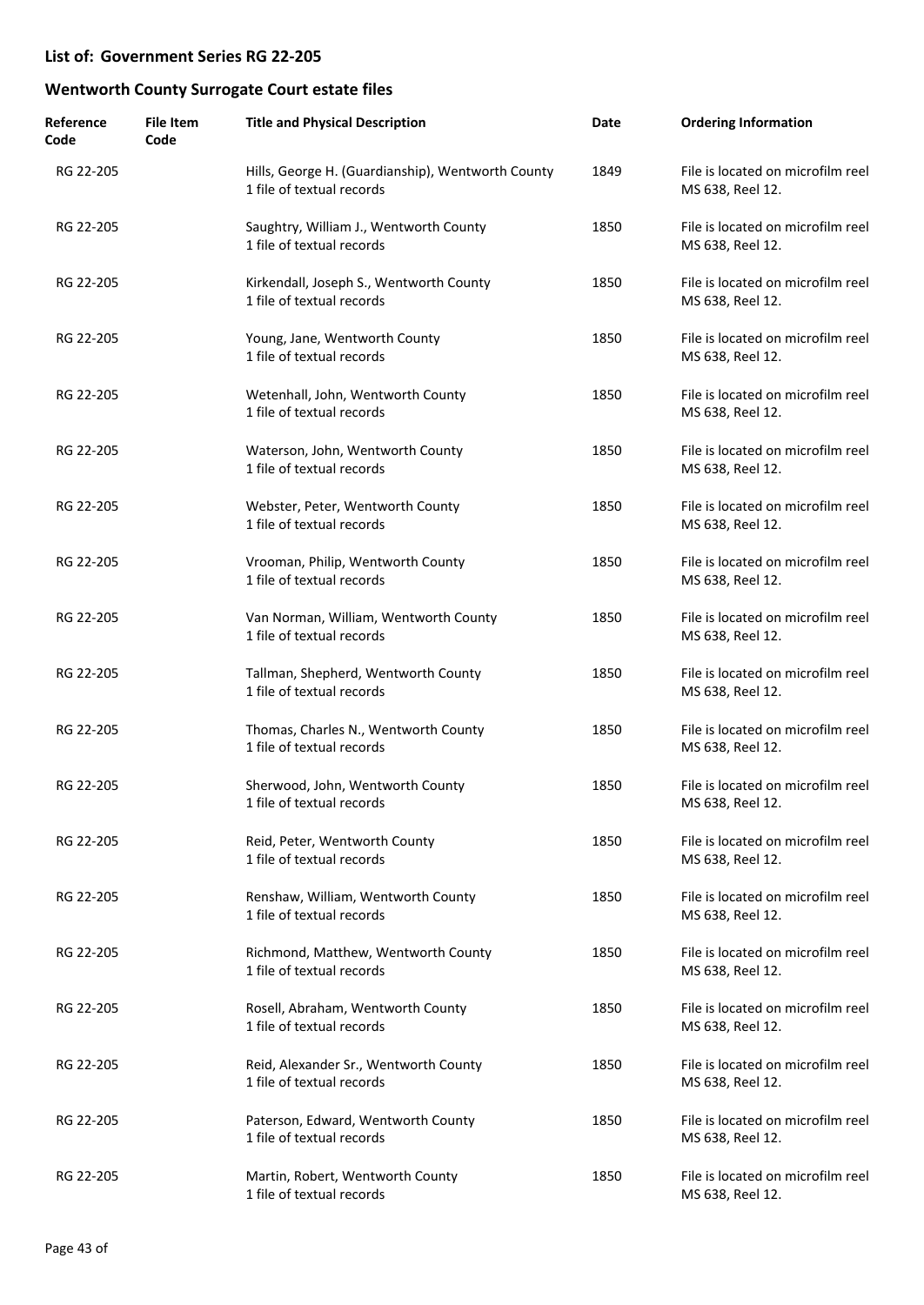| Reference<br>Code | <b>File Item</b><br>Code | <b>Title and Physical Description</b>                                          | Date | <b>Ordering Information</b>                           |
|-------------------|--------------------------|--------------------------------------------------------------------------------|------|-------------------------------------------------------|
| RG 22-205         |                          | Hills, George H. (Guardianship), Wentworth County<br>1 file of textual records | 1849 | File is located on microfilm reel<br>MS 638, Reel 12. |
| RG 22-205         |                          | Saughtry, William J., Wentworth County<br>1 file of textual records            | 1850 | File is located on microfilm reel<br>MS 638, Reel 12. |
| RG 22-205         |                          | Kirkendall, Joseph S., Wentworth County<br>1 file of textual records           | 1850 | File is located on microfilm reel<br>MS 638, Reel 12. |
| RG 22-205         |                          | Young, Jane, Wentworth County<br>1 file of textual records                     | 1850 | File is located on microfilm reel<br>MS 638, Reel 12. |
| RG 22-205         |                          | Wetenhall, John, Wentworth County<br>1 file of textual records                 | 1850 | File is located on microfilm reel<br>MS 638, Reel 12. |
| RG 22-205         |                          | Waterson, John, Wentworth County<br>1 file of textual records                  | 1850 | File is located on microfilm reel<br>MS 638, Reel 12. |
| RG 22-205         |                          | Webster, Peter, Wentworth County<br>1 file of textual records                  | 1850 | File is located on microfilm reel<br>MS 638, Reel 12. |
| RG 22-205         |                          | Vrooman, Philip, Wentworth County<br>1 file of textual records                 | 1850 | File is located on microfilm reel<br>MS 638, Reel 12. |
| RG 22-205         |                          | Van Norman, William, Wentworth County<br>1 file of textual records             | 1850 | File is located on microfilm reel<br>MS 638, Reel 12. |
| RG 22-205         |                          | Tallman, Shepherd, Wentworth County<br>1 file of textual records               | 1850 | File is located on microfilm reel<br>MS 638, Reel 12. |
| RG 22-205         |                          | Thomas, Charles N., Wentworth County<br>1 file of textual records              | 1850 | File is located on microfilm reel<br>MS 638, Reel 12. |
| RG 22-205         |                          | Sherwood, John, Wentworth County<br>1 file of textual records                  | 1850 | File is located on microfilm reel<br>MS 638, Reel 12. |
| RG 22-205         |                          | Reid, Peter, Wentworth County<br>1 file of textual records                     | 1850 | File is located on microfilm reel<br>MS 638, Reel 12. |
| RG 22-205         |                          | Renshaw, William, Wentworth County<br>1 file of textual records                | 1850 | File is located on microfilm reel<br>MS 638, Reel 12. |
| RG 22-205         |                          | Richmond, Matthew, Wentworth County<br>1 file of textual records               | 1850 | File is located on microfilm reel<br>MS 638, Reel 12. |
| RG 22-205         |                          | Rosell, Abraham, Wentworth County<br>1 file of textual records                 | 1850 | File is located on microfilm reel<br>MS 638, Reel 12. |
| RG 22-205         |                          | Reid, Alexander Sr., Wentworth County<br>1 file of textual records             | 1850 | File is located on microfilm reel<br>MS 638, Reel 12. |
| RG 22-205         |                          | Paterson, Edward, Wentworth County<br>1 file of textual records                | 1850 | File is located on microfilm reel<br>MS 638, Reel 12. |
| RG 22-205         |                          | Martin, Robert, Wentworth County<br>1 file of textual records                  | 1850 | File is located on microfilm reel<br>MS 638, Reel 12. |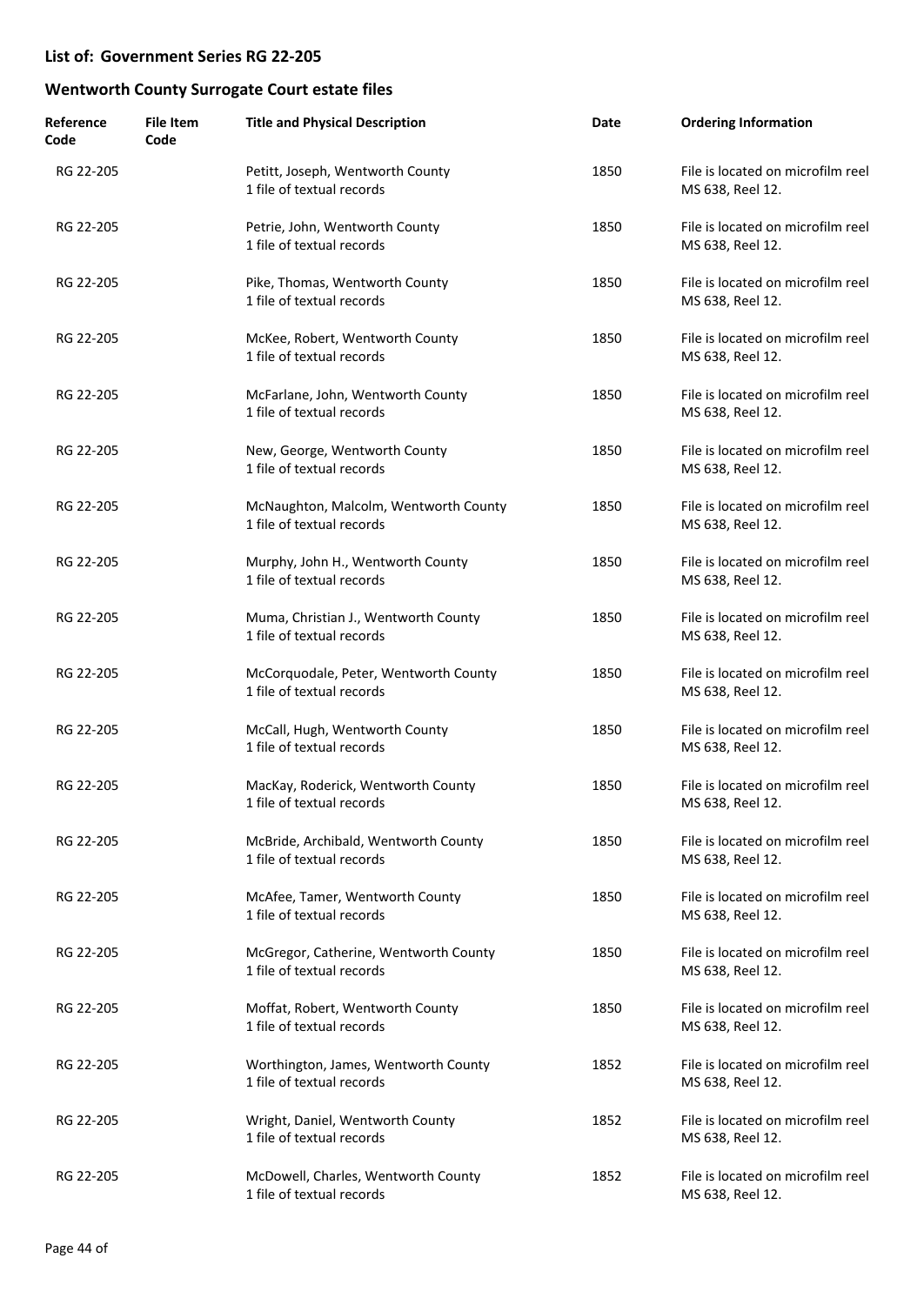| Reference<br>Code | <b>File Item</b><br>Code | <b>Title and Physical Description</b>                              | Date | <b>Ordering Information</b>                           |
|-------------------|--------------------------|--------------------------------------------------------------------|------|-------------------------------------------------------|
| RG 22-205         |                          | Petitt, Joseph, Wentworth County<br>1 file of textual records      | 1850 | File is located on microfilm reel<br>MS 638, Reel 12. |
| RG 22-205         |                          | Petrie, John, Wentworth County<br>1 file of textual records        | 1850 | File is located on microfilm reel<br>MS 638, Reel 12. |
| RG 22-205         |                          | Pike, Thomas, Wentworth County<br>1 file of textual records        | 1850 | File is located on microfilm reel<br>MS 638, Reel 12. |
| RG 22-205         |                          | McKee, Robert, Wentworth County<br>1 file of textual records       | 1850 | File is located on microfilm reel<br>MS 638, Reel 12. |
| RG 22-205         |                          | McFarlane, John, Wentworth County<br>1 file of textual records     | 1850 | File is located on microfilm reel<br>MS 638, Reel 12. |
| RG 22-205         |                          | New, George, Wentworth County<br>1 file of textual records         | 1850 | File is located on microfilm reel<br>MS 638, Reel 12. |
| RG 22-205         |                          | McNaughton, Malcolm, Wentworth County<br>1 file of textual records | 1850 | File is located on microfilm reel<br>MS 638, Reel 12. |
| RG 22-205         |                          | Murphy, John H., Wentworth County<br>1 file of textual records     | 1850 | File is located on microfilm reel<br>MS 638, Reel 12. |
| RG 22-205         |                          | Muma, Christian J., Wentworth County<br>1 file of textual records  | 1850 | File is located on microfilm reel<br>MS 638, Reel 12. |
| RG 22-205         |                          | McCorquodale, Peter, Wentworth County<br>1 file of textual records | 1850 | File is located on microfilm reel<br>MS 638, Reel 12. |
| RG 22-205         |                          | McCall, Hugh, Wentworth County<br>1 file of textual records        | 1850 | File is located on microfilm reel<br>MS 638, Reel 12. |
| RG 22-205         |                          | MacKay, Roderick, Wentworth County<br>1 file of textual records    | 1850 | File is located on microfilm reel<br>MS 638, Reel 12. |
| RG 22-205         |                          | McBride, Archibald, Wentworth County<br>1 file of textual records  | 1850 | File is located on microfilm reel<br>MS 638, Reel 12. |
| RG 22-205         |                          | McAfee, Tamer, Wentworth County<br>1 file of textual records       | 1850 | File is located on microfilm reel<br>MS 638, Reel 12. |
| RG 22-205         |                          | McGregor, Catherine, Wentworth County<br>1 file of textual records | 1850 | File is located on microfilm reel<br>MS 638, Reel 12. |
| RG 22-205         |                          | Moffat, Robert, Wentworth County<br>1 file of textual records      | 1850 | File is located on microfilm reel<br>MS 638, Reel 12. |
| RG 22-205         |                          | Worthington, James, Wentworth County<br>1 file of textual records  | 1852 | File is located on microfilm reel<br>MS 638, Reel 12. |
| RG 22-205         |                          | Wright, Daniel, Wentworth County<br>1 file of textual records      | 1852 | File is located on microfilm reel<br>MS 638, Reel 12. |
| RG 22-205         |                          | McDowell, Charles, Wentworth County<br>1 file of textual records   | 1852 | File is located on microfilm reel<br>MS 638, Reel 12. |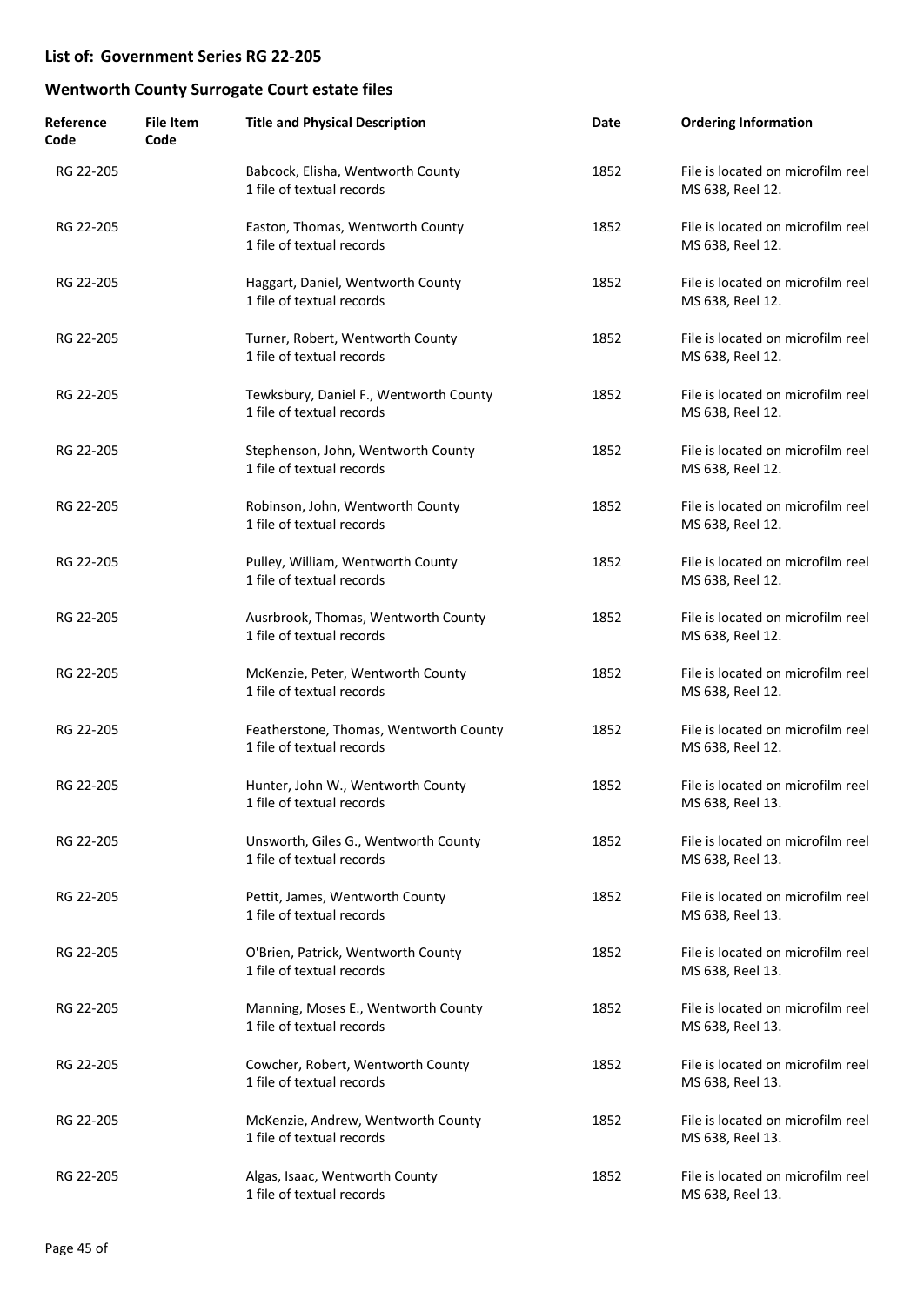| Reference<br>Code | <b>File Item</b><br>Code | <b>Title and Physical Description</b>                               | Date | <b>Ordering Information</b>                           |
|-------------------|--------------------------|---------------------------------------------------------------------|------|-------------------------------------------------------|
| RG 22-205         |                          | Babcock, Elisha, Wentworth County<br>1 file of textual records      | 1852 | File is located on microfilm reel<br>MS 638, Reel 12. |
| RG 22-205         |                          | Easton, Thomas, Wentworth County<br>1 file of textual records       | 1852 | File is located on microfilm reel<br>MS 638, Reel 12. |
| RG 22-205         |                          | Haggart, Daniel, Wentworth County<br>1 file of textual records      | 1852 | File is located on microfilm reel<br>MS 638, Reel 12. |
| RG 22-205         |                          | Turner, Robert, Wentworth County<br>1 file of textual records       | 1852 | File is located on microfilm reel<br>MS 638, Reel 12. |
| RG 22-205         |                          | Tewksbury, Daniel F., Wentworth County<br>1 file of textual records | 1852 | File is located on microfilm reel<br>MS 638, Reel 12. |
| RG 22-205         |                          | Stephenson, John, Wentworth County<br>1 file of textual records     | 1852 | File is located on microfilm reel<br>MS 638, Reel 12. |
| RG 22-205         |                          | Robinson, John, Wentworth County<br>1 file of textual records       | 1852 | File is located on microfilm reel<br>MS 638, Reel 12. |
| RG 22-205         |                          | Pulley, William, Wentworth County<br>1 file of textual records      | 1852 | File is located on microfilm reel<br>MS 638, Reel 12. |
| RG 22-205         |                          | Ausrbrook, Thomas, Wentworth County<br>1 file of textual records    | 1852 | File is located on microfilm reel<br>MS 638, Reel 12. |
| RG 22-205         |                          | McKenzie, Peter, Wentworth County<br>1 file of textual records      | 1852 | File is located on microfilm reel<br>MS 638, Reel 12. |
| RG 22-205         |                          | Featherstone, Thomas, Wentworth County<br>1 file of textual records | 1852 | File is located on microfilm reel<br>MS 638, Reel 12. |
| RG 22-205         |                          | Hunter, John W., Wentworth County<br>1 file of textual records      | 1852 | File is located on microfilm reel<br>MS 638, Reel 13. |
| RG 22-205         |                          | Unsworth, Giles G., Wentworth County<br>1 file of textual records   | 1852 | File is located on microfilm reel<br>MS 638, Reel 13. |
| RG 22-205         |                          | Pettit, James, Wentworth County<br>1 file of textual records        | 1852 | File is located on microfilm reel<br>MS 638, Reel 13. |
| RG 22-205         |                          | O'Brien, Patrick, Wentworth County<br>1 file of textual records     | 1852 | File is located on microfilm reel<br>MS 638, Reel 13. |
| RG 22-205         |                          | Manning, Moses E., Wentworth County<br>1 file of textual records    | 1852 | File is located on microfilm reel<br>MS 638, Reel 13. |
| RG 22-205         |                          | Cowcher, Robert, Wentworth County<br>1 file of textual records      | 1852 | File is located on microfilm reel<br>MS 638, Reel 13. |
| RG 22-205         |                          | McKenzie, Andrew, Wentworth County<br>1 file of textual records     | 1852 | File is located on microfilm reel<br>MS 638, Reel 13. |
| RG 22-205         |                          | Algas, Isaac, Wentworth County<br>1 file of textual records         | 1852 | File is located on microfilm reel<br>MS 638, Reel 13. |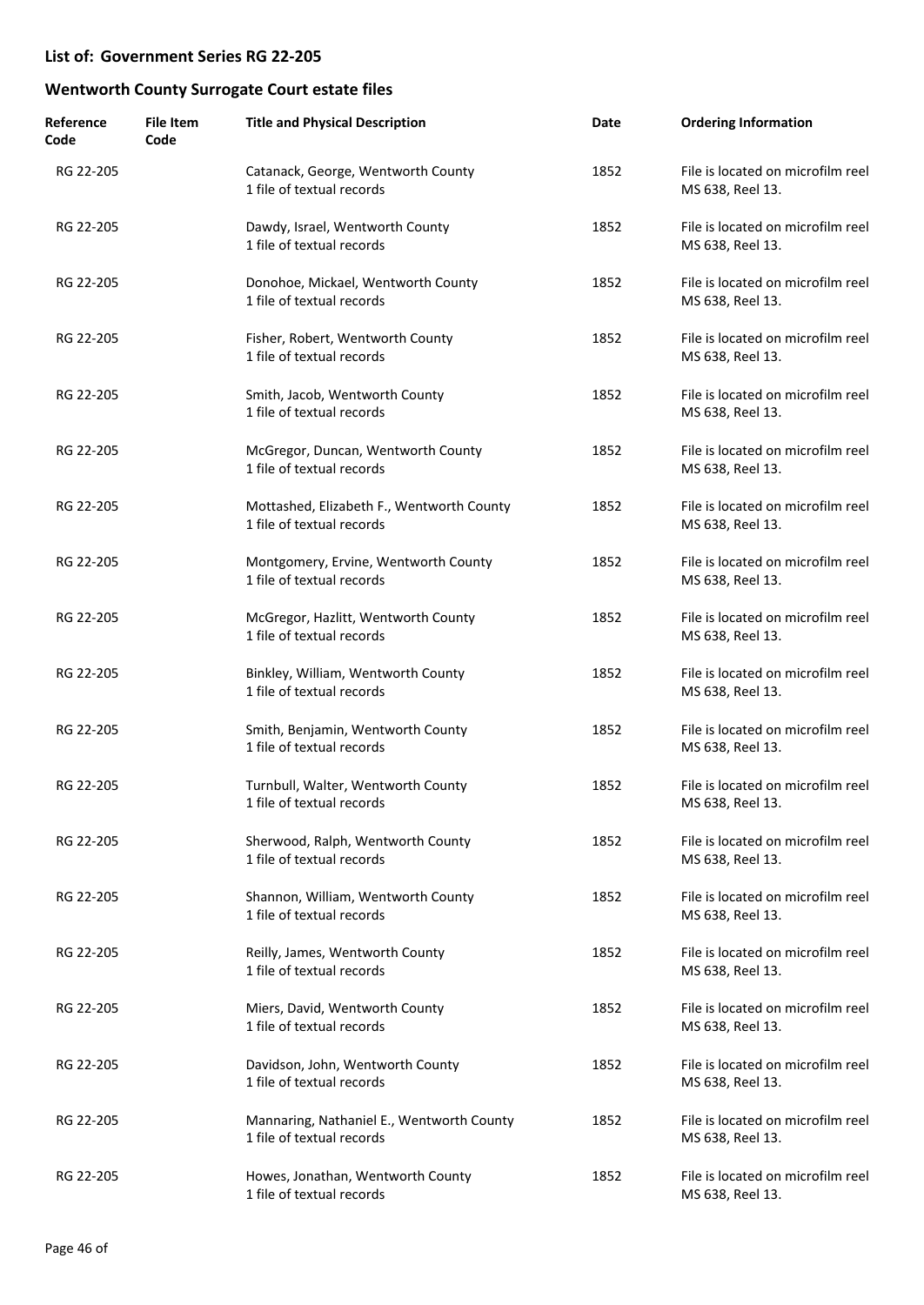| Reference<br>Code | <b>File Item</b><br>Code | <b>Title and Physical Description</b>                                  | Date | <b>Ordering Information</b>                           |
|-------------------|--------------------------|------------------------------------------------------------------------|------|-------------------------------------------------------|
| RG 22-205         |                          | Catanack, George, Wentworth County<br>1 file of textual records        | 1852 | File is located on microfilm reel<br>MS 638, Reel 13. |
| RG 22-205         |                          | Dawdy, Israel, Wentworth County<br>1 file of textual records           | 1852 | File is located on microfilm reel<br>MS 638, Reel 13. |
| RG 22-205         |                          | Donohoe, Mickael, Wentworth County<br>1 file of textual records        | 1852 | File is located on microfilm reel<br>MS 638, Reel 13. |
| RG 22-205         |                          | Fisher, Robert, Wentworth County<br>1 file of textual records          | 1852 | File is located on microfilm reel<br>MS 638, Reel 13. |
| RG 22-205         |                          | Smith, Jacob, Wentworth County<br>1 file of textual records            | 1852 | File is located on microfilm reel<br>MS 638, Reel 13. |
| RG 22-205         |                          | McGregor, Duncan, Wentworth County<br>1 file of textual records        | 1852 | File is located on microfilm reel<br>MS 638, Reel 13. |
| RG 22-205         |                          | Mottashed, Elizabeth F., Wentworth County<br>1 file of textual records | 1852 | File is located on microfilm reel<br>MS 638, Reel 13. |
| RG 22-205         |                          | Montgomery, Ervine, Wentworth County<br>1 file of textual records      | 1852 | File is located on microfilm reel<br>MS 638, Reel 13. |
| RG 22-205         |                          | McGregor, Hazlitt, Wentworth County<br>1 file of textual records       | 1852 | File is located on microfilm reel<br>MS 638, Reel 13. |
| RG 22-205         |                          | Binkley, William, Wentworth County<br>1 file of textual records        | 1852 | File is located on microfilm reel<br>MS 638, Reel 13. |
| RG 22-205         |                          | Smith, Benjamin, Wentworth County<br>1 file of textual records         | 1852 | File is located on microfilm reel<br>MS 638, Reel 13. |
| RG 22-205         |                          | Turnbull, Walter, Wentworth County<br>1 file of textual records        | 1852 | File is located on microfilm reel<br>MS 638, Reel 13. |
| RG 22-205         |                          | Sherwood, Ralph, Wentworth County<br>1 file of textual records         | 1852 | File is located on microfilm reel<br>MS 638, Reel 13. |
| RG 22-205         |                          | Shannon, William, Wentworth County<br>1 file of textual records        | 1852 | File is located on microfilm reel<br>MS 638, Reel 13. |
| RG 22-205         |                          | Reilly, James, Wentworth County<br>1 file of textual records           | 1852 | File is located on microfilm reel<br>MS 638, Reel 13. |
| RG 22-205         |                          | Miers, David, Wentworth County<br>1 file of textual records            | 1852 | File is located on microfilm reel<br>MS 638, Reel 13. |
| RG 22-205         |                          | Davidson, John, Wentworth County<br>1 file of textual records          | 1852 | File is located on microfilm reel<br>MS 638, Reel 13. |
| RG 22-205         |                          | Mannaring, Nathaniel E., Wentworth County<br>1 file of textual records | 1852 | File is located on microfilm reel<br>MS 638, Reel 13. |
| RG 22-205         |                          | Howes, Jonathan, Wentworth County<br>1 file of textual records         | 1852 | File is located on microfilm reel<br>MS 638, Reel 13. |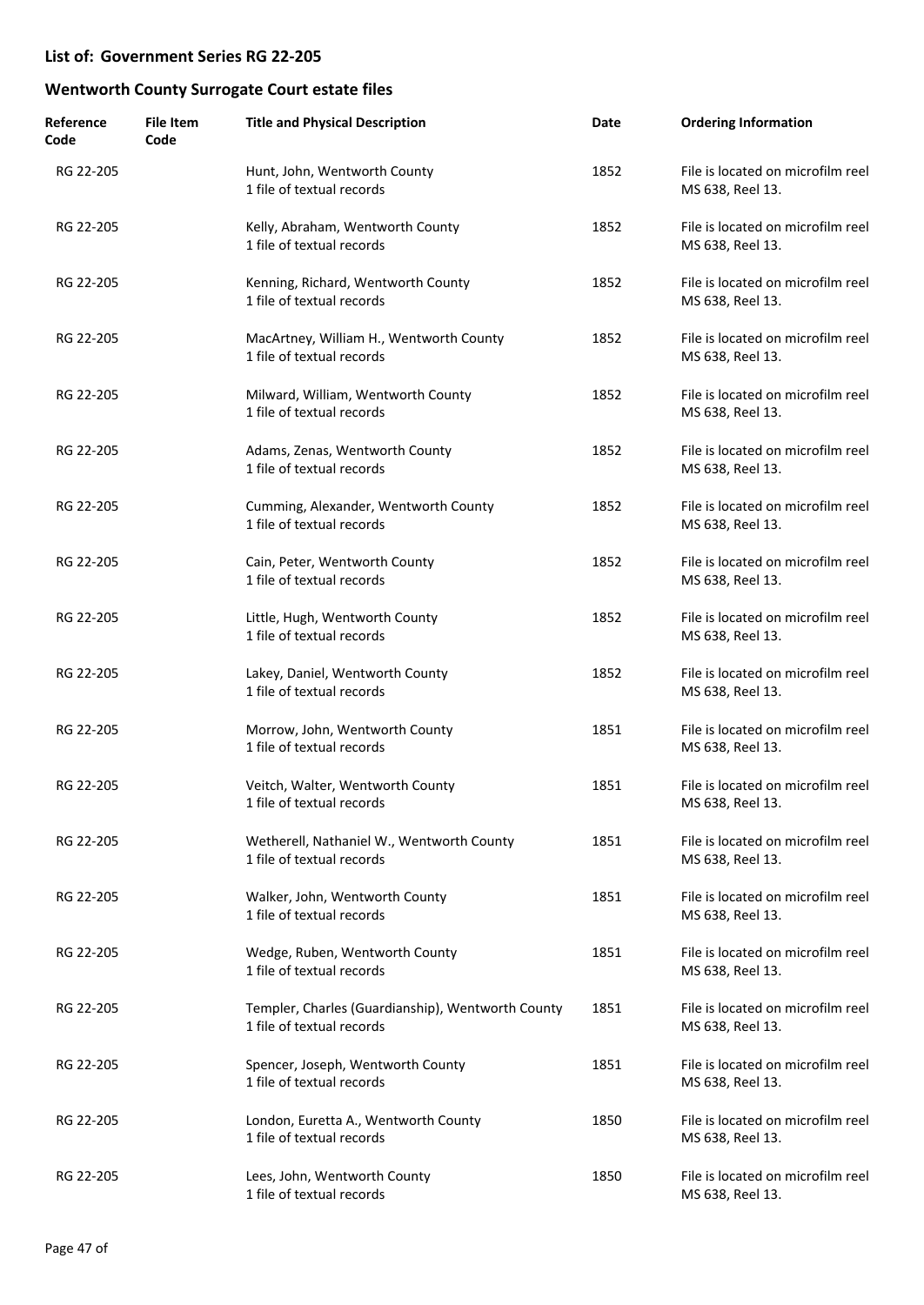| Reference<br>Code | <b>File Item</b><br>Code | <b>Title and Physical Description</b>                                          | Date | <b>Ordering Information</b>                           |
|-------------------|--------------------------|--------------------------------------------------------------------------------|------|-------------------------------------------------------|
| RG 22-205         |                          | Hunt, John, Wentworth County<br>1 file of textual records                      | 1852 | File is located on microfilm reel<br>MS 638, Reel 13. |
| RG 22-205         |                          | Kelly, Abraham, Wentworth County<br>1 file of textual records                  | 1852 | File is located on microfilm reel<br>MS 638, Reel 13. |
| RG 22-205         |                          | Kenning, Richard, Wentworth County<br>1 file of textual records                | 1852 | File is located on microfilm reel<br>MS 638, Reel 13. |
| RG 22-205         |                          | MacArtney, William H., Wentworth County<br>1 file of textual records           | 1852 | File is located on microfilm reel<br>MS 638, Reel 13. |
| RG 22-205         |                          | Milward, William, Wentworth County<br>1 file of textual records                | 1852 | File is located on microfilm reel<br>MS 638, Reel 13. |
| RG 22-205         |                          | Adams, Zenas, Wentworth County<br>1 file of textual records                    | 1852 | File is located on microfilm reel<br>MS 638, Reel 13. |
| RG 22-205         |                          | Cumming, Alexander, Wentworth County<br>1 file of textual records              | 1852 | File is located on microfilm reel<br>MS 638, Reel 13. |
| RG 22-205         |                          | Cain, Peter, Wentworth County<br>1 file of textual records                     | 1852 | File is located on microfilm reel<br>MS 638, Reel 13. |
| RG 22-205         |                          | Little, Hugh, Wentworth County<br>1 file of textual records                    | 1852 | File is located on microfilm reel<br>MS 638, Reel 13. |
| RG 22-205         |                          | Lakey, Daniel, Wentworth County<br>1 file of textual records                   | 1852 | File is located on microfilm reel<br>MS 638, Reel 13. |
| RG 22-205         |                          | Morrow, John, Wentworth County<br>1 file of textual records                    | 1851 | File is located on microfilm reel<br>MS 638, Reel 13. |
| RG 22-205         |                          | Veitch, Walter, Wentworth County<br>1 file of textual records                  | 1851 | File is located on microfilm reel<br>MS 638, Reel 13. |
| RG 22-205         |                          | Wetherell, Nathaniel W., Wentworth County<br>1 file of textual records         | 1851 | File is located on microfilm reel<br>MS 638, Reel 13. |
| RG 22-205         |                          | Walker, John, Wentworth County<br>1 file of textual records                    | 1851 | File is located on microfilm reel<br>MS 638, Reel 13. |
| RG 22-205         |                          | Wedge, Ruben, Wentworth County<br>1 file of textual records                    | 1851 | File is located on microfilm reel<br>MS 638, Reel 13. |
| RG 22-205         |                          | Templer, Charles (Guardianship), Wentworth County<br>1 file of textual records | 1851 | File is located on microfilm reel<br>MS 638, Reel 13. |
| RG 22-205         |                          | Spencer, Joseph, Wentworth County<br>1 file of textual records                 | 1851 | File is located on microfilm reel<br>MS 638, Reel 13. |
| RG 22-205         |                          | London, Euretta A., Wentworth County<br>1 file of textual records              | 1850 | File is located on microfilm reel<br>MS 638, Reel 13. |
| RG 22-205         |                          | Lees, John, Wentworth County<br>1 file of textual records                      | 1850 | File is located on microfilm reel<br>MS 638, Reel 13. |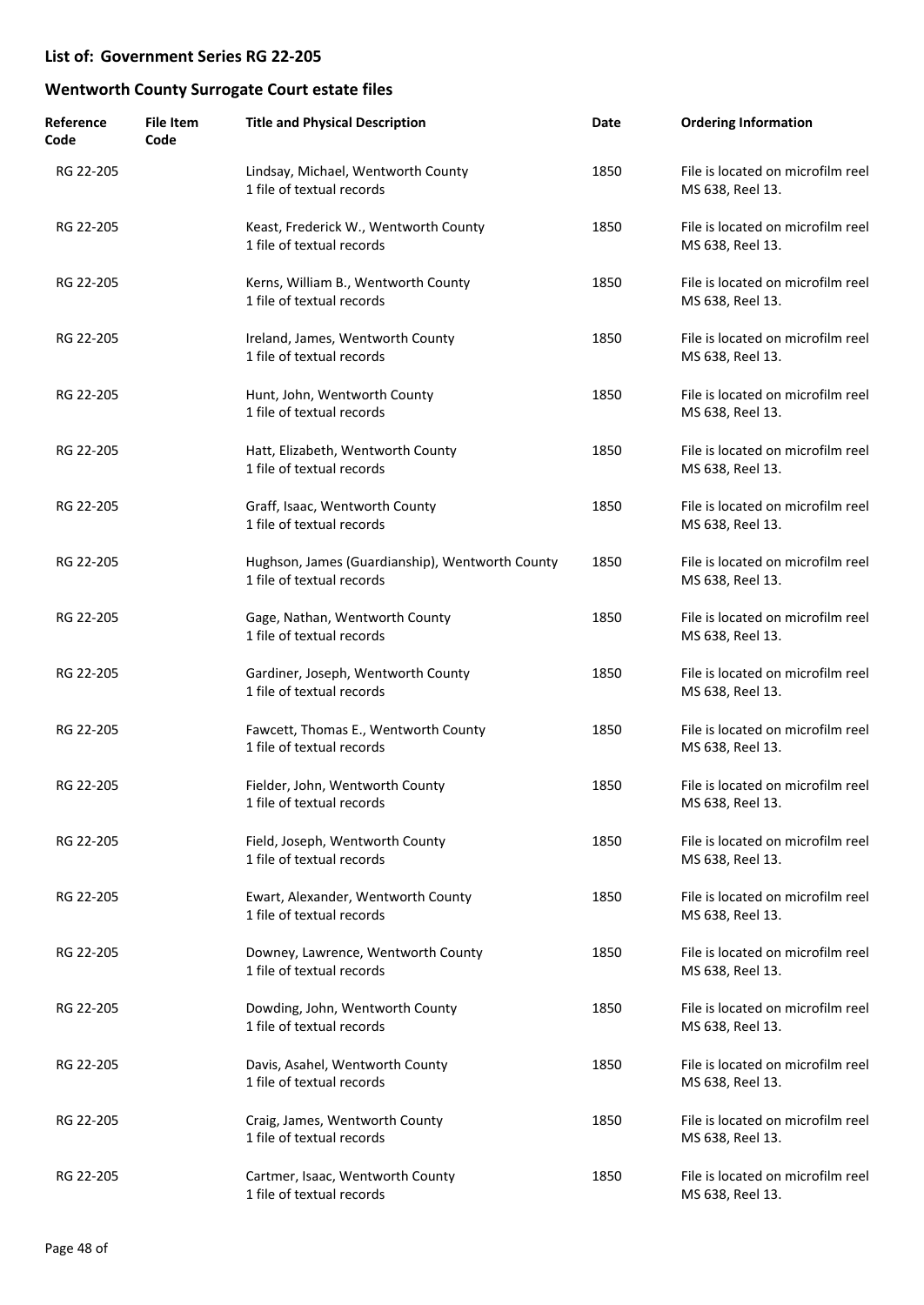| Reference<br>Code | <b>File Item</b><br>Code | <b>Title and Physical Description</b>                                        | Date | <b>Ordering Information</b>                           |
|-------------------|--------------------------|------------------------------------------------------------------------------|------|-------------------------------------------------------|
| RG 22-205         |                          | Lindsay, Michael, Wentworth County<br>1 file of textual records              | 1850 | File is located on microfilm reel<br>MS 638, Reel 13. |
| RG 22-205         |                          | Keast, Frederick W., Wentworth County<br>1 file of textual records           | 1850 | File is located on microfilm reel<br>MS 638, Reel 13. |
| RG 22-205         |                          | Kerns, William B., Wentworth County<br>1 file of textual records             | 1850 | File is located on microfilm reel<br>MS 638, Reel 13. |
| RG 22-205         |                          | Ireland, James, Wentworth County<br>1 file of textual records                | 1850 | File is located on microfilm reel<br>MS 638, Reel 13. |
| RG 22-205         |                          | Hunt, John, Wentworth County<br>1 file of textual records                    | 1850 | File is located on microfilm reel<br>MS 638, Reel 13. |
| RG 22-205         |                          | Hatt, Elizabeth, Wentworth County<br>1 file of textual records               | 1850 | File is located on microfilm reel<br>MS 638, Reel 13. |
| RG 22-205         |                          | Graff, Isaac, Wentworth County<br>1 file of textual records                  | 1850 | File is located on microfilm reel<br>MS 638, Reel 13. |
| RG 22-205         |                          | Hughson, James (Guardianship), Wentworth County<br>1 file of textual records | 1850 | File is located on microfilm reel<br>MS 638, Reel 13. |
| RG 22-205         |                          | Gage, Nathan, Wentworth County<br>1 file of textual records                  | 1850 | File is located on microfilm reel<br>MS 638, Reel 13. |
| RG 22-205         |                          | Gardiner, Joseph, Wentworth County<br>1 file of textual records              | 1850 | File is located on microfilm reel<br>MS 638, Reel 13. |
| RG 22-205         |                          | Fawcett, Thomas E., Wentworth County<br>1 file of textual records            | 1850 | File is located on microfilm reel<br>MS 638, Reel 13. |
| RG 22-205         |                          | Fielder, John, Wentworth County<br>1 file of textual records                 | 1850 | File is located on microfilm reel<br>MS 638, Reel 13. |
| RG 22-205         |                          | Field, Joseph, Wentworth County<br>1 file of textual records                 | 1850 | File is located on microfilm reel<br>MS 638, Reel 13. |
| RG 22-205         |                          | Ewart, Alexander, Wentworth County<br>1 file of textual records              | 1850 | File is located on microfilm reel<br>MS 638, Reel 13. |
| RG 22-205         |                          | Downey, Lawrence, Wentworth County<br>1 file of textual records              | 1850 | File is located on microfilm reel<br>MS 638, Reel 13. |
| RG 22-205         |                          | Dowding, John, Wentworth County<br>1 file of textual records                 | 1850 | File is located on microfilm reel<br>MS 638, Reel 13. |
| RG 22-205         |                          | Davis, Asahel, Wentworth County<br>1 file of textual records                 | 1850 | File is located on microfilm reel<br>MS 638, Reel 13. |
| RG 22-205         |                          | Craig, James, Wentworth County<br>1 file of textual records                  | 1850 | File is located on microfilm reel<br>MS 638, Reel 13. |
| RG 22-205         |                          | Cartmer, Isaac, Wentworth County<br>1 file of textual records                | 1850 | File is located on microfilm reel<br>MS 638, Reel 13. |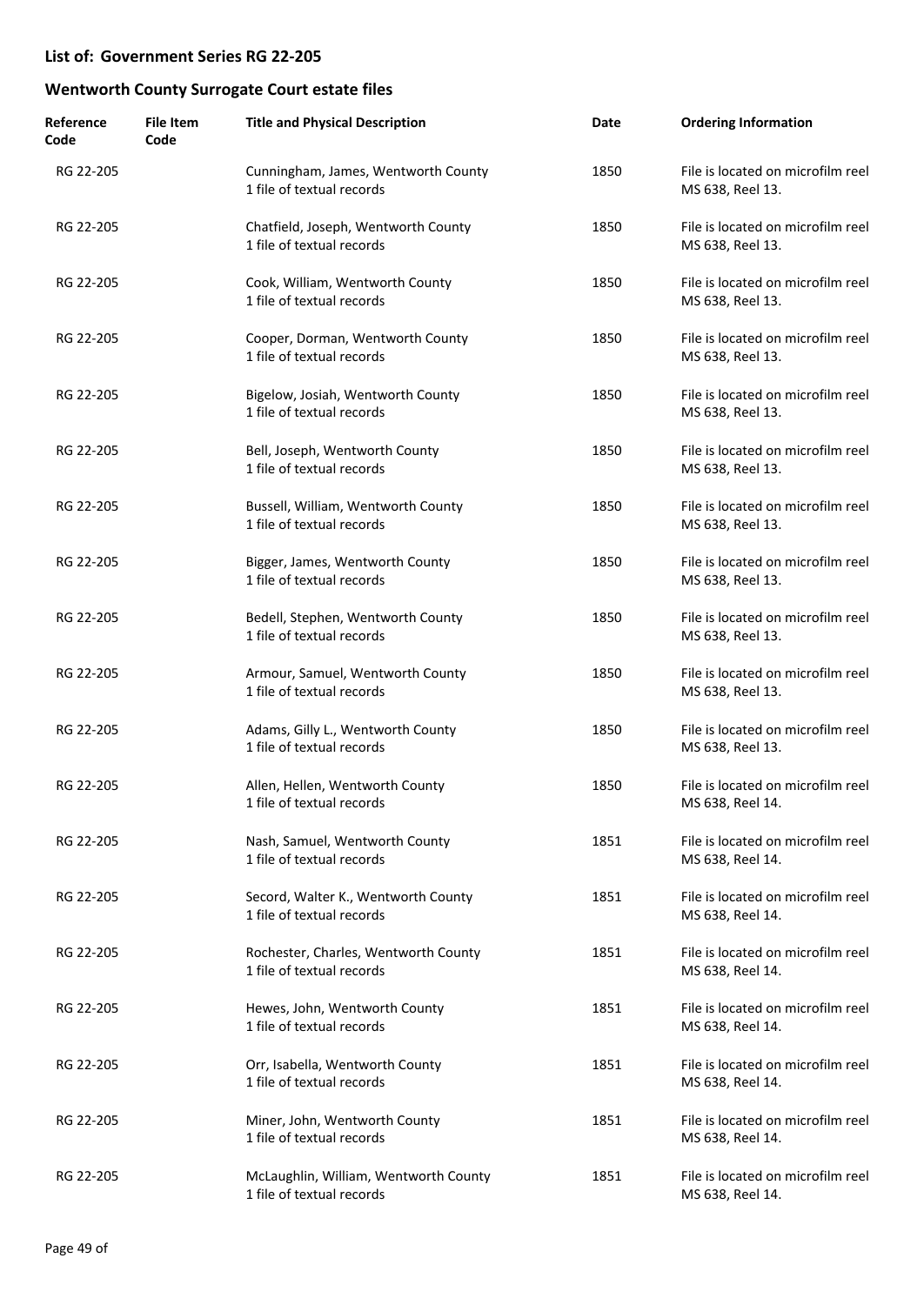| Reference<br>Code | <b>File Item</b><br>Code | <b>Title and Physical Description</b>                              | Date | <b>Ordering Information</b>                           |
|-------------------|--------------------------|--------------------------------------------------------------------|------|-------------------------------------------------------|
| RG 22-205         |                          | Cunningham, James, Wentworth County<br>1 file of textual records   | 1850 | File is located on microfilm reel<br>MS 638, Reel 13. |
| RG 22-205         |                          | Chatfield, Joseph, Wentworth County<br>1 file of textual records   | 1850 | File is located on microfilm reel<br>MS 638, Reel 13. |
| RG 22-205         |                          | Cook, William, Wentworth County<br>1 file of textual records       | 1850 | File is located on microfilm reel<br>MS 638, Reel 13. |
| RG 22-205         |                          | Cooper, Dorman, Wentworth County<br>1 file of textual records      | 1850 | File is located on microfilm reel<br>MS 638, Reel 13. |
| RG 22-205         |                          | Bigelow, Josiah, Wentworth County<br>1 file of textual records     | 1850 | File is located on microfilm reel<br>MS 638, Reel 13. |
| RG 22-205         |                          | Bell, Joseph, Wentworth County<br>1 file of textual records        | 1850 | File is located on microfilm reel<br>MS 638, Reel 13. |
| RG 22-205         |                          | Bussell, William, Wentworth County<br>1 file of textual records    | 1850 | File is located on microfilm reel<br>MS 638, Reel 13. |
| RG 22-205         |                          | Bigger, James, Wentworth County<br>1 file of textual records       | 1850 | File is located on microfilm reel<br>MS 638, Reel 13. |
| RG 22-205         |                          | Bedell, Stephen, Wentworth County<br>1 file of textual records     | 1850 | File is located on microfilm reel<br>MS 638, Reel 13. |
| RG 22-205         |                          | Armour, Samuel, Wentworth County<br>1 file of textual records      | 1850 | File is located on microfilm reel<br>MS 638, Reel 13. |
| RG 22-205         |                          | Adams, Gilly L., Wentworth County<br>1 file of textual records     | 1850 | File is located on microfilm reel<br>MS 638, Reel 13. |
| RG 22-205         |                          | Allen, Hellen, Wentworth County<br>1 file of textual records       | 1850 | File is located on microfilm reel<br>MS 638, Reel 14. |
| RG 22-205         |                          | Nash, Samuel, Wentworth County<br>1 file of textual records        | 1851 | File is located on microfilm reel<br>MS 638, Reel 14. |
| RG 22-205         |                          | Secord, Walter K., Wentworth County<br>1 file of textual records   | 1851 | File is located on microfilm reel<br>MS 638, Reel 14. |
| RG 22-205         |                          | Rochester, Charles, Wentworth County<br>1 file of textual records  | 1851 | File is located on microfilm reel<br>MS 638, Reel 14. |
| RG 22-205         |                          | Hewes, John, Wentworth County<br>1 file of textual records         | 1851 | File is located on microfilm reel<br>MS 638, Reel 14. |
| RG 22-205         |                          | Orr, Isabella, Wentworth County<br>1 file of textual records       | 1851 | File is located on microfilm reel<br>MS 638, Reel 14. |
| RG 22-205         |                          | Miner, John, Wentworth County<br>1 file of textual records         | 1851 | File is located on microfilm reel<br>MS 638, Reel 14. |
| RG 22-205         |                          | McLaughlin, William, Wentworth County<br>1 file of textual records | 1851 | File is located on microfilm reel<br>MS 638, Reel 14. |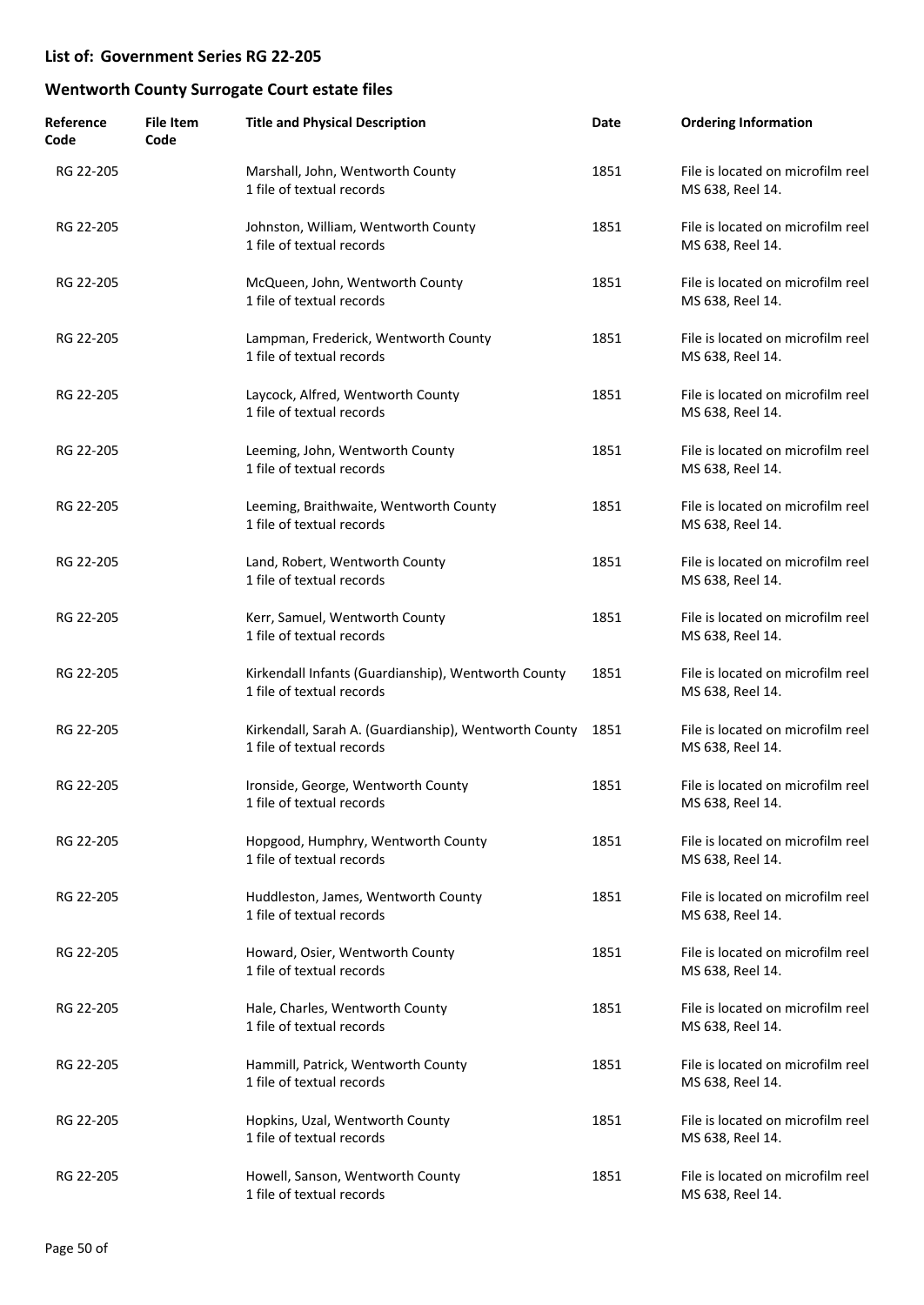| Reference<br>Code | <b>File Item</b><br>Code | <b>Title and Physical Description</b>                                              | Date | <b>Ordering Information</b>                           |
|-------------------|--------------------------|------------------------------------------------------------------------------------|------|-------------------------------------------------------|
| RG 22-205         |                          | Marshall, John, Wentworth County<br>1 file of textual records                      | 1851 | File is located on microfilm reel<br>MS 638, Reel 14. |
| RG 22-205         |                          | Johnston, William, Wentworth County<br>1 file of textual records                   | 1851 | File is located on microfilm reel<br>MS 638, Reel 14. |
| RG 22-205         |                          | McQueen, John, Wentworth County<br>1 file of textual records                       | 1851 | File is located on microfilm reel<br>MS 638, Reel 14. |
| RG 22-205         |                          | Lampman, Frederick, Wentworth County<br>1 file of textual records                  | 1851 | File is located on microfilm reel<br>MS 638, Reel 14. |
| RG 22-205         |                          | Laycock, Alfred, Wentworth County<br>1 file of textual records                     | 1851 | File is located on microfilm reel<br>MS 638, Reel 14. |
| RG 22-205         |                          | Leeming, John, Wentworth County<br>1 file of textual records                       | 1851 | File is located on microfilm reel<br>MS 638, Reel 14. |
| RG 22-205         |                          | Leeming, Braithwaite, Wentworth County<br>1 file of textual records                | 1851 | File is located on microfilm reel<br>MS 638, Reel 14. |
| RG 22-205         |                          | Land, Robert, Wentworth County<br>1 file of textual records                        | 1851 | File is located on microfilm reel<br>MS 638, Reel 14. |
| RG 22-205         |                          | Kerr, Samuel, Wentworth County<br>1 file of textual records                        | 1851 | File is located on microfilm reel<br>MS 638, Reel 14. |
| RG 22-205         |                          | Kirkendall Infants (Guardianship), Wentworth County<br>1 file of textual records   | 1851 | File is located on microfilm reel<br>MS 638, Reel 14. |
| RG 22-205         |                          | Kirkendall, Sarah A. (Guardianship), Wentworth County<br>1 file of textual records | 1851 | File is located on microfilm reel<br>MS 638, Reel 14. |
| RG 22-205         |                          | Ironside, George, Wentworth County<br>1 file of textual records                    | 1851 | File is located on microfilm reel<br>MS 638, Reel 14. |
| RG 22-205         |                          | Hopgood, Humphry, Wentworth County<br>1 file of textual records                    | 1851 | File is located on microfilm reel<br>MS 638, Reel 14. |
| RG 22-205         |                          | Huddleston, James, Wentworth County<br>1 file of textual records                   | 1851 | File is located on microfilm reel<br>MS 638, Reel 14. |
| RG 22-205         |                          | Howard, Osier, Wentworth County<br>1 file of textual records                       | 1851 | File is located on microfilm reel<br>MS 638, Reel 14. |
| RG 22-205         |                          | Hale, Charles, Wentworth County<br>1 file of textual records                       | 1851 | File is located on microfilm reel<br>MS 638, Reel 14. |
| RG 22-205         |                          | Hammill, Patrick, Wentworth County<br>1 file of textual records                    | 1851 | File is located on microfilm reel<br>MS 638, Reel 14. |
| RG 22-205         |                          | Hopkins, Uzal, Wentworth County<br>1 file of textual records                       | 1851 | File is located on microfilm reel<br>MS 638, Reel 14. |
| RG 22-205         |                          | Howell, Sanson, Wentworth County<br>1 file of textual records                      | 1851 | File is located on microfilm reel<br>MS 638, Reel 14. |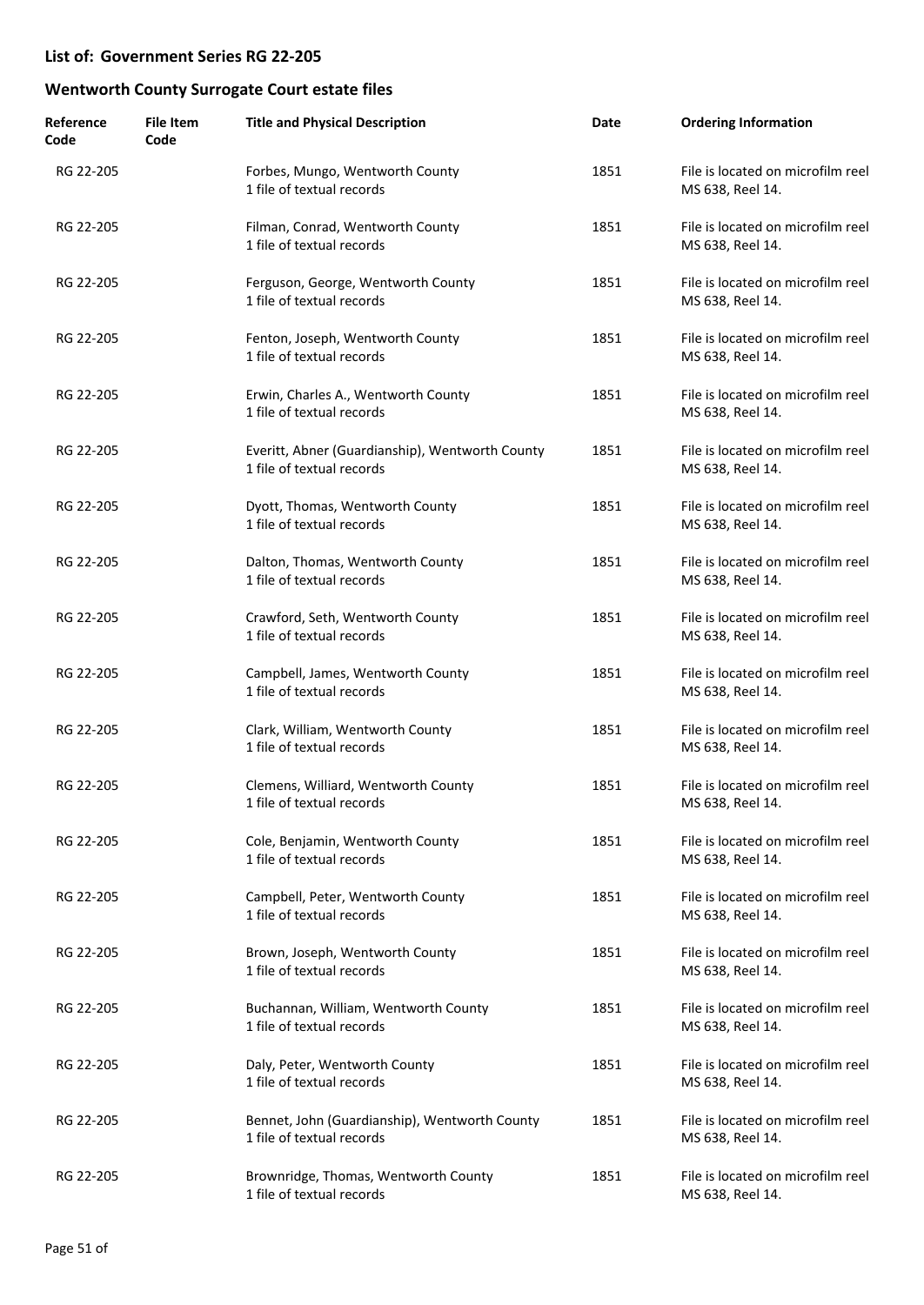| Reference<br>Code | <b>File Item</b><br>Code | <b>Title and Physical Description</b>                                        | Date | <b>Ordering Information</b>                           |
|-------------------|--------------------------|------------------------------------------------------------------------------|------|-------------------------------------------------------|
| RG 22-205         |                          | Forbes, Mungo, Wentworth County<br>1 file of textual records                 | 1851 | File is located on microfilm reel<br>MS 638, Reel 14. |
| RG 22-205         |                          | Filman, Conrad, Wentworth County<br>1 file of textual records                | 1851 | File is located on microfilm reel<br>MS 638, Reel 14. |
| RG 22-205         |                          | Ferguson, George, Wentworth County<br>1 file of textual records              | 1851 | File is located on microfilm reel<br>MS 638, Reel 14. |
| RG 22-205         |                          | Fenton, Joseph, Wentworth County<br>1 file of textual records                | 1851 | File is located on microfilm reel<br>MS 638, Reel 14. |
| RG 22-205         |                          | Erwin, Charles A., Wentworth County<br>1 file of textual records             | 1851 | File is located on microfilm reel<br>MS 638, Reel 14. |
| RG 22-205         |                          | Everitt, Abner (Guardianship), Wentworth County<br>1 file of textual records | 1851 | File is located on microfilm reel<br>MS 638, Reel 14. |
| RG 22-205         |                          | Dyott, Thomas, Wentworth County<br>1 file of textual records                 | 1851 | File is located on microfilm reel<br>MS 638, Reel 14. |
| RG 22-205         |                          | Dalton, Thomas, Wentworth County<br>1 file of textual records                | 1851 | File is located on microfilm reel<br>MS 638, Reel 14. |
| RG 22-205         |                          | Crawford, Seth, Wentworth County<br>1 file of textual records                | 1851 | File is located on microfilm reel<br>MS 638, Reel 14. |
| RG 22-205         |                          | Campbell, James, Wentworth County<br>1 file of textual records               | 1851 | File is located on microfilm reel<br>MS 638, Reel 14. |
| RG 22-205         |                          | Clark, William, Wentworth County<br>1 file of textual records                | 1851 | File is located on microfilm reel<br>MS 638, Reel 14. |
| RG 22-205         |                          | Clemens, Williard, Wentworth County<br>1 file of textual records             | 1851 | File is located on microfilm reel<br>MS 638, Reel 14. |
| RG 22-205         |                          | Cole, Benjamin, Wentworth County<br>1 file of textual records                | 1851 | File is located on microfilm reel<br>MS 638, Reel 14. |
| RG 22-205         |                          | Campbell, Peter, Wentworth County<br>1 file of textual records               | 1851 | File is located on microfilm reel<br>MS 638, Reel 14. |
| RG 22-205         |                          | Brown, Joseph, Wentworth County<br>1 file of textual records                 | 1851 | File is located on microfilm reel<br>MS 638, Reel 14. |
| RG 22-205         |                          | Buchannan, William, Wentworth County<br>1 file of textual records            | 1851 | File is located on microfilm reel<br>MS 638, Reel 14. |
| RG 22-205         |                          | Daly, Peter, Wentworth County<br>1 file of textual records                   | 1851 | File is located on microfilm reel<br>MS 638, Reel 14. |
| RG 22-205         |                          | Bennet, John (Guardianship), Wentworth County<br>1 file of textual records   | 1851 | File is located on microfilm reel<br>MS 638, Reel 14. |
| RG 22-205         |                          | Brownridge, Thomas, Wentworth County<br>1 file of textual records            | 1851 | File is located on microfilm reel<br>MS 638, Reel 14. |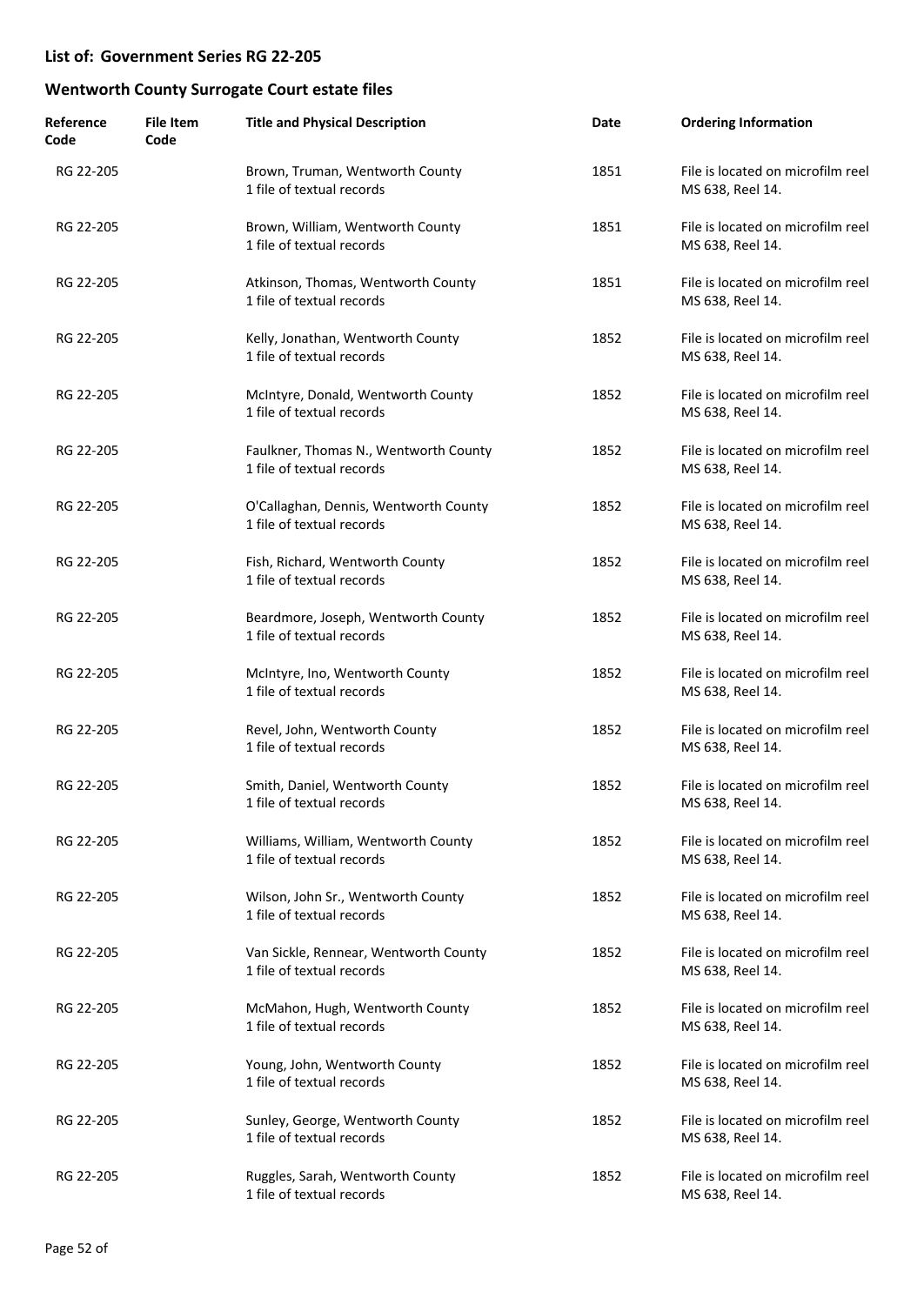| Reference<br>Code | <b>File Item</b><br>Code | <b>Title and Physical Description</b>                              | Date | <b>Ordering Information</b>                           |
|-------------------|--------------------------|--------------------------------------------------------------------|------|-------------------------------------------------------|
| RG 22-205         |                          | Brown, Truman, Wentworth County<br>1 file of textual records       | 1851 | File is located on microfilm reel<br>MS 638, Reel 14. |
| RG 22-205         |                          | Brown, William, Wentworth County<br>1 file of textual records      | 1851 | File is located on microfilm reel<br>MS 638, Reel 14. |
| RG 22-205         |                          | Atkinson, Thomas, Wentworth County<br>1 file of textual records    | 1851 | File is located on microfilm reel<br>MS 638, Reel 14. |
| RG 22-205         |                          | Kelly, Jonathan, Wentworth County<br>1 file of textual records     | 1852 | File is located on microfilm reel<br>MS 638, Reel 14. |
| RG 22-205         |                          | McIntyre, Donald, Wentworth County<br>1 file of textual records    | 1852 | File is located on microfilm reel<br>MS 638, Reel 14. |
| RG 22-205         |                          | Faulkner, Thomas N., Wentworth County<br>1 file of textual records | 1852 | File is located on microfilm reel<br>MS 638, Reel 14. |
| RG 22-205         |                          | O'Callaghan, Dennis, Wentworth County<br>1 file of textual records | 1852 | File is located on microfilm reel<br>MS 638, Reel 14. |
| RG 22-205         |                          | Fish, Richard, Wentworth County<br>1 file of textual records       | 1852 | File is located on microfilm reel<br>MS 638, Reel 14. |
| RG 22-205         |                          | Beardmore, Joseph, Wentworth County<br>1 file of textual records   | 1852 | File is located on microfilm reel<br>MS 638, Reel 14. |
| RG 22-205         |                          | McIntyre, Ino, Wentworth County<br>1 file of textual records       | 1852 | File is located on microfilm reel<br>MS 638, Reel 14. |
| RG 22-205         |                          | Revel, John, Wentworth County<br>1 file of textual records         | 1852 | File is located on microfilm reel<br>MS 638, Reel 14. |
| RG 22-205         |                          | Smith, Daniel, Wentworth County<br>1 file of textual records       | 1852 | File is located on microfilm reel<br>MS 638, Reel 14. |
| RG 22-205         |                          | Williams, William, Wentworth County<br>1 file of textual records   | 1852 | File is located on microfilm reel<br>MS 638, Reel 14. |
| RG 22-205         |                          | Wilson, John Sr., Wentworth County<br>1 file of textual records    | 1852 | File is located on microfilm reel<br>MS 638, Reel 14. |
| RG 22-205         |                          | Van Sickle, Rennear, Wentworth County<br>1 file of textual records | 1852 | File is located on microfilm reel<br>MS 638, Reel 14. |
| RG 22-205         |                          | McMahon, Hugh, Wentworth County<br>1 file of textual records       | 1852 | File is located on microfilm reel<br>MS 638, Reel 14. |
| RG 22-205         |                          | Young, John, Wentworth County<br>1 file of textual records         | 1852 | File is located on microfilm reel<br>MS 638, Reel 14. |
| RG 22-205         |                          | Sunley, George, Wentworth County<br>1 file of textual records      | 1852 | File is located on microfilm reel<br>MS 638, Reel 14. |
| RG 22-205         |                          | Ruggles, Sarah, Wentworth County<br>1 file of textual records      | 1852 | File is located on microfilm reel<br>MS 638, Reel 14. |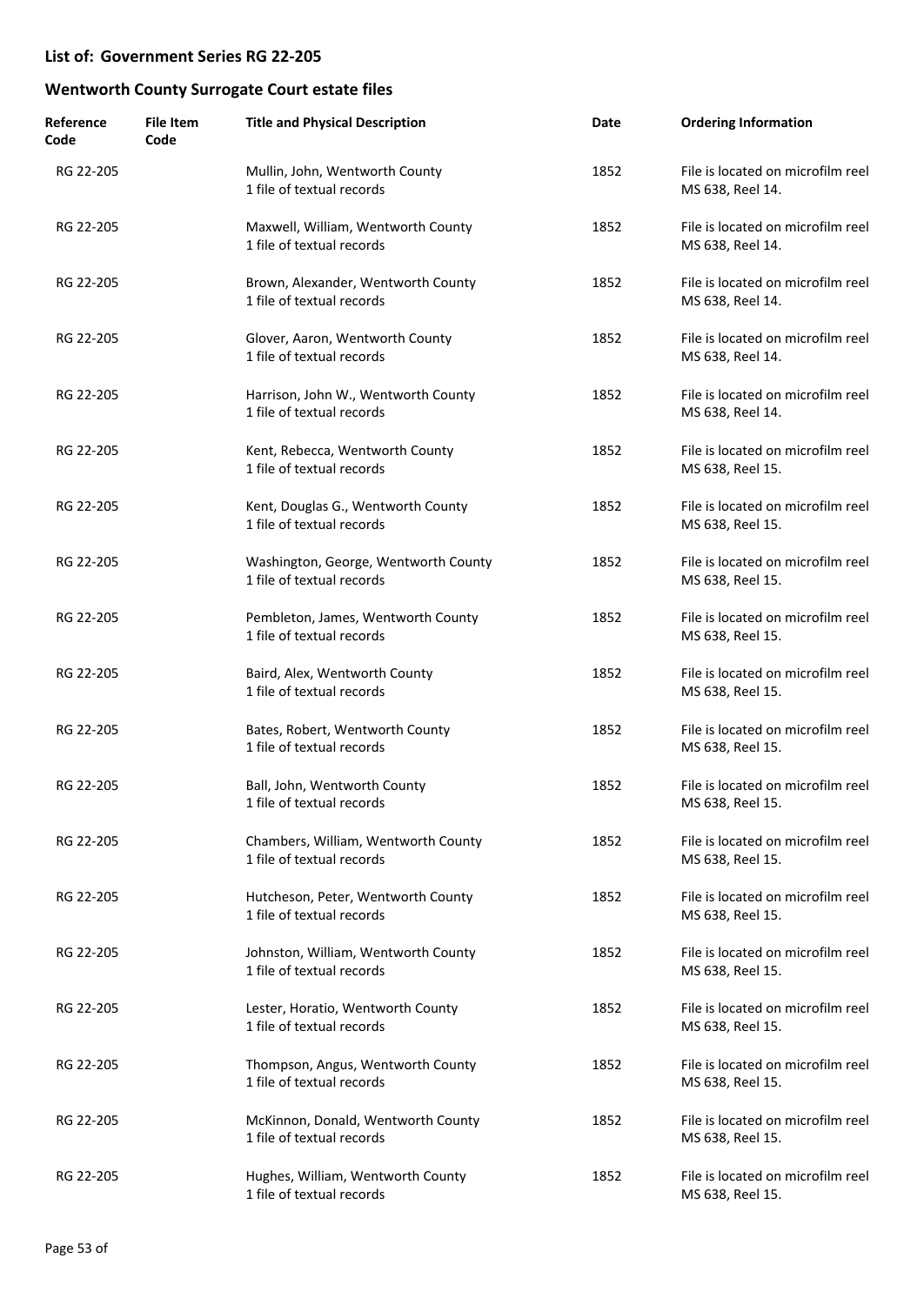| Reference<br>Code | <b>File Item</b><br>Code | <b>Title and Physical Description</b>                             | Date | <b>Ordering Information</b>                           |
|-------------------|--------------------------|-------------------------------------------------------------------|------|-------------------------------------------------------|
| RG 22-205         |                          | Mullin, John, Wentworth County<br>1 file of textual records       | 1852 | File is located on microfilm reel<br>MS 638, Reel 14. |
| RG 22-205         |                          | Maxwell, William, Wentworth County<br>1 file of textual records   | 1852 | File is located on microfilm reel<br>MS 638, Reel 14. |
| RG 22-205         |                          | Brown, Alexander, Wentworth County<br>1 file of textual records   | 1852 | File is located on microfilm reel<br>MS 638, Reel 14. |
| RG 22-205         |                          | Glover, Aaron, Wentworth County<br>1 file of textual records      | 1852 | File is located on microfilm reel<br>MS 638, Reel 14. |
| RG 22-205         |                          | Harrison, John W., Wentworth County<br>1 file of textual records  | 1852 | File is located on microfilm reel<br>MS 638, Reel 14. |
| RG 22-205         |                          | Kent, Rebecca, Wentworth County<br>1 file of textual records      | 1852 | File is located on microfilm reel<br>MS 638, Reel 15. |
| RG 22-205         |                          | Kent, Douglas G., Wentworth County<br>1 file of textual records   | 1852 | File is located on microfilm reel<br>MS 638, Reel 15. |
| RG 22-205         |                          | Washington, George, Wentworth County<br>1 file of textual records | 1852 | File is located on microfilm reel<br>MS 638, Reel 15. |
| RG 22-205         |                          | Pembleton, James, Wentworth County<br>1 file of textual records   | 1852 | File is located on microfilm reel<br>MS 638, Reel 15. |
| RG 22-205         |                          | Baird, Alex, Wentworth County<br>1 file of textual records        | 1852 | File is located on microfilm reel<br>MS 638, Reel 15. |
| RG 22-205         |                          | Bates, Robert, Wentworth County<br>1 file of textual records      | 1852 | File is located on microfilm reel<br>MS 638, Reel 15. |
| RG 22-205         |                          | Ball, John, Wentworth County<br>1 file of textual records         | 1852 | File is located on microfilm reel<br>MS 638, Reel 15. |
| RG 22-205         |                          | Chambers, William, Wentworth County<br>1 file of textual records  | 1852 | File is located on microfilm reel<br>MS 638, Reel 15. |
| RG 22-205         |                          | Hutcheson, Peter, Wentworth County<br>1 file of textual records   | 1852 | File is located on microfilm reel<br>MS 638, Reel 15. |
| RG 22-205         |                          | Johnston, William, Wentworth County<br>1 file of textual records  | 1852 | File is located on microfilm reel<br>MS 638, Reel 15. |
| RG 22-205         |                          | Lester, Horatio, Wentworth County<br>1 file of textual records    | 1852 | File is located on microfilm reel<br>MS 638, Reel 15. |
| RG 22-205         |                          | Thompson, Angus, Wentworth County<br>1 file of textual records    | 1852 | File is located on microfilm reel<br>MS 638, Reel 15. |
| RG 22-205         |                          | McKinnon, Donald, Wentworth County<br>1 file of textual records   | 1852 | File is located on microfilm reel<br>MS 638, Reel 15. |
| RG 22-205         |                          | Hughes, William, Wentworth County<br>1 file of textual records    | 1852 | File is located on microfilm reel<br>MS 638, Reel 15. |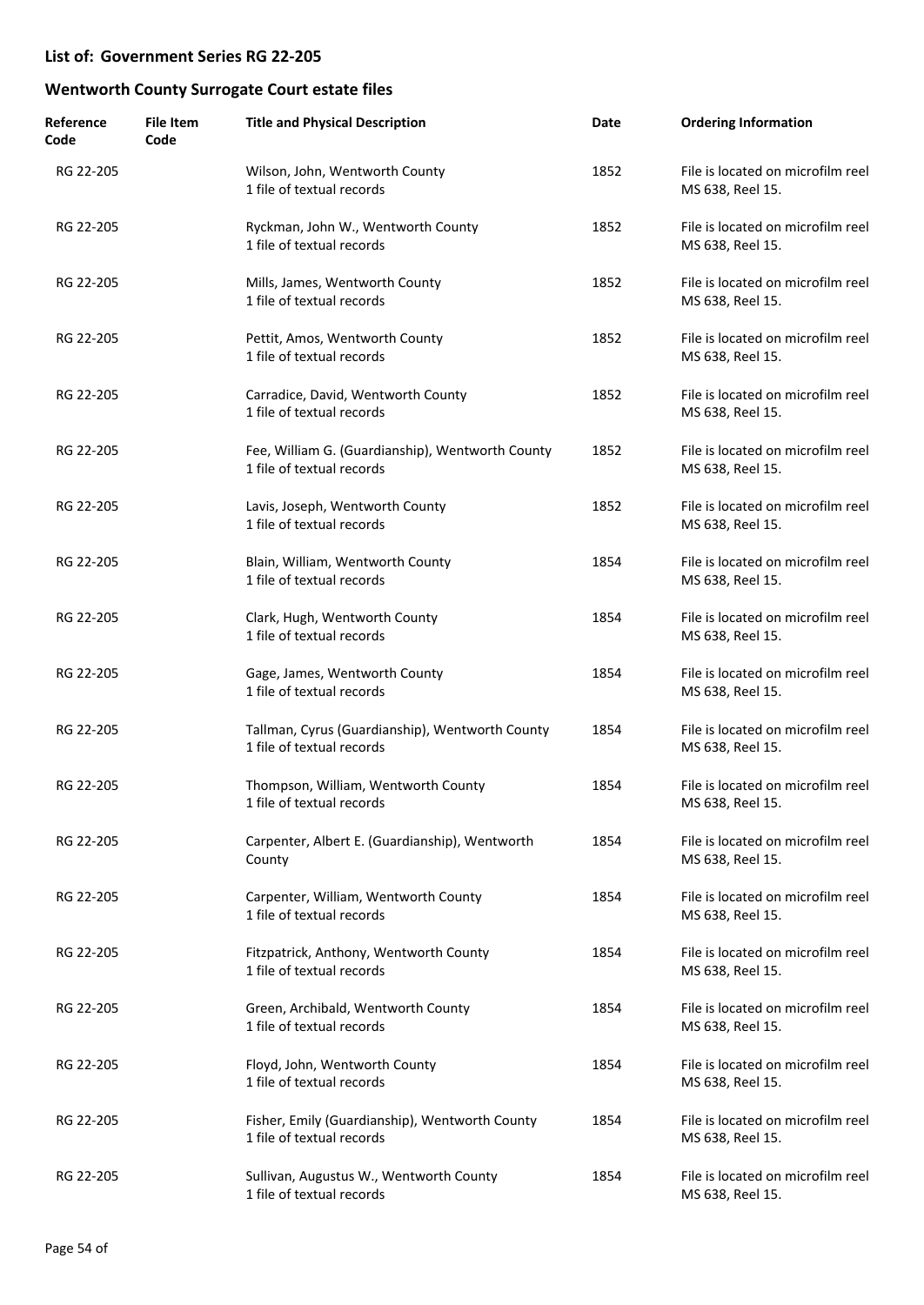| Reference<br>Code | <b>File Item</b><br>Code | <b>Title and Physical Description</b>                                         | Date | <b>Ordering Information</b>                           |
|-------------------|--------------------------|-------------------------------------------------------------------------------|------|-------------------------------------------------------|
| RG 22-205         |                          | Wilson, John, Wentworth County<br>1 file of textual records                   | 1852 | File is located on microfilm reel<br>MS 638, Reel 15. |
| RG 22-205         |                          | Ryckman, John W., Wentworth County<br>1 file of textual records               | 1852 | File is located on microfilm reel<br>MS 638, Reel 15. |
| RG 22-205         |                          | Mills, James, Wentworth County<br>1 file of textual records                   | 1852 | File is located on microfilm reel<br>MS 638, Reel 15. |
| RG 22-205         |                          | Pettit, Amos, Wentworth County<br>1 file of textual records                   | 1852 | File is located on microfilm reel<br>MS 638, Reel 15. |
| RG 22-205         |                          | Carradice, David, Wentworth County<br>1 file of textual records               | 1852 | File is located on microfilm reel<br>MS 638, Reel 15. |
| RG 22-205         |                          | Fee, William G. (Guardianship), Wentworth County<br>1 file of textual records | 1852 | File is located on microfilm reel<br>MS 638, Reel 15. |
| RG 22-205         |                          | Lavis, Joseph, Wentworth County<br>1 file of textual records                  | 1852 | File is located on microfilm reel<br>MS 638, Reel 15. |
| RG 22-205         |                          | Blain, William, Wentworth County<br>1 file of textual records                 | 1854 | File is located on microfilm reel<br>MS 638, Reel 15. |
| RG 22-205         |                          | Clark, Hugh, Wentworth County<br>1 file of textual records                    | 1854 | File is located on microfilm reel<br>MS 638, Reel 15. |
| RG 22-205         |                          | Gage, James, Wentworth County<br>1 file of textual records                    | 1854 | File is located on microfilm reel<br>MS 638, Reel 15. |
| RG 22-205         |                          | Tallman, Cyrus (Guardianship), Wentworth County<br>1 file of textual records  | 1854 | File is located on microfilm reel<br>MS 638, Reel 15. |
| RG 22-205         |                          | Thompson, William, Wentworth County<br>1 file of textual records              | 1854 | File is located on microfilm reel<br>MS 638, Reel 15. |
| RG 22-205         |                          | Carpenter, Albert E. (Guardianship), Wentworth<br>County                      | 1854 | File is located on microfilm reel<br>MS 638, Reel 15. |
| RG 22-205         |                          | Carpenter, William, Wentworth County<br>1 file of textual records             | 1854 | File is located on microfilm reel<br>MS 638, Reel 15. |
| RG 22-205         |                          | Fitzpatrick, Anthony, Wentworth County<br>1 file of textual records           | 1854 | File is located on microfilm reel<br>MS 638, Reel 15. |
| RG 22-205         |                          | Green, Archibald, Wentworth County<br>1 file of textual records               | 1854 | File is located on microfilm reel<br>MS 638, Reel 15. |
| RG 22-205         |                          | Floyd, John, Wentworth County<br>1 file of textual records                    | 1854 | File is located on microfilm reel<br>MS 638, Reel 15. |
| RG 22-205         |                          | Fisher, Emily (Guardianship), Wentworth County<br>1 file of textual records   | 1854 | File is located on microfilm reel<br>MS 638, Reel 15. |
| RG 22-205         |                          | Sullivan, Augustus W., Wentworth County<br>1 file of textual records          | 1854 | File is located on microfilm reel<br>MS 638, Reel 15. |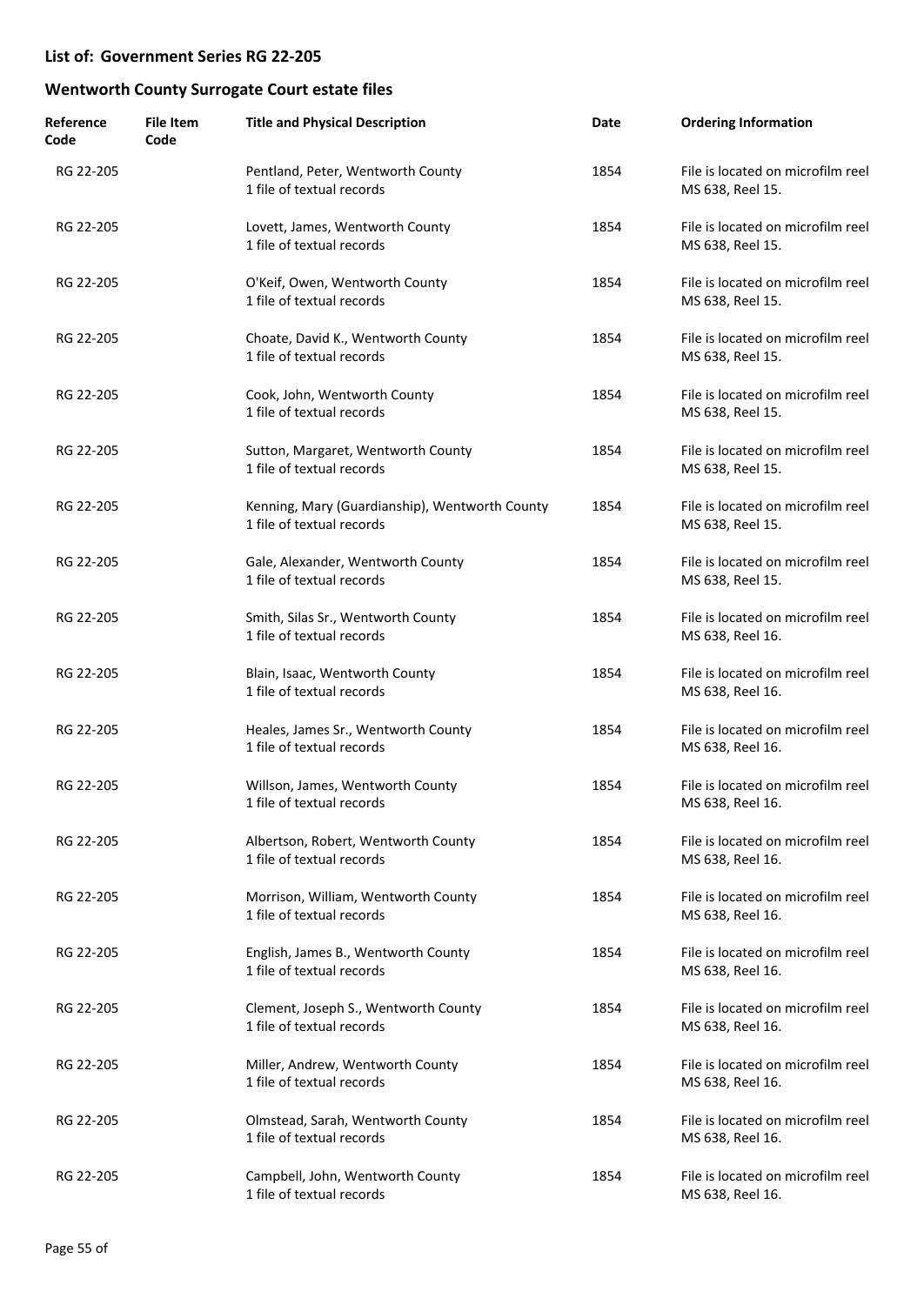| Reference<br>Code | <b>File Item</b><br>Code | <b>Title and Physical Description</b>                                       | Date | <b>Ordering Information</b>                           |
|-------------------|--------------------------|-----------------------------------------------------------------------------|------|-------------------------------------------------------|
| RG 22-205         |                          | Pentland, Peter, Wentworth County<br>1 file of textual records              | 1854 | File is located on microfilm reel<br>MS 638, Reel 15. |
| RG 22-205         |                          | Lovett, James, Wentworth County<br>1 file of textual records                | 1854 | File is located on microfilm reel<br>MS 638, Reel 15. |
| RG 22-205         |                          | O'Keif, Owen, Wentworth County<br>1 file of textual records                 | 1854 | File is located on microfilm reel<br>MS 638, Reel 15. |
| RG 22-205         |                          | Choate, David K., Wentworth County<br>1 file of textual records             | 1854 | File is located on microfilm reel<br>MS 638, Reel 15. |
| RG 22-205         |                          | Cook, John, Wentworth County<br>1 file of textual records                   | 1854 | File is located on microfilm reel<br>MS 638, Reel 15. |
| RG 22-205         |                          | Sutton, Margaret, Wentworth County<br>1 file of textual records             | 1854 | File is located on microfilm reel<br>MS 638, Reel 15. |
| RG 22-205         |                          | Kenning, Mary (Guardianship), Wentworth County<br>1 file of textual records | 1854 | File is located on microfilm reel<br>MS 638, Reel 15. |
| RG 22-205         |                          | Gale, Alexander, Wentworth County<br>1 file of textual records              | 1854 | File is located on microfilm reel<br>MS 638, Reel 15. |
| RG 22-205         |                          | Smith, Silas Sr., Wentworth County<br>1 file of textual records             | 1854 | File is located on microfilm reel<br>MS 638, Reel 16. |
| RG 22-205         |                          | Blain, Isaac, Wentworth County<br>1 file of textual records                 | 1854 | File is located on microfilm reel<br>MS 638, Reel 16. |
| RG 22-205         |                          | Heales, James Sr., Wentworth County<br>1 file of textual records            | 1854 | File is located on microfilm reel<br>MS 638, Reel 16. |
| RG 22-205         |                          | Willson, James, Wentworth County<br>1 file of textual records               | 1854 | File is located on microfilm reel<br>MS 638, Reel 16. |
| RG 22-205         |                          | Albertson, Robert, Wentworth County<br>1 file of textual records            | 1854 | File is located on microfilm reel<br>MS 638, Reel 16. |
| RG 22-205         |                          | Morrison, William, Wentworth County<br>1 file of textual records            | 1854 | File is located on microfilm reel<br>MS 638, Reel 16. |
| RG 22-205         |                          | English, James B., Wentworth County<br>1 file of textual records            | 1854 | File is located on microfilm reel<br>MS 638, Reel 16. |
| RG 22-205         |                          | Clement, Joseph S., Wentworth County<br>1 file of textual records           | 1854 | File is located on microfilm reel<br>MS 638, Reel 16. |
| RG 22-205         |                          | Miller, Andrew, Wentworth County<br>1 file of textual records               | 1854 | File is located on microfilm reel<br>MS 638, Reel 16. |
| RG 22-205         |                          | Olmstead, Sarah, Wentworth County<br>1 file of textual records              | 1854 | File is located on microfilm reel<br>MS 638, Reel 16. |
| RG 22-205         |                          | Campbell, John, Wentworth County<br>1 file of textual records               | 1854 | File is located on microfilm reel<br>MS 638, Reel 16. |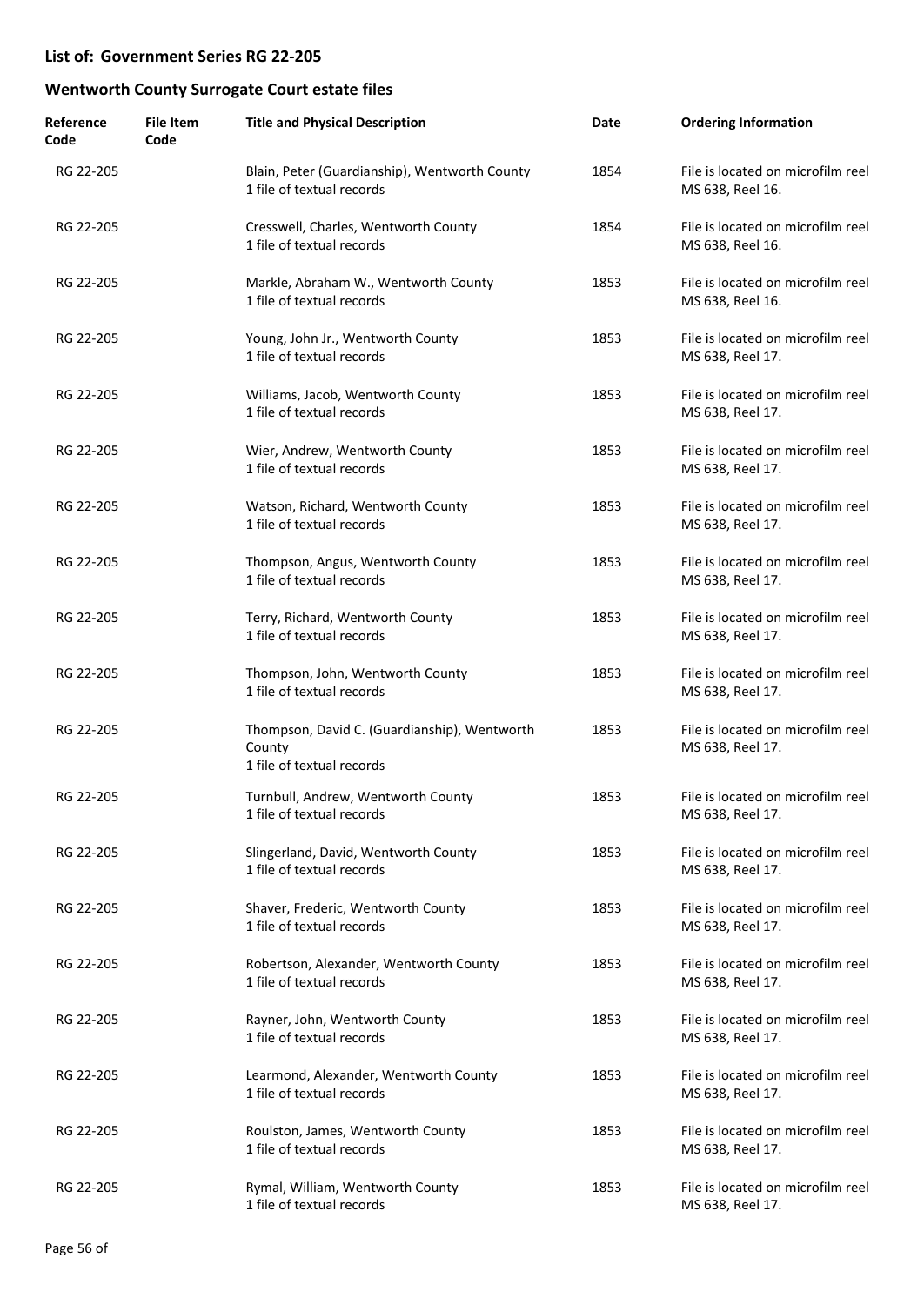| Reference<br>Code | <b>File Item</b><br>Code | <b>Title and Physical Description</b>                                               | Date | <b>Ordering Information</b>                           |
|-------------------|--------------------------|-------------------------------------------------------------------------------------|------|-------------------------------------------------------|
| RG 22-205         |                          | Blain, Peter (Guardianship), Wentworth County<br>1 file of textual records          | 1854 | File is located on microfilm reel<br>MS 638, Reel 16. |
| RG 22-205         |                          | Cresswell, Charles, Wentworth County<br>1 file of textual records                   | 1854 | File is located on microfilm reel<br>MS 638, Reel 16. |
| RG 22-205         |                          | Markle, Abraham W., Wentworth County<br>1 file of textual records                   | 1853 | File is located on microfilm reel<br>MS 638, Reel 16. |
| RG 22-205         |                          | Young, John Jr., Wentworth County<br>1 file of textual records                      | 1853 | File is located on microfilm reel<br>MS 638, Reel 17. |
| RG 22-205         |                          | Williams, Jacob, Wentworth County<br>1 file of textual records                      | 1853 | File is located on microfilm reel<br>MS 638, Reel 17. |
| RG 22-205         |                          | Wier, Andrew, Wentworth County<br>1 file of textual records                         | 1853 | File is located on microfilm reel<br>MS 638, Reel 17. |
| RG 22-205         |                          | Watson, Richard, Wentworth County<br>1 file of textual records                      | 1853 | File is located on microfilm reel<br>MS 638, Reel 17. |
| RG 22-205         |                          | Thompson, Angus, Wentworth County<br>1 file of textual records                      | 1853 | File is located on microfilm reel<br>MS 638, Reel 17. |
| RG 22-205         |                          | Terry, Richard, Wentworth County<br>1 file of textual records                       | 1853 | File is located on microfilm reel<br>MS 638, Reel 17. |
| RG 22-205         |                          | Thompson, John, Wentworth County<br>1 file of textual records                       | 1853 | File is located on microfilm reel<br>MS 638, Reel 17. |
| RG 22-205         |                          | Thompson, David C. (Guardianship), Wentworth<br>County<br>1 file of textual records | 1853 | File is located on microfilm reel<br>MS 638, Reel 17. |
| RG 22-205         |                          | Turnbull, Andrew, Wentworth County<br>1 file of textual records                     | 1853 | File is located on microfilm reel<br>MS 638, Reel 17. |
| RG 22-205         |                          | Slingerland, David, Wentworth County<br>1 file of textual records                   | 1853 | File is located on microfilm reel<br>MS 638, Reel 17. |
| RG 22-205         |                          | Shaver, Frederic, Wentworth County<br>1 file of textual records                     | 1853 | File is located on microfilm reel<br>MS 638, Reel 17. |
| RG 22-205         |                          | Robertson, Alexander, Wentworth County<br>1 file of textual records                 | 1853 | File is located on microfilm reel<br>MS 638, Reel 17. |
| RG 22-205         |                          | Rayner, John, Wentworth County<br>1 file of textual records                         | 1853 | File is located on microfilm reel<br>MS 638, Reel 17. |
| RG 22-205         |                          | Learmond, Alexander, Wentworth County<br>1 file of textual records                  | 1853 | File is located on microfilm reel<br>MS 638, Reel 17. |
| RG 22-205         |                          | Roulston, James, Wentworth County<br>1 file of textual records                      | 1853 | File is located on microfilm reel<br>MS 638, Reel 17. |
| RG 22-205         |                          | Rymal, William, Wentworth County<br>1 file of textual records                       | 1853 | File is located on microfilm reel<br>MS 638, Reel 17. |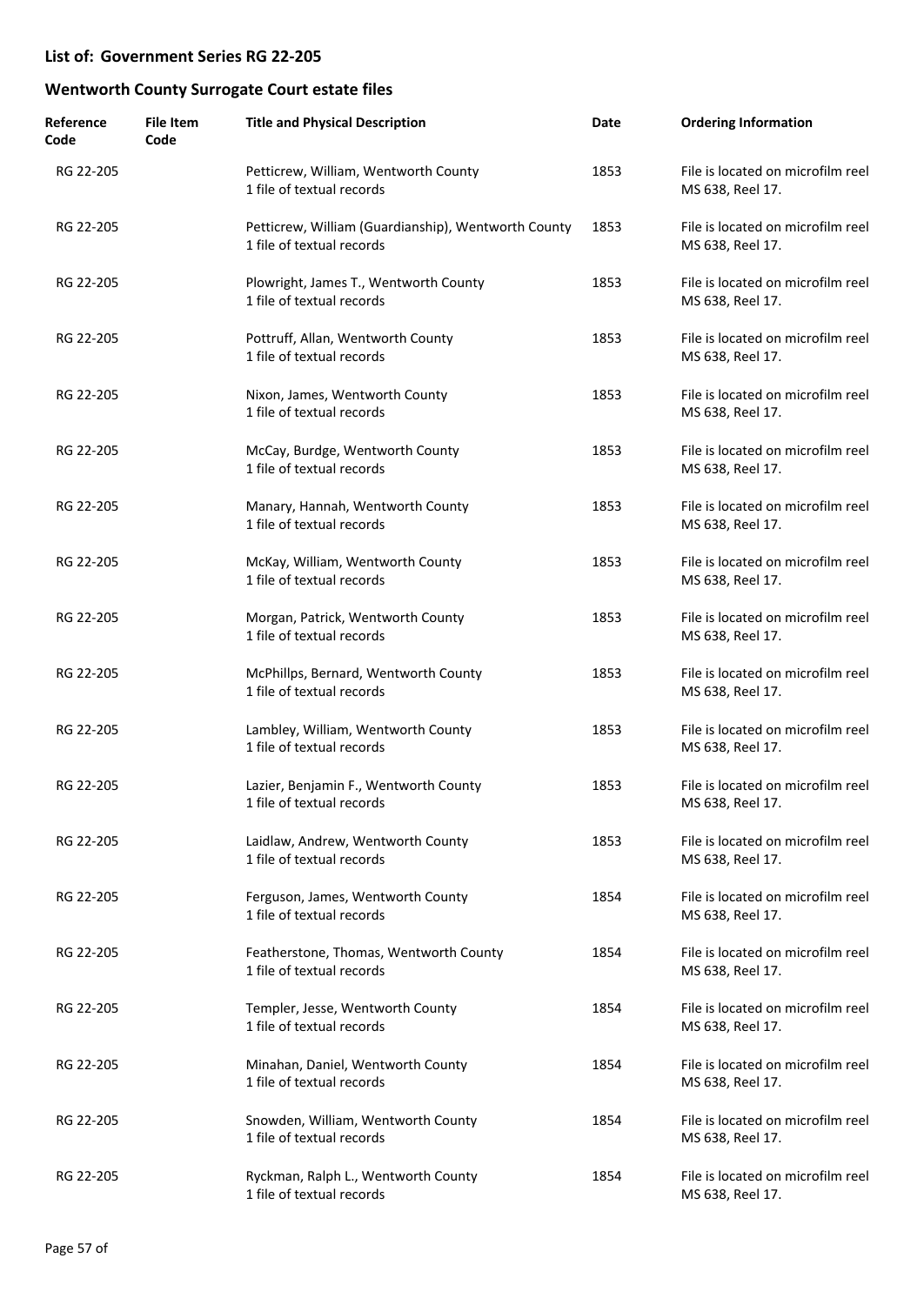| Reference<br>Code | <b>File Item</b><br>Code | <b>Title and Physical Description</b>                                            | Date | <b>Ordering Information</b>                           |
|-------------------|--------------------------|----------------------------------------------------------------------------------|------|-------------------------------------------------------|
| RG 22-205         |                          | Petticrew, William, Wentworth County<br>1 file of textual records                | 1853 | File is located on microfilm reel<br>MS 638, Reel 17. |
| RG 22-205         |                          | Petticrew, William (Guardianship), Wentworth County<br>1 file of textual records | 1853 | File is located on microfilm reel<br>MS 638, Reel 17. |
| RG 22-205         |                          | Plowright, James T., Wentworth County<br>1 file of textual records               | 1853 | File is located on microfilm reel<br>MS 638, Reel 17. |
| RG 22-205         |                          | Pottruff, Allan, Wentworth County<br>1 file of textual records                   | 1853 | File is located on microfilm reel<br>MS 638, Reel 17. |
| RG 22-205         |                          | Nixon, James, Wentworth County<br>1 file of textual records                      | 1853 | File is located on microfilm reel<br>MS 638, Reel 17. |
| RG 22-205         |                          | McCay, Burdge, Wentworth County<br>1 file of textual records                     | 1853 | File is located on microfilm reel<br>MS 638, Reel 17. |
| RG 22-205         |                          | Manary, Hannah, Wentworth County<br>1 file of textual records                    | 1853 | File is located on microfilm reel<br>MS 638, Reel 17. |
| RG 22-205         |                          | McKay, William, Wentworth County<br>1 file of textual records                    | 1853 | File is located on microfilm reel<br>MS 638, Reel 17. |
| RG 22-205         |                          | Morgan, Patrick, Wentworth County<br>1 file of textual records                   | 1853 | File is located on microfilm reel<br>MS 638, Reel 17. |
| RG 22-205         |                          | McPhillps, Bernard, Wentworth County<br>1 file of textual records                | 1853 | File is located on microfilm reel<br>MS 638, Reel 17. |
| RG 22-205         |                          | Lambley, William, Wentworth County<br>1 file of textual records                  | 1853 | File is located on microfilm reel<br>MS 638, Reel 17. |
| RG 22-205         |                          | Lazier, Benjamin F., Wentworth County<br>1 file of textual records               | 1853 | File is located on microfilm reel<br>MS 638, Reel 17. |
| RG 22-205         |                          | Laidlaw, Andrew, Wentworth County<br>1 file of textual records                   | 1853 | File is located on microfilm reel<br>MS 638, Reel 17. |
| RG 22-205         |                          | Ferguson, James, Wentworth County<br>1 file of textual records                   | 1854 | File is located on microfilm reel<br>MS 638, Reel 17. |
| RG 22-205         |                          | Featherstone, Thomas, Wentworth County<br>1 file of textual records              | 1854 | File is located on microfilm reel<br>MS 638, Reel 17. |
| RG 22-205         |                          | Templer, Jesse, Wentworth County<br>1 file of textual records                    | 1854 | File is located on microfilm reel<br>MS 638, Reel 17. |
| RG 22-205         |                          | Minahan, Daniel, Wentworth County<br>1 file of textual records                   | 1854 | File is located on microfilm reel<br>MS 638, Reel 17. |
| RG 22-205         |                          | Snowden, William, Wentworth County<br>1 file of textual records                  | 1854 | File is located on microfilm reel<br>MS 638, Reel 17. |
| RG 22-205         |                          | Ryckman, Ralph L., Wentworth County<br>1 file of textual records                 | 1854 | File is located on microfilm reel<br>MS 638, Reel 17. |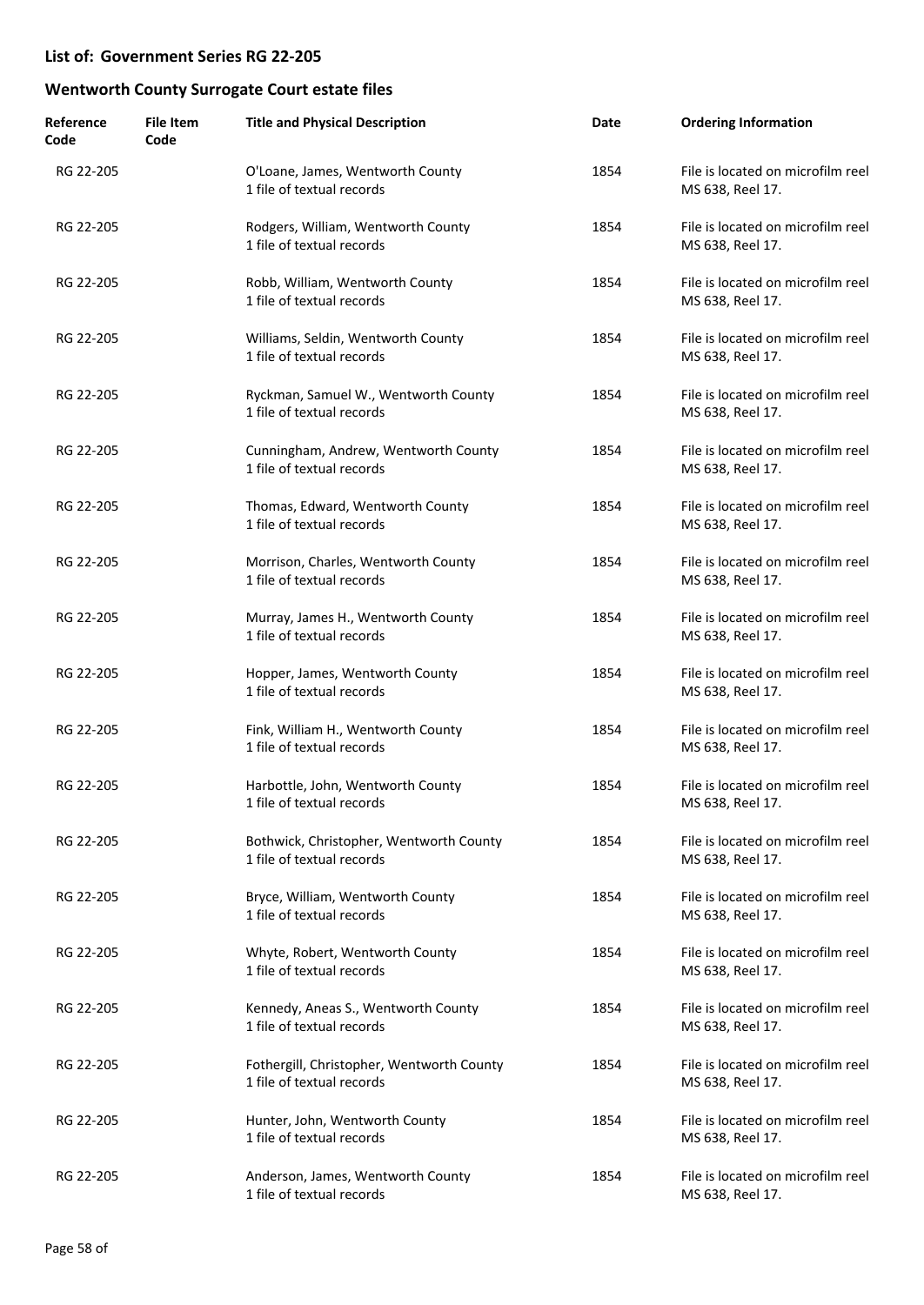| Reference<br>Code | <b>File Item</b><br>Code | <b>Title and Physical Description</b>                                  | Date | <b>Ordering Information</b>                           |
|-------------------|--------------------------|------------------------------------------------------------------------|------|-------------------------------------------------------|
| RG 22-205         |                          | O'Loane, James, Wentworth County<br>1 file of textual records          | 1854 | File is located on microfilm reel<br>MS 638, Reel 17. |
| RG 22-205         |                          | Rodgers, William, Wentworth County<br>1 file of textual records        | 1854 | File is located on microfilm reel<br>MS 638, Reel 17. |
| RG 22-205         |                          | Robb, William, Wentworth County<br>1 file of textual records           | 1854 | File is located on microfilm reel<br>MS 638, Reel 17. |
| RG 22-205         |                          | Williams, Seldin, Wentworth County<br>1 file of textual records        | 1854 | File is located on microfilm reel<br>MS 638, Reel 17. |
| RG 22-205         |                          | Ryckman, Samuel W., Wentworth County<br>1 file of textual records      | 1854 | File is located on microfilm reel<br>MS 638, Reel 17. |
| RG 22-205         |                          | Cunningham, Andrew, Wentworth County<br>1 file of textual records      | 1854 | File is located on microfilm reel<br>MS 638, Reel 17. |
| RG 22-205         |                          | Thomas, Edward, Wentworth County<br>1 file of textual records          | 1854 | File is located on microfilm reel<br>MS 638, Reel 17. |
| RG 22-205         |                          | Morrison, Charles, Wentworth County<br>1 file of textual records       | 1854 | File is located on microfilm reel<br>MS 638, Reel 17. |
| RG 22-205         |                          | Murray, James H., Wentworth County<br>1 file of textual records        | 1854 | File is located on microfilm reel<br>MS 638, Reel 17. |
| RG 22-205         |                          | Hopper, James, Wentworth County<br>1 file of textual records           | 1854 | File is located on microfilm reel<br>MS 638, Reel 17. |
| RG 22-205         |                          | Fink, William H., Wentworth County<br>1 file of textual records        | 1854 | File is located on microfilm reel<br>MS 638, Reel 17. |
| RG 22-205         |                          | Harbottle, John, Wentworth County<br>1 file of textual records         | 1854 | File is located on microfilm reel<br>MS 638, Reel 17. |
| RG 22-205         |                          | Bothwick, Christopher, Wentworth County<br>1 file of textual records   | 1854 | File is located on microfilm reel<br>MS 638, Reel 17. |
| RG 22-205         |                          | Bryce, William, Wentworth County<br>1 file of textual records          | 1854 | File is located on microfilm reel<br>MS 638, Reel 17. |
| RG 22-205         |                          | Whyte, Robert, Wentworth County<br>1 file of textual records           | 1854 | File is located on microfilm reel<br>MS 638, Reel 17. |
| RG 22-205         |                          | Kennedy, Aneas S., Wentworth County<br>1 file of textual records       | 1854 | File is located on microfilm reel<br>MS 638, Reel 17. |
| RG 22-205         |                          | Fothergill, Christopher, Wentworth County<br>1 file of textual records | 1854 | File is located on microfilm reel<br>MS 638, Reel 17. |
| RG 22-205         |                          | Hunter, John, Wentworth County<br>1 file of textual records            | 1854 | File is located on microfilm reel<br>MS 638, Reel 17. |
| RG 22-205         |                          | Anderson, James, Wentworth County<br>1 file of textual records         | 1854 | File is located on microfilm reel<br>MS 638, Reel 17. |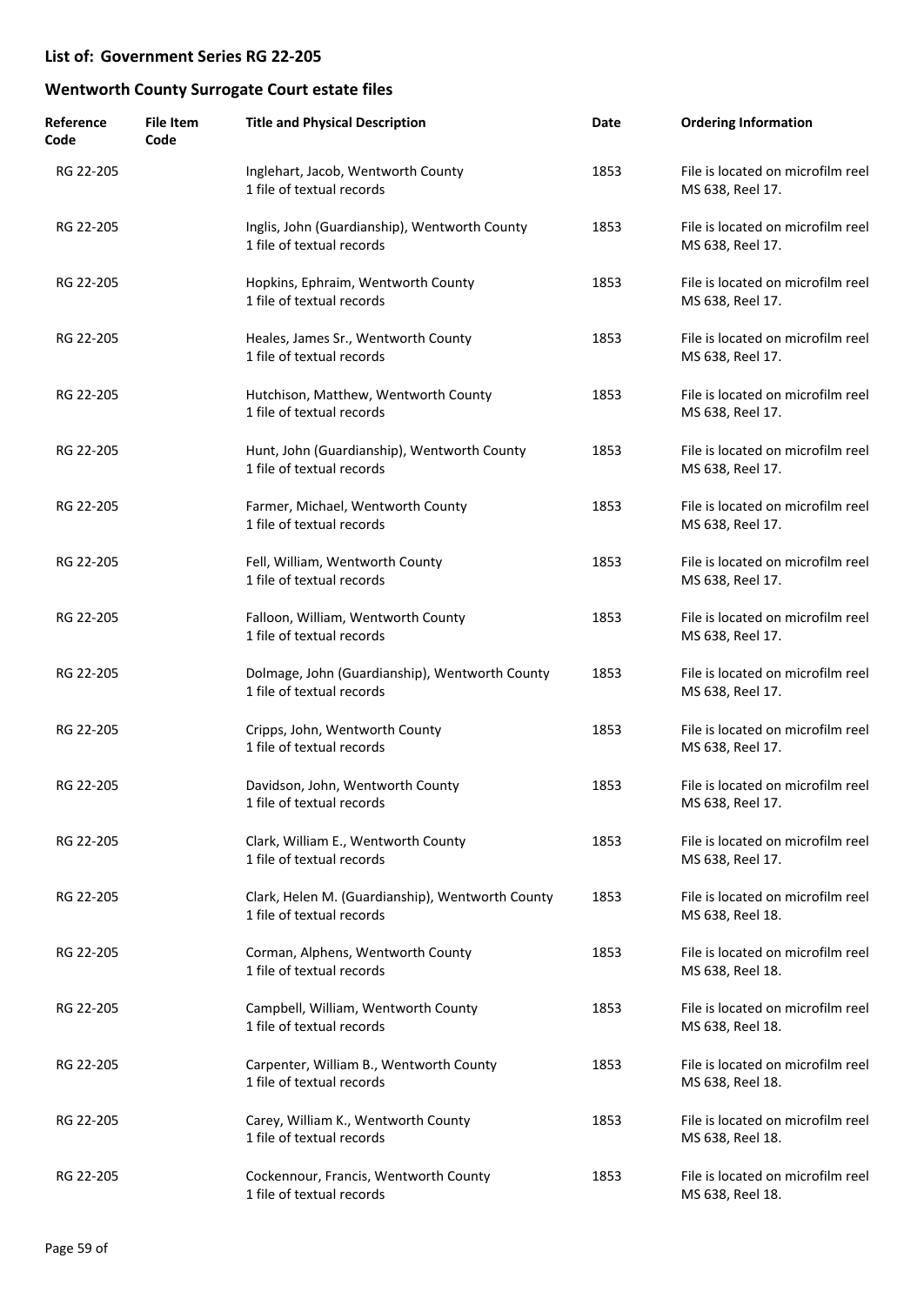| Reference<br>Code | <b>File Item</b><br>Code | <b>Title and Physical Description</b>                                         | Date | <b>Ordering Information</b>                           |
|-------------------|--------------------------|-------------------------------------------------------------------------------|------|-------------------------------------------------------|
| RG 22-205         |                          | Inglehart, Jacob, Wentworth County<br>1 file of textual records               | 1853 | File is located on microfilm reel<br>MS 638, Reel 17. |
| RG 22-205         |                          | Inglis, John (Guardianship), Wentworth County<br>1 file of textual records    | 1853 | File is located on microfilm reel<br>MS 638, Reel 17. |
| RG 22-205         |                          | Hopkins, Ephraim, Wentworth County<br>1 file of textual records               | 1853 | File is located on microfilm reel<br>MS 638, Reel 17. |
| RG 22-205         |                          | Heales, James Sr., Wentworth County<br>1 file of textual records              | 1853 | File is located on microfilm reel<br>MS 638, Reel 17. |
| RG 22-205         |                          | Hutchison, Matthew, Wentworth County<br>1 file of textual records             | 1853 | File is located on microfilm reel<br>MS 638, Reel 17. |
| RG 22-205         |                          | Hunt, John (Guardianship), Wentworth County<br>1 file of textual records      | 1853 | File is located on microfilm reel<br>MS 638, Reel 17. |
| RG 22-205         |                          | Farmer, Michael, Wentworth County<br>1 file of textual records                | 1853 | File is located on microfilm reel<br>MS 638, Reel 17. |
| RG 22-205         |                          | Fell, William, Wentworth County<br>1 file of textual records                  | 1853 | File is located on microfilm reel<br>MS 638, Reel 17. |
| RG 22-205         |                          | Falloon, William, Wentworth County<br>1 file of textual records               | 1853 | File is located on microfilm reel<br>MS 638, Reel 17. |
| RG 22-205         |                          | Dolmage, John (Guardianship), Wentworth County<br>1 file of textual records   | 1853 | File is located on microfilm reel<br>MS 638, Reel 17. |
| RG 22-205         |                          | Cripps, John, Wentworth County<br>1 file of textual records                   | 1853 | File is located on microfilm reel<br>MS 638, Reel 17. |
| RG 22-205         |                          | Davidson, John, Wentworth County<br>1 file of textual records                 | 1853 | File is located on microfilm reel<br>MS 638, Reel 17. |
| RG 22-205         |                          | Clark, William E., Wentworth County<br>1 file of textual records              | 1853 | File is located on microfilm reel<br>MS 638, Reel 17. |
| RG 22-205         |                          | Clark, Helen M. (Guardianship), Wentworth County<br>1 file of textual records | 1853 | File is located on microfilm reel<br>MS 638, Reel 18. |
| RG 22-205         |                          | Corman, Alphens, Wentworth County<br>1 file of textual records                | 1853 | File is located on microfilm reel<br>MS 638, Reel 18. |
| RG 22-205         |                          | Campbell, William, Wentworth County<br>1 file of textual records              | 1853 | File is located on microfilm reel<br>MS 638, Reel 18. |
| RG 22-205         |                          | Carpenter, William B., Wentworth County<br>1 file of textual records          | 1853 | File is located on microfilm reel<br>MS 638, Reel 18. |
| RG 22-205         |                          | Carey, William K., Wentworth County<br>1 file of textual records              | 1853 | File is located on microfilm reel<br>MS 638, Reel 18. |
| RG 22-205         |                          | Cockennour, Francis, Wentworth County<br>1 file of textual records            | 1853 | File is located on microfilm reel<br>MS 638, Reel 18. |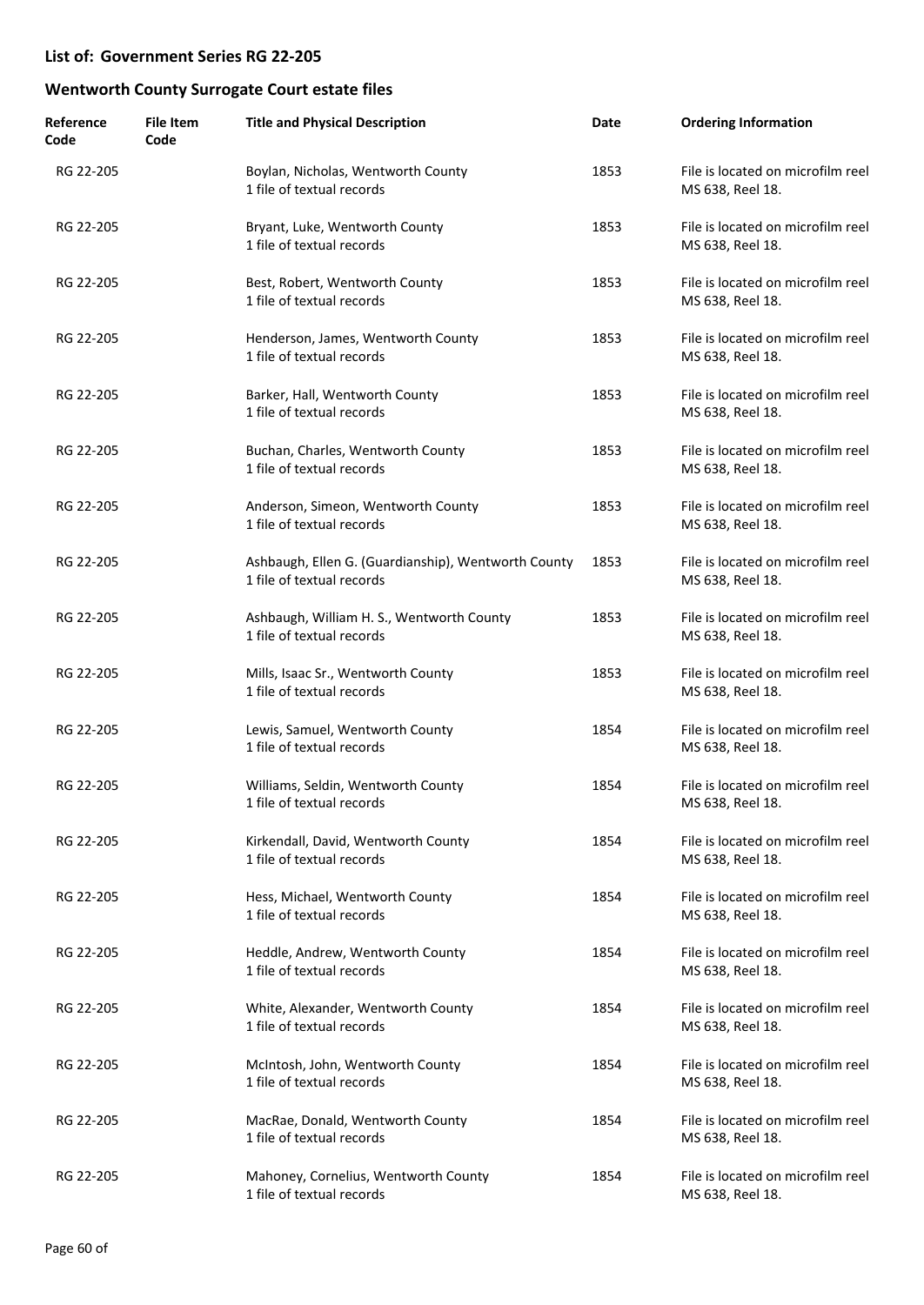| Reference<br>Code | <b>File Item</b><br>Code | <b>Title and Physical Description</b>                                            | Date | <b>Ordering Information</b>                           |
|-------------------|--------------------------|----------------------------------------------------------------------------------|------|-------------------------------------------------------|
| RG 22-205         |                          | Boylan, Nicholas, Wentworth County<br>1 file of textual records                  | 1853 | File is located on microfilm reel<br>MS 638, Reel 18. |
| RG 22-205         |                          | Bryant, Luke, Wentworth County<br>1 file of textual records                      | 1853 | File is located on microfilm reel<br>MS 638, Reel 18. |
| RG 22-205         |                          | Best, Robert, Wentworth County<br>1 file of textual records                      | 1853 | File is located on microfilm reel<br>MS 638, Reel 18. |
| RG 22-205         |                          | Henderson, James, Wentworth County<br>1 file of textual records                  | 1853 | File is located on microfilm reel<br>MS 638, Reel 18. |
| RG 22-205         |                          | Barker, Hall, Wentworth County<br>1 file of textual records                      | 1853 | File is located on microfilm reel<br>MS 638, Reel 18. |
| RG 22-205         |                          | Buchan, Charles, Wentworth County<br>1 file of textual records                   | 1853 | File is located on microfilm reel<br>MS 638, Reel 18. |
| RG 22-205         |                          | Anderson, Simeon, Wentworth County<br>1 file of textual records                  | 1853 | File is located on microfilm reel<br>MS 638, Reel 18. |
| RG 22-205         |                          | Ashbaugh, Ellen G. (Guardianship), Wentworth County<br>1 file of textual records | 1853 | File is located on microfilm reel<br>MS 638, Reel 18. |
| RG 22-205         |                          | Ashbaugh, William H. S., Wentworth County<br>1 file of textual records           | 1853 | File is located on microfilm reel<br>MS 638, Reel 18. |
| RG 22-205         |                          | Mills, Isaac Sr., Wentworth County<br>1 file of textual records                  | 1853 | File is located on microfilm reel<br>MS 638, Reel 18. |
| RG 22-205         |                          | Lewis, Samuel, Wentworth County<br>1 file of textual records                     | 1854 | File is located on microfilm reel<br>MS 638, Reel 18. |
| RG 22-205         |                          | Williams, Seldin, Wentworth County<br>1 file of textual records                  | 1854 | File is located on microfilm reel<br>MS 638, Reel 18. |
| RG 22-205         |                          | Kirkendall, David, Wentworth County<br>1 file of textual records                 | 1854 | File is located on microfilm reel<br>MS 638, Reel 18. |
| RG 22-205         |                          | Hess, Michael, Wentworth County<br>1 file of textual records                     | 1854 | File is located on microfilm reel<br>MS 638, Reel 18. |
| RG 22-205         |                          | Heddle, Andrew, Wentworth County<br>1 file of textual records                    | 1854 | File is located on microfilm reel<br>MS 638, Reel 18. |
| RG 22-205         |                          | White, Alexander, Wentworth County<br>1 file of textual records                  | 1854 | File is located on microfilm reel<br>MS 638, Reel 18. |
| RG 22-205         |                          | McIntosh, John, Wentworth County<br>1 file of textual records                    | 1854 | File is located on microfilm reel<br>MS 638, Reel 18. |
| RG 22-205         |                          | MacRae, Donald, Wentworth County<br>1 file of textual records                    | 1854 | File is located on microfilm reel<br>MS 638, Reel 18. |
| RG 22-205         |                          | Mahoney, Cornelius, Wentworth County<br>1 file of textual records                | 1854 | File is located on microfilm reel<br>MS 638, Reel 18. |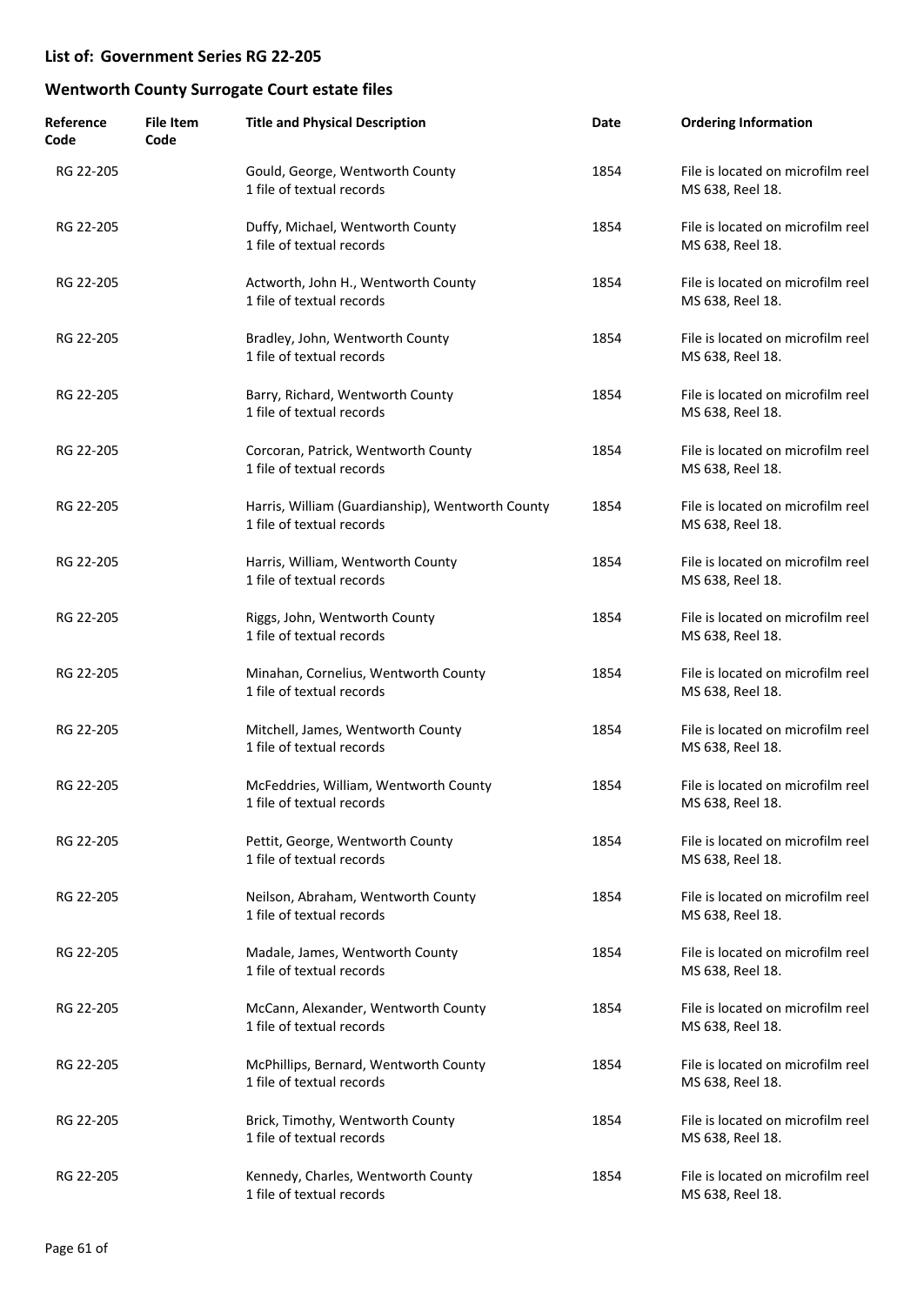| Reference<br>Code | <b>File Item</b><br>Code | <b>Title and Physical Description</b>                                         | Date | <b>Ordering Information</b>                           |
|-------------------|--------------------------|-------------------------------------------------------------------------------|------|-------------------------------------------------------|
| RG 22-205         |                          | Gould, George, Wentworth County<br>1 file of textual records                  | 1854 | File is located on microfilm reel<br>MS 638, Reel 18. |
| RG 22-205         |                          | Duffy, Michael, Wentworth County<br>1 file of textual records                 | 1854 | File is located on microfilm reel<br>MS 638, Reel 18. |
| RG 22-205         |                          | Actworth, John H., Wentworth County<br>1 file of textual records              | 1854 | File is located on microfilm reel<br>MS 638, Reel 18. |
| RG 22-205         |                          | Bradley, John, Wentworth County<br>1 file of textual records                  | 1854 | File is located on microfilm reel<br>MS 638, Reel 18. |
| RG 22-205         |                          | Barry, Richard, Wentworth County<br>1 file of textual records                 | 1854 | File is located on microfilm reel<br>MS 638, Reel 18. |
| RG 22-205         |                          | Corcoran, Patrick, Wentworth County<br>1 file of textual records              | 1854 | File is located on microfilm reel<br>MS 638, Reel 18. |
| RG 22-205         |                          | Harris, William (Guardianship), Wentworth County<br>1 file of textual records | 1854 | File is located on microfilm reel<br>MS 638, Reel 18. |
| RG 22-205         |                          | Harris, William, Wentworth County<br>1 file of textual records                | 1854 | File is located on microfilm reel<br>MS 638, Reel 18. |
| RG 22-205         |                          | Riggs, John, Wentworth County<br>1 file of textual records                    | 1854 | File is located on microfilm reel<br>MS 638, Reel 18. |
| RG 22-205         |                          | Minahan, Cornelius, Wentworth County<br>1 file of textual records             | 1854 | File is located on microfilm reel<br>MS 638, Reel 18. |
| RG 22-205         |                          | Mitchell, James, Wentworth County<br>1 file of textual records                | 1854 | File is located on microfilm reel<br>MS 638, Reel 18. |
| RG 22-205         |                          | McFeddries, William, Wentworth County<br>1 file of textual records            | 1854 | File is located on microfilm reel<br>MS 638, Reel 18. |
| RG 22-205         |                          | Pettit, George, Wentworth County<br>1 file of textual records                 | 1854 | File is located on microfilm reel<br>MS 638, Reel 18. |
| RG 22-205         |                          | Neilson, Abraham, Wentworth County<br>1 file of textual records               | 1854 | File is located on microfilm reel<br>MS 638, Reel 18. |
| RG 22-205         |                          | Madale, James, Wentworth County<br>1 file of textual records                  | 1854 | File is located on microfilm reel<br>MS 638, Reel 18. |
| RG 22-205         |                          | McCann, Alexander, Wentworth County<br>1 file of textual records              | 1854 | File is located on microfilm reel<br>MS 638, Reel 18. |
| RG 22-205         |                          | McPhillips, Bernard, Wentworth County<br>1 file of textual records            | 1854 | File is located on microfilm reel<br>MS 638, Reel 18. |
| RG 22-205         |                          | Brick, Timothy, Wentworth County<br>1 file of textual records                 | 1854 | File is located on microfilm reel<br>MS 638, Reel 18. |
| RG 22-205         |                          | Kennedy, Charles, Wentworth County<br>1 file of textual records               | 1854 | File is located on microfilm reel<br>MS 638, Reel 18. |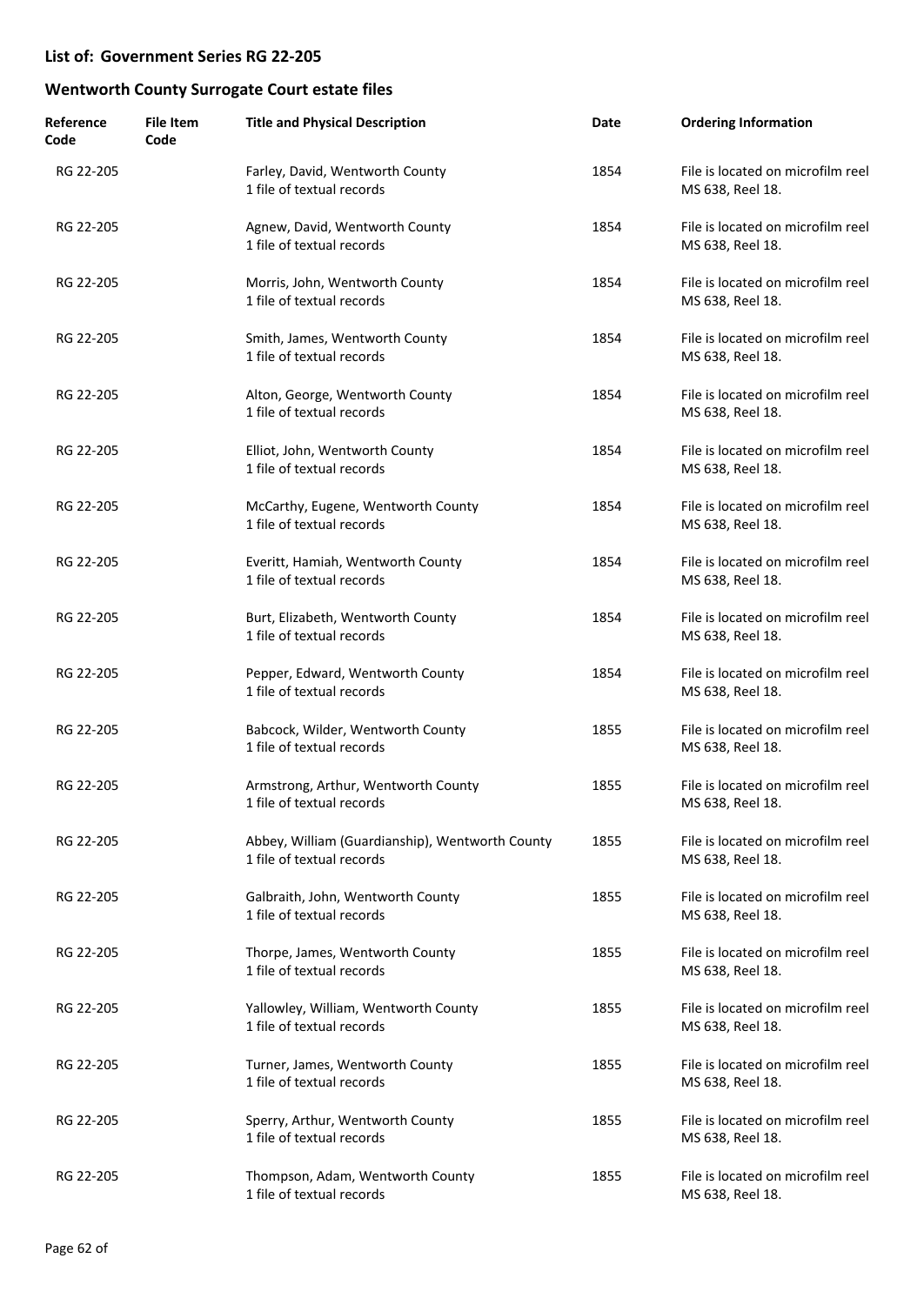| Reference<br>Code | <b>File Item</b><br>Code | <b>Title and Physical Description</b>                                        | Date | <b>Ordering Information</b>                           |
|-------------------|--------------------------|------------------------------------------------------------------------------|------|-------------------------------------------------------|
| RG 22-205         |                          | Farley, David, Wentworth County<br>1 file of textual records                 | 1854 | File is located on microfilm reel<br>MS 638, Reel 18. |
| RG 22-205         |                          | Agnew, David, Wentworth County<br>1 file of textual records                  | 1854 | File is located on microfilm reel<br>MS 638, Reel 18. |
| RG 22-205         |                          | Morris, John, Wentworth County<br>1 file of textual records                  | 1854 | File is located on microfilm reel<br>MS 638, Reel 18. |
| RG 22-205         |                          | Smith, James, Wentworth County<br>1 file of textual records                  | 1854 | File is located on microfilm reel<br>MS 638, Reel 18. |
| RG 22-205         |                          | Alton, George, Wentworth County<br>1 file of textual records                 | 1854 | File is located on microfilm reel<br>MS 638, Reel 18. |
| RG 22-205         |                          | Elliot, John, Wentworth County<br>1 file of textual records                  | 1854 | File is located on microfilm reel<br>MS 638, Reel 18. |
| RG 22-205         |                          | McCarthy, Eugene, Wentworth County<br>1 file of textual records              | 1854 | File is located on microfilm reel<br>MS 638, Reel 18. |
| RG 22-205         |                          | Everitt, Hamiah, Wentworth County<br>1 file of textual records               | 1854 | File is located on microfilm reel<br>MS 638, Reel 18. |
| RG 22-205         |                          | Burt, Elizabeth, Wentworth County<br>1 file of textual records               | 1854 | File is located on microfilm reel<br>MS 638, Reel 18. |
| RG 22-205         |                          | Pepper, Edward, Wentworth County<br>1 file of textual records                | 1854 | File is located on microfilm reel<br>MS 638, Reel 18. |
| RG 22-205         |                          | Babcock, Wilder, Wentworth County<br>1 file of textual records               | 1855 | File is located on microfilm reel<br>MS 638, Reel 18. |
| RG 22-205         |                          | Armstrong, Arthur, Wentworth County<br>1 file of textual records             | 1855 | File is located on microfilm reel<br>MS 638, Reel 18. |
| RG 22-205         |                          | Abbey, William (Guardianship), Wentworth County<br>1 file of textual records | 1855 | File is located on microfilm reel<br>MS 638, Reel 18. |
| RG 22-205         |                          | Galbraith, John, Wentworth County<br>1 file of textual records               | 1855 | File is located on microfilm reel<br>MS 638, Reel 18. |
| RG 22-205         |                          | Thorpe, James, Wentworth County<br>1 file of textual records                 | 1855 | File is located on microfilm reel<br>MS 638, Reel 18. |
| RG 22-205         |                          | Yallowley, William, Wentworth County<br>1 file of textual records            | 1855 | File is located on microfilm reel<br>MS 638, Reel 18. |
| RG 22-205         |                          | Turner, James, Wentworth County<br>1 file of textual records                 | 1855 | File is located on microfilm reel<br>MS 638, Reel 18. |
| RG 22-205         |                          | Sperry, Arthur, Wentworth County<br>1 file of textual records                | 1855 | File is located on microfilm reel<br>MS 638, Reel 18. |
| RG 22-205         |                          | Thompson, Adam, Wentworth County<br>1 file of textual records                | 1855 | File is located on microfilm reel<br>MS 638, Reel 18. |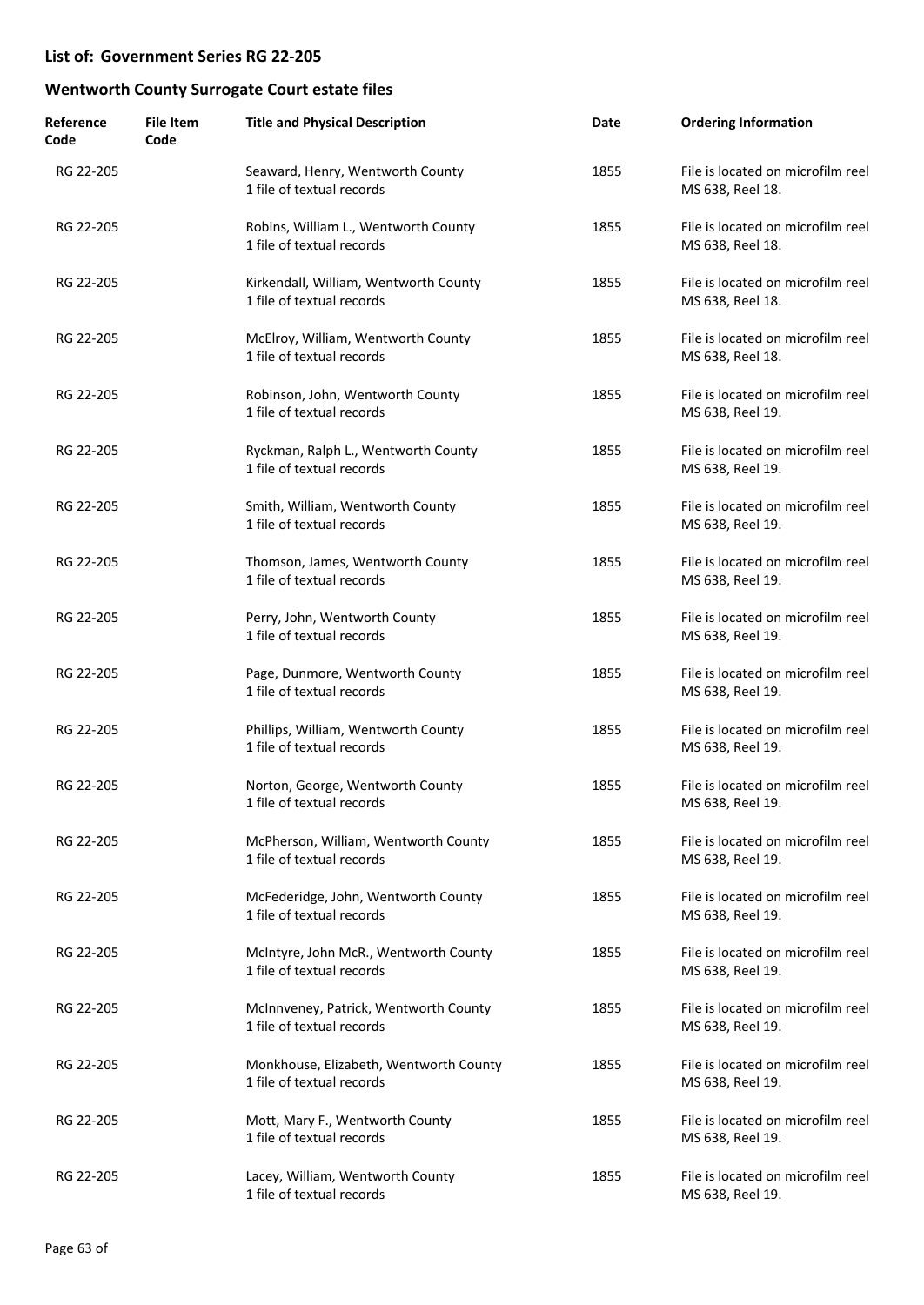| Reference<br>Code | <b>File Item</b><br>Code | <b>Title and Physical Description</b>                               | Date | <b>Ordering Information</b>                           |
|-------------------|--------------------------|---------------------------------------------------------------------|------|-------------------------------------------------------|
| RG 22-205         |                          | Seaward, Henry, Wentworth County<br>1 file of textual records       | 1855 | File is located on microfilm reel<br>MS 638, Reel 18. |
| RG 22-205         |                          | Robins, William L., Wentworth County<br>1 file of textual records   | 1855 | File is located on microfilm reel<br>MS 638, Reel 18. |
| RG 22-205         |                          | Kirkendall, William, Wentworth County<br>1 file of textual records  | 1855 | File is located on microfilm reel<br>MS 638, Reel 18. |
| RG 22-205         |                          | McElroy, William, Wentworth County<br>1 file of textual records     | 1855 | File is located on microfilm reel<br>MS 638, Reel 18. |
| RG 22-205         |                          | Robinson, John, Wentworth County<br>1 file of textual records       | 1855 | File is located on microfilm reel<br>MS 638, Reel 19. |
| RG 22-205         |                          | Ryckman, Ralph L., Wentworth County<br>1 file of textual records    | 1855 | File is located on microfilm reel<br>MS 638, Reel 19. |
| RG 22-205         |                          | Smith, William, Wentworth County<br>1 file of textual records       | 1855 | File is located on microfilm reel<br>MS 638, Reel 19. |
| RG 22-205         |                          | Thomson, James, Wentworth County<br>1 file of textual records       | 1855 | File is located on microfilm reel<br>MS 638, Reel 19. |
| RG 22-205         |                          | Perry, John, Wentworth County<br>1 file of textual records          | 1855 | File is located on microfilm reel<br>MS 638, Reel 19. |
| RG 22-205         |                          | Page, Dunmore, Wentworth County<br>1 file of textual records        | 1855 | File is located on microfilm reel<br>MS 638, Reel 19. |
| RG 22-205         |                          | Phillips, William, Wentworth County<br>1 file of textual records    | 1855 | File is located on microfilm reel<br>MS 638, Reel 19. |
| RG 22-205         |                          | Norton, George, Wentworth County<br>1 file of textual records       | 1855 | File is located on microfilm reel<br>MS 638, Reel 19. |
| RG 22-205         |                          | McPherson, William, Wentworth County<br>1 file of textual records   | 1855 | File is located on microfilm reel<br>MS 638, Reel 19. |
| RG 22-205         |                          | McFederidge, John, Wentworth County<br>1 file of textual records    | 1855 | File is located on microfilm reel<br>MS 638, Reel 19. |
| RG 22-205         |                          | McIntyre, John McR., Wentworth County<br>1 file of textual records  | 1855 | File is located on microfilm reel<br>MS 638, Reel 19. |
| RG 22-205         |                          | McInnveney, Patrick, Wentworth County<br>1 file of textual records  | 1855 | File is located on microfilm reel<br>MS 638, Reel 19. |
| RG 22-205         |                          | Monkhouse, Elizabeth, Wentworth County<br>1 file of textual records | 1855 | File is located on microfilm reel<br>MS 638, Reel 19. |
| RG 22-205         |                          | Mott, Mary F., Wentworth County<br>1 file of textual records        | 1855 | File is located on microfilm reel<br>MS 638, Reel 19. |
| RG 22-205         |                          | Lacey, William, Wentworth County<br>1 file of textual records       | 1855 | File is located on microfilm reel<br>MS 638, Reel 19. |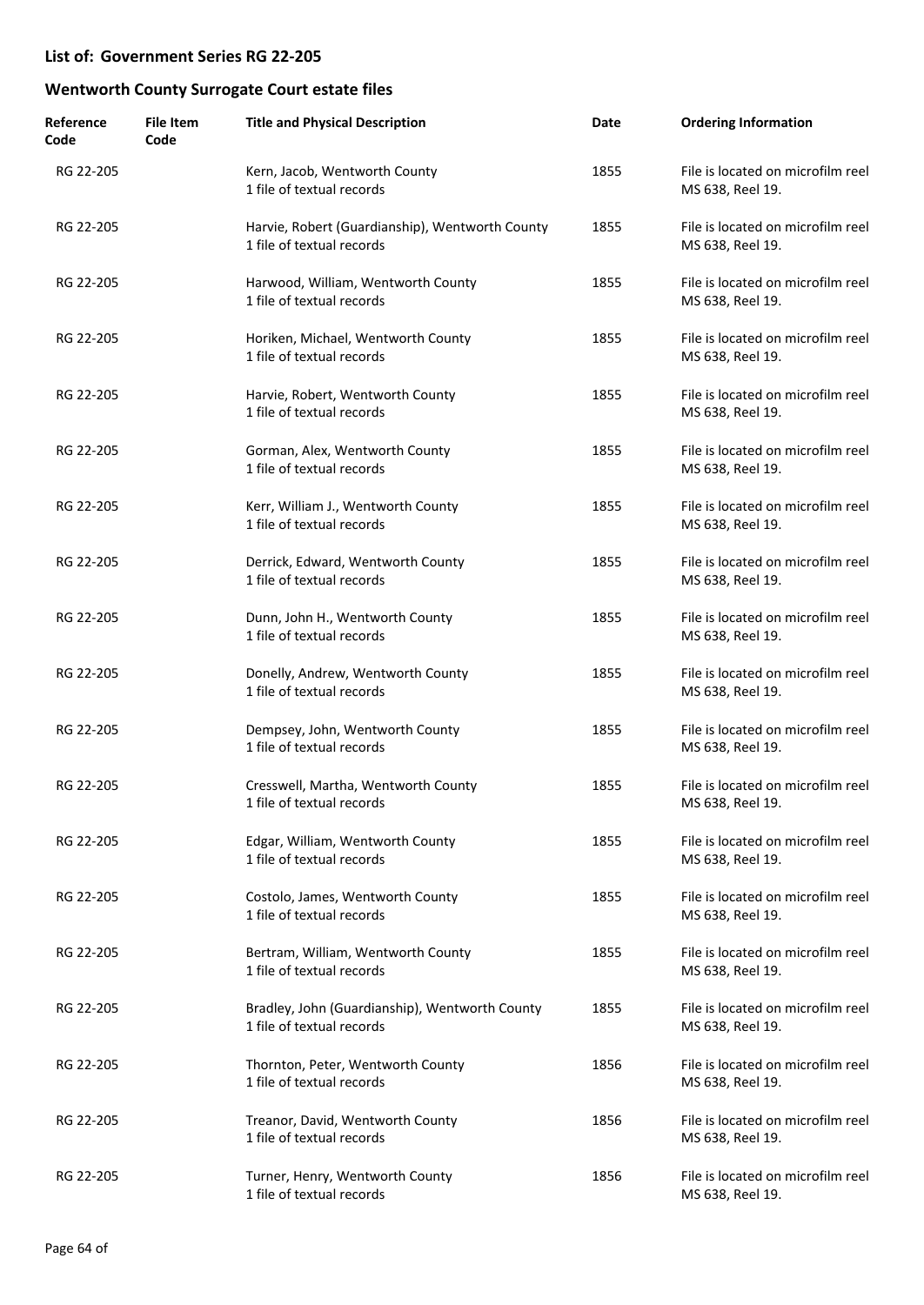| Reference<br>Code | <b>File Item</b><br>Code | <b>Title and Physical Description</b>                                        | Date | <b>Ordering Information</b>                           |
|-------------------|--------------------------|------------------------------------------------------------------------------|------|-------------------------------------------------------|
| RG 22-205         |                          | Kern, Jacob, Wentworth County<br>1 file of textual records                   | 1855 | File is located on microfilm reel<br>MS 638, Reel 19. |
| RG 22-205         |                          | Harvie, Robert (Guardianship), Wentworth County<br>1 file of textual records | 1855 | File is located on microfilm reel<br>MS 638, Reel 19. |
| RG 22-205         |                          | Harwood, William, Wentworth County<br>1 file of textual records              | 1855 | File is located on microfilm reel<br>MS 638, Reel 19. |
| RG 22-205         |                          | Horiken, Michael, Wentworth County<br>1 file of textual records              | 1855 | File is located on microfilm reel<br>MS 638, Reel 19. |
| RG 22-205         |                          | Harvie, Robert, Wentworth County<br>1 file of textual records                | 1855 | File is located on microfilm reel<br>MS 638, Reel 19. |
| RG 22-205         |                          | Gorman, Alex, Wentworth County<br>1 file of textual records                  | 1855 | File is located on microfilm reel<br>MS 638, Reel 19. |
| RG 22-205         |                          | Kerr, William J., Wentworth County<br>1 file of textual records              | 1855 | File is located on microfilm reel<br>MS 638, Reel 19. |
| RG 22-205         |                          | Derrick, Edward, Wentworth County<br>1 file of textual records               | 1855 | File is located on microfilm reel<br>MS 638, Reel 19. |
| RG 22-205         |                          | Dunn, John H., Wentworth County<br>1 file of textual records                 | 1855 | File is located on microfilm reel<br>MS 638, Reel 19. |
| RG 22-205         |                          | Donelly, Andrew, Wentworth County<br>1 file of textual records               | 1855 | File is located on microfilm reel<br>MS 638, Reel 19. |
| RG 22-205         |                          | Dempsey, John, Wentworth County<br>1 file of textual records                 | 1855 | File is located on microfilm reel<br>MS 638, Reel 19. |
| RG 22-205         |                          | Cresswell, Martha, Wentworth County<br>1 file of textual records             | 1855 | File is located on microfilm reel<br>MS 638, Reel 19. |
| RG 22-205         |                          | Edgar, William, Wentworth County<br>1 file of textual records                | 1855 | File is located on microfilm reel<br>MS 638, Reel 19. |
| RG 22-205         |                          | Costolo, James, Wentworth County<br>1 file of textual records                | 1855 | File is located on microfilm reel<br>MS 638, Reel 19. |
| RG 22-205         |                          | Bertram, William, Wentworth County<br>1 file of textual records              | 1855 | File is located on microfilm reel<br>MS 638, Reel 19. |
| RG 22-205         |                          | Bradley, John (Guardianship), Wentworth County<br>1 file of textual records  | 1855 | File is located on microfilm reel<br>MS 638, Reel 19. |
| RG 22-205         |                          | Thornton, Peter, Wentworth County<br>1 file of textual records               | 1856 | File is located on microfilm reel<br>MS 638, Reel 19. |
| RG 22-205         |                          | Treanor, David, Wentworth County<br>1 file of textual records                | 1856 | File is located on microfilm reel<br>MS 638, Reel 19. |
| RG 22-205         |                          | Turner, Henry, Wentworth County<br>1 file of textual records                 | 1856 | File is located on microfilm reel<br>MS 638, Reel 19. |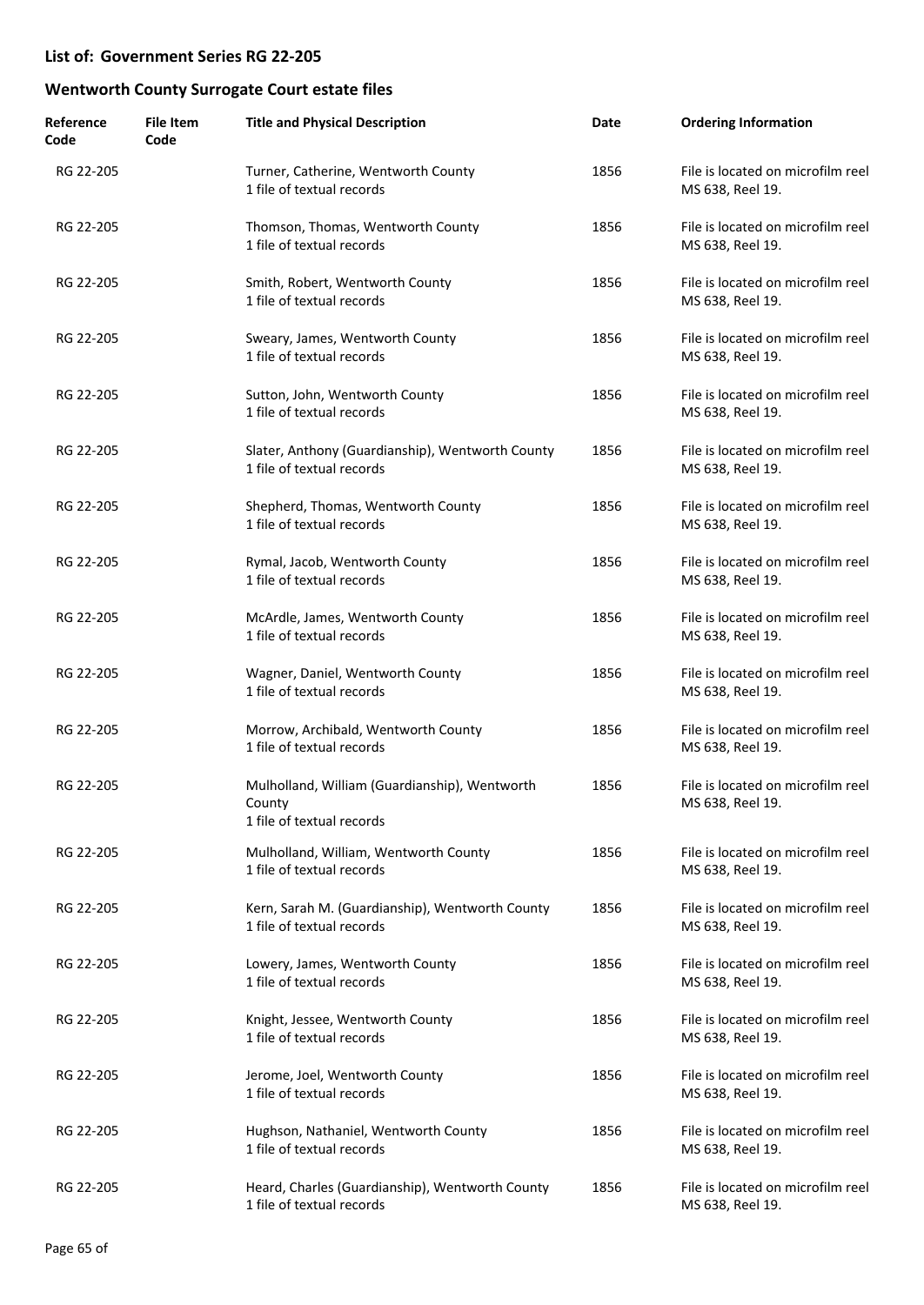| Reference<br>Code | <b>File Item</b><br>Code | <b>Title and Physical Description</b>                                                | Date | <b>Ordering Information</b>                           |
|-------------------|--------------------------|--------------------------------------------------------------------------------------|------|-------------------------------------------------------|
| RG 22-205         |                          | Turner, Catherine, Wentworth County<br>1 file of textual records                     | 1856 | File is located on microfilm reel<br>MS 638, Reel 19. |
| RG 22-205         |                          | Thomson, Thomas, Wentworth County<br>1 file of textual records                       | 1856 | File is located on microfilm reel<br>MS 638, Reel 19. |
| RG 22-205         |                          | Smith, Robert, Wentworth County<br>1 file of textual records                         | 1856 | File is located on microfilm reel<br>MS 638, Reel 19. |
| RG 22-205         |                          | Sweary, James, Wentworth County<br>1 file of textual records                         | 1856 | File is located on microfilm reel<br>MS 638, Reel 19. |
| RG 22-205         |                          | Sutton, John, Wentworth County<br>1 file of textual records                          | 1856 | File is located on microfilm reel<br>MS 638, Reel 19. |
| RG 22-205         |                          | Slater, Anthony (Guardianship), Wentworth County<br>1 file of textual records        | 1856 | File is located on microfilm reel<br>MS 638, Reel 19. |
| RG 22-205         |                          | Shepherd, Thomas, Wentworth County<br>1 file of textual records                      | 1856 | File is located on microfilm reel<br>MS 638, Reel 19. |
| RG 22-205         |                          | Rymal, Jacob, Wentworth County<br>1 file of textual records                          | 1856 | File is located on microfilm reel<br>MS 638, Reel 19. |
| RG 22-205         |                          | McArdle, James, Wentworth County<br>1 file of textual records                        | 1856 | File is located on microfilm reel<br>MS 638, Reel 19. |
| RG 22-205         |                          | Wagner, Daniel, Wentworth County<br>1 file of textual records                        | 1856 | File is located on microfilm reel<br>MS 638, Reel 19. |
| RG 22-205         |                          | Morrow, Archibald, Wentworth County<br>1 file of textual records                     | 1856 | File is located on microfilm reel<br>MS 638, Reel 19. |
| RG 22-205         |                          | Mulholland, William (Guardianship), Wentworth<br>County<br>1 file of textual records | 1856 | File is located on microfilm reel<br>MS 638, Reel 19. |
| RG 22-205         |                          | Mulholland, William, Wentworth County<br>1 file of textual records                   | 1856 | File is located on microfilm reel<br>MS 638, Reel 19. |
| RG 22-205         |                          | Kern, Sarah M. (Guardianship), Wentworth County<br>1 file of textual records         | 1856 | File is located on microfilm reel<br>MS 638, Reel 19. |
| RG 22-205         |                          | Lowery, James, Wentworth County<br>1 file of textual records                         | 1856 | File is located on microfilm reel<br>MS 638, Reel 19. |
| RG 22-205         |                          | Knight, Jessee, Wentworth County<br>1 file of textual records                        | 1856 | File is located on microfilm reel<br>MS 638, Reel 19. |
| RG 22-205         |                          | Jerome, Joel, Wentworth County<br>1 file of textual records                          | 1856 | File is located on microfilm reel<br>MS 638, Reel 19. |
| RG 22-205         |                          | Hughson, Nathaniel, Wentworth County<br>1 file of textual records                    | 1856 | File is located on microfilm reel<br>MS 638, Reel 19. |
| RG 22-205         |                          | Heard, Charles (Guardianship), Wentworth County<br>1 file of textual records         | 1856 | File is located on microfilm reel<br>MS 638, Reel 19. |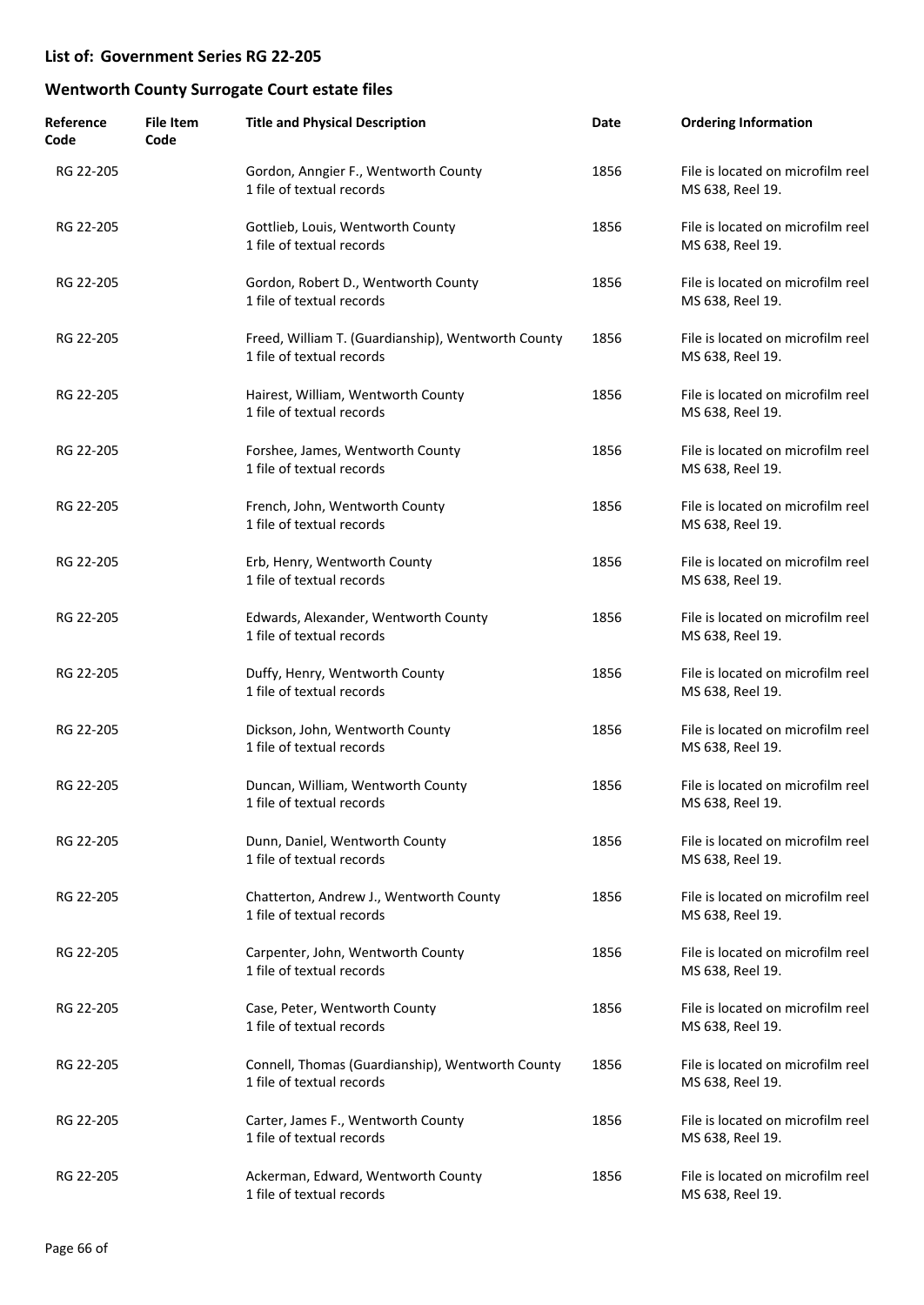| Reference<br>Code | <b>File Item</b><br>Code | <b>Title and Physical Description</b>                                           | Date | <b>Ordering Information</b>                           |
|-------------------|--------------------------|---------------------------------------------------------------------------------|------|-------------------------------------------------------|
| RG 22-205         |                          | Gordon, Anngier F., Wentworth County<br>1 file of textual records               | 1856 | File is located on microfilm reel<br>MS 638, Reel 19. |
| RG 22-205         |                          | Gottlieb, Louis, Wentworth County<br>1 file of textual records                  | 1856 | File is located on microfilm reel<br>MS 638, Reel 19. |
| RG 22-205         |                          | Gordon, Robert D., Wentworth County<br>1 file of textual records                | 1856 | File is located on microfilm reel<br>MS 638, Reel 19. |
| RG 22-205         |                          | Freed, William T. (Guardianship), Wentworth County<br>1 file of textual records | 1856 | File is located on microfilm reel<br>MS 638, Reel 19. |
| RG 22-205         |                          | Hairest, William, Wentworth County<br>1 file of textual records                 | 1856 | File is located on microfilm reel<br>MS 638, Reel 19. |
| RG 22-205         |                          | Forshee, James, Wentworth County<br>1 file of textual records                   | 1856 | File is located on microfilm reel<br>MS 638, Reel 19. |
| RG 22-205         |                          | French, John, Wentworth County<br>1 file of textual records                     | 1856 | File is located on microfilm reel<br>MS 638, Reel 19. |
| RG 22-205         |                          | Erb, Henry, Wentworth County<br>1 file of textual records                       | 1856 | File is located on microfilm reel<br>MS 638, Reel 19. |
| RG 22-205         |                          | Edwards, Alexander, Wentworth County<br>1 file of textual records               | 1856 | File is located on microfilm reel<br>MS 638, Reel 19. |
| RG 22-205         |                          | Duffy, Henry, Wentworth County<br>1 file of textual records                     | 1856 | File is located on microfilm reel<br>MS 638, Reel 19. |
| RG 22-205         |                          | Dickson, John, Wentworth County<br>1 file of textual records                    | 1856 | File is located on microfilm reel<br>MS 638, Reel 19. |
| RG 22-205         |                          | Duncan, William, Wentworth County<br>1 file of textual records                  | 1856 | File is located on microfilm reel<br>MS 638, Reel 19. |
| RG 22-205         |                          | Dunn, Daniel, Wentworth County<br>1 file of textual records                     | 1856 | File is located on microfilm reel<br>MS 638, Reel 19. |
| RG 22-205         |                          | Chatterton, Andrew J., Wentworth County<br>1 file of textual records            | 1856 | File is located on microfilm reel<br>MS 638, Reel 19. |
| RG 22-205         |                          | Carpenter, John, Wentworth County<br>1 file of textual records                  | 1856 | File is located on microfilm reel<br>MS 638, Reel 19. |
| RG 22-205         |                          | Case, Peter, Wentworth County<br>1 file of textual records                      | 1856 | File is located on microfilm reel<br>MS 638, Reel 19. |
| RG 22-205         |                          | Connell, Thomas (Guardianship), Wentworth County<br>1 file of textual records   | 1856 | File is located on microfilm reel<br>MS 638, Reel 19. |
| RG 22-205         |                          | Carter, James F., Wentworth County<br>1 file of textual records                 | 1856 | File is located on microfilm reel<br>MS 638, Reel 19. |
| RG 22-205         |                          | Ackerman, Edward, Wentworth County<br>1 file of textual records                 | 1856 | File is located on microfilm reel<br>MS 638, Reel 19. |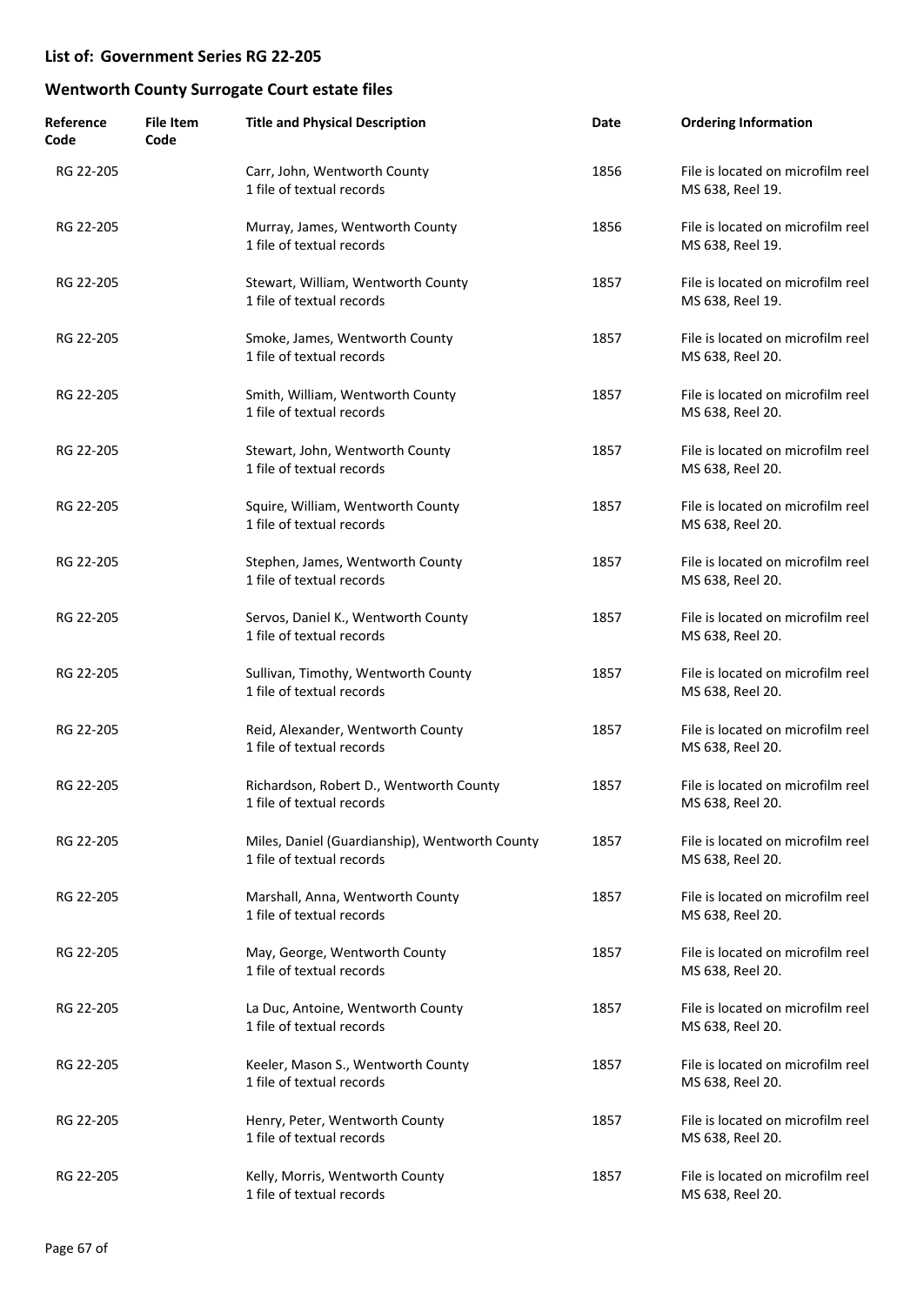| Reference<br>Code | <b>File Item</b><br>Code | <b>Title and Physical Description</b>                                       | Date | <b>Ordering Information</b>                           |
|-------------------|--------------------------|-----------------------------------------------------------------------------|------|-------------------------------------------------------|
| RG 22-205         |                          | Carr, John, Wentworth County<br>1 file of textual records                   | 1856 | File is located on microfilm reel<br>MS 638, Reel 19. |
| RG 22-205         |                          | Murray, James, Wentworth County<br>1 file of textual records                | 1856 | File is located on microfilm reel<br>MS 638, Reel 19. |
| RG 22-205         |                          | Stewart, William, Wentworth County<br>1 file of textual records             | 1857 | File is located on microfilm reel<br>MS 638, Reel 19. |
| RG 22-205         |                          | Smoke, James, Wentworth County<br>1 file of textual records                 | 1857 | File is located on microfilm reel<br>MS 638, Reel 20. |
| RG 22-205         |                          | Smith, William, Wentworth County<br>1 file of textual records               | 1857 | File is located on microfilm reel<br>MS 638, Reel 20. |
| RG 22-205         |                          | Stewart, John, Wentworth County<br>1 file of textual records                | 1857 | File is located on microfilm reel<br>MS 638, Reel 20. |
| RG 22-205         |                          | Squire, William, Wentworth County<br>1 file of textual records              | 1857 | File is located on microfilm reel<br>MS 638, Reel 20. |
| RG 22-205         |                          | Stephen, James, Wentworth County<br>1 file of textual records               | 1857 | File is located on microfilm reel<br>MS 638, Reel 20. |
| RG 22-205         |                          | Servos, Daniel K., Wentworth County<br>1 file of textual records            | 1857 | File is located on microfilm reel<br>MS 638, Reel 20. |
| RG 22-205         |                          | Sullivan, Timothy, Wentworth County<br>1 file of textual records            | 1857 | File is located on microfilm reel<br>MS 638, Reel 20. |
| RG 22-205         |                          | Reid, Alexander, Wentworth County<br>1 file of textual records              | 1857 | File is located on microfilm reel<br>MS 638, Reel 20. |
| RG 22-205         |                          | Richardson, Robert D., Wentworth County<br>1 file of textual records        | 1857 | File is located on microfilm reel<br>MS 638, Reel 20. |
| RG 22-205         |                          | Miles, Daniel (Guardianship), Wentworth County<br>1 file of textual records | 1857 | File is located on microfilm reel<br>MS 638, Reel 20. |
| RG 22-205         |                          | Marshall, Anna, Wentworth County<br>1 file of textual records               | 1857 | File is located on microfilm reel<br>MS 638, Reel 20. |
| RG 22-205         |                          | May, George, Wentworth County<br>1 file of textual records                  | 1857 | File is located on microfilm reel<br>MS 638, Reel 20. |
| RG 22-205         |                          | La Duc, Antoine, Wentworth County<br>1 file of textual records              | 1857 | File is located on microfilm reel<br>MS 638, Reel 20. |
| RG 22-205         |                          | Keeler, Mason S., Wentworth County<br>1 file of textual records             | 1857 | File is located on microfilm reel<br>MS 638, Reel 20. |
| RG 22-205         |                          | Henry, Peter, Wentworth County<br>1 file of textual records                 | 1857 | File is located on microfilm reel<br>MS 638, Reel 20. |
| RG 22-205         |                          | Kelly, Morris, Wentworth County<br>1 file of textual records                | 1857 | File is located on microfilm reel<br>MS 638, Reel 20. |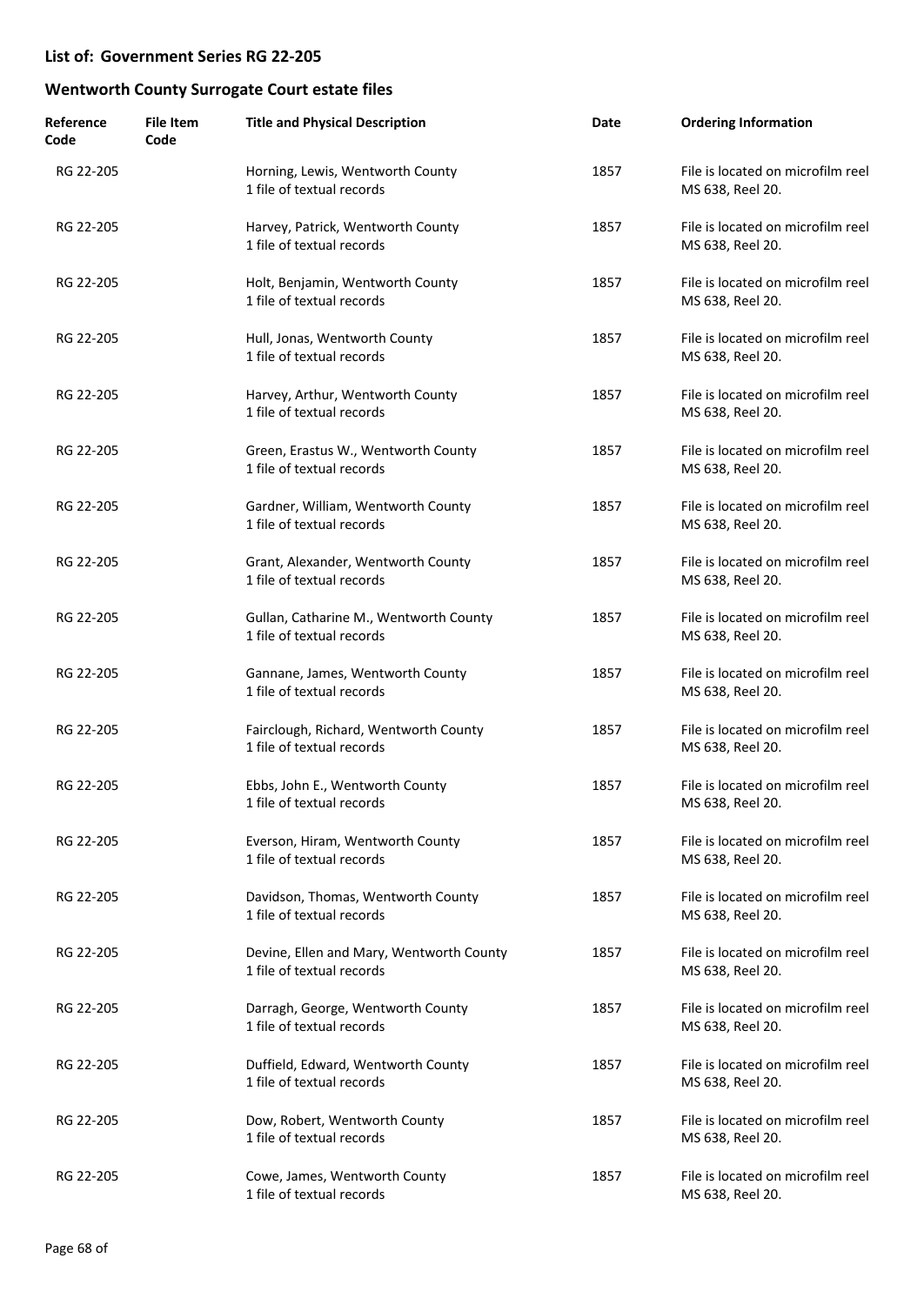| Reference<br>Code | <b>File Item</b><br>Code | <b>Title and Physical Description</b>                                 | Date | <b>Ordering Information</b>                           |
|-------------------|--------------------------|-----------------------------------------------------------------------|------|-------------------------------------------------------|
| RG 22-205         |                          | Horning, Lewis, Wentworth County<br>1 file of textual records         | 1857 | File is located on microfilm reel<br>MS 638, Reel 20. |
| RG 22-205         |                          | Harvey, Patrick, Wentworth County<br>1 file of textual records        | 1857 | File is located on microfilm reel<br>MS 638, Reel 20. |
| RG 22-205         |                          | Holt, Benjamin, Wentworth County<br>1 file of textual records         | 1857 | File is located on microfilm reel<br>MS 638, Reel 20. |
| RG 22-205         |                          | Hull, Jonas, Wentworth County<br>1 file of textual records            | 1857 | File is located on microfilm reel<br>MS 638, Reel 20. |
| RG 22-205         |                          | Harvey, Arthur, Wentworth County<br>1 file of textual records         | 1857 | File is located on microfilm reel<br>MS 638, Reel 20. |
| RG 22-205         |                          | Green, Erastus W., Wentworth County<br>1 file of textual records      | 1857 | File is located on microfilm reel<br>MS 638, Reel 20. |
| RG 22-205         |                          | Gardner, William, Wentworth County<br>1 file of textual records       | 1857 | File is located on microfilm reel<br>MS 638, Reel 20. |
| RG 22-205         |                          | Grant, Alexander, Wentworth County<br>1 file of textual records       | 1857 | File is located on microfilm reel<br>MS 638, Reel 20. |
| RG 22-205         |                          | Gullan, Catharine M., Wentworth County<br>1 file of textual records   | 1857 | File is located on microfilm reel<br>MS 638, Reel 20. |
| RG 22-205         |                          | Gannane, James, Wentworth County<br>1 file of textual records         | 1857 | File is located on microfilm reel<br>MS 638, Reel 20. |
| RG 22-205         |                          | Fairclough, Richard, Wentworth County<br>1 file of textual records    | 1857 | File is located on microfilm reel<br>MS 638, Reel 20. |
| RG 22-205         |                          | Ebbs, John E., Wentworth County<br>1 file of textual records          | 1857 | File is located on microfilm reel<br>MS 638, Reel 20. |
| RG 22-205         |                          | Everson, Hiram, Wentworth County<br>1 file of textual records         | 1857 | File is located on microfilm reel<br>MS 638, Reel 20. |
| RG 22-205         |                          | Davidson, Thomas, Wentworth County<br>1 file of textual records       | 1857 | File is located on microfilm reel<br>MS 638, Reel 20. |
| RG 22-205         |                          | Devine, Ellen and Mary, Wentworth County<br>1 file of textual records | 1857 | File is located on microfilm reel<br>MS 638, Reel 20. |
| RG 22-205         |                          | Darragh, George, Wentworth County<br>1 file of textual records        | 1857 | File is located on microfilm reel<br>MS 638, Reel 20. |
| RG 22-205         |                          | Duffield, Edward, Wentworth County<br>1 file of textual records       | 1857 | File is located on microfilm reel<br>MS 638, Reel 20. |
| RG 22-205         |                          | Dow, Robert, Wentworth County<br>1 file of textual records            | 1857 | File is located on microfilm reel<br>MS 638, Reel 20. |
| RG 22-205         |                          | Cowe, James, Wentworth County<br>1 file of textual records            | 1857 | File is located on microfilm reel<br>MS 638, Reel 20. |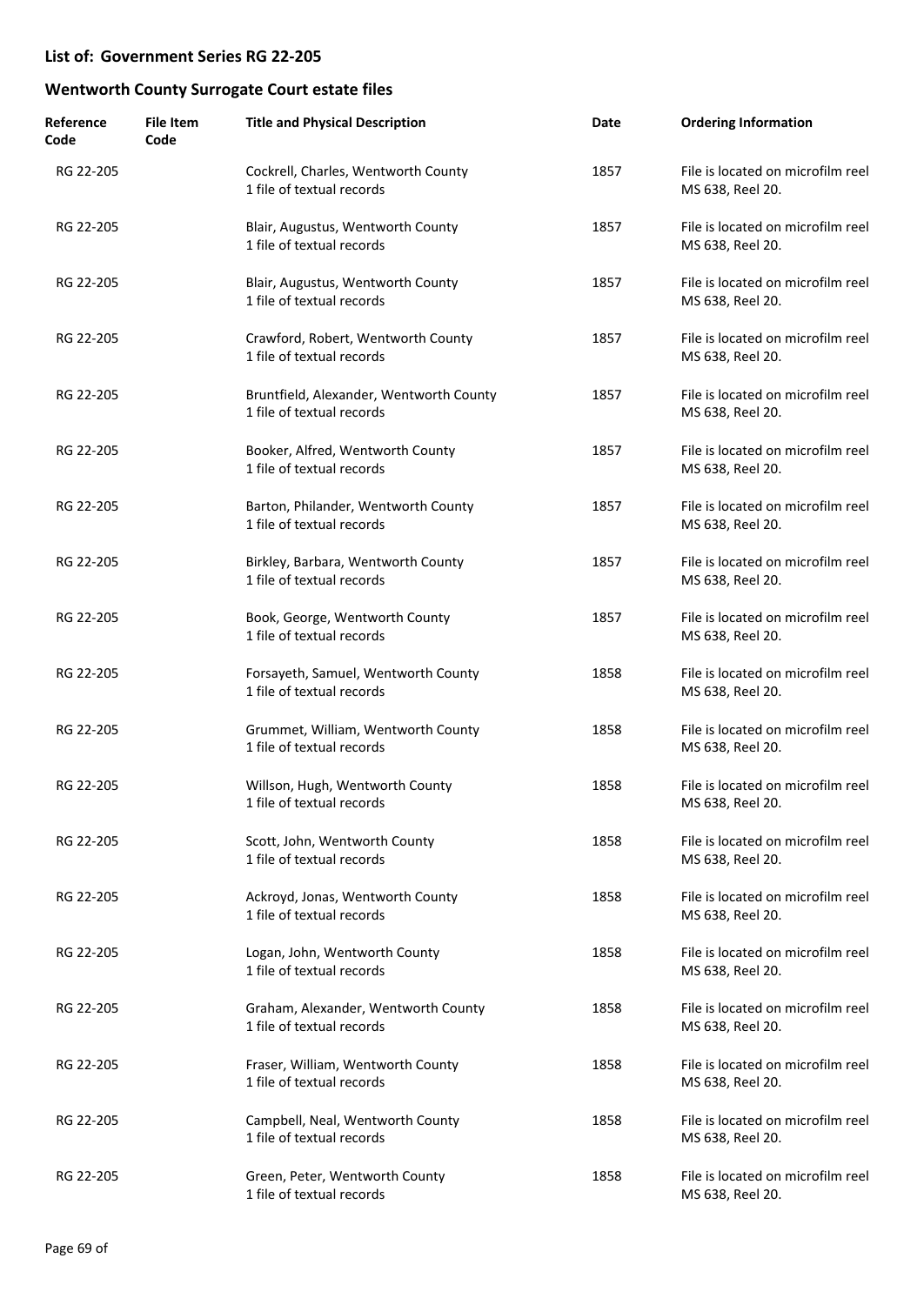| Reference<br>Code | <b>File Item</b><br>Code | <b>Title and Physical Description</b>                                | Date | <b>Ordering Information</b>                           |
|-------------------|--------------------------|----------------------------------------------------------------------|------|-------------------------------------------------------|
| RG 22-205         |                          | Cockrell, Charles, Wentworth County<br>1 file of textual records     | 1857 | File is located on microfilm reel<br>MS 638, Reel 20. |
| RG 22-205         |                          | Blair, Augustus, Wentworth County<br>1 file of textual records       | 1857 | File is located on microfilm reel<br>MS 638, Reel 20. |
| RG 22-205         |                          | Blair, Augustus, Wentworth County<br>1 file of textual records       | 1857 | File is located on microfilm reel<br>MS 638, Reel 20. |
| RG 22-205         |                          | Crawford, Robert, Wentworth County<br>1 file of textual records      | 1857 | File is located on microfilm reel<br>MS 638, Reel 20. |
| RG 22-205         |                          | Bruntfield, Alexander, Wentworth County<br>1 file of textual records | 1857 | File is located on microfilm reel<br>MS 638, Reel 20. |
| RG 22-205         |                          | Booker, Alfred, Wentworth County<br>1 file of textual records        | 1857 | File is located on microfilm reel<br>MS 638, Reel 20. |
| RG 22-205         |                          | Barton, Philander, Wentworth County<br>1 file of textual records     | 1857 | File is located on microfilm reel<br>MS 638, Reel 20. |
| RG 22-205         |                          | Birkley, Barbara, Wentworth County<br>1 file of textual records      | 1857 | File is located on microfilm reel<br>MS 638, Reel 20. |
| RG 22-205         |                          | Book, George, Wentworth County<br>1 file of textual records          | 1857 | File is located on microfilm reel<br>MS 638, Reel 20. |
| RG 22-205         |                          | Forsayeth, Samuel, Wentworth County<br>1 file of textual records     | 1858 | File is located on microfilm reel<br>MS 638, Reel 20. |
| RG 22-205         |                          | Grummet, William, Wentworth County<br>1 file of textual records      | 1858 | File is located on microfilm reel<br>MS 638, Reel 20. |
| RG 22-205         |                          | Willson, Hugh, Wentworth County<br>1 file of textual records         | 1858 | File is located on microfilm reel<br>MS 638, Reel 20. |
| RG 22-205         |                          | Scott, John, Wentworth County<br>1 file of textual records           | 1858 | File is located on microfilm reel<br>MS 638, Reel 20. |
| RG 22-205         |                          | Ackroyd, Jonas, Wentworth County<br>1 file of textual records        | 1858 | File is located on microfilm reel<br>MS 638, Reel 20. |
| RG 22-205         |                          | Logan, John, Wentworth County<br>1 file of textual records           | 1858 | File is located on microfilm reel<br>MS 638, Reel 20. |
| RG 22-205         |                          | Graham, Alexander, Wentworth County<br>1 file of textual records     | 1858 | File is located on microfilm reel<br>MS 638, Reel 20. |
| RG 22-205         |                          | Fraser, William, Wentworth County<br>1 file of textual records       | 1858 | File is located on microfilm reel<br>MS 638, Reel 20. |
| RG 22-205         |                          | Campbell, Neal, Wentworth County<br>1 file of textual records        | 1858 | File is located on microfilm reel<br>MS 638, Reel 20. |
| RG 22-205         |                          | Green, Peter, Wentworth County<br>1 file of textual records          | 1858 | File is located on microfilm reel<br>MS 638, Reel 20. |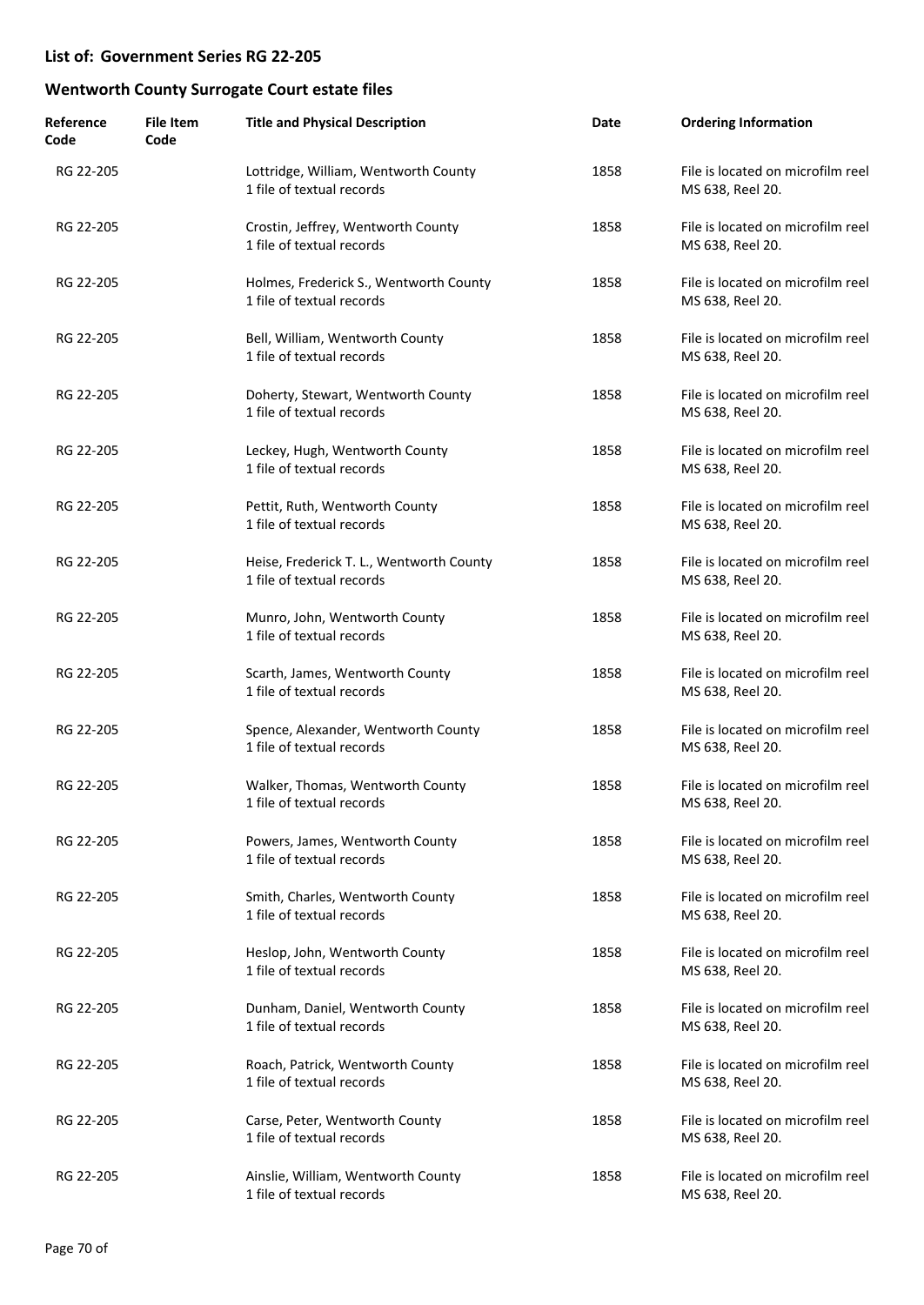| Reference<br>Code | <b>File Item</b><br>Code | <b>Title and Physical Description</b>                                 | Date | <b>Ordering Information</b>                           |
|-------------------|--------------------------|-----------------------------------------------------------------------|------|-------------------------------------------------------|
| RG 22-205         |                          | Lottridge, William, Wentworth County<br>1 file of textual records     | 1858 | File is located on microfilm reel<br>MS 638, Reel 20. |
| RG 22-205         |                          | Crostin, Jeffrey, Wentworth County<br>1 file of textual records       | 1858 | File is located on microfilm reel<br>MS 638, Reel 20. |
| RG 22-205         |                          | Holmes, Frederick S., Wentworth County<br>1 file of textual records   | 1858 | File is located on microfilm reel<br>MS 638, Reel 20. |
| RG 22-205         |                          | Bell, William, Wentworth County<br>1 file of textual records          | 1858 | File is located on microfilm reel<br>MS 638, Reel 20. |
| RG 22-205         |                          | Doherty, Stewart, Wentworth County<br>1 file of textual records       | 1858 | File is located on microfilm reel<br>MS 638, Reel 20. |
| RG 22-205         |                          | Leckey, Hugh, Wentworth County<br>1 file of textual records           | 1858 | File is located on microfilm reel<br>MS 638, Reel 20. |
| RG 22-205         |                          | Pettit, Ruth, Wentworth County<br>1 file of textual records           | 1858 | File is located on microfilm reel<br>MS 638, Reel 20. |
| RG 22-205         |                          | Heise, Frederick T. L., Wentworth County<br>1 file of textual records | 1858 | File is located on microfilm reel<br>MS 638, Reel 20. |
| RG 22-205         |                          | Munro, John, Wentworth County<br>1 file of textual records            | 1858 | File is located on microfilm reel<br>MS 638, Reel 20. |
| RG 22-205         |                          | Scarth, James, Wentworth County<br>1 file of textual records          | 1858 | File is located on microfilm reel<br>MS 638, Reel 20. |
| RG 22-205         |                          | Spence, Alexander, Wentworth County<br>1 file of textual records      | 1858 | File is located on microfilm reel<br>MS 638, Reel 20. |
| RG 22-205         |                          | Walker, Thomas, Wentworth County<br>1 file of textual records         | 1858 | File is located on microfilm reel<br>MS 638, Reel 20. |
| RG 22-205         |                          | Powers, James, Wentworth County<br>1 file of textual records          | 1858 | File is located on microfilm reel<br>MS 638, Reel 20. |
| RG 22-205         |                          | Smith, Charles, Wentworth County<br>1 file of textual records         | 1858 | File is located on microfilm reel<br>MS 638, Reel 20. |
| RG 22-205         |                          | Heslop, John, Wentworth County<br>1 file of textual records           | 1858 | File is located on microfilm reel<br>MS 638, Reel 20. |
| RG 22-205         |                          | Dunham, Daniel, Wentworth County<br>1 file of textual records         | 1858 | File is located on microfilm reel<br>MS 638, Reel 20. |
| RG 22-205         |                          | Roach, Patrick, Wentworth County<br>1 file of textual records         | 1858 | File is located on microfilm reel<br>MS 638, Reel 20. |
| RG 22-205         |                          | Carse, Peter, Wentworth County<br>1 file of textual records           | 1858 | File is located on microfilm reel<br>MS 638, Reel 20. |
| RG 22-205         |                          | Ainslie, William, Wentworth County<br>1 file of textual records       | 1858 | File is located on microfilm reel<br>MS 638, Reel 20. |